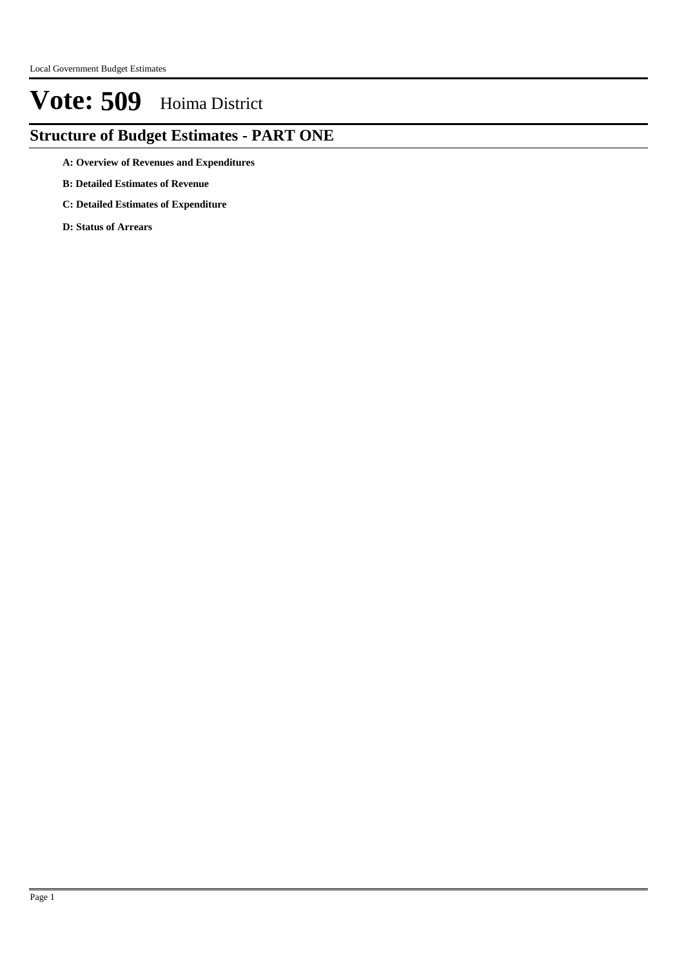## **Structure of Budget Estimates - PART ONE**

- **A: Overview of Revenues and Expenditures**
- **B: Detailed Estimates of Revenue**
- **C: Detailed Estimates of Expenditure**
- **D: Status of Arrears**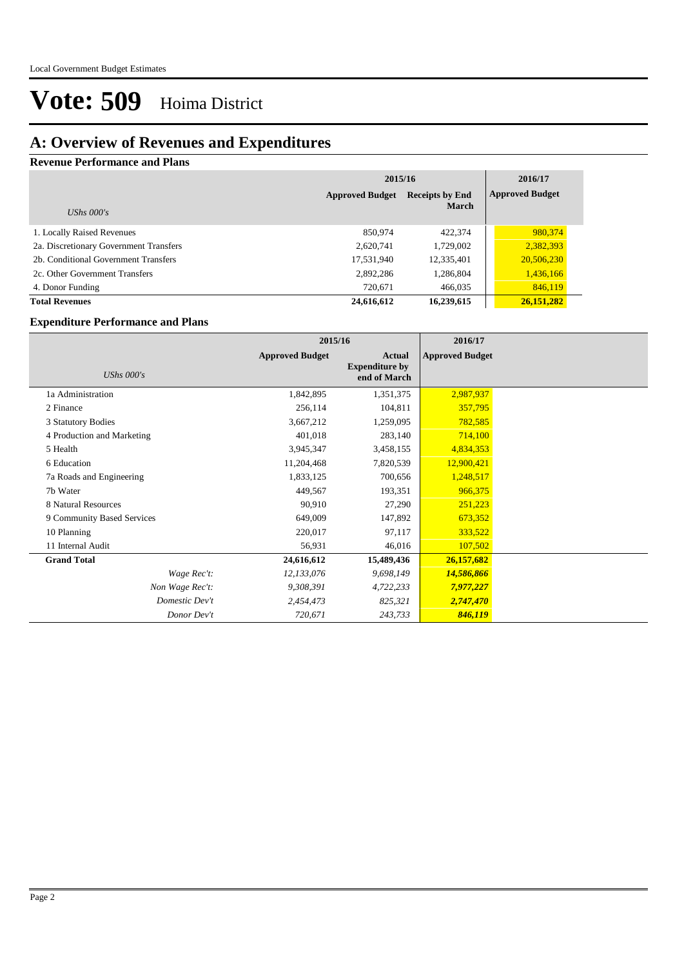### **A: Overview of Revenues and Expenditures**

#### **Revenue Performance and Plans**

|                                        | 2015/16                                          | 2016/17      |                        |
|----------------------------------------|--------------------------------------------------|--------------|------------------------|
|                                        | <b>Approved Budget</b><br><b>Receipts by End</b> |              | <b>Approved Budget</b> |
| UShs $000's$                           |                                                  | <b>March</b> |                        |
| 1. Locally Raised Revenues             | 850,974                                          | 422,374      | 980,374                |
| 2a. Discretionary Government Transfers | 2,620,741                                        | 1,729,002    | 2,382,393              |
| 2b. Conditional Government Transfers   | 17,531,940                                       | 12,335,401   | 20,506,230             |
| 2c. Other Government Transfers         | 2,892,286                                        | 1,286,804    | 1,436,166              |
| 4. Donor Funding                       | 720,671                                          | 466,035      | 846,119                |
| <b>Total Revenues</b>                  | 24,616,612                                       | 16,239,615   | 26,151,282             |

#### **Expenditure Performance and Plans**

|                            | 2015/16                |                                                 | 2016/17                |  |
|----------------------------|------------------------|-------------------------------------------------|------------------------|--|
| UShs $000's$               | <b>Approved Budget</b> | Actual<br><b>Expenditure by</b><br>end of March | <b>Approved Budget</b> |  |
| 1a Administration          | 1,842,895              | 1,351,375                                       | 2,987,937              |  |
| 2 Finance                  | 256,114                | 104,811                                         | 357,795                |  |
| 3 Statutory Bodies         | 3,667,212              | 1,259,095                                       | 782,585                |  |
| 4 Production and Marketing | 401,018                | 283,140                                         | 714,100                |  |
| 5 Health                   | 3,945,347              | 3,458,155                                       | 4,834,353              |  |
| 6 Education                | 11,204,468             | 7,820,539                                       | 12,900,421             |  |
| 7a Roads and Engineering   | 1,833,125              | 700,656                                         | 1,248,517              |  |
| 7b Water                   | 449,567                | 193,351                                         | 966,375                |  |
| 8 Natural Resources        | 90,910                 | 27,290                                          | 251,223                |  |
| 9 Community Based Services | 649,009                | 147,892                                         | 673,352                |  |
| 10 Planning                | 220,017                | 97,117                                          | 333,522                |  |
| 11 Internal Audit          | 56,931                 | 46,016                                          | 107,502                |  |
| <b>Grand Total</b>         | 24,616,612             | 15,489,436                                      | 26,157,682             |  |
| Wage Rec't:                | 12,133,076             | 9,698,149                                       | 14,586,866             |  |
| Non Wage Rec't:            | 9,308,391              | 4,722,233                                       | 7,977,227              |  |
| Domestic Dev't             | 2,454,473              | 825,321                                         | 2,747,470              |  |
| Donor Dev't                | 720,671                | 243,733                                         | 846,119                |  |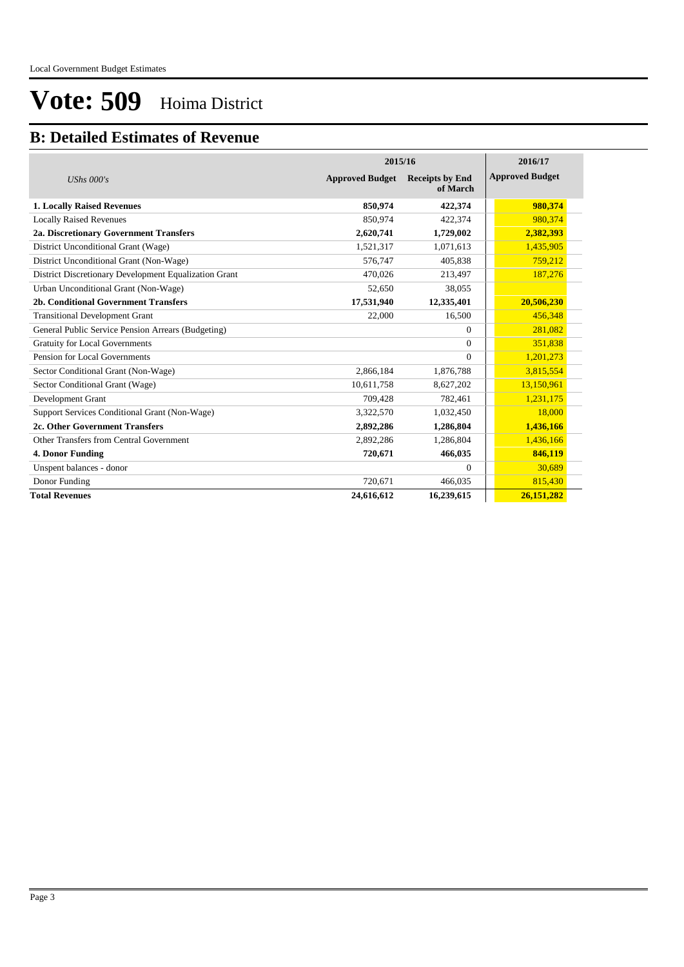### **B: Detailed Estimates of Revenue**

|                                                       |                        | 2015/16                            |                        |  |  |  |
|-------------------------------------------------------|------------------------|------------------------------------|------------------------|--|--|--|
| UShs $000's$                                          | <b>Approved Budget</b> | <b>Receipts by End</b><br>of March | <b>Approved Budget</b> |  |  |  |
| <b>1. Locally Raised Revenues</b>                     | 850,974                | 422,374                            | 980,374                |  |  |  |
| <b>Locally Raised Revenues</b>                        | 850,974                | 422,374                            | 980,374                |  |  |  |
| 2a. Discretionary Government Transfers                | 2,620,741              | 1,729,002                          | 2,382,393              |  |  |  |
| District Unconditional Grant (Wage)                   | 1,521,317              | 1,071,613                          | 1,435,905              |  |  |  |
| District Unconditional Grant (Non-Wage)               | 576,747                | 405,838                            | 759,212                |  |  |  |
| District Discretionary Development Equalization Grant | 470,026                | 213,497                            | 187,276                |  |  |  |
| Urban Unconditional Grant (Non-Wage)                  | 52,650                 | 38,055                             |                        |  |  |  |
| 2b. Conditional Government Transfers                  | 17,531,940             | 12,335,401                         | 20,506,230             |  |  |  |
| <b>Transitional Development Grant</b>                 | 22,000                 | 16,500                             | 456,348                |  |  |  |
| General Public Service Pension Arrears (Budgeting)    |                        | $\Omega$                           | 281,082                |  |  |  |
| <b>Gratuity for Local Governments</b>                 |                        | $\Omega$                           | 351,838                |  |  |  |
| Pension for Local Governments                         |                        | $\Omega$                           | 1,201,273              |  |  |  |
| Sector Conditional Grant (Non-Wage)                   | 2,866,184              | 1,876,788                          | 3,815,554              |  |  |  |
| Sector Conditional Grant (Wage)                       | 10,611,758             | 8,627,202                          | 13,150,961             |  |  |  |
| Development Grant                                     | 709,428                | 782,461                            | 1,231,175              |  |  |  |
| Support Services Conditional Grant (Non-Wage)         | 3,322,570              | 1,032,450                          | 18,000                 |  |  |  |
| 2c. Other Government Transfers                        | 2,892,286              | 1,286,804                          | 1,436,166              |  |  |  |
| Other Transfers from Central Government               | 2,892,286              | 1,286,804                          | 1,436,166              |  |  |  |
| 4. Donor Funding                                      | 720,671                | 466,035                            | 846,119                |  |  |  |
| Unspent balances - donor                              |                        | $\Omega$                           | 30,689                 |  |  |  |
| Donor Funding                                         | 720,671                | 466.035                            | 815,430                |  |  |  |
| <b>Total Revenues</b>                                 | 24,616,612             | 16,239,615                         | 26,151,282             |  |  |  |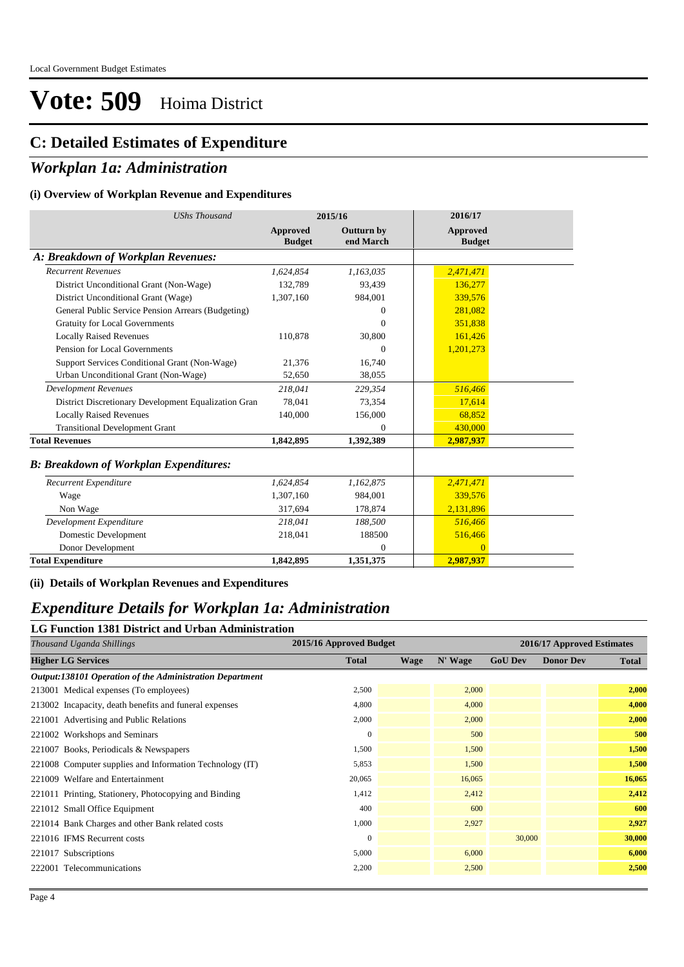### **C: Detailed Estimates of Expenditure**

### *Workplan 1a: Administration*

#### **(i) Overview of Workplan Revenue and Expenditures**

| <b>UShs Thousand</b>                                 | 2015/16                   |                                | 2016/17                   |
|------------------------------------------------------|---------------------------|--------------------------------|---------------------------|
|                                                      | Approved<br><b>Budget</b> | <b>Outturn by</b><br>end March | Approved<br><b>Budget</b> |
| A: Breakdown of Workplan Revenues:                   |                           |                                |                           |
| <b>Recurrent Revenues</b>                            | 1,624,854                 | 1,163,035                      | 2,471,471                 |
| District Unconditional Grant (Non-Wage)              | 132.789                   | 93.439                         | 136,277                   |
| District Unconditional Grant (Wage)                  | 1,307,160                 | 984,001                        | 339,576                   |
| General Public Service Pension Arrears (Budgeting)   |                           | $\Omega$                       | 281,082                   |
| <b>Gratuity for Local Governments</b>                |                           | $\Omega$                       | 351,838                   |
| <b>Locally Raised Revenues</b>                       | 110,878                   | 30,800                         | 161,426                   |
| Pension for Local Governments                        |                           | $\Omega$                       | 1,201,273                 |
| Support Services Conditional Grant (Non-Wage)        | 21,376                    | 16,740                         |                           |
| Urban Unconditional Grant (Non-Wage)                 | 52,650                    | 38,055                         |                           |
| <b>Development Revenues</b>                          | 218,041                   | 229,354                        | 516,466                   |
| District Discretionary Development Equalization Gran | 78.041                    | 73,354                         | 17,614                    |
| <b>Locally Raised Revenues</b>                       | 140,000                   | 156,000                        | 68,852                    |
| <b>Transitional Development Grant</b>                |                           | $\Omega$                       | 430,000                   |
| <b>Total Revenues</b>                                | 1,842,895                 | 1,392,389                      | 2,987,937                 |
| <b>B: Breakdown of Workplan Expenditures:</b>        |                           |                                |                           |
| Recurrent Expenditure                                | 1,624,854                 | 1,162,875                      | 2,471,471                 |
| Wage                                                 | 1,307,160                 | 984.001                        | 339,576                   |
| Non Wage                                             | 317,694                   | 178,874                        | 2,131,896                 |
| Development Expenditure                              | 218,041                   | 188,500                        | 516,466                   |
| Domestic Development                                 | 218,041                   | 188500                         | 516,466                   |
| Donor Development                                    |                           | $\Omega$                       | $\Omega$                  |
| <b>Total Expenditure</b>                             | 1,842,895                 | 1,351,375                      | 2,987,937                 |

**(ii) Details of Workplan Revenues and Expenditures**

#### *Expenditure Details for Workplan 1a: Administration* **LG Function 1381 District and Urban Administration**

| Thousand Uganda Shillings                                | 2015/16 Approved Budget |             |         | 2016/17 Approved Estimates |                  |              |
|----------------------------------------------------------|-------------------------|-------------|---------|----------------------------|------------------|--------------|
| <b>Higher LG Services</b>                                | <b>Total</b>            | <b>Wage</b> | N' Wage | <b>GoU Dev</b>             | <b>Donor Dev</b> | <b>Total</b> |
| Output:138101 Operation of the Administration Department |                         |             |         |                            |                  |              |
| 213001 Medical expenses (To employees)                   | 2,500                   |             | 2,000   |                            |                  | 2,000        |
| 213002 Incapacity, death benefits and funeral expenses   | 4,800                   |             | 4,000   |                            |                  | 4,000        |
| 221001 Advertising and Public Relations                  | 2,000                   |             | 2,000   |                            |                  | 2,000        |
| 221002 Workshops and Seminars                            | $\mathbf{0}$            |             | 500     |                            |                  | 500          |
| 221007 Books, Periodicals & Newspapers                   | 1,500                   |             | 1,500   |                            |                  | 1,500        |
| 221008 Computer supplies and Information Technology (IT) | 5,853                   |             | 1,500   |                            |                  | 1,500        |
| 221009 Welfare and Entertainment                         | 20,065                  |             | 16,065  |                            |                  | 16,065       |
| 221011 Printing, Stationery, Photocopying and Binding    | 1,412                   |             | 2,412   |                            |                  | 2,412        |
| 221012 Small Office Equipment                            | 400                     |             | 600     |                            |                  | 600          |
| 221014 Bank Charges and other Bank related costs         | 1,000                   |             | 2,927   |                            |                  | 2,927        |
| 221016 IFMS Recurrent costs                              | $\mathbf{0}$            |             |         | 30,000                     |                  | 30,000       |
| 221017 Subscriptions                                     | 5,000                   |             | 6,000   |                            |                  | 6,000        |
| 222001 Telecommunications                                | 2,200                   |             | 2,500   |                            |                  | 2,500        |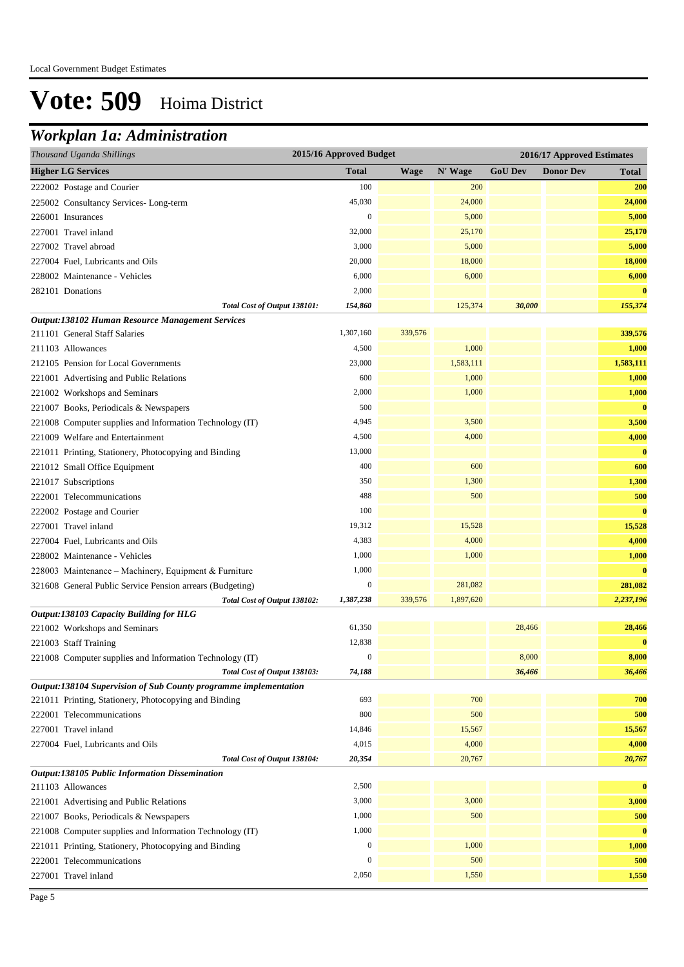## *Workplan 1a: Administration*

| 2015/16 Approved Budget<br>Thousand Uganda Shillings<br>2016/17 Approved Estimates |                                           |             |           |                |                  |              |
|------------------------------------------------------------------------------------|-------------------------------------------|-------------|-----------|----------------|------------------|--------------|
| <b>Higher LG Services</b>                                                          | <b>Total</b>                              | <b>Wage</b> | N' Wage   | <b>GoU Dev</b> | <b>Donor Dev</b> | <b>Total</b> |
| 222002 Postage and Courier                                                         | 100                                       |             | 200       |                |                  | 200          |
| 225002 Consultancy Services-Long-term                                              | 45,030                                    |             | 24,000    |                |                  | 24,000       |
| 226001 Insurances                                                                  | $\boldsymbol{0}$                          |             | 5,000     |                |                  | 5,000        |
| 227001 Travel inland                                                               | 32,000                                    |             | 25,170    |                |                  | 25,170       |
| 227002 Travel abroad                                                               | 3,000                                     |             | 5,000     |                |                  | 5,000        |
| 227004 Fuel, Lubricants and Oils                                                   | 20,000                                    |             | 18,000    |                |                  | 18,000       |
| 228002 Maintenance - Vehicles                                                      | 6,000                                     |             | 6,000     |                |                  | 6,000        |
| 282101 Donations                                                                   | 2,000                                     |             |           |                |                  | $\bf{0}$     |
|                                                                                    | 154,860<br>Total Cost of Output 138101:   |             | 125,374   | 30,000         |                  | 155,374      |
| Output:138102 Human Resource Management Services                                   |                                           |             |           |                |                  |              |
| 211101 General Staff Salaries                                                      | 1,307,160                                 | 339,576     |           |                |                  | 339,576      |
| 211103 Allowances                                                                  | 4,500                                     |             | 1,000     |                |                  | 1,000        |
| 212105 Pension for Local Governments                                               | 23,000                                    |             | 1,583,111 |                |                  | 1,583,111    |
| 221001 Advertising and Public Relations                                            | 600                                       |             | 1,000     |                |                  | 1,000        |
| 221002 Workshops and Seminars                                                      | 2,000                                     |             | 1,000     |                |                  | 1,000        |
| 221007 Books, Periodicals & Newspapers                                             | 500                                       |             |           |                |                  | $\bf{0}$     |
| 221008 Computer supplies and Information Technology (IT)                           | 4,945                                     |             | 3,500     |                |                  | 3,500        |
| 221009 Welfare and Entertainment                                                   | 4,500                                     |             | 4,000     |                |                  | 4,000        |
| 221011 Printing, Stationery, Photocopying and Binding                              | 13,000                                    |             |           |                |                  | $\bf{0}$     |
| 221012 Small Office Equipment                                                      | 400                                       |             | 600       |                |                  | 600          |
| 221017 Subscriptions                                                               | 350                                       |             | 1,300     |                |                  | 1,300        |
| 222001 Telecommunications                                                          | 488                                       |             | 500       |                |                  | 500          |
| 222002 Postage and Courier                                                         | 100                                       |             |           |                |                  | $\bf{0}$     |
| 227001 Travel inland                                                               | 19,312                                    |             | 15,528    |                |                  | 15,528       |
| 227004 Fuel, Lubricants and Oils                                                   | 4,383                                     |             | 4,000     |                |                  | 4,000        |
| 228002 Maintenance - Vehicles                                                      | 1,000                                     |             | 1,000     |                |                  | 1,000        |
| 228003 Maintenance – Machinery, Equipment & Furniture                              | 1,000                                     |             |           |                |                  | $\bf{0}$     |
| 321608 General Public Service Pension arrears (Budgeting)                          | $\boldsymbol{0}$                          |             | 281,082   |                |                  | 281,082      |
|                                                                                    | Total Cost of Output 138102:<br>1,387,238 | 339,576     | 1,897,620 |                |                  | 2,237,196    |
| Output:138103 Capacity Building for HLG                                            |                                           |             |           |                |                  |              |
| 221002 Workshops and Seminars                                                      | 61,350                                    |             |           | 28,466         |                  | 28,466       |
| 221003 Staff Training                                                              | 12,838                                    |             |           |                |                  | $\bf{0}$     |
| 221008 Computer supplies and Information Technology (IT)                           | $\boldsymbol{0}$                          |             |           | 8,000          |                  | 8,000        |
|                                                                                    | Total Cost of Output 138103:<br>74,188    |             |           | 36,466         |                  | 36,466       |
| Output:138104 Supervision of Sub County programme implementation                   |                                           |             |           |                |                  |              |
| 221011 Printing, Stationery, Photocopying and Binding                              | 693                                       |             | 700       |                |                  | 700          |
| 222001 Telecommunications                                                          | 800                                       |             | 500       |                |                  | 500          |
| 227001 Travel inland                                                               | 14,846                                    |             | 15,567    |                |                  | 15,567       |
| 227004 Fuel, Lubricants and Oils                                                   | 4,015                                     |             | 4,000     |                |                  | 4,000        |
|                                                                                    | Total Cost of Output 138104:<br>20,354    |             | 20,767    |                |                  | 20,767       |
| Output:138105 Public Information Dissemination                                     |                                           |             |           |                |                  |              |
| 211103 Allowances                                                                  | 2,500                                     |             |           |                |                  | $\bf{0}$     |
| 221001 Advertising and Public Relations                                            | 3,000                                     |             | 3,000     |                |                  | 3,000        |
| 221007 Books, Periodicals & Newspapers                                             | 1,000                                     |             | 500       |                |                  | 500          |
| 221008 Computer supplies and Information Technology (IT)                           | 1,000                                     |             |           |                |                  | $\bf{0}$     |
| 221011 Printing, Stationery, Photocopying and Binding                              | $\boldsymbol{0}$                          |             | 1,000     |                |                  | 1,000        |
| 222001 Telecommunications                                                          | $\boldsymbol{0}$                          |             | 500       |                |                  | 500          |
| 227001 Travel inland                                                               | 2,050                                     |             | 1,550     |                |                  | 1,550        |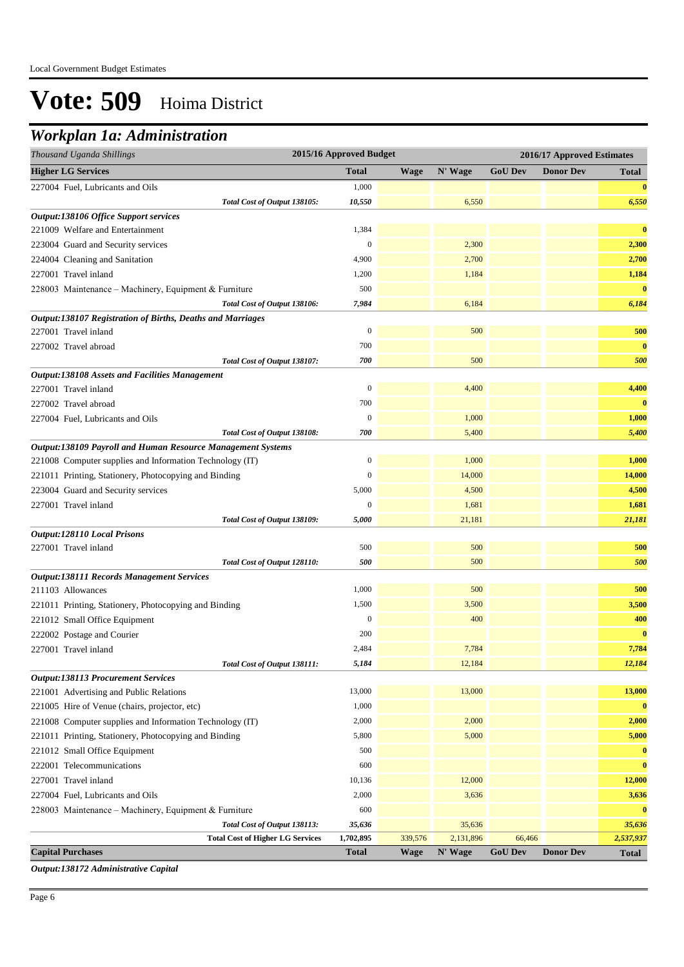## *Workplan 1a: Administration*

| Thousand Uganda Shillings                                                            | 2015/16 Approved Budget   |                        |                      |                          | 2016/17 Approved Estimates |                           |
|--------------------------------------------------------------------------------------|---------------------------|------------------------|----------------------|--------------------------|----------------------------|---------------------------|
| <b>Higher LG Services</b>                                                            | <b>Total</b>              | <b>Wage</b>            | N' Wage              | <b>GoU Dev</b>           | <b>Donor Dev</b>           | Total                     |
| 227004 Fuel, Lubricants and Oils                                                     | 1,000                     |                        |                      |                          |                            | $\bf{0}$                  |
| Total Cost of Output 138105:                                                         | 10,550                    |                        | 6,550                |                          |                            | 6,550                     |
| Output:138106 Office Support services                                                |                           |                        |                      |                          |                            |                           |
| 221009 Welfare and Entertainment                                                     | 1,384                     |                        |                      |                          |                            | $\bf{0}$                  |
| 223004 Guard and Security services                                                   | $\mathbf{0}$              |                        | 2,300                |                          |                            | 2,300                     |
| 224004 Cleaning and Sanitation                                                       | 4,900                     |                        | 2,700                |                          |                            | 2,700                     |
| 227001 Travel inland                                                                 | 1,200                     |                        | 1,184                |                          |                            | 1,184                     |
| 228003 Maintenance - Machinery, Equipment & Furniture                                | 500                       |                        |                      |                          |                            | $\bf{0}$                  |
| Total Cost of Output 138106:                                                         | 7,984                     |                        | 6,184                |                          |                            | 6,184                     |
| Output:138107 Registration of Births, Deaths and Marriages                           |                           |                        |                      |                          |                            |                           |
| 227001 Travel inland                                                                 | $\boldsymbol{0}$          |                        | 500                  |                          |                            | 500                       |
| 227002 Travel abroad                                                                 | 700                       |                        |                      |                          |                            | $\bf{0}$                  |
| Total Cost of Output 138107:                                                         | 700                       |                        | 500                  |                          |                            | 500                       |
| <b>Output:138108 Assets and Facilities Management</b>                                |                           |                        |                      |                          |                            |                           |
| 227001 Travel inland                                                                 | $\boldsymbol{0}$          |                        | 4,400                |                          |                            | 4,400                     |
| 227002 Travel abroad                                                                 | 700                       |                        |                      |                          |                            | $\bf{0}$                  |
| 227004 Fuel, Lubricants and Oils                                                     | $\mathbf{0}$              |                        | 1,000                |                          |                            | 1,000                     |
| Total Cost of Output 138108:                                                         | 700                       |                        | 5,400                |                          |                            | 5,400                     |
| Output:138109 Payroll and Human Resource Management Systems                          |                           |                        |                      |                          |                            |                           |
| 221008 Computer supplies and Information Technology (IT)                             | $\boldsymbol{0}$          |                        | 1,000                |                          |                            | 1,000                     |
| 221011 Printing, Stationery, Photocopying and Binding                                | $\boldsymbol{0}$          |                        | 14,000               |                          |                            | 14,000                    |
| 223004 Guard and Security services                                                   | 5,000                     |                        | 4,500                |                          |                            | 4,500                     |
| 227001 Travel inland                                                                 | $\boldsymbol{0}$          |                        | 1,681                |                          |                            | 1,681                     |
| Total Cost of Output 138109:                                                         | 5,000                     |                        | 21,181               |                          |                            | 21,181                    |
| <b>Output:128110 Local Prisons</b>                                                   |                           |                        |                      |                          |                            |                           |
| 227001 Travel inland                                                                 | 500                       |                        | 500                  |                          |                            | 500                       |
| Total Cost of Output 128110:                                                         | 500                       |                        | 500                  |                          |                            | 500                       |
| <b>Output:138111 Records Management Services</b>                                     |                           |                        |                      |                          |                            |                           |
| 211103 Allowances                                                                    | 1,000                     |                        | 500                  |                          |                            | 500                       |
| 221011 Printing, Stationery, Photocopying and Binding                                | 1,500                     |                        | 3,500                |                          |                            | 3,500                     |
| 221012 Small Office Equipment                                                        | $\boldsymbol{0}$          |                        | 400                  |                          |                            | 400                       |
| 222002 Postage and Courier                                                           | 200                       |                        |                      |                          |                            | $\bf{0}$                  |
| 227001 Travel inland                                                                 | 2,484                     |                        | 7,784                |                          |                            | 7,784                     |
| Total Cost of Output 138111:                                                         | 5,184                     |                        | 12,184               |                          |                            | 12,184                    |
| <b>Output:138113 Procurement Services</b><br>221001 Advertising and Public Relations | 13,000                    |                        | 13,000               |                          |                            | 13,000                    |
| 221005 Hire of Venue (chairs, projector, etc)                                        | 1,000                     |                        |                      |                          |                            | $\bf{0}$                  |
|                                                                                      | 2,000                     |                        | 2,000                |                          |                            | 2,000                     |
| 221008 Computer supplies and Information Technology (IT)                             | 5,800                     |                        | 5,000                |                          |                            | 5,000                     |
| 221011 Printing, Stationery, Photocopying and Binding                                | 500                       |                        |                      |                          |                            |                           |
| 221012 Small Office Equipment                                                        |                           |                        |                      |                          |                            | $\bf{0}$                  |
| 222001 Telecommunications                                                            | 600                       |                        |                      |                          |                            | $\bf{0}$                  |
| 227001 Travel inland                                                                 | 10,136                    |                        | 12,000               |                          |                            | 12,000                    |
| 227004 Fuel, Lubricants and Oils                                                     | 2,000                     |                        | 3,636                |                          |                            | 3,636                     |
| 228003 Maintenance - Machinery, Equipment & Furniture                                | 600                       |                        |                      |                          |                            | $\bf{0}$                  |
| Total Cost of Output 138113:                                                         | 35,636                    |                        | 35,636               |                          |                            | 35,636                    |
| <b>Total Cost of Higher LG Services</b><br><b>Capital Purchases</b>                  | 1,702,895<br><b>Total</b> | 339,576<br><b>Wage</b> | 2,131,896<br>N' Wage | 66,466<br><b>GoU Dev</b> | <b>Donor Dev</b>           | 2,537,937<br><b>Total</b> |

*Output:138172 Administrative Capital*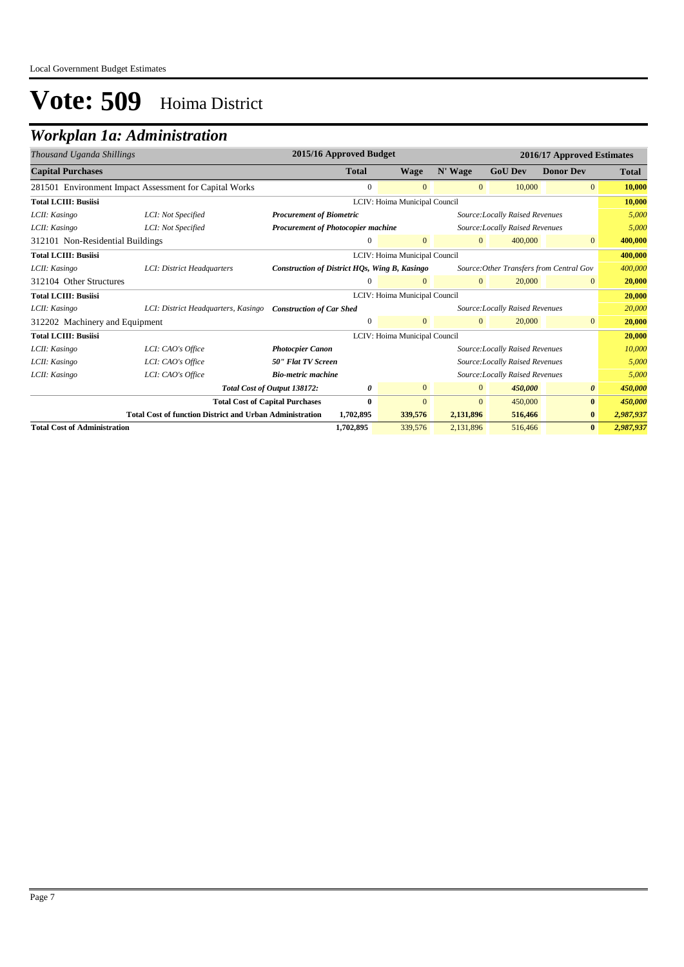## *Workplan 1a: Administration*

| Thousand Uganda Shillings           |                                                                 |                                               | 2015/16 Approved Budget |                               |                |                                          | 2016/17 Approved Estimates |              |
|-------------------------------------|-----------------------------------------------------------------|-----------------------------------------------|-------------------------|-------------------------------|----------------|------------------------------------------|----------------------------|--------------|
| <b>Capital Purchases</b>            |                                                                 |                                               | <b>Total</b>            | Wage                          | N' Wage        | <b>GoU Dev</b>                           | <b>Donor Dev</b>           | <b>Total</b> |
|                                     | 281501 Environment Impact Assessment for Capital Works          |                                               | $\mathbf{0}$            | $\mathbf{0}$                  | $\mathbf{0}$   | 10,000                                   | $\overline{0}$             | 10,000       |
| <b>Total LCIII: Busiisi</b>         |                                                                 |                                               |                         | LCIV: Hoima Municipal Council |                |                                          |                            | 10,000       |
| LCII: Kasingo                       | LCI: Not Specified                                              | <b>Procurement of Biometric</b>               |                         |                               |                | Source: Locally Raised Revenues          |                            | 5,000        |
| LCII: Kasingo                       | LCI: Not Specified                                              | <b>Procurement of Photocopier machine</b>     |                         |                               |                | Source: Locally Raised Revenues          |                            | 5,000        |
| 312101 Non-Residential Buildings    |                                                                 |                                               | $\overline{0}$          | $\mathbf{0}$                  | $\overline{0}$ | 400,000                                  | $\overline{0}$             | 400,000      |
| <b>Total LCIII: Busiisi</b>         |                                                                 |                                               |                         | LCIV: Hoima Municipal Council |                |                                          |                            | 400,000      |
| LCII: Kasingo                       | LCI: District Headquarters                                      | Construction of District HQs, Wing B, Kasingo |                         |                               |                | Source: Other Transfers from Central Gov |                            | 400,000      |
| 312104 Other Structures             |                                                                 |                                               |                         | $\Omega$                      | $\mathbf{0}$   | 20,000                                   | $\overline{0}$             | 20,000       |
| <b>Total LCIII: Busiisi</b>         |                                                                 |                                               |                         | LCIV: Hoima Municipal Council |                |                                          |                            | 20,000       |
| LCII: Kasingo                       | LCI: District Headquarters, Kasingo                             | <b>Construction of Car Shed</b>               |                         |                               |                | Source: Locally Raised Revenues          |                            | 20,000       |
| 312202 Machinery and Equipment      |                                                                 |                                               | $\Omega$                | $\overline{0}$                | $\Omega$       | 20,000                                   | $\overline{0}$             | 20,000       |
| <b>Total LCIII: Busiisi</b>         |                                                                 |                                               |                         | LCIV: Hoima Municipal Council |                |                                          |                            | 20,000       |
| LCII: Kasingo                       | LCI: CAO's Office                                               | <b>Photocpier Canon</b>                       |                         |                               |                | Source: Locally Raised Revenues          |                            | 10,000       |
| LCII: Kasingo                       | LCI: CAO's Office                                               | <b>50" Flat TV Screen</b>                     |                         |                               |                | Source: Locally Raised Revenues          |                            | 5.000        |
| LCII: Kasingo                       | LCI: CAO's Office                                               | <b>Bio-metric machine</b>                     |                         |                               |                | Source: Locally Raised Revenues          |                            | 5,000        |
|                                     |                                                                 | Total Cost of Output 138172:                  | 0                       | $\overline{0}$                | $\overline{0}$ | 450,000                                  | $\theta$                   | 450,000      |
|                                     | <b>Total Cost of Capital Purchases</b>                          |                                               | $\bf{0}$                | $\mathbf{0}$                  | $\mathbf{0}$   | 450,000                                  | $\bf{0}$                   | 450,000      |
|                                     | <b>Total Cost of function District and Urban Administration</b> |                                               | 1,702,895               | 339,576                       | 2,131,896      | 516,466                                  | $\bf{0}$                   | 2,987,937    |
| <b>Total Cost of Administration</b> |                                                                 |                                               | 1,702,895               | 339,576                       | 2,131,896      | 516,466                                  | $\bf{0}$                   | 2,987,937    |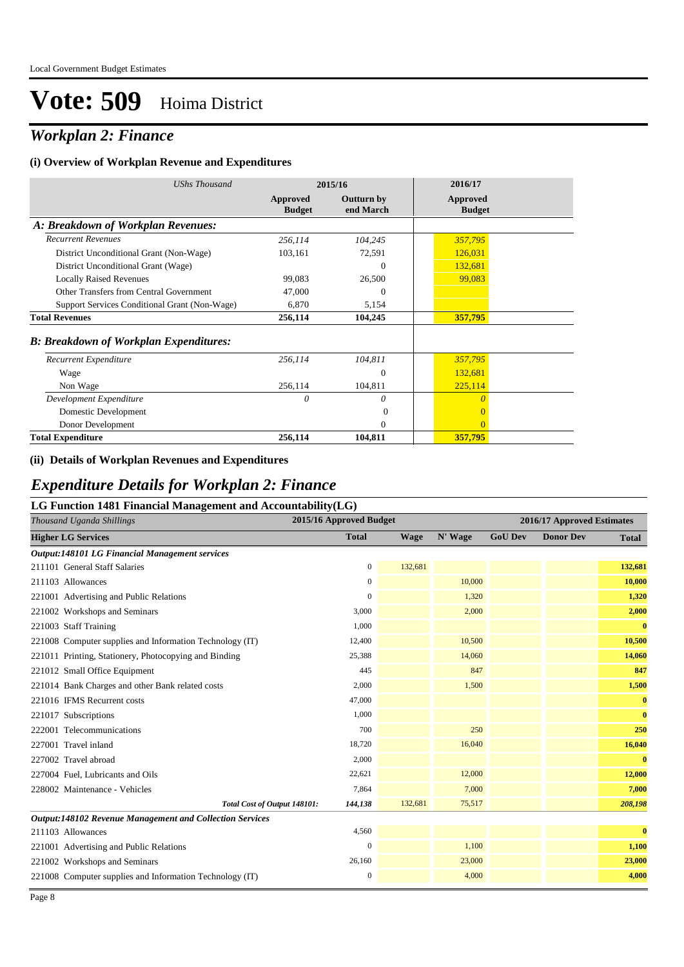## *Workplan 2: Finance*

#### **(i) Overview of Workplan Revenue and Expenditures**

| <b>UShs Thousand</b>                          |                           | 2015/16                        | 2016/17                          |
|-----------------------------------------------|---------------------------|--------------------------------|----------------------------------|
|                                               | Approved<br><b>Budget</b> | <b>Outturn by</b><br>end March | <b>Approved</b><br><b>Budget</b> |
| A: Breakdown of Workplan Revenues:            |                           |                                |                                  |
| <b>Recurrent Revenues</b>                     | 256,114                   | 104,245                        | 357,795                          |
| District Unconditional Grant (Non-Wage)       | 103,161                   | 72,591                         | 126,031                          |
| District Unconditional Grant (Wage)           |                           | $\Omega$                       | 132,681                          |
| <b>Locally Raised Revenues</b>                | 99,083                    | 26,500                         | 99,083                           |
| Other Transfers from Central Government       | 47,000                    | 0                              |                                  |
| Support Services Conditional Grant (Non-Wage) | 6,870                     | 5,154                          |                                  |
| <b>Total Revenues</b>                         | 256,114                   | 104,245                        | 357,795                          |
| <b>B: Breakdown of Workplan Expenditures:</b> |                           |                                |                                  |
| Recurrent Expenditure                         | 256,114                   | 104,811                        | 357,795                          |
| Wage                                          |                           | $\theta$                       | 132,681                          |
| Non Wage                                      | 256,114                   | 104,811                        | 225,114                          |
| Development Expenditure                       | 0                         | 0                              | $\theta$                         |
| Domestic Development                          |                           | $\mathbf{0}$                   | $\overline{0}$                   |
| Donor Development                             |                           | $\Omega$                       | $\Omega$                         |
| <b>Total Expenditure</b>                      | 256,114                   | 104,811                        | 357,795                          |

#### **(ii) Details of Workplan Revenues and Expenditures**

### *Expenditure Details for Workplan 2: Finance*

| LG Function 1481 Financial Management and Accountability(LG) |                         |             |         |                            |                  |              |  |  |  |  |
|--------------------------------------------------------------|-------------------------|-------------|---------|----------------------------|------------------|--------------|--|--|--|--|
| Thousand Uganda Shillings                                    | 2015/16 Approved Budget |             |         | 2016/17 Approved Estimates |                  |              |  |  |  |  |
| <b>Higher LG Services</b>                                    | <b>Total</b>            | <b>Wage</b> | N' Wage | <b>GoU Dev</b>             | <b>Donor Dev</b> | <b>Total</b> |  |  |  |  |
| Output:148101 LG Financial Management services               |                         |             |         |                            |                  |              |  |  |  |  |
| 211101 General Staff Salaries                                | $\boldsymbol{0}$        | 132,681     |         |                            |                  | 132,681      |  |  |  |  |
| 211103 Allowances                                            | $\overline{0}$          |             | 10,000  |                            |                  | 10,000       |  |  |  |  |
| 221001 Advertising and Public Relations                      | $\mathbf{0}$            |             | 1,320   |                            |                  | 1,320        |  |  |  |  |
| 221002 Workshops and Seminars                                | 3,000                   |             | 2,000   |                            |                  | 2,000        |  |  |  |  |
| 221003 Staff Training                                        | 1,000                   |             |         |                            |                  | $\bf{0}$     |  |  |  |  |
| 221008 Computer supplies and Information Technology (IT)     | 12,400                  |             | 10,500  |                            |                  | 10,500       |  |  |  |  |
| 221011 Printing, Stationery, Photocopying and Binding        | 25,388                  |             | 14,060  |                            |                  | 14,060       |  |  |  |  |
| 221012 Small Office Equipment                                | 445                     |             | 847     |                            |                  | 847          |  |  |  |  |
| 221014 Bank Charges and other Bank related costs             | 2,000                   |             | 1,500   |                            |                  | 1,500        |  |  |  |  |
| 221016 IFMS Recurrent costs                                  | 47,000                  |             |         |                            |                  | $\bf{0}$     |  |  |  |  |
| 221017 Subscriptions                                         | 1,000                   |             |         |                            |                  | $\bf{0}$     |  |  |  |  |
| 222001 Telecommunications                                    | 700                     |             | 250     |                            |                  | 250          |  |  |  |  |
| 227001 Travel inland                                         | 18,720                  |             | 16,040  |                            |                  | 16,040       |  |  |  |  |
| 227002 Travel abroad                                         | 2,000                   |             |         |                            |                  | $\bf{0}$     |  |  |  |  |
| 227004 Fuel, Lubricants and Oils                             | 22,621                  |             | 12,000  |                            |                  | 12,000       |  |  |  |  |
| 228002 Maintenance - Vehicles                                | 7,864                   |             | 7,000   |                            |                  | 7,000        |  |  |  |  |
| Total Cost of Output 148101:                                 | 144,138                 | 132,681     | 75,517  |                            |                  | 208,198      |  |  |  |  |
| Output:148102 Revenue Management and Collection Services     |                         |             |         |                            |                  |              |  |  |  |  |
| 211103 Allowances                                            | 4,560                   |             |         |                            |                  | $\bf{0}$     |  |  |  |  |
| 221001 Advertising and Public Relations                      | $\Omega$                |             | 1,100   |                            |                  | 1,100        |  |  |  |  |
| 221002 Workshops and Seminars                                | 26,160                  |             | 23,000  |                            |                  | 23,000       |  |  |  |  |
| 221008 Computer supplies and Information Technology (IT)     | 0                       |             | 4,000   |                            |                  | 4,000        |  |  |  |  |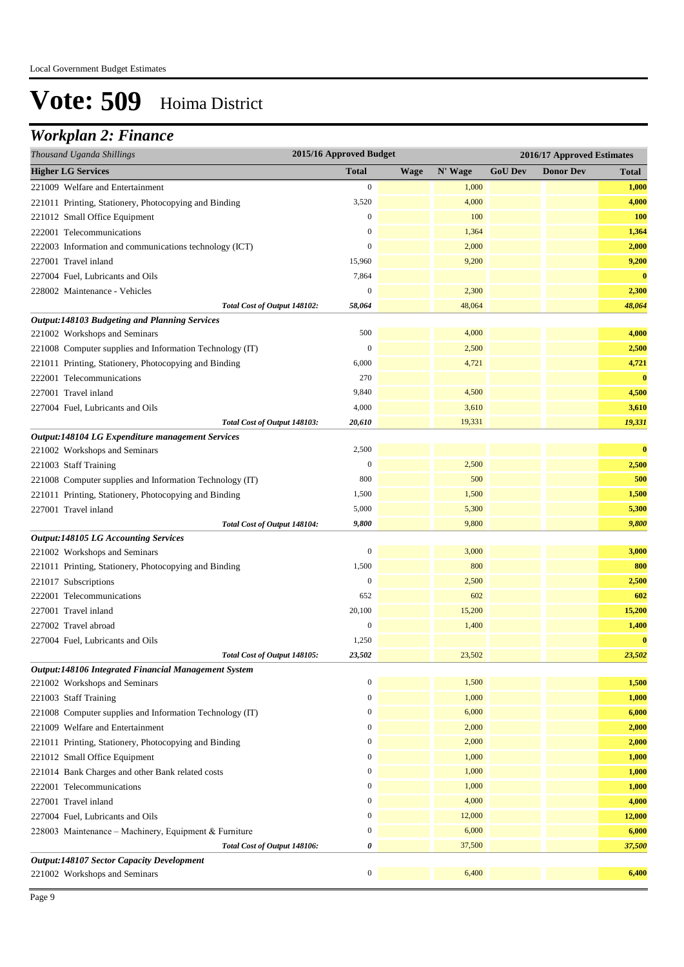## *Workplan 2: Finance*

| Thousand Uganda Shillings                                | 2015/16 Approved Budget |             |         | 2016/17 Approved Estimates |                  |              |
|----------------------------------------------------------|-------------------------|-------------|---------|----------------------------|------------------|--------------|
| <b>Higher LG Services</b>                                | <b>Total</b>            | <b>Wage</b> | N' Wage | <b>GoU Dev</b>             | <b>Donor Dev</b> | <b>Total</b> |
| 221009 Welfare and Entertainment                         | $\boldsymbol{0}$        |             | 1,000   |                            |                  | 1,000        |
| 221011 Printing, Stationery, Photocopying and Binding    | 3,520                   |             | 4,000   |                            |                  | 4,000        |
| 221012 Small Office Equipment                            | $\boldsymbol{0}$        |             | 100     |                            |                  | 100          |
| 222001 Telecommunications                                | $\boldsymbol{0}$        |             | 1,364   |                            |                  | 1,364        |
| 222003 Information and communications technology (ICT)   | $\boldsymbol{0}$        |             | 2,000   |                            |                  | 2,000        |
| 227001 Travel inland                                     | 15,960                  |             | 9,200   |                            |                  | 9,200        |
| 227004 Fuel, Lubricants and Oils                         | 7,864                   |             |         |                            |                  | $\bf{0}$     |
| 228002 Maintenance - Vehicles                            | $\boldsymbol{0}$        |             | 2,300   |                            |                  | 2,300        |
| Total Cost of Output 148102:                             | 58,064                  |             | 48,064  |                            |                  | 48,064       |
| <b>Output:148103 Budgeting and Planning Services</b>     |                         |             |         |                            |                  |              |
| 221002 Workshops and Seminars                            | 500                     |             | 4,000   |                            |                  | 4,000        |
| 221008 Computer supplies and Information Technology (IT) | $\boldsymbol{0}$        |             | 2,500   |                            |                  | 2,500        |
| 221011 Printing, Stationery, Photocopying and Binding    | 6,000                   |             | 4,721   |                            |                  | 4,721        |
| 222001 Telecommunications                                | 270                     |             |         |                            |                  | $\bf{0}$     |
| 227001 Travel inland                                     | 9,840                   |             | 4,500   |                            |                  | 4,500        |
| 227004 Fuel, Lubricants and Oils                         | 4,000                   |             | 3,610   |                            |                  | 3,610        |
| Total Cost of Output 148103:                             | 20,610                  |             | 19,331  |                            |                  | 19,331       |
| Output:148104 LG Expenditure management Services         |                         |             |         |                            |                  |              |
| 221002 Workshops and Seminars                            | 2,500                   |             |         |                            |                  | $\bf{0}$     |
| 221003 Staff Training                                    | $\boldsymbol{0}$        |             | 2,500   |                            |                  | 2,500        |
| 221008 Computer supplies and Information Technology (IT) | 800                     |             | 500     |                            |                  | 500          |
| 221011 Printing, Stationery, Photocopying and Binding    | 1,500                   |             | 1,500   |                            |                  | 1,500        |
| 227001 Travel inland                                     | 5,000                   |             | 5,300   |                            |                  | 5,300        |
| Total Cost of Output 148104:                             | 9,800                   |             | 9,800   |                            |                  | 9,800        |
| <b>Output:148105 LG Accounting Services</b>              |                         |             |         |                            |                  |              |
| 221002 Workshops and Seminars                            | $\boldsymbol{0}$        |             | 3,000   |                            |                  | 3,000        |
| 221011 Printing, Stationery, Photocopying and Binding    | 1,500                   |             | 800     |                            |                  | 800          |
| 221017 Subscriptions                                     | $\boldsymbol{0}$        |             | 2,500   |                            |                  | 2,500        |
| 222001 Telecommunications                                | 652                     |             | 602     |                            |                  | 602          |
| 227001 Travel inland                                     | 20,100                  |             | 15,200  |                            |                  | 15,200       |
| 227002 Travel abroad                                     | $\boldsymbol{0}$        |             | 1,400   |                            |                  | 1,400        |
| 227004 Fuel, Lubricants and Oils                         | 1,250                   |             |         |                            |                  | $\bf{0}$     |
| Total Cost of Output 148105:                             | 23,502                  |             | 23,502  |                            |                  | 23,502       |
| Output:148106 Integrated Financial Management System     |                         |             |         |                            |                  |              |
| 221002 Workshops and Seminars                            | $\boldsymbol{0}$        |             | 1,500   |                            |                  | 1,500        |
| 221003 Staff Training                                    | $\boldsymbol{0}$        |             | 1,000   |                            |                  | 1,000        |
| 221008 Computer supplies and Information Technology (IT) | $\boldsymbol{0}$        |             | 6,000   |                            |                  | 6,000        |
| 221009 Welfare and Entertainment                         | $\boldsymbol{0}$        |             | 2,000   |                            |                  | 2,000        |
| 221011 Printing, Stationery, Photocopying and Binding    | $\boldsymbol{0}$        |             | 2,000   |                            |                  | 2,000        |
| 221012 Small Office Equipment                            | $\boldsymbol{0}$        |             | 1,000   |                            |                  | 1,000        |
| 221014 Bank Charges and other Bank related costs         | $\boldsymbol{0}$        |             | 1,000   |                            |                  | 1,000        |
| 222001 Telecommunications                                | $\boldsymbol{0}$        |             | 1,000   |                            |                  | 1,000        |
| 227001 Travel inland                                     | $\boldsymbol{0}$        |             | 4,000   |                            |                  | 4,000        |
| 227004 Fuel, Lubricants and Oils                         | $\boldsymbol{0}$        |             | 12,000  |                            |                  | 12,000       |
| 228003 Maintenance - Machinery, Equipment & Furniture    | $\boldsymbol{0}$        |             | 6,000   |                            |                  | 6,000        |
| Total Cost of Output 148106:                             | 0                       |             | 37,500  |                            |                  | 37,500       |
| <b>Output:148107 Sector Capacity Development</b>         |                         |             |         |                            |                  |              |
| 221002 Workshops and Seminars                            | $\boldsymbol{0}$        |             | 6,400   |                            |                  | 6,400        |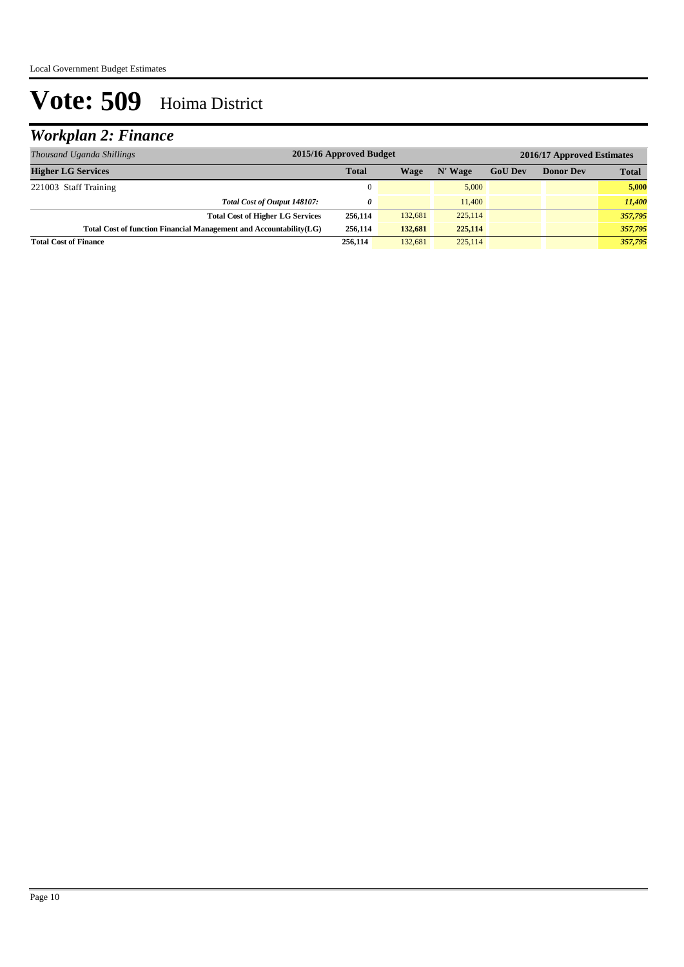## *Workplan 2: Finance*

| Thousand Uganda Shillings                                           | 2015/16 Approved Budget |         |         |                |                  | 2016/17 Approved Estimates |
|---------------------------------------------------------------------|-------------------------|---------|---------|----------------|------------------|----------------------------|
| <b>Higher LG Services</b>                                           | <b>Total</b>            | Wage    | N' Wage | <b>GoU Dev</b> | <b>Donor Dev</b> | <b>Total</b>               |
| 221003 Staff Training                                               | $\theta$                |         | 5.000   |                |                  | 5,000                      |
| Total Cost of Output 148107:                                        | 0                       |         | 11,400  |                |                  | 11,400                     |
| <b>Total Cost of Higher LG Services</b>                             | 256,114                 | 132,681 | 225,114 |                |                  | 357,795                    |
| Total Cost of function Financial Management and Accountability (LG) | 256,114                 | 132,681 | 225,114 |                |                  | 357,795                    |
| <b>Total Cost of Finance</b>                                        | 256,114                 | 132.681 | 225,114 |                |                  | 357,795                    |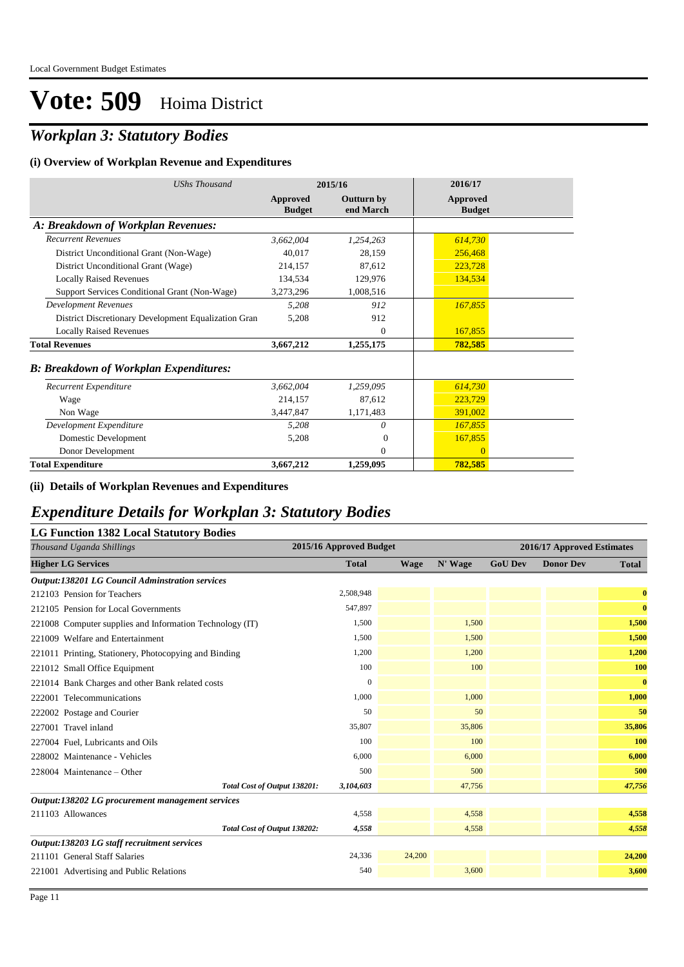## *Workplan 3: Statutory Bodies*

#### **(i) Overview of Workplan Revenue and Expenditures**

| <b>UShs Thousand</b>                                 |                           | 2015/16                        | 2016/17                   |
|------------------------------------------------------|---------------------------|--------------------------------|---------------------------|
|                                                      | Approved<br><b>Budget</b> | <b>Outturn by</b><br>end March | Approved<br><b>Budget</b> |
| A: Breakdown of Workplan Revenues:                   |                           |                                |                           |
| <b>Recurrent Revenues</b>                            | 3,662,004                 | 1,254,263                      | 614,730                   |
| District Unconditional Grant (Non-Wage)              | 40,017                    | 28,159                         | 256,468                   |
| District Unconditional Grant (Wage)                  | 214,157                   | 87,612                         | 223,728                   |
| <b>Locally Raised Revenues</b>                       | 134,534                   | 129,976                        | 134,534                   |
| Support Services Conditional Grant (Non-Wage)        | 3,273,296                 | 1,008,516                      |                           |
| <b>Development Revenues</b>                          | 5,208                     | 912                            | 167,855                   |
| District Discretionary Development Equalization Gran | 5,208                     | 912                            |                           |
| <b>Locally Raised Revenues</b>                       |                           | $\Omega$                       | 167,855                   |
| <b>Total Revenues</b>                                | 3,667,212                 | 1,255,175                      | 782,585                   |
| <b>B: Breakdown of Workplan Expenditures:</b>        |                           |                                |                           |
| Recurrent Expenditure                                | 3,662,004                 | 1,259,095                      | 614,730                   |
| Wage                                                 | 214,157                   | 87,612                         | 223,729                   |
| Non Wage                                             | 3,447,847                 | 1,171,483                      | 391,002                   |
| Development Expenditure                              | 5,208                     | $\theta$                       | 167,855                   |
| Domestic Development                                 | 5,208                     | $\Omega$                       | 167,855                   |
| Donor Development                                    |                           | $\Omega$                       | $\mathbf{0}$              |
| <b>Total Expenditure</b>                             | 3,667,212                 | 1,259,095                      | 782,585                   |

#### **(ii) Details of Workplan Revenues and Expenditures**

### *Expenditure Details for Workplan 3: Statutory Bodies*

#### **LG Function 1382 Local Statutory Bodies**

| Thousand Uganda Shillings                                | 2015/16 Approved Budget      |              |             |         |                | 2016/17 Approved Estimates |              |
|----------------------------------------------------------|------------------------------|--------------|-------------|---------|----------------|----------------------------|--------------|
| <b>Higher LG Services</b>                                |                              | <b>Total</b> | <b>Wage</b> | N' Wage | <b>GoU Dev</b> | <b>Donor Dev</b>           | <b>Total</b> |
| <b>Output:138201 LG Council Adminstration services</b>   |                              |              |             |         |                |                            |              |
| 212103 Pension for Teachers                              |                              | 2,508,948    |             |         |                |                            | $\bf{0}$     |
| 212105 Pension for Local Governments                     |                              | 547,897      |             |         |                |                            | $\bf{0}$     |
| 221008 Computer supplies and Information Technology (IT) |                              | 1.500        |             | 1,500   |                |                            | 1,500        |
| 221009 Welfare and Entertainment                         |                              | 1,500        |             | 1,500   |                |                            | 1,500        |
| 221011 Printing, Stationery, Photocopying and Binding    |                              | 1,200        |             | 1,200   |                |                            | 1,200        |
| 221012 Small Office Equipment                            |                              | 100          |             | 100     |                |                            | 100          |
| 221014 Bank Charges and other Bank related costs         |                              | $\mathbf{0}$ |             |         |                |                            | $\mathbf{0}$ |
| 222001 Telecommunications                                |                              | 1,000        |             | 1,000   |                |                            | 1,000        |
| 222002 Postage and Courier                               |                              | 50           |             | 50      |                |                            | 50           |
| 227001 Travel inland                                     |                              | 35,807       |             | 35,806  |                |                            | 35,806       |
| 227004 Fuel, Lubricants and Oils                         |                              | 100          |             | 100     |                |                            | 100          |
| 228002 Maintenance - Vehicles                            |                              | 6,000        |             | 6,000   |                |                            | 6,000        |
| 228004 Maintenance – Other                               |                              | 500          |             | 500     |                |                            | 500          |
|                                                          | Total Cost of Output 138201: | 3,104,603    |             | 47,756  |                |                            | 47,756       |
| Output:138202 LG procurement management services         |                              |              |             |         |                |                            |              |
| 211103 Allowances                                        |                              | 4,558        |             | 4,558   |                |                            | 4,558        |
|                                                          | Total Cost of Output 138202: | 4,558        |             | 4,558   |                |                            | 4,558        |
| Output:138203 LG staff recruitment services              |                              |              |             |         |                |                            |              |
| 211101 General Staff Salaries                            |                              | 24,336       | 24,200      |         |                |                            | 24,200       |
| 221001 Advertising and Public Relations                  |                              | 540          |             | 3,600   |                |                            | 3,600        |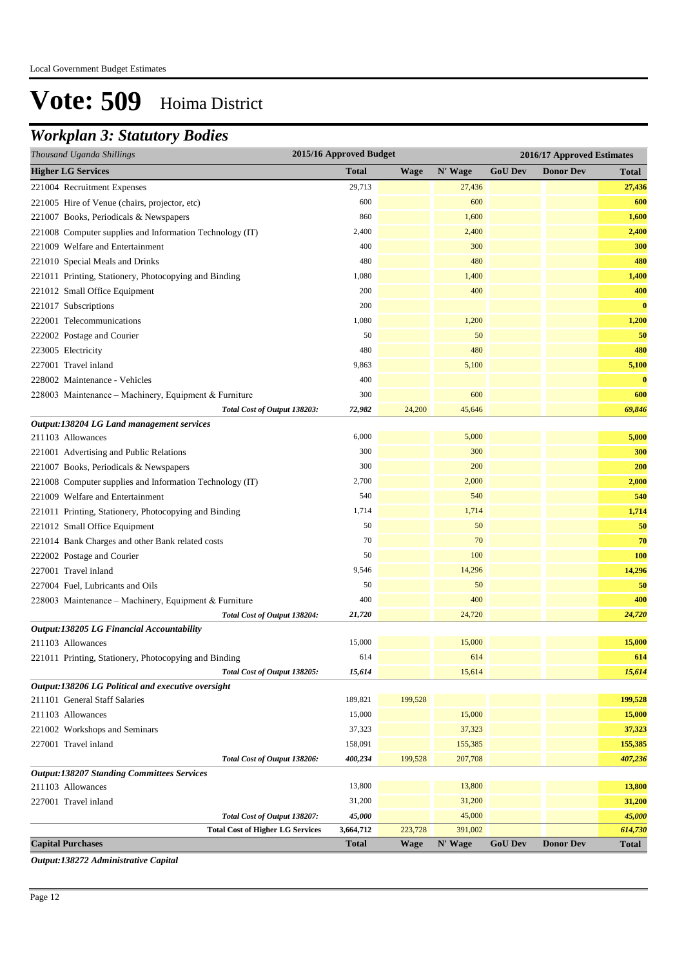## *Workplan 3: Statutory Bodies*

| Thousand Uganda Shillings                                               | 2015/16 Approved Budget |             |                   | 2016/17 Approved Estimates |                  |                   |  |
|-------------------------------------------------------------------------|-------------------------|-------------|-------------------|----------------------------|------------------|-------------------|--|
| <b>Higher LG Services</b>                                               | <b>Total</b>            | <b>Wage</b> | N' Wage           | <b>GoU Dev</b>             | <b>Donor Dev</b> | <b>Total</b>      |  |
| 221004 Recruitment Expenses                                             | 29,713                  |             | 27,436            |                            |                  | 27,436            |  |
| 221005 Hire of Venue (chairs, projector, etc)                           | 600                     |             | 600               |                            |                  | 600               |  |
| 221007 Books, Periodicals & Newspapers                                  | 860                     |             | 1,600             |                            |                  | 1,600             |  |
| 221008 Computer supplies and Information Technology (IT)                | 2,400                   |             | 2,400             |                            |                  | 2,400             |  |
| 221009 Welfare and Entertainment                                        | 400                     |             | 300               |                            |                  | 300               |  |
| 221010 Special Meals and Drinks                                         | 480                     |             | 480               |                            |                  | 480               |  |
| 221011 Printing, Stationery, Photocopying and Binding                   | 1,080                   |             | 1,400             |                            |                  | 1,400             |  |
| 221012 Small Office Equipment                                           | 200                     |             | 400               |                            |                  | 400               |  |
| 221017 Subscriptions                                                    | 200                     |             |                   |                            |                  | $\bf{0}$          |  |
| 222001 Telecommunications                                               | 1,080                   |             | 1,200             |                            |                  | 1,200             |  |
| 222002 Postage and Courier                                              | 50                      |             | 50                |                            |                  | 50                |  |
| 223005 Electricity                                                      | 480                     |             | 480               |                            |                  | 480               |  |
| 227001 Travel inland                                                    | 9,863                   |             | 5,100             |                            |                  | 5,100             |  |
| 228002 Maintenance - Vehicles                                           | 400                     |             |                   |                            |                  | $\bf{0}$          |  |
| 228003 Maintenance – Machinery, Equipment & Furniture                   | 300                     |             | 600               |                            |                  | 600               |  |
| Total Cost of Output 138203:                                            | 72,982                  | 24,200      | 45,646            |                            |                  | 69,846            |  |
| Output:138204 LG Land management services                               |                         |             |                   |                            |                  |                   |  |
| 211103 Allowances                                                       | 6,000                   |             | 5,000             |                            |                  | 5,000             |  |
| 221001 Advertising and Public Relations                                 | 300                     |             | 300               |                            |                  | 300               |  |
| 221007 Books, Periodicals & Newspapers                                  | 300                     |             | 200               |                            |                  | 200               |  |
| 221008 Computer supplies and Information Technology (IT)                | 2,700                   |             | 2,000             |                            |                  | 2,000             |  |
| 221009 Welfare and Entertainment                                        | 540                     |             | 540               |                            |                  | 540               |  |
| 221011 Printing, Stationery, Photocopying and Binding                   | 1,714                   |             | 1,714             |                            |                  | 1,714             |  |
| 221012 Small Office Equipment                                           | 50                      |             | 50                |                            |                  | 50                |  |
| 221014 Bank Charges and other Bank related costs                        | 70                      |             | 70                |                            |                  | 70                |  |
| 222002 Postage and Courier                                              | 50                      |             | 100               |                            |                  | <b>100</b>        |  |
| 227001 Travel inland                                                    | 9,546                   |             | 14,296            |                            |                  | 14,296            |  |
| 227004 Fuel, Lubricants and Oils                                        | 50                      |             | 50                |                            |                  | 50                |  |
| 228003 Maintenance – Machinery, Equipment & Furniture                   | 400                     |             | 400               |                            |                  | 400               |  |
| Total Cost of Output 138204:                                            | 21,720                  |             | 24,720            |                            |                  | 24,720            |  |
| Output:138205 LG Financial Accountability                               |                         |             |                   |                            |                  |                   |  |
| 211103 Allowances                                                       | 15,000                  |             | 15,000            |                            |                  | 15,000            |  |
| 221011 Printing, Stationery, Photocopying and Binding                   | 614                     |             | 614               |                            |                  | 614               |  |
| Total Cost of Output 138205:                                            | 15,614                  |             | 15,614            |                            |                  | 15,614            |  |
| Output:138206 LG Political and executive oversight                      |                         |             |                   |                            |                  |                   |  |
| 211101 General Staff Salaries                                           | 189,821                 | 199,528     |                   |                            |                  | 199,528           |  |
| 211103 Allowances                                                       | 15,000                  |             | 15,000            |                            |                  | 15,000            |  |
| 221002 Workshops and Seminars                                           | 37,323                  |             | 37,323            |                            |                  | 37,323            |  |
| 227001 Travel inland                                                    | 158,091                 |             | 155,385           |                            |                  | 155,385           |  |
| Total Cost of Output 138206:                                            | 400,234                 | 199,528     | 207,708           |                            |                  | 407,236           |  |
| <b>Output:138207 Standing Committees Services</b>                       |                         |             |                   |                            |                  |                   |  |
| 211103 Allowances                                                       | 13,800                  |             | 13,800            |                            |                  | 13,800            |  |
| 227001 Travel inland                                                    | 31,200                  |             | 31,200            |                            |                  | 31,200            |  |
| Total Cost of Output 138207:<br><b>Total Cost of Higher LG Services</b> | 45,000<br>3,664,712     | 223,728     | 45,000<br>391,002 |                            |                  | 45,000<br>614,730 |  |
| <b>Capital Purchases</b>                                                | <b>Total</b>            | <b>Wage</b> | N' Wage           | <b>GoU Dev</b>             | <b>Donor Dev</b> | <b>Total</b>      |  |
|                                                                         |                         |             |                   |                            |                  |                   |  |

*Output:138272 Administrative Capital*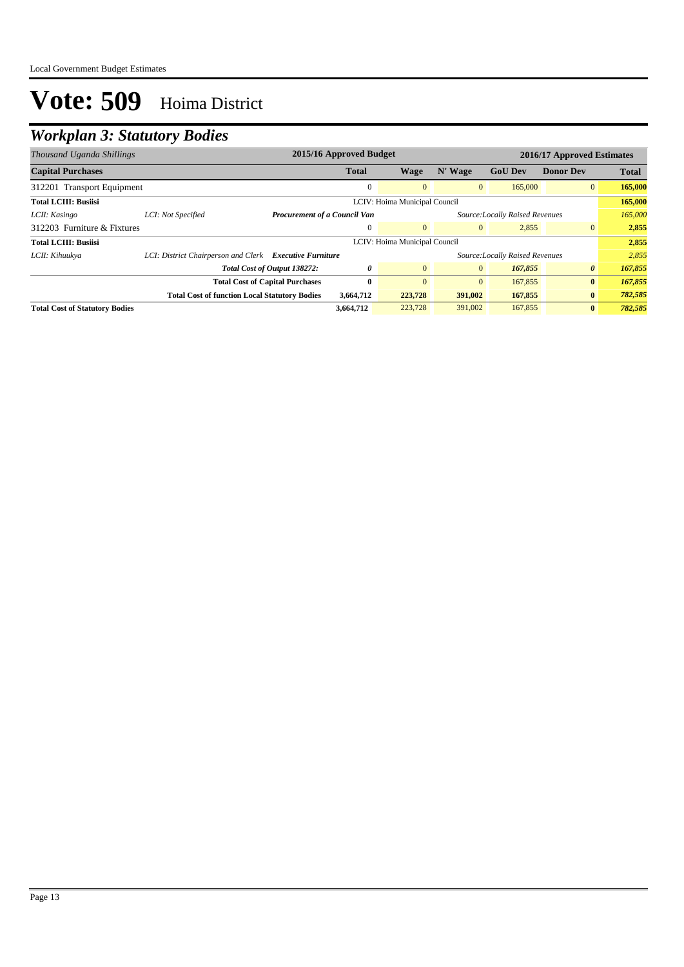## *Workplan 3: Statutory Bodies*

| 2015/16 Approved Budget<br>2016/17 Approved Estimates<br>Thousand Uganda Shillings |                                                         |                                        |              |                                 |                |                                 |                  |              |
|------------------------------------------------------------------------------------|---------------------------------------------------------|----------------------------------------|--------------|---------------------------------|----------------|---------------------------------|------------------|--------------|
| <b>Capital Purchases</b>                                                           |                                                         |                                        | <b>Total</b> | Wage                            | N' Wage        | <b>GoU Dev</b>                  | <b>Donor Dev</b> | <b>Total</b> |
| 312201 Transport Equipment                                                         |                                                         |                                        | $\Omega$     | $\mathbf{0}$                    | $\mathbf{0}$   | 165,000                         | $\overline{0}$   | 165,000      |
| <b>Total LCIII: Busiisi</b>                                                        |                                                         |                                        |              | LCIV: Hoima Municipal Council   |                |                                 |                  | 165,000      |
| LCII: Kasingo                                                                      | LCI: Not Specified                                      | <b>Procurement of a Council Van</b>    |              | Source: Locally Raised Revenues |                |                                 |                  | 165,000      |
| 312203 Furniture & Fixtures                                                        |                                                         |                                        | $\mathbf{0}$ | $\overline{0}$                  | $\mathbf{0}$   | 2,855                           | $\overline{0}$   | 2,855        |
| <b>Total LCIII: Busiisi</b>                                                        |                                                         |                                        |              | LCIV: Hoima Municipal Council   |                |                                 |                  | 2,855        |
| LCII: Kihuukya                                                                     | LCI: District Chairperson and Clerk Executive Furniture |                                        |              |                                 |                | Source: Locally Raised Revenues |                  | 2,855        |
|                                                                                    |                                                         | Total Cost of Output 138272:           | 0            | $\overline{0}$                  | $\overline{0}$ | 167,855                         | $\theta$         | 167,855      |
|                                                                                    |                                                         | <b>Total Cost of Capital Purchases</b> | 0            | $\Omega$                        | $\mathbf{0}$   | 167,855                         | $\bf{0}$         | 167,855      |
|                                                                                    | <b>Total Cost of function Local Statutory Bodies</b>    |                                        | 3,664,712    | 223,728                         | 391,002        | 167,855                         | $\bf{0}$         | 782,585      |
| <b>Total Cost of Statutory Bodies</b>                                              |                                                         |                                        | 3,664,712    | 223,728                         | 391,002        | 167,855                         | $\bf{0}$         | 782,585      |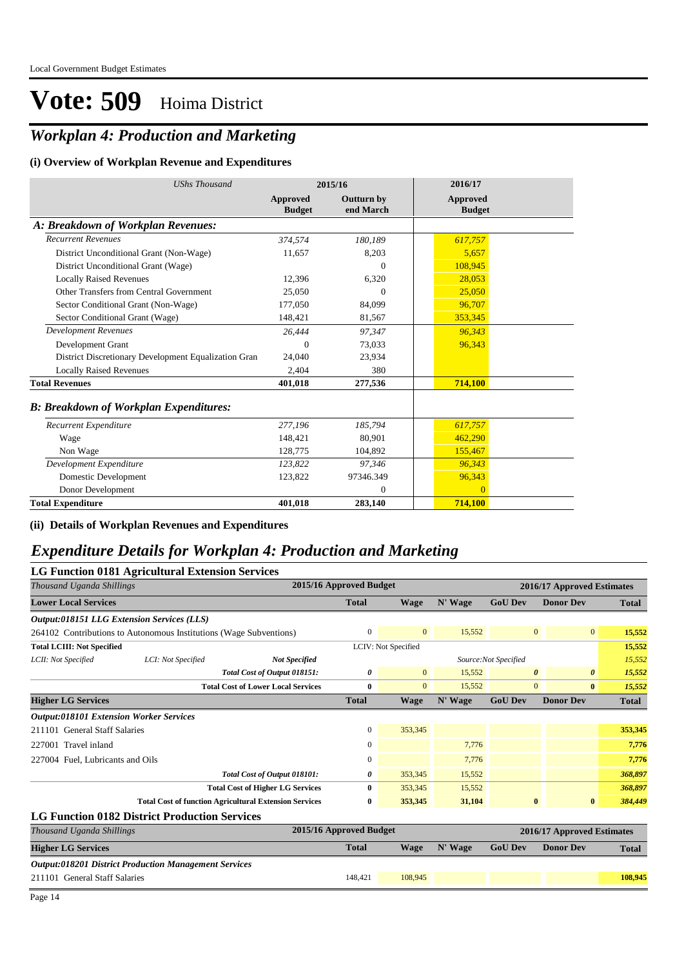## *Workplan 4: Production and Marketing*

#### **(i) Overview of Workplan Revenue and Expenditures**

| <b>UShs Thousand</b>                                 |                           | 2015/16                        | 2016/17                   |
|------------------------------------------------------|---------------------------|--------------------------------|---------------------------|
|                                                      | Approved<br><b>Budget</b> | <b>Outturn by</b><br>end March | Approved<br><b>Budget</b> |
| A: Breakdown of Workplan Revenues:                   |                           |                                |                           |
| <b>Recurrent Revenues</b>                            | 374,574                   | 180.189                        | 617,757                   |
| District Unconditional Grant (Non-Wage)              | 11,657                    | 8,203                          | 5,657                     |
| District Unconditional Grant (Wage)                  |                           | $\Omega$                       | 108,945                   |
| <b>Locally Raised Revenues</b>                       | 12.396                    | 6,320                          | 28,053                    |
| Other Transfers from Central Government              | 25.050                    | $\Omega$                       | 25,050                    |
| Sector Conditional Grant (Non-Wage)                  | 177,050                   | 84,099                         | 96,707                    |
| Sector Conditional Grant (Wage)                      | 148,421                   | 81,567                         | 353,345                   |
| <b>Development Revenues</b>                          | 26,444                    | 97,347                         | 96,343                    |
| Development Grant                                    | 0                         | 73,033                         | 96,343                    |
| District Discretionary Development Equalization Gran | 24,040                    | 23,934                         |                           |
| <b>Locally Raised Revenues</b>                       | 2,404                     | 380                            |                           |
| <b>Total Revenues</b>                                | 401,018                   | 277,536                        | 714,100                   |
| <b>B: Breakdown of Workplan Expenditures:</b>        |                           |                                |                           |
| Recurrent Expenditure                                | 277,196                   | 185,794                        | 617,757                   |
| Wage                                                 | 148,421                   | 80,901                         | 462,290                   |
| Non Wage                                             | 128,775                   | 104,892                        | 155,467                   |
| Development Expenditure                              | 123,822                   | 97,346                         | 96,343                    |
| Domestic Development                                 | 123,822                   | 97346.349                      | 96,343                    |
| Donor Development                                    |                           | $\theta$                       | $\overline{0}$            |
| <b>Total Expenditure</b>                             | 401,018                   | 283,140                        | 714,100                   |

#### **(ii) Details of Workplan Revenues and Expenditures**

### *Expenditure Details for Workplan 4: Production and Marketing*

|                                                | LG Function 0181 Agricultural Extension Services                   |                                                               |                         |                |         |                       |                                   |              |  |  |
|------------------------------------------------|--------------------------------------------------------------------|---------------------------------------------------------------|-------------------------|----------------|---------|-----------------------|-----------------------------------|--------------|--|--|
| Thousand Uganda Shillings                      |                                                                    |                                                               | 2015/16 Approved Budget |                |         |                       | 2016/17 Approved Estimates        |              |  |  |
| <b>Lower Local Services</b>                    |                                                                    |                                                               | <b>Total</b>            | <b>Wage</b>    | N' Wage | <b>GoU Dev</b>        | <b>Donor Dev</b>                  | <b>Total</b> |  |  |
|                                                | <b>Output:018151 LLG Extension Services (LLS)</b>                  |                                                               |                         |                |         |                       |                                   |              |  |  |
|                                                | 264102 Contributions to Autonomous Institutions (Wage Subventions) |                                                               | $\mathbf{0}$            | $\overline{0}$ | 15,552  |                       | $\overline{0}$<br>$\overline{0}$  | 15,552       |  |  |
| <b>Total LCIII: Not Specified</b>              |                                                                    |                                                               | LCIV: Not Specified     |                |         |                       |                                   | 15,552       |  |  |
| LCII: Not Specified                            | LCI: Not Specified                                                 | <b>Not Specified</b>                                          |                         |                |         | Source: Not Specified |                                   | 15,552       |  |  |
|                                                |                                                                    | Total Cost of Output 018151:                                  | 0                       | $\overline{0}$ | 15,552  |                       | $\boldsymbol{\theta}$<br>$\theta$ | 15,552       |  |  |
|                                                |                                                                    | <b>Total Cost of Lower Local Services</b>                     | $\mathbf{0}$            | $\mathbf{0}$   | 15.552  |                       | $\overline{0}$<br>$\bf{0}$        | 15,552       |  |  |
| <b>Higher LG Services</b>                      |                                                                    |                                                               | <b>Total</b>            | <b>Wage</b>    | N' Wage | <b>GoU Dev</b>        | <b>Donor Dev</b>                  | <b>Total</b> |  |  |
| <b>Output:018101 Extension Worker Services</b> |                                                                    |                                                               |                         |                |         |                       |                                   |              |  |  |
| 211101 General Staff Salaries                  |                                                                    |                                                               | 0                       | 353,345        |         |                       |                                   | 353,345      |  |  |
| 227001 Travel inland                           |                                                                    |                                                               | 0                       |                | 7,776   |                       |                                   | 7,776        |  |  |
| 227004 Fuel, Lubricants and Oils               |                                                                    |                                                               | 0                       |                | 7,776   |                       |                                   | 7,776        |  |  |
|                                                |                                                                    | Total Cost of Output 018101:                                  | 0                       | 353,345        | 15,552  |                       |                                   | 368,897      |  |  |
|                                                |                                                                    | <b>Total Cost of Higher LG Services</b>                       | $\mathbf{0}$            | 353,345        | 15,552  |                       |                                   | 368,897      |  |  |
|                                                |                                                                    | <b>Total Cost of function Agricultural Extension Services</b> | 0                       | 353,345        | 31,104  |                       | $\bf{0}$<br>$\bf{0}$              | 384,449      |  |  |
|                                                | <b>LG Function 0182 District Production Services</b>               |                                                               |                         |                |         |                       |                                   |              |  |  |
| Thousand Uganda Shillings                      |                                                                    |                                                               | 2015/16 Approved Budget |                |         |                       | 2016/17 Approved Estimates        |              |  |  |
| <b>Higher LG Services</b>                      |                                                                    |                                                               | <b>Total</b>            | <b>Wage</b>    | N' Wage | <b>GoU Dev</b>        | <b>Donor Dev</b>                  | <b>Total</b> |  |  |
|                                                | <b>Output:018201 District Production Management Services</b>       |                                                               |                         |                |         |                       |                                   |              |  |  |
| 211101 General Staff Salaries                  |                                                                    |                                                               | 148,421                 | 108,945        |         |                       |                                   | 108,945      |  |  |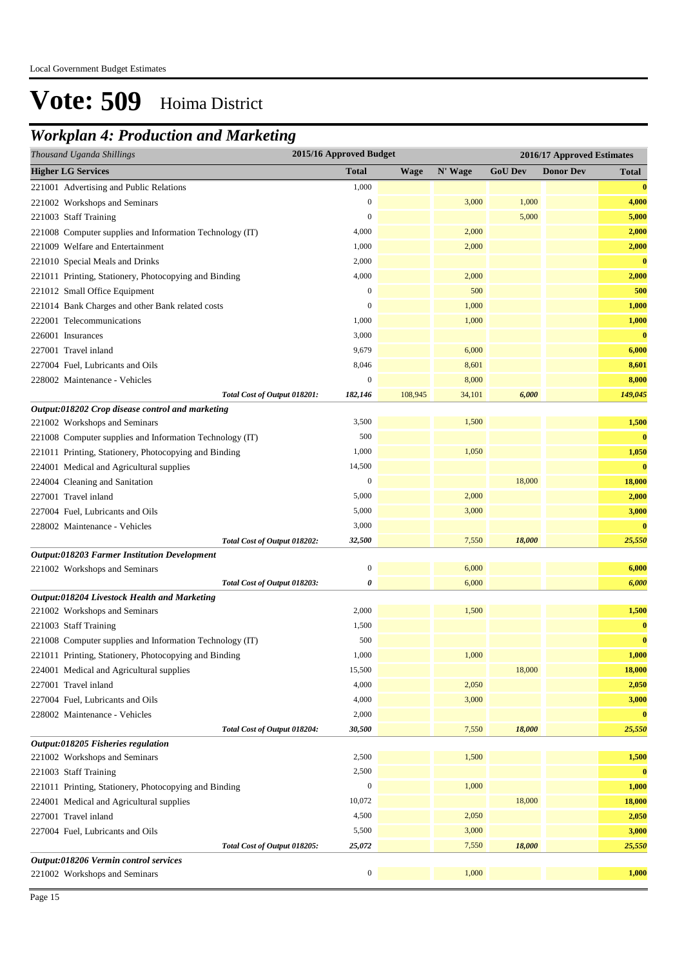## *Workplan 4: Production and Marketing*

| Thousand Uganda Shillings                                | 2015/16 Approved Budget |             | 2016/17 Approved Estimates |                |                  |              |
|----------------------------------------------------------|-------------------------|-------------|----------------------------|----------------|------------------|--------------|
| <b>Higher LG Services</b>                                | <b>Total</b>            | <b>Wage</b> | N' Wage                    | <b>GoU Dev</b> | <b>Donor Dev</b> | <b>Total</b> |
| 221001 Advertising and Public Relations                  | 1,000                   |             |                            |                |                  | $\bf{0}$     |
| 221002 Workshops and Seminars                            | $\mathbf{0}$            |             | 3,000                      | 1,000          |                  | 4,000        |
| 221003 Staff Training                                    | $\mathbf{0}$            |             |                            | 5,000          |                  | 5,000        |
| 221008 Computer supplies and Information Technology (IT) | 4,000                   |             | 2,000                      |                |                  | 2,000        |
| 221009 Welfare and Entertainment                         | 1,000                   |             | 2,000                      |                |                  | 2,000        |
| 221010 Special Meals and Drinks                          | 2,000                   |             |                            |                |                  | $\bf{0}$     |
| 221011 Printing, Stationery, Photocopying and Binding    | 4,000                   |             | 2,000                      |                |                  | 2,000        |
| 221012 Small Office Equipment                            | $\boldsymbol{0}$        |             | 500                        |                |                  | 500          |
| 221014 Bank Charges and other Bank related costs         | $\mathbf{0}$            |             | 1,000                      |                |                  | 1,000        |
| 222001 Telecommunications                                | 1,000                   |             | 1,000                      |                |                  | 1,000        |
| 226001 Insurances                                        | 3,000                   |             |                            |                |                  | $\bf{0}$     |
| 227001 Travel inland                                     | 9,679                   |             | 6,000                      |                |                  | 6,000        |
| 227004 Fuel, Lubricants and Oils                         | 8,046                   |             | 8,601                      |                |                  | 8,601        |
| 228002 Maintenance - Vehicles                            | $\mathbf{0}$            |             | 8,000                      |                |                  | 8,000        |
| Total Cost of Output 018201:                             | 182,146                 | 108,945     | 34,101                     | 6,000          |                  | 149,045      |
| Output:018202 Crop disease control and marketing         |                         |             |                            |                |                  |              |
| 221002 Workshops and Seminars                            | 3,500                   |             | 1,500                      |                |                  | 1,500        |
| 221008 Computer supplies and Information Technology (IT) | 500                     |             |                            |                |                  | $\bf{0}$     |
| 221011 Printing, Stationery, Photocopying and Binding    | 1,000                   |             | 1,050                      |                |                  | 1,050        |
| 224001 Medical and Agricultural supplies                 | 14,500                  |             |                            |                |                  | $\bf{0}$     |
| 224004 Cleaning and Sanitation                           | $\boldsymbol{0}$        |             |                            | 18,000         |                  | 18,000       |
| 227001 Travel inland                                     | 5,000                   |             | 2,000                      |                |                  | 2,000        |
| 227004 Fuel, Lubricants and Oils                         | 5,000                   |             | 3,000                      |                |                  | 3,000        |
| 228002 Maintenance - Vehicles                            | 3,000                   |             |                            |                |                  | $\bf{0}$     |
| Total Cost of Output 018202:                             | 32,500                  |             | 7,550                      | 18,000         |                  | 25,550       |
| Output:018203 Farmer Institution Development             |                         |             |                            |                |                  |              |
| 221002 Workshops and Seminars                            | $\mathbf{0}$            |             | 6,000                      |                |                  | 6,000        |
| Total Cost of Output 018203:                             | 0                       |             | 6,000                      |                |                  | 6,000        |
| Output:018204 Livestock Health and Marketing             | 2,000                   |             | 1,500                      |                |                  | 1,500        |
| 221002 Workshops and Seminars<br>221003 Staff Training   | 1,500                   |             |                            |                |                  | $\bf{0}$     |
| 221008 Computer supplies and Information Technology (IT) | 500                     |             |                            |                |                  | $\bf{0}$     |
| 221011 Printing, Stationery, Photocopying and Binding    | 1,000                   |             | 1,000                      |                |                  | 1,000        |
| 224001 Medical and Agricultural supplies                 | 15,500                  |             |                            | 18,000         |                  | 18,000       |
| 227001 Travel inland                                     | 4,000                   |             | 2,050                      |                |                  | 2,050        |
| 227004 Fuel, Lubricants and Oils                         | 4,000                   |             | 3,000                      |                |                  | 3,000        |
| 228002 Maintenance - Vehicles                            | 2,000                   |             |                            |                |                  | $\bf{0}$     |
| Total Cost of Output 018204:                             | 30,500                  |             | 7,550                      | 18,000         |                  | 25,550       |
| Output:018205 Fisheries regulation                       |                         |             |                            |                |                  |              |
| 221002 Workshops and Seminars                            | 2,500                   |             | 1,500                      |                |                  | 1,500        |
| 221003 Staff Training                                    | 2,500                   |             |                            |                |                  | $\bf{0}$     |
| 221011 Printing, Stationery, Photocopying and Binding    | $\boldsymbol{0}$        |             | 1,000                      |                |                  | 1,000        |
| 224001 Medical and Agricultural supplies                 | 10,072                  |             |                            | 18,000         |                  | 18,000       |
| 227001 Travel inland                                     | 4,500                   |             | 2,050                      |                |                  | 2,050        |
| 227004 Fuel, Lubricants and Oils                         | 5,500                   |             | 3,000                      |                |                  | 3,000        |
| Total Cost of Output 018205:                             | 25,072                  |             | 7,550                      | 18,000         |                  | 25,550       |
| Output:018206 Vermin control services                    |                         |             |                            |                |                  |              |
| 221002 Workshops and Seminars                            | $\boldsymbol{0}$        |             | 1,000                      |                |                  | 1,000        |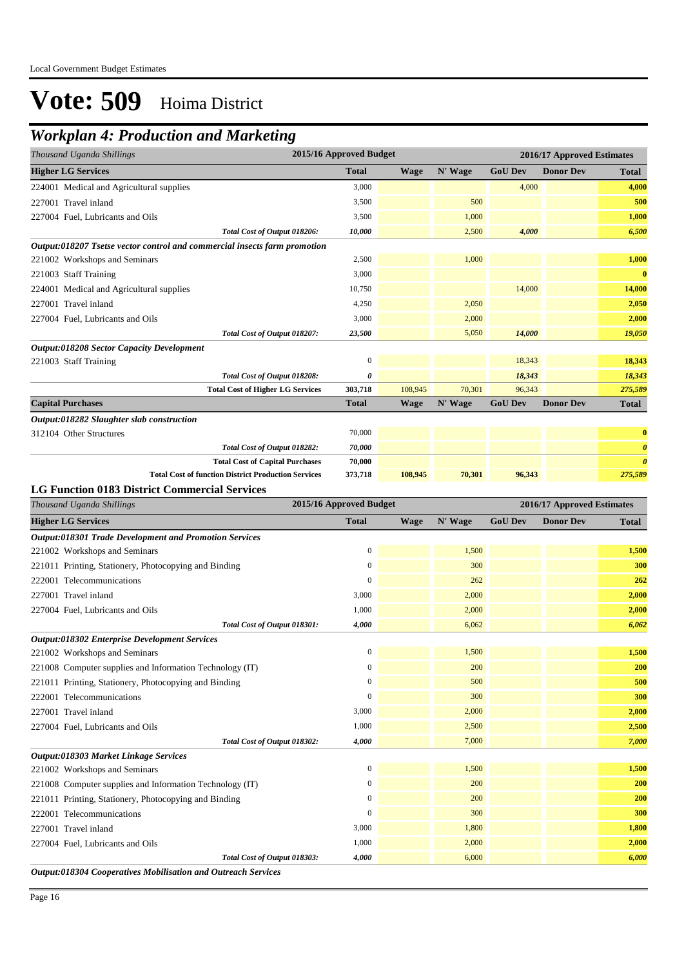### *Workplan 4: Production and Marketing*

| Thousand Uganda Shillings                                                 | 2015/16 Approved Budget |                            |         |                | 2016/17 Approved Estimates |                       |
|---------------------------------------------------------------------------|-------------------------|----------------------------|---------|----------------|----------------------------|-----------------------|
| <b>Higher LG Services</b>                                                 | <b>Total</b>            | <b>Wage</b>                | N' Wage | <b>GoU Dev</b> | <b>Donor Dev</b>           | <b>Total</b>          |
| 224001 Medical and Agricultural supplies                                  | 3,000                   |                            |         | 4,000          |                            | 4,000                 |
| 227001 Travel inland                                                      | 3,500                   |                            | 500     |                |                            | 500                   |
| 227004 Fuel, Lubricants and Oils                                          | 3,500                   |                            | 1,000   |                |                            | 1,000                 |
| Total Cost of Output 018206:                                              | 10,000                  |                            | 2,500   | 4,000          |                            | 6,500                 |
| Output:018207 Tsetse vector control and commercial insects farm promotion |                         |                            |         |                |                            |                       |
| 221002 Workshops and Seminars                                             | 2,500                   |                            | 1,000   |                |                            | 1,000                 |
| 221003 Staff Training                                                     | 3,000                   |                            |         |                |                            | $\bf{0}$              |
| 224001 Medical and Agricultural supplies                                  | 10,750                  |                            |         | 14,000         |                            | 14,000                |
| 227001 Travel inland                                                      | 4,250                   |                            | 2,050   |                |                            | 2,050                 |
| 227004 Fuel, Lubricants and Oils                                          | 3,000                   |                            | 2,000   |                |                            | 2,000                 |
| Total Cost of Output 018207:                                              | 23,500                  |                            | 5,050   | 14,000         |                            | 19,050                |
| Output:018208 Sector Capacity Development                                 |                         |                            |         |                |                            |                       |
| 221003 Staff Training                                                     | $\overline{0}$          |                            |         | 18,343         |                            | 18,343                |
| Total Cost of Output 018208:                                              | 0                       |                            |         | 18,343         |                            | 18,343                |
| <b>Total Cost of Higher LG Services</b>                                   | 303,718                 | 108,945                    | 70,301  | 96,343         |                            | 275,589               |
| <b>Capital Purchases</b>                                                  | <b>Total</b>            | <b>Wage</b>                | N' Wage | <b>GoU Dev</b> | <b>Donor Dev</b>           | <b>Total</b>          |
| Output:018282 Slaughter slab construction                                 |                         |                            |         |                |                            |                       |
| 312104 Other Structures                                                   | 70,000                  |                            |         |                |                            | $\bf{0}$              |
| Total Cost of Output 018282:                                              | 70,000                  |                            |         |                |                            | $\boldsymbol{\theta}$ |
| <b>Total Cost of Capital Purchases</b>                                    | 70,000                  |                            |         |                |                            | $\boldsymbol{\theta}$ |
| <b>Total Cost of function District Production Services</b>                | 373,718                 | 108,945                    | 70,301  | 96,343         |                            | 275,589               |
| <b>LG Function 0183 District Commercial Services</b>                      |                         |                            |         |                |                            |                       |
| Thousand Uganda Shillings                                                 | 2015/16 Approved Budget | 2016/17 Approved Estimates |         |                |                            |                       |
| <b>Higher LG Services</b>                                                 | <b>Total</b>            | <b>Wage</b>                | N' Wage | <b>GoU</b> Dev | <b>Donor Dev</b>           | <b>Total</b>          |
| <b>Output:018301 Trade Development and Promotion Services</b>             |                         |                            |         |                |                            |                       |
| 221002 Workshops and Seminars                                             | $\overline{0}$          |                            | 1,500   |                |                            | 1,500                 |
| 221011 Printing, Stationery, Photocopying and Binding                     | $\overline{0}$          |                            | 300     |                |                            | 300                   |
| 222001 Telecommunications                                                 | 0                       |                            | 262     |                |                            | 262                   |
| 227001 Travel inland                                                      | 3,000                   |                            | 2,000   |                |                            | 2,000                 |
| 227004 Fuel, Lubricants and Oils                                          | 1,000                   |                            | 2,000   |                |                            | 2,000                 |
| Total Cost of Output 018301:                                              | 4,000                   |                            | 6,062   |                |                            | 6,062                 |
| <b>Output:018302 Enterprise Development Services</b>                      |                         |                            |         |                |                            |                       |
| 221002 Workshops and Seminars                                             | $\mathbf{0}$            |                            | 1,500   |                |                            | 1,500                 |
| 221008 Computer supplies and Information Technology (IT)                  | $\boldsymbol{0}$        |                            | 200     |                |                            | 200                   |
| 221011 Printing, Stationery, Photocopying and Binding                     | $\boldsymbol{0}$        |                            | 500     |                |                            | 500                   |
| 222001 Telecommunications                                                 | $\boldsymbol{0}$        |                            | 300     |                |                            | 300                   |
| 227001 Travel inland                                                      | 3,000                   |                            | 2,000   |                |                            | 2,000                 |
| 227004 Fuel, Lubricants and Oils                                          | 1,000                   |                            | 2,500   |                |                            | 2,500                 |
| Total Cost of Output 018302:                                              | 4,000                   |                            | 7,000   |                |                            | 7,000                 |

221002 Workshops and Seminars 0 1,500 **1,500** 221008 Computer supplies and Information Technology (IT) 0 200 **200** 200 **200** 200 **200** 221011 Printing, Stationery, Photocopying and Binding 0 200 **200** 200 **200** 200 **200** 222001 Telecommunications 0 300 **300** 227001 Travel inland 3,000 1,800 **1,800** 227004 Fuel, Lubricants and Oils 1,000 2,000 **2,000**

*Total Cost of Output 018303:* 4,000 **6,000** 6,000 **6,000 6,000 6,000 6,000** 

*Output:018304 Cooperatives Mobilisation and Outreach Services*

*Output:018303 Market Linkage Services*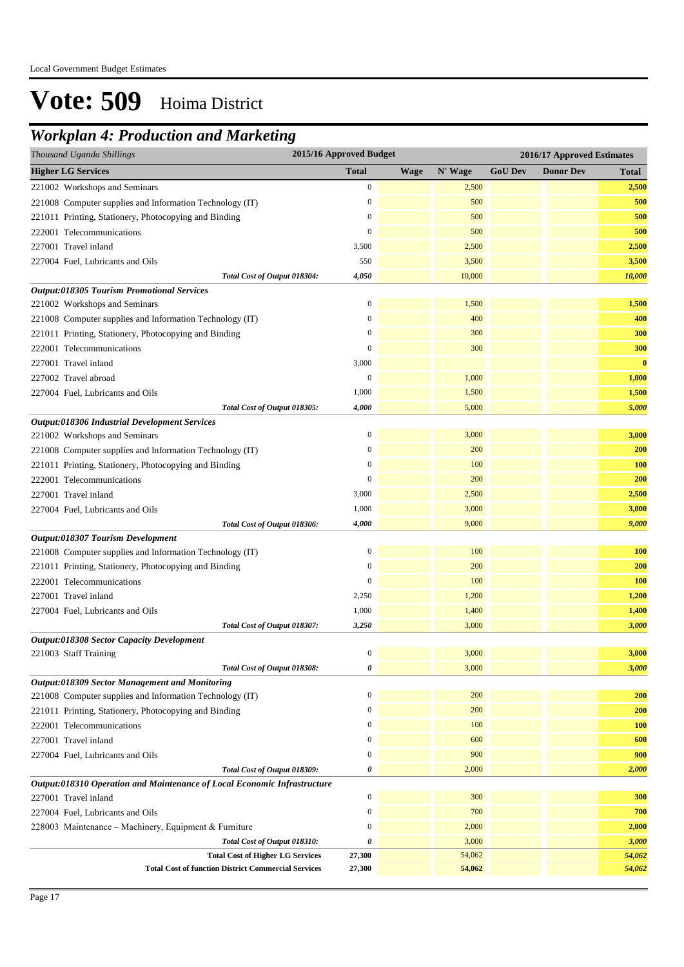### *Workplan 4: Production and Marketing*

| 2015/16 Approved Budget<br>Thousand Uganda Shillings<br>2016/17 Approved Estimates |                  |             |         |                |                  |              |
|------------------------------------------------------------------------------------|------------------|-------------|---------|----------------|------------------|--------------|
| <b>Higher LG Services</b>                                                          | <b>Total</b>     | <b>Wage</b> | N' Wage | <b>GoU Dev</b> | <b>Donor Dev</b> | <b>Total</b> |
| 221002 Workshops and Seminars                                                      | $\boldsymbol{0}$ |             | 2,500   |                |                  | 2,500        |
| 221008 Computer supplies and Information Technology (IT)                           | $\boldsymbol{0}$ |             | 500     |                |                  | 500          |
| 221011 Printing, Stationery, Photocopying and Binding                              | $\boldsymbol{0}$ |             | 500     |                |                  | 500          |
| 222001 Telecommunications                                                          | $\boldsymbol{0}$ |             | 500     |                |                  | 500          |
| 227001 Travel inland                                                               | 3,500            |             | 2,500   |                |                  | 2,500        |
| 227004 Fuel, Lubricants and Oils                                                   | 550              |             | 3,500   |                |                  | 3,500        |
| Total Cost of Output 018304:                                                       | 4,050            |             | 10,000  |                |                  | 10,000       |
| <b>Output:018305 Tourism Promotional Services</b>                                  |                  |             |         |                |                  |              |
| 221002 Workshops and Seminars                                                      | $\mathbf{0}$     |             | 1,500   |                |                  | 1,500        |
| 221008 Computer supplies and Information Technology (IT)                           | $\boldsymbol{0}$ |             | 400     |                |                  | 400          |
| 221011 Printing, Stationery, Photocopying and Binding                              | $\boldsymbol{0}$ |             | 300     |                |                  | 300          |
| 222001 Telecommunications                                                          | $\mathbf{0}$     |             | 300     |                |                  | 300          |
| 227001 Travel inland                                                               | 3,000            |             |         |                |                  | $\bf{0}$     |
| 227002 Travel abroad                                                               | $\boldsymbol{0}$ |             | 1,000   |                |                  | 1,000        |
| 227004 Fuel, Lubricants and Oils                                                   | 1,000            |             | 1,500   |                |                  | 1,500        |
| Total Cost of Output 018305:                                                       | 4,000            |             | 5,000   |                |                  | 5,000        |
| Output:018306 Industrial Development Services                                      |                  |             |         |                |                  |              |
| 221002 Workshops and Seminars                                                      | $\boldsymbol{0}$ |             | 3,000   |                |                  | 3,000        |
| 221008 Computer supplies and Information Technology (IT)                           | $\mathbf{0}$     |             | 200     |                |                  | 200          |
| 221011 Printing, Stationery, Photocopying and Binding                              | $\boldsymbol{0}$ |             | 100     |                |                  | <b>100</b>   |
| 222001 Telecommunications                                                          | $\mathbf{0}$     |             | 200     |                |                  | 200          |
| 227001 Travel inland                                                               | 3,000            |             | 2,500   |                |                  | 2,500        |
| 227004 Fuel, Lubricants and Oils                                                   | 1,000            |             | 3,000   |                |                  | 3,000        |
| Total Cost of Output 018306:                                                       | 4,000            |             | 9,000   |                |                  | 9,000        |
| Output:018307 Tourism Development                                                  |                  |             |         |                |                  |              |
| 221008 Computer supplies and Information Technology (IT)                           | $\mathbf{0}$     |             | 100     |                |                  | 100          |
| 221011 Printing, Stationery, Photocopying and Binding                              | $\boldsymbol{0}$ |             | 200     |                |                  | 200          |
| 222001 Telecommunications                                                          | $\boldsymbol{0}$ |             | 100     |                |                  | <b>100</b>   |
| 227001 Travel inland                                                               | 2,250            |             | 1,200   |                |                  | 1,200        |
| 227004 Fuel, Lubricants and Oils                                                   | 1,000            |             | 1,400   |                |                  | 1,400        |
| Total Cost of Output 018307:                                                       | 3,250            |             | 3,000   |                |                  | 3,000        |
| Output:018308 Sector Capacity Development                                          |                  |             |         |                |                  |              |
| 221003 Staff Training                                                              | $\boldsymbol{0}$ |             | 3,000   |                |                  | 3,000        |
| Total Cost of Output 018308:                                                       | 0                |             | 3,000   |                |                  | 3,000        |
| Output:018309 Sector Management and Monitoring                                     |                  |             |         |                |                  |              |
| 221008 Computer supplies and Information Technology (IT)                           | $\mathbf{0}$     |             | 200     |                |                  | 200          |
| 221011 Printing, Stationery, Photocopying and Binding                              | $\boldsymbol{0}$ |             | 200     |                |                  | 200          |
| 222001 Telecommunications                                                          | $\boldsymbol{0}$ |             | 100     |                |                  | 100          |
| 227001 Travel inland                                                               | $\boldsymbol{0}$ |             | 600     |                |                  | 600          |
| 227004 Fuel, Lubricants and Oils                                                   | $\boldsymbol{0}$ |             | 900     |                |                  | 900          |
| Total Cost of Output 018309:                                                       | 0                |             | 2,000   |                |                  | 2,000        |
| Output:018310 Operation and Maintenance of Local Economic Infrastructure           |                  |             |         |                |                  |              |
| 227001 Travel inland                                                               | $\boldsymbol{0}$ |             | 300     |                |                  | 300          |
| 227004 Fuel, Lubricants and Oils                                                   | $\boldsymbol{0}$ |             | 700     |                |                  | 700          |
| 228003 Maintenance - Machinery, Equipment & Furniture                              | $\boldsymbol{0}$ |             | 2,000   |                |                  | 2,000        |
| Total Cost of Output 018310:                                                       | 0                |             | 3,000   |                |                  | 3,000        |
| <b>Total Cost of Higher LG Services</b>                                            | 27,300           |             | 54,062  |                |                  | 54,062       |
| <b>Total Cost of function District Commercial Services</b>                         | 27,300           |             | 54,062  |                |                  | 54,062       |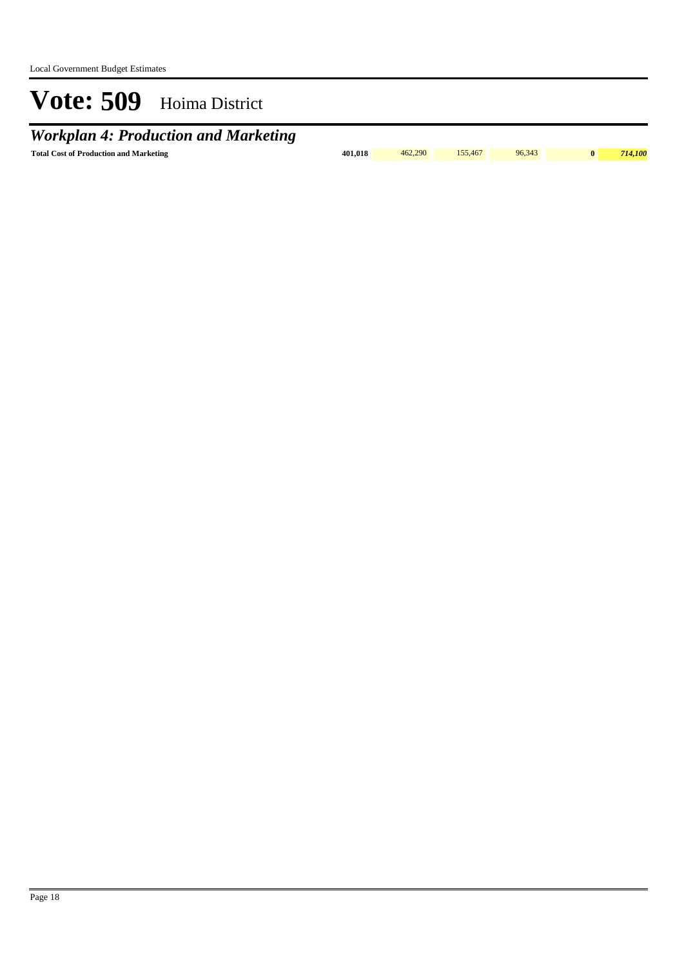*Workplan 4: Production and Marketing*

Total Cost of Production and Marketing **101,018** 462,290 155,467 96,343 0 714,100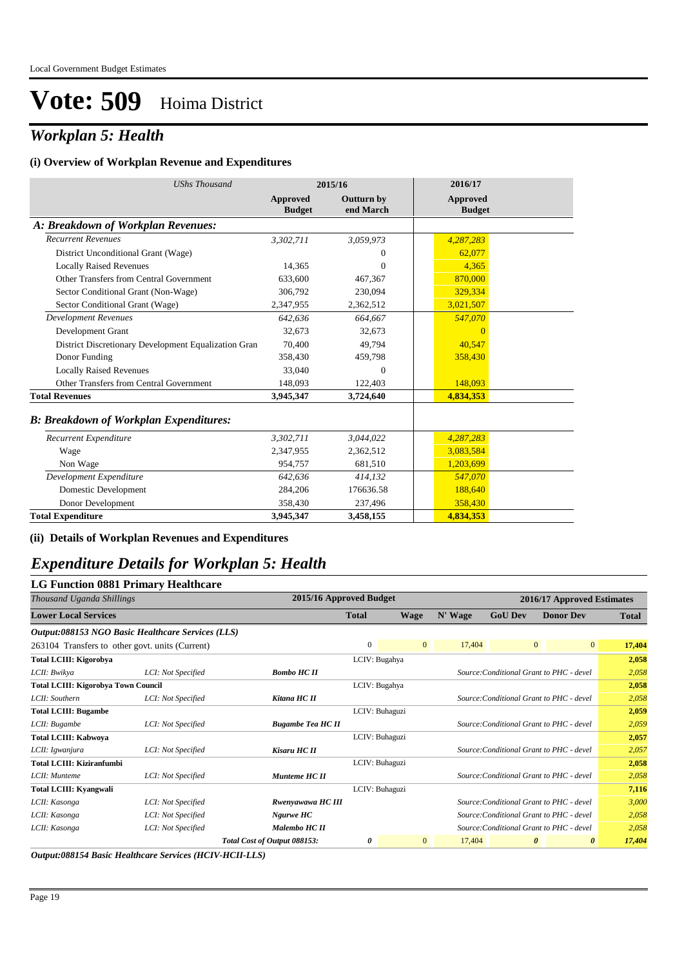## *Workplan 5: Health*

#### **(i) Overview of Workplan Revenue and Expenditures**

| <b>UShs Thousand</b>                                 |                           | 2015/16                        | 2016/17                          |  |
|------------------------------------------------------|---------------------------|--------------------------------|----------------------------------|--|
|                                                      | Approved<br><b>Budget</b> | <b>Outturn by</b><br>end March | <b>Approved</b><br><b>Budget</b> |  |
| A: Breakdown of Workplan Revenues:                   |                           |                                |                                  |  |
| <b>Recurrent Revenues</b>                            | 3,302,711                 | 3,059,973                      | 4,287,283                        |  |
| District Unconditional Grant (Wage)                  |                           | $\Omega$                       | 62,077                           |  |
| <b>Locally Raised Revenues</b>                       | 14,365                    | $\Omega$                       | 4,365                            |  |
| Other Transfers from Central Government              | 633,600                   | 467,367                        | 870,000                          |  |
| Sector Conditional Grant (Non-Wage)                  | 306,792                   | 230,094                        | 329,334                          |  |
| Sector Conditional Grant (Wage)                      | 2,347,955                 | 2,362,512                      | 3,021,507                        |  |
| <b>Development Revenues</b>                          | 642.636                   | 664.667                        | 547,070                          |  |
| Development Grant                                    | 32,673                    | 32,673                         | $\Omega$                         |  |
| District Discretionary Development Equalization Gran | 70.400                    | 49,794                         | 40,547                           |  |
| Donor Funding                                        | 358.430                   | 459,798                        | 358,430                          |  |
| <b>Locally Raised Revenues</b>                       | 33,040                    | $\mathbf{0}$                   |                                  |  |
| Other Transfers from Central Government              | 148,093                   | 122,403                        | 148,093                          |  |
| <b>Total Revenues</b>                                | 3,945,347                 | 3,724,640                      | 4,834,353                        |  |
| <b>B: Breakdown of Workplan Expenditures:</b>        |                           |                                |                                  |  |
| Recurrent Expenditure                                | 3,302,711                 | 3,044,022                      | 4,287,283                        |  |
| Wage                                                 | 2,347,955                 | 2,362,512                      | 3,083,584                        |  |
| Non Wage                                             | 954,757                   | 681,510                        | 1,203,699                        |  |
| Development Expenditure                              | 642,636                   | 414,132                        | 547,070                          |  |
| Domestic Development                                 | 284,206                   | 176636.58                      | 188,640                          |  |
| Donor Development                                    | 358,430                   | 237,496                        | 358,430                          |  |
| <b>Total Expenditure</b>                             | 3,945,347                 | 3,458,155                      | 4,834,353                        |  |

**(ii) Details of Workplan Revenues and Expenditures**

### *Expenditure Details for Workplan 5: Health*

### **LG Function 0881 Primary Healthcare**

| 2015/16 Approved Budget<br>Thousand Uganda Shillings |                    |                              | 2016/17 Approved Estimates |                |         |                |                                          |              |
|------------------------------------------------------|--------------------|------------------------------|----------------------------|----------------|---------|----------------|------------------------------------------|--------------|
| <b>Lower Local Services</b>                          |                    |                              | Total                      | <b>Wage</b>    | N' Wage | <b>GoU Dev</b> | <b>Donor Dev</b>                         | <b>Total</b> |
| Output:088153 NGO Basic Healthcare Services (LLS)    |                    |                              |                            |                |         |                |                                          |              |
| 263104 Transfers to other govt. units (Current)      |                    |                              | $\mathbf{0}$               | $\overline{0}$ | 17,404  |                | 0 <br>$\overline{0}$                     | 17,404       |
| <b>Total LCIII: Kigorobya</b>                        |                    |                              | LCIV: Bugahya              |                |         |                |                                          | 2,058        |
| LCII: Bwikya                                         | LCI: Not Specified | <b>Bombo HC II</b>           |                            |                |         |                | Source: Conditional Grant to PHC - devel | 2,058        |
| <b>Total LCIII: Kigorobya Town Council</b>           |                    |                              | LCIV: Bugahya              |                |         |                |                                          | 2,058        |
| LCII: Southern                                       | LCI: Not Specified | Kitana HC II                 |                            |                |         |                | Source: Conditional Grant to PHC - devel | 2,058        |
| <b>Total LCIII: Bugambe</b>                          |                    |                              | LCIV: Buhaguzi             |                |         |                | 2,059                                    |              |
| LCII: Bugambe                                        | LCI: Not Specified | <b>Bugambe Tea HC II</b>     |                            |                |         |                | Source: Conditional Grant to PHC - devel | 2,059        |
| <b>Total LCIII: Kabwoya</b>                          |                    |                              | LCIV: Buhaguzi             |                |         |                |                                          | 2,057        |
| LCII: Igwanjura                                      | LCI: Not Specified | Kisaru HC II                 |                            |                |         |                | Source: Conditional Grant to PHC - devel | 2,057        |
| <b>Total LCIII: Kiziranfumbi</b>                     |                    |                              | LCIV: Buhaguzi             |                |         |                |                                          | 2,058        |
| LCII: Munteme                                        | LCI: Not Specified | Munteme HC II                |                            |                |         |                | Source: Conditional Grant to PHC - devel | 2,058        |
| <b>Total LCIII: Kyangwali</b>                        |                    |                              | LCIV: Buhaguzi             |                |         |                |                                          | 7,116        |
| LCII: Kasonga                                        | LCI: Not Specified | Rwenyawawa HC III            |                            |                |         |                | Source: Conditional Grant to PHC - devel | 3,000        |
| LCII: Kasonga                                        | LCI: Not Specified | Ngurwe HC                    |                            |                |         |                | Source: Conditional Grant to PHC - devel | 2,058        |
| LCII: Kasonga                                        | LCI: Not Specified | Malembo HC II                |                            |                |         |                | Source: Conditional Grant to PHC - devel | 2,058        |
|                                                      |                    | Total Cost of Output 088153: | 0                          | $\overline{0}$ | 17,404  |                | $\theta$<br>$\boldsymbol{\theta}$        | 17,404       |

*Output:088154 Basic Healthcare Services (HCIV-HCII-LLS)*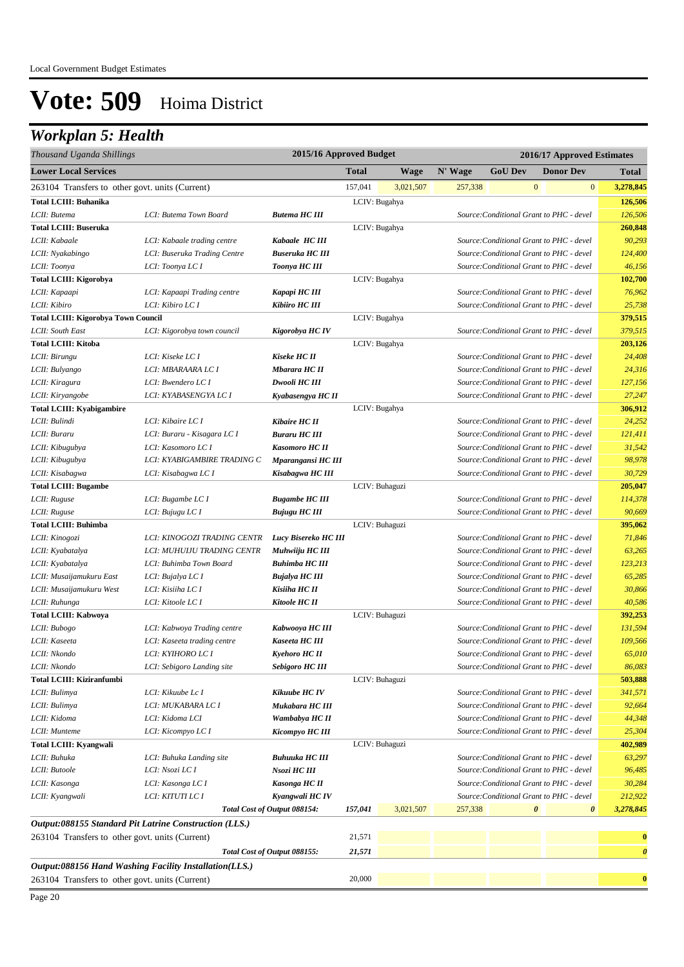## *Workplan 5: Health*

| Thousand Uganda Shillings                       |                                                        | 2015/16 Approved Budget      |              |                | 2016/17 Approved Estimates |                                          |              |                  |                       |
|-------------------------------------------------|--------------------------------------------------------|------------------------------|--------------|----------------|----------------------------|------------------------------------------|--------------|------------------|-----------------------|
| <b>Lower Local Services</b>                     |                                                        |                              | <b>Total</b> | <b>Wage</b>    | N' Wage                    | <b>GoU Dev</b>                           |              | <b>Donor Dev</b> | <b>Total</b>          |
| 263104 Transfers to other govt. units (Current) |                                                        |                              | 157,041      | 3,021,507      | 257,338                    |                                          | $\mathbf{0}$ | $\bf{0}$         | 3,278,845             |
| <b>Total LCIII: Buhanika</b>                    |                                                        |                              |              | LCIV: Bugahya  |                            |                                          |              |                  | 126,506               |
| LCII: Butema                                    | LCI: Butema Town Board                                 | <b>Butema HC III</b>         |              |                |                            | Source: Conditional Grant to PHC - devel |              |                  | 126,506               |
| <b>Total LCIII: Buseruka</b>                    |                                                        |                              |              | LCIV: Bugahya  |                            |                                          |              |                  | 260,848               |
| LCII: Kabaale                                   | LCI: Kabaale trading centre                            | Kabaale HC III               |              |                |                            | Source: Conditional Grant to PHC - devel |              |                  | 90,293                |
| LCII: Nyakabingo                                | LCI: Buseruka Trading Centre                           | <b>Buseruka HC III</b>       |              |                |                            | Source: Conditional Grant to PHC - devel |              |                  | 124,400               |
| LCII: Toonya                                    | LCI: Toonya LC I                                       | Toonya HC III                |              |                |                            | Source: Conditional Grant to PHC - devel |              |                  | 46,156                |
| <b>Total LCIII: Kigorobya</b>                   |                                                        |                              |              | LCIV: Bugahya  |                            |                                          |              |                  | 102,700               |
| LCII: Kapaapi                                   | LCI: Kapaapi Trading centre                            | Kapapi HC III                |              |                |                            | Source: Conditional Grant to PHC - devel |              |                  | 76,962                |
| LCII: Kibiro                                    | LCI: Kibiro LC I                                       | Kibiiro HC III               |              |                |                            | Source: Conditional Grant to PHC - devel |              |                  | 25,738                |
| Total LCIII: Kigorobya Town Council             |                                                        |                              |              | LCIV: Bugahya  |                            |                                          |              |                  | 379,515               |
| LCII: South East                                | LCI: Kigorobya town council                            | Kigorobya HC IV              |              |                |                            | Source: Conditional Grant to PHC - devel |              |                  | 379,515               |
| <b>Total LCIII: Kitoba</b>                      |                                                        |                              |              | LCIV: Bugahya  |                            |                                          |              |                  | 203,126               |
| LCII: Birungu                                   | LCI: Kiseke LC I                                       | <b>Kiseke HC II</b>          |              |                |                            | Source: Conditional Grant to PHC - devel |              |                  | 24,408                |
| LCII: Bulyango                                  | LCI: MBARAARA LC I                                     | Mbarara HC II                |              |                |                            | Source: Conditional Grant to PHC - devel |              |                  | 24,316                |
| LCII: Kiragura                                  | LCI: Bwendero LC I                                     | Dwooli HC III                |              |                |                            | Source: Conditional Grant to PHC - devel |              |                  | 127,156               |
| LCII: Kiryangobe                                | LCI: KYABASENGYA LC I                                  | Kyabasengya HC II            |              |                |                            | Source: Conditional Grant to PHC - devel |              |                  | 27,247                |
| <b>Total LCIII: Kyabigambire</b>                |                                                        |                              |              | LCIV: Bugahya  |                            |                                          |              |                  | 306,912               |
| LCII: Bulindi                                   | LCI: Kibaire LC I                                      | <b>Kibaire HC II</b>         |              |                |                            | Source: Conditional Grant to PHC - devel |              |                  | 24,252                |
| LCII: Buraru                                    | LCI: Buraru - Kisagara LC I                            | <b>Buraru HC III</b>         |              |                |                            | Source: Conditional Grant to PHC - devel |              |                  | 121,411               |
| LCII: Kibugubya                                 | LCI: Kasomoro LC I                                     | <b>Kasomoro HC II</b>        |              |                |                            | Source: Conditional Grant to PHC - devel |              |                  | 31,542                |
| LCII: Kibugubya                                 | LCI: KYABIGAMBIRE TRADING C                            | Mparangansi HC III           |              |                |                            | Source: Conditional Grant to PHC - devel |              |                  | 98,978                |
| LCII: Kisabagwa                                 | LCI: Kisabagwa LC I                                    | Kisabagwa HC III             |              |                |                            | Source: Conditional Grant to PHC - devel |              |                  | 30,729                |
| <b>Total LCIII: Bugambe</b>                     |                                                        |                              |              | LCIV: Buhaguzi |                            |                                          |              |                  | 205,047               |
| LCII: Ruguse                                    | LCI: Bugambe LC I                                      | <b>Bugambe HC III</b>        |              |                |                            | Source: Conditional Grant to PHC - devel |              |                  | 114,378               |
| LCII: Ruguse                                    | LCI: Bujugu LC I                                       | <b>Bujugu HC III</b>         |              |                |                            | Source: Conditional Grant to PHC - devel |              |                  | 90,669                |
| <b>Total LCIII: Buhimba</b>                     |                                                        |                              |              | LCIV: Buhaguzi |                            |                                          |              |                  | 395,062               |
| LCII: Kinogozi                                  | LCI: KINOGOZI TRADING CENTR                            | Lucy Bisereko HC III         |              |                |                            | Source: Conditional Grant to PHC - devel |              |                  | 71,846                |
| LCII: Kyabatalya                                | LCI: MUHUIJU TRADING CENTR                             | Muhwiiju HC III              |              |                |                            | Source: Conditional Grant to PHC - devel |              |                  | 63,265                |
| LCII: Kyabatalya                                | LCI: Buhimba Town Board                                | <b>Buhimba HC III</b>        |              |                |                            | Source: Conditional Grant to PHC - devel |              |                  | 123,213               |
| LCII: Musaijamukuru East                        | LCI: Bujalya LC I                                      | <b>Bujalya HC III</b>        |              |                |                            | Source: Conditional Grant to PHC - devel |              |                  | 65,285                |
| LCII: Musaijamukuru West                        | LCI: Kisiiha LC I                                      | Kisiiha HC II                |              |                |                            | Source: Conditional Grant to PHC - devel |              |                  | 30,866                |
| LCII: Ruhunga                                   | LCI: Kitoole LC I                                      | <b>Kitoole HC II</b>         |              |                |                            | Source: Conditional Grant to PHC - devel |              |                  | 40,586                |
| <b>Total LCIII: Kabwoya</b>                     |                                                        |                              |              | LCIV: Buhaguzi |                            |                                          |              |                  | 392,253               |
| LCII: Bubogo                                    | LCI: Kabwoya Trading centre                            | Kabwooya HC III              |              |                |                            | Source: Conditional Grant to PHC - devel |              |                  | 131,594               |
| LCII: Kaseeta                                   | LCI: Kaseeta trading centre                            | Kaseeta HC III               |              |                |                            | Source: Conditional Grant to PHC - devel |              |                  | 109,566               |
| LCII: Nkondo                                    | LCI: KYIHORO LC I                                      | <b>Kyehoro HC II</b>         |              |                |                            | Source: Conditional Grant to PHC - devel |              |                  | 65,010                |
| LCII: Nkondo                                    | LCI: Sebigoro Landing site                             | <b>Sebigoro HC III</b>       |              |                |                            | Source: Conditional Grant to PHC - devel |              |                  | 86,083                |
| <b>Total LCIII: Kiziranfumbi</b>                |                                                        |                              |              | LCIV: Buhaguzi |                            |                                          |              |                  | 503,888               |
| LCII: Bulimya                                   | LCI: Kikuube Lc I                                      | Kikuube HC IV                |              |                |                            | Source: Conditional Grant to PHC - devel |              |                  | 341,571               |
| LCII: Bulimya                                   | LCI: MUKABARA LC I                                     | Mukabara HC III              |              |                |                            | Source: Conditional Grant to PHC - devel |              |                  | 92,664                |
| LCII: Kidoma                                    | LCI: Kidoma LCI                                        | Wambabya HC II               |              |                |                            | Source: Conditional Grant to PHC - devel |              |                  | 44,348                |
| LCII: Munteme                                   | LCI: Kicompyo LC I                                     | Kicompyo HC III              |              |                |                            | Source: Conditional Grant to PHC - devel |              |                  | 25,304                |
| <b>Total LCIII: Kyangwali</b>                   |                                                        |                              |              | LCIV: Buhaguzi |                            |                                          |              |                  | 402,989               |
| LCII: Buhuka                                    | LCI: Buhuka Landing site                               | <b>Buhuuka HC III</b>        |              |                |                            | Source: Conditional Grant to PHC - devel |              |                  | 63,297                |
| LCII: Butoole                                   | LCI: Nsozi LC I                                        | Nsozi HC III                 |              |                |                            | Source: Conditional Grant to PHC - devel |              |                  | 96,485                |
| LCII: Kasonga                                   | LCI: Kasonga LC I                                      | <b>Kasonga HC II</b>         |              |                |                            | Source: Conditional Grant to PHC - devel |              |                  | 30,284                |
| LCII: Kyangwali                                 | <i>LCI: KITUTI LC I</i>                                | Kyangwali HC IV              |              |                |                            | Source: Conditional Grant to PHC - devel |              |                  | 212,922               |
|                                                 |                                                        | Total Cost of Output 088154: | 157,041      | 3,021,507      | 257,338                    |                                          | 0            | 0                | 3,278,845             |
|                                                 | Output:088155 Standard Pit Latrine Construction (LLS.) |                              |              |                |                            |                                          |              |                  |                       |
| 263104 Transfers to other govt. units (Current) |                                                        |                              | 21,571       |                |                            |                                          |              |                  | $\bf{0}$              |
|                                                 |                                                        | Total Cost of Output 088155: | 21,571       |                |                            |                                          |              |                  | $\boldsymbol{\theta}$ |
|                                                 | Output:088156 Hand Washing Facility Installation(LLS.) |                              |              |                |                            |                                          |              |                  |                       |
|                                                 |                                                        |                              | 20,000       |                |                            |                                          |              |                  | $\bf{0}$              |
| 263104 Transfers to other govt. units (Current) |                                                        |                              |              |                |                            |                                          |              |                  |                       |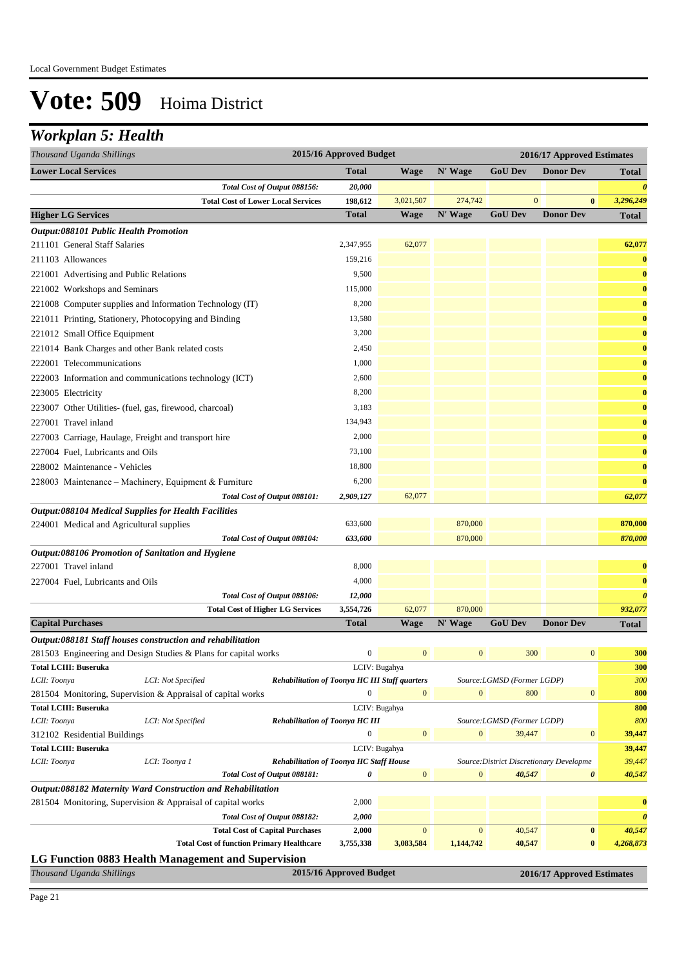### *Workplan 5: Health*

| 2015/16 Approved Budget<br>2016/17 Approved Estimates<br>Thousand Uganda Shillings                                                         |                       |
|--------------------------------------------------------------------------------------------------------------------------------------------|-----------------------|
| <b>Lower Local Services</b><br><b>GoU Dev</b><br><b>Total</b><br><b>Wage</b><br>N' Wage<br><b>Donor Dev</b>                                | <b>Total</b>          |
| Total Cost of Output 088156:<br>20,000                                                                                                     | $\boldsymbol{\theta}$ |
| <b>Total Cost of Lower Local Services</b><br>198,612<br>3,021,507<br>274,742<br>$\mathbf{0}$<br>$\bf{0}$                                   | 3,296,249             |
| <b>GoU Dev</b><br><b>Higher LG Services</b><br><b>Total</b><br><b>Wage</b><br>N' Wage<br><b>Donor Dev</b>                                  | <b>Total</b>          |
| Output:088101 Public Health Promotion                                                                                                      |                       |
| 211101 General Staff Salaries<br>2,347,955<br>62,077                                                                                       | 62,077                |
| 159,216<br>211103 Allowances                                                                                                               | $\bf{0}$              |
| 9,500<br>221001 Advertising and Public Relations                                                                                           | $\bf{0}$              |
| 221002 Workshops and Seminars<br>115,000                                                                                                   | $\bf{0}$              |
| 8,200<br>221008 Computer supplies and Information Technology (IT)                                                                          | $\bf{0}$              |
| 221011 Printing, Stationery, Photocopying and Binding<br>13,580                                                                            | $\bf{0}$              |
| 3,200<br>221012 Small Office Equipment                                                                                                     | $\bf{0}$              |
| 221014 Bank Charges and other Bank related costs<br>2,450                                                                                  | $\bf{0}$              |
| 222001 Telecommunications<br>1,000                                                                                                         | $\bf{0}$              |
| 2,600<br>222003 Information and communications technology (ICT)                                                                            | $\bf{0}$              |
| 8,200<br>223005 Electricity                                                                                                                | $\bf{0}$              |
| 3,183<br>223007 Other Utilities- (fuel, gas, firewood, charcoal)                                                                           | $\bf{0}$              |
| 227001 Travel inland<br>134,943                                                                                                            | $\bf{0}$              |
| 2,000<br>227003 Carriage, Haulage, Freight and transport hire                                                                              | $\bf{0}$              |
| 73,100<br>227004 Fuel, Lubricants and Oils                                                                                                 | $\bf{0}$              |
| 228002 Maintenance - Vehicles<br>18,800                                                                                                    | $\bf{0}$              |
| 6,200<br>228003 Maintenance - Machinery, Equipment & Furniture                                                                             | $\bf{0}$              |
| 62,077<br>Total Cost of Output 088101:<br>2,909,127                                                                                        | 62,077                |
| Output:088104 Medical Supplies for Health Facilities                                                                                       |                       |
| 870,000<br>633,600<br>224001 Medical and Agricultural supplies                                                                             | 870,000               |
| 633,600<br>870,000<br>Total Cost of Output 088104:                                                                                         | 870,000               |
| Output:088106 Promotion of Sanitation and Hygiene                                                                                          |                       |
| 8,000<br>227001 Travel inland                                                                                                              | $\bf{0}$              |
| 4,000<br>227004 Fuel, Lubricants and Oils                                                                                                  | $\bf{0}$              |
| Total Cost of Output 088106:<br>12,000                                                                                                     | $\boldsymbol{\theta}$ |
| 62,077<br>870,000<br><b>Total Cost of Higher LG Services</b><br>3,554,726                                                                  | 932,077               |
| <b>Capital Purchases</b><br><b>Total</b><br>N' Wage<br><b>GoU Dev</b><br><b>Donor Dev</b><br><b>Wage</b>                                   | <b>Total</b>          |
| Output:088181 Staff houses construction and rehabilitation                                                                                 |                       |
| $\boldsymbol{0}$<br>$\mathbf{0}$<br>300<br>$\mathbf{0}$<br>$\mathbf{0}$<br>281503 Engineering and Design Studies & Plans for capital works | 300                   |
| <b>Total LCIII: Buseruka</b><br>LCIV: Bugahya                                                                                              | 300                   |
| LCII: Toonya<br>LCI: Not Specified<br><b>Rehabilitation of Toonya HC III Staff quarters</b><br>Source:LGMSD (Former LGDP)                  | 300                   |
| $\mathbf{0}$<br>$\overline{0}$<br>$\mathbf{0}$<br>800<br>$\boldsymbol{0}$<br>281504 Monitoring, Supervision & Appraisal of capital works   | 800                   |
| <b>Total LCIII: Buseruka</b><br>LCIV: Bugahya                                                                                              | 800                   |
| <b>Rehabilitation of Toonya HC III</b><br>LCII: Toonya<br>LCI: Not Specified<br>Source:LGMSD (Former LGDP)                                 | 800                   |
| $\mathbf{0}$<br>$\mathbf{0}$<br>$\mathbf{0}$<br>39,447<br>$\mathbf{0}$<br>312102 Residential Buildings                                     | 39,447                |
| <b>Total LCIII: Buseruka</b><br>LCIV: Bugahya<br>Rehabilitation of Toonya HC Staff House<br>Source: District Discretionary Developme       | 39,447<br>39,447      |
| LCII: Toonya<br>LCI: Toonya 1<br>Total Cost of Output 088181:<br>0<br>$\boldsymbol{0}$<br>$\mathbf{0}$<br>40,547<br>$\pmb{\theta}$         | 40,547                |
| Output:088182 Maternity Ward Construction and Rehabilitation                                                                               |                       |
| 281504 Monitoring, Supervision & Appraisal of capital works<br>2,000                                                                       | $\bf{0}$              |
| 2,000<br>Total Cost of Output 088182:                                                                                                      | $\boldsymbol{\theta}$ |
| $\mathbf{0}$<br>$\mathbf{0}$<br>40,547<br>$\pmb{0}$<br><b>Total Cost of Capital Purchases</b><br>2,000                                     | 40,547                |
| <b>Total Cost of function Primary Healthcare</b><br>3,083,584<br>1,144,742<br>40,547<br>$\bf{0}$<br>3,755,338                              | 4,268,873             |
| LG Function 0883 Health Management and Supervision                                                                                         |                       |
| 2015/16 Approved Budget<br>Thousand Uganda Shillings<br>2016/17 Approved Estimates                                                         |                       |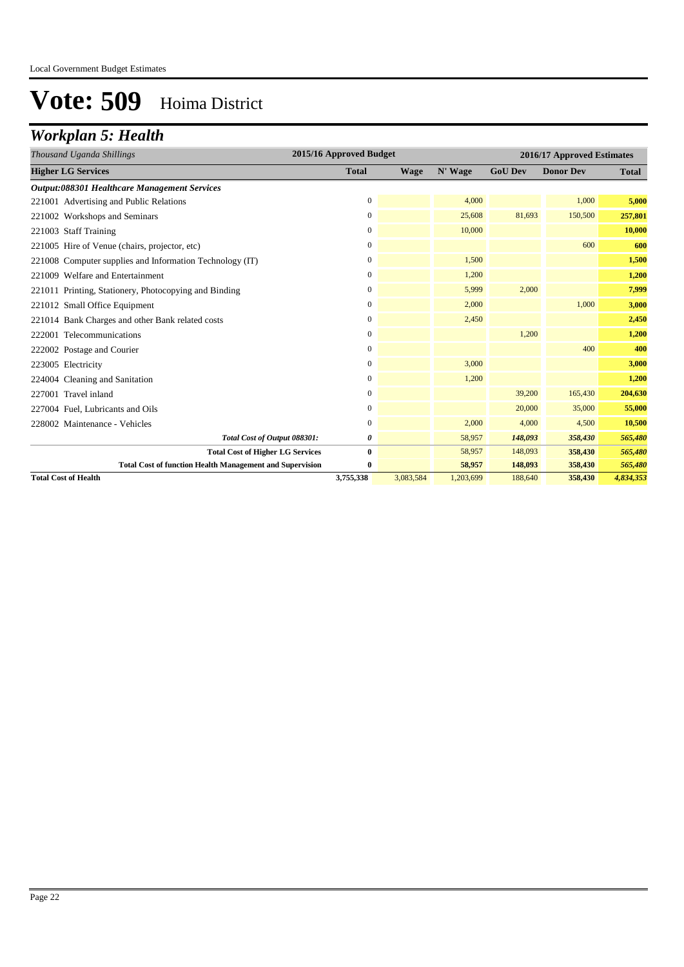## *Workplan 5: Health*

| Thousand Uganda Shillings                                       | 2015/16 Approved Budget |             |           |                | 2016/17 Approved Estimates |              |
|-----------------------------------------------------------------|-------------------------|-------------|-----------|----------------|----------------------------|--------------|
| <b>Higher LG Services</b>                                       | <b>Total</b>            | <b>Wage</b> | N' Wage   | <b>GoU Dev</b> | <b>Donor Dev</b>           | <b>Total</b> |
| Output:088301 Healthcare Management Services                    |                         |             |           |                |                            |              |
| 221001 Advertising and Public Relations                         | $\mathbf{0}$            |             | 4,000     |                | 1,000                      | 5,000        |
| 221002 Workshops and Seminars                                   | $\mathbf{0}$            |             | 25,608    | 81,693         | 150,500                    | 257,801      |
| 221003 Staff Training                                           | $\mathbf{0}$            |             | 10,000    |                |                            | 10,000       |
| 221005 Hire of Venue (chairs, projector, etc)                   | $\boldsymbol{0}$        |             |           |                | 600                        | 600          |
| 221008 Computer supplies and Information Technology (IT)        | $\mathbf{0}$            |             | 1,500     |                |                            | 1,500        |
| 221009 Welfare and Entertainment                                | 0                       |             | 1,200     |                |                            | 1,200        |
| 221011 Printing, Stationery, Photocopying and Binding           | $\boldsymbol{0}$        |             | 5,999     | 2,000          |                            | 7,999        |
| 221012 Small Office Equipment                                   | 0                       |             | 2,000     |                | 1,000                      | 3,000        |
| 221014 Bank Charges and other Bank related costs                | $\mathbf{0}$            |             | 2,450     |                |                            | 2,450        |
| 222001 Telecommunications                                       | $\mathbf{0}$            |             |           | 1,200          |                            | 1,200        |
| 222002 Postage and Courier                                      | $\mathbf{0}$            |             |           |                | 400                        | 400          |
| 223005 Electricity                                              | $\mathbf{0}$            |             | 3,000     |                |                            | 3,000        |
| 224004 Cleaning and Sanitation                                  | 0                       |             | 1,200     |                |                            | 1,200        |
| 227001 Travel inland                                            | $\boldsymbol{0}$        |             |           | 39,200         | 165,430                    | 204,630      |
| 227004 Fuel, Lubricants and Oils                                | $\mathbf{0}$            |             |           | 20,000         | 35,000                     | 55,000       |
| 228002 Maintenance - Vehicles                                   | $\mathbf{0}$            |             | 2,000     | 4,000          | 4,500                      | 10,500       |
| Total Cost of Output 088301:                                    | 0                       |             | 58,957    | 148,093        | 358,430                    | 565,480      |
| <b>Total Cost of Higher LG Services</b>                         | $\bf{0}$                |             | 58,957    | 148,093        | 358,430                    | 565,480      |
| <b>Total Cost of function Health Management and Supervision</b> | 0                       |             | 58,957    | 148,093        | 358,430                    | 565,480      |
| <b>Total Cost of Health</b>                                     | 3,755,338               | 3,083,584   | 1,203,699 | 188,640        | 358,430                    | 4,834,353    |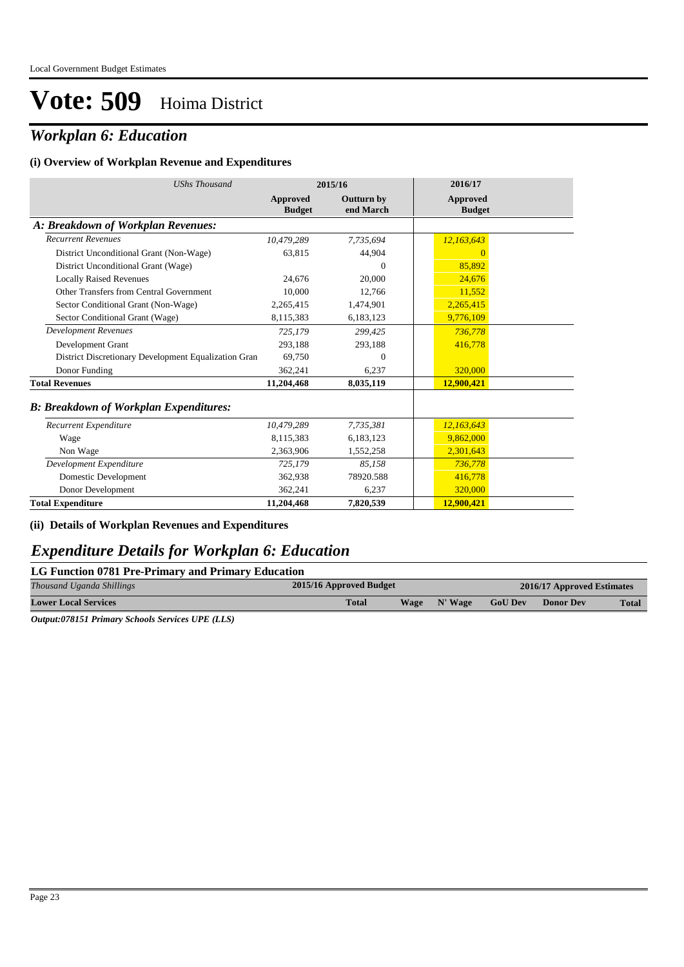## *Workplan 6: Education*

#### **(i) Overview of Workplan Revenue and Expenditures**

| <b>UShs Thousand</b>                                 | 2015/16                          |                                | 2016/17                          |
|------------------------------------------------------|----------------------------------|--------------------------------|----------------------------------|
|                                                      | <b>Approved</b><br><b>Budget</b> | <b>Outturn by</b><br>end March | <b>Approved</b><br><b>Budget</b> |
| A: Breakdown of Workplan Revenues:                   |                                  |                                |                                  |
| <b>Recurrent Revenues</b>                            | 10.479.289                       | 7,735,694                      | 12,163,643                       |
| District Unconditional Grant (Non-Wage)              | 63.815                           | 44,904                         |                                  |
| District Unconditional Grant (Wage)                  |                                  | $\mathbf{0}$                   | 85,892                           |
| <b>Locally Raised Revenues</b>                       | 24,676                           | 20,000                         | 24,676                           |
| Other Transfers from Central Government              | 10,000                           | 12,766                         | 11,552                           |
| Sector Conditional Grant (Non-Wage)                  | 2,265,415                        | 1,474,901                      | 2,265,415                        |
| Sector Conditional Grant (Wage)                      | 8,115,383                        | 6,183,123                      | 9,776,109                        |
| <b>Development Revenues</b>                          | 725,179                          | 299,425                        | 736,778                          |
| Development Grant                                    | 293,188                          | 293,188                        | 416,778                          |
| District Discretionary Development Equalization Gran | 69.750                           | $\Omega$                       |                                  |
| Donor Funding                                        | 362,241                          | 6,237                          | 320,000                          |
| <b>Total Revenues</b>                                | 11,204,468                       | 8,035,119                      | 12,900,421                       |
| <b>B: Breakdown of Workplan Expenditures:</b>        |                                  |                                |                                  |
| Recurrent Expenditure                                | 10,479,289                       | 7,735,381                      | 12,163,643                       |
| Wage                                                 | 8.115.383                        | 6,183,123                      | 9,862,000                        |
| Non Wage                                             | 2,363,906                        | 1,552,258                      | 2,301,643                        |
| Development Expenditure                              | 725,179                          | 85.158                         | 736,778                          |
| Domestic Development                                 | 362,938                          | 78920.588                      | 416,778                          |
| Donor Development                                    | 362,241                          | 6,237                          | 320,000                          |
| <b>Total Expenditure</b>                             | 11,204,468                       | 7,820,539                      | 12,900,421                       |

#### **(ii) Details of Workplan Revenues and Expenditures**

### *Expenditure Details for Workplan 6: Education*

#### **LG Function 0781 Pre-Primary and Primary Education**

| Thousand Uganda Shillings   |  | 2015/16 Approved Budget |      |         | 2016/17 Approved Estimates |                  |              |  |
|-----------------------------|--|-------------------------|------|---------|----------------------------|------------------|--------------|--|
| <b>Lower Local Services</b> |  | <b>Total</b>            | Wage | N' Wage | <b>GoU Dev</b>             | <b>Donor Dev</b> | <b>Total</b> |  |
|                             |  |                         |      |         |                            |                  |              |  |

*Output:078151 Primary Schools Services UPE (LLS)*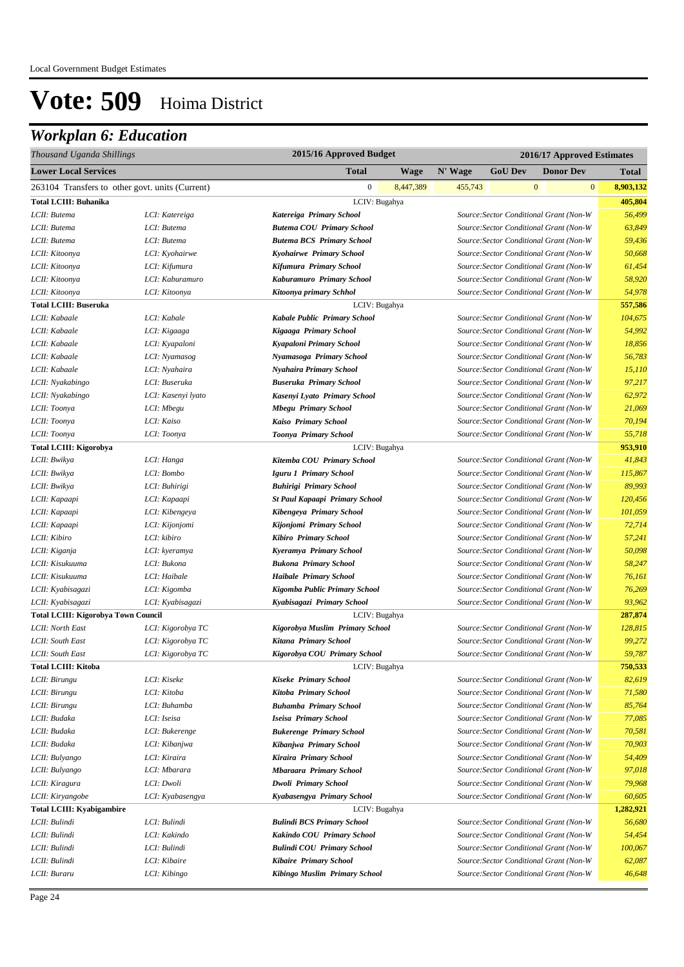## *Workplan 6: Education*

| Thousand Uganda Shillings                       |                    | 2015/16 Approved Budget               |           |         |                |              | 2016/17 Approved Estimates              |              |
|-------------------------------------------------|--------------------|---------------------------------------|-----------|---------|----------------|--------------|-----------------------------------------|--------------|
| <b>Lower Local Services</b>                     |                    | <b>Total</b>                          | Wage      | N' Wage | <b>GoU Dev</b> |              | <b>Donor Dev</b>                        | <b>Total</b> |
| 263104 Transfers to other govt. units (Current) |                    | $\mathbf{0}$                          | 8,447,389 | 455,743 |                | $\mathbf{0}$ | $\mathbf{0}$                            | 8,903,132    |
| <b>Total LCIII: Buhanika</b>                    |                    | LCIV: Bugahya                         |           |         |                |              |                                         | 405,804      |
| LCII: Butema                                    | LCI: Katereiga     | Katereiga Primary School              |           |         |                |              | Source: Sector Conditional Grant (Non-W | 56,499       |
| LCII: Butema                                    | LCI: Butema        | <b>Butema COU Primary School</b>      |           |         |                |              | Source: Sector Conditional Grant (Non-W | 63,849       |
| LCII: Butema                                    | LCI: Butema        | <b>Butema BCS Primary School</b>      |           |         |                |              | Source: Sector Conditional Grant (Non-W | 59,436       |
| LCII: Kitoonya                                  | LCI: Kyohairwe     | Kyohairwe Primary School              |           |         |                |              | Source: Sector Conditional Grant (Non-W | 50,668       |
| LCII: Kitoonya                                  | LCI: Kifumura      | Kifumura Primary School               |           |         |                |              | Source: Sector Conditional Grant (Non-W | 61,454       |
| LCII: Kitoonya                                  | LCI: Kaburamuro    | Kaburamuro Primary School             |           |         |                |              | Source: Sector Conditional Grant (Non-W | 58,920       |
| LCII: Kitoonya                                  | LCI: Kitoonya      | Kitoonya primary Schhol               |           |         |                |              | Source: Sector Conditional Grant (Non-W | 54,978       |
| <b>Total LCIII: Buseruka</b>                    |                    | LCIV: Bugahya                         |           |         |                |              |                                         | 557,586      |
| LCII: Kabaale                                   | LCI: Kabale        | Kabale Public Primary School          |           |         |                |              | Source: Sector Conditional Grant (Non-W | 104,675      |
| LCII: Kabaale                                   | LCI: Kigaaga       | Kigaaga Primary School                |           |         |                |              | Source: Sector Conditional Grant (Non-W | 54,992       |
| LCII: Kabaale                                   | LCI: Kyapaloni     | Kyapaloni Primary School              |           |         |                |              | Source: Sector Conditional Grant (Non-W | 18,856       |
| LCII: Kabaale                                   | LCI: Nyamasog      | Nyamasoga Primary School              |           |         |                |              | Source: Sector Conditional Grant (Non-W | 56,783       |
| LCII: Kabaale                                   | LCI: Nyahaira      | Nyahaira Primary School               |           |         |                |              | Source: Sector Conditional Grant (Non-W | 15,110       |
| LCII: Nyakabingo                                | LCI: Buseruka      | <b>Buseruka Primary School</b>        |           |         |                |              | Source: Sector Conditional Grant (Non-W | 97,217       |
| LCII: Nyakabingo                                | LCI: Kasenyi lyato | Kasenyi Lyato Primary School          |           |         |                |              | Source: Sector Conditional Grant (Non-W | 62,972       |
| LCII: Toonya                                    | LCI: Mbegu         | <b>Mbegu Primary School</b>           |           |         |                |              | Source: Sector Conditional Grant (Non-W | 21,069       |
| LCII: Toonya                                    | LCI: Kaiso         | Kaiso Primary School                  |           |         |                |              | Source: Sector Conditional Grant (Non-W | 70,194       |
| LCII: Toonya                                    | LCI: Toonya        | Toonya Primary School                 |           |         |                |              | Source: Sector Conditional Grant (Non-W | 55,718       |
| <b>Total LCIII: Kigorobya</b>                   |                    | LCIV: Bugahya                         |           |         |                |              |                                         | 953,910      |
| LCII: Bwikya                                    | LCI: Hanga         | Kitemba COU Primary School            |           |         |                |              | Source: Sector Conditional Grant (Non-W | 41,843       |
| LCII: Bwikya                                    | LCI: Bombo         | Iguru 1 Primary School                |           |         |                |              | Source: Sector Conditional Grant (Non-W | 115,867      |
| LCII: Bwikya                                    | LCI: Buhirigi      | <b>Buhirigi Primary School</b>        |           |         |                |              | Source: Sector Conditional Grant (Non-W | 89,993       |
| LCII: Kapaapi                                   | LCI: Kapaapi       | <b>St Paul Kapaapi Primary School</b> |           |         |                |              | Source: Sector Conditional Grant (Non-W | 120,456      |
| LCII: Kapaapi                                   | LCI: Kibengeya     | Kibengeya Primary School              |           |         |                |              | Source: Sector Conditional Grant (Non-W | 101,059      |
| LCII: Kapaapi                                   | LCI: Kijonjomi     | Kijonjomi Primary School              |           |         |                |              | Source: Sector Conditional Grant (Non-W | 72,714       |
| LCII: Kibiro                                    | LCI: kibiro        | Kibiro Primary School                 |           |         |                |              | Source: Sector Conditional Grant (Non-W | 57,241       |
| LCII: Kiganja                                   | LCI: kyeramya      | Kyeramya Primary School               |           |         |                |              | Source: Sector Conditional Grant (Non-W | 50,098       |
| LCII: Kisukuuma                                 | LCI: Bukona        | <b>Bukona Primary School</b>          |           |         |                |              | Source: Sector Conditional Grant (Non-W | 58,247       |
| LCII: Kisukuuma                                 | LCI: Haibale       | <b>Haibale Primary School</b>         |           |         |                |              | Source: Sector Conditional Grant (Non-W | 76,161       |
| LCII: Kyabisagazi                               | LCI: Kigomba       | Kigomba Public Primary School         |           |         |                |              | Source: Sector Conditional Grant (Non-W | 76,269       |
| LCII: Kyabisagazi                               | LCI: Kyabisagazi   | Kyabisagazi Primary School            |           |         |                |              | Source: Sector Conditional Grant (Non-W | 93,962       |
| <b>Total LCIII: Kigorobya Town Council</b>      |                    | LCIV: Bugahya                         |           |         |                |              |                                         | 287,874      |
| LCII: North East                                | LCI: Kigorobya TC  | Kigorobya Muslim Primary School       |           |         |                |              | Source: Sector Conditional Grant (Non-W | 128,815      |
| LCII: South East                                | LCI: Kigorobya TC  | Kitana Primary School                 |           |         |                |              | Source: Sector Conditional Grant (Non-W | 99,272       |
| LCII: South East                                | LCI: Kigorobya TC  | Kigorobya COU Primary School          |           |         |                |              | Source: Sector Conditional Grant (Non-W | 59,787       |
| <b>Total LCIII: Kitoba</b>                      |                    | LCIV: Bugahya                         |           |         |                |              |                                         | 750,533      |
| LCII: Birungu                                   | LCI: Kiseke        | Kiseke Primary School                 |           |         |                |              | Source: Sector Conditional Grant (Non-W | 82,619       |
| LCII: Birungu                                   | LCI: Kitoba        | Kitoba Primary School                 |           |         |                |              | Source: Sector Conditional Grant (Non-W | 71,580       |
| LCII: Birungu                                   | LCI: Buhamba       | <b>Buhamba Primary School</b>         |           |         |                |              | Source: Sector Conditional Grant (Non-W | 85,764       |
| LCII: Budaka                                    | LCI: Iseisa        | Iseisa Primary School                 |           |         |                |              | Source: Sector Conditional Grant (Non-W | 77,085       |
| LCII: Budaka                                    | LCI: Bukerenge     | <b>Bukerenge Primary School</b>       |           |         |                |              | Source: Sector Conditional Grant (Non-W | 70,581       |
| LCII: Budaka                                    | LCI: Kibanjwa      | Kibanjwa Primary School               |           |         |                |              | Source: Sector Conditional Grant (Non-W | 70,903       |
| LCII: Bulyango                                  | LCI: Kiraira       | Kiraira Primary School                |           |         |                |              | Source: Sector Conditional Grant (Non-W | 54,409       |
| LCII: Bulyango                                  | LCI: Mbarara       | <b>Mbaraara Primary School</b>        |           |         |                |              | Source: Sector Conditional Grant (Non-W | 97,018       |
| LCII: Kiragura                                  | LCI: Dwoli         | <b>Dwoli Primary School</b>           |           |         |                |              | Source: Sector Conditional Grant (Non-W | 79,968       |
| LCII: Kiryangobe                                | LCI: Kyabasengya   | Kyabasengya Primary School            |           |         |                |              | Source: Sector Conditional Grant (Non-W | 60,605       |
| <b>Total LCIII: Kyabigambire</b>                |                    | LCIV: Bugahya                         |           |         |                |              |                                         | 1,282,921    |
| LCII: Bulindi                                   | LCI: Bulindi       | <b>Bulindi BCS Primary School</b>     |           |         |                |              | Source: Sector Conditional Grant (Non-W | 56,680       |
| LCII: Bulindi                                   | LCI: Kakindo       | Kakindo COU Primary School            |           |         |                |              | Source: Sector Conditional Grant (Non-W | 54,454       |
| LCII: Bulindi                                   | LCI: Bulindi       | <b>Bulindi COU Primary School</b>     |           |         |                |              | Source: Sector Conditional Grant (Non-W | 100,067      |
| LCII: Bulindi                                   | LCI: Kibaire       | <b>Kibaire Primary School</b>         |           |         |                |              | Source: Sector Conditional Grant (Non-W | 62,087       |
| LCII: Buraru                                    | LCI: Kibingo       | Kibingo Muslim Primary School         |           |         |                |              | Source: Sector Conditional Grant (Non-W | 46,648       |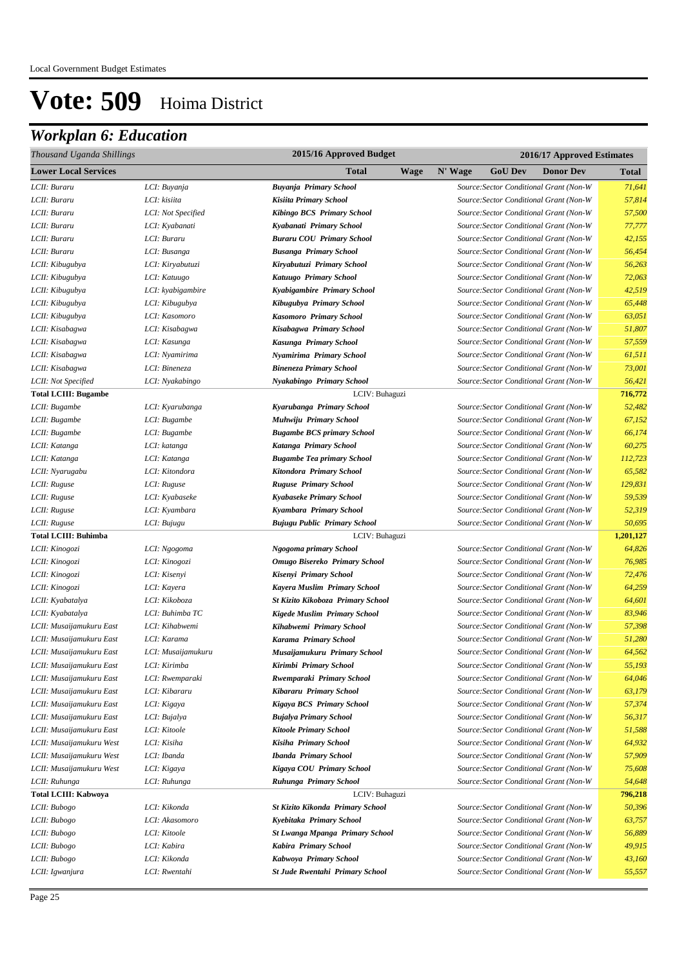## *Workplan 6: Education*

| Thousand Uganda Shillings   | 2015/16 Approved Budget<br>2016/17 Approved Estimates |                                        |         |                |                                         |           |
|-----------------------------|-------------------------------------------------------|----------------------------------------|---------|----------------|-----------------------------------------|-----------|
| <b>Lower Local Services</b> |                                                       | Total<br>Wage                          | N' Wage | <b>GoU Dev</b> | <b>Donor Dev</b>                        | Total     |
| LCII: Buraru                | LCI: Buyanja                                          | Buyanja Primary School                 |         |                | Source: Sector Conditional Grant (Non-W | 71,641    |
| LCII: Buraru                | LCI: kisiita                                          | Kisiita Primary School                 |         |                | Source: Sector Conditional Grant (Non-W | 57,814    |
| LCII: Buraru                | LCI: Not Specified                                    | Kibingo BCS Primary School             |         |                | Source: Sector Conditional Grant (Non-W | 57,500    |
| LCII: Buraru                | LCI: Kyabanati                                        | Kyabanati Primary School               |         |                | Source: Sector Conditional Grant (Non-W | 77,777    |
| LCII: Buraru                | LCI: Buraru                                           | <b>Buraru COU Primary School</b>       |         |                | Source: Sector Conditional Grant (Non-W | 42,155    |
| LCII: Buraru                | LCI: Busanga                                          | <b>Busanga Primary School</b>          |         |                | Source: Sector Conditional Grant (Non-W | 56,454    |
| LCII: Kibugubya             | LCI: Kiryabutuzi                                      | Kiryabutuzi Primary School             |         |                | Source: Sector Conditional Grant (Non-W | 56,263    |
| LCII: Kibugubya             | LCI: Katuugo                                          | Katuugo Primary School                 |         |                | Source: Sector Conditional Grant (Non-W | 72,063    |
| LCII: Kibugubya             | LCI: kyabigambire                                     | Kyabigambire Primary School            |         |                | Source: Sector Conditional Grant (Non-W | 42,519    |
| LCII: Kibugubya             | LCI: Kibugubya                                        | Kibugubya Primary School               |         |                | Source: Sector Conditional Grant (Non-W | 65,448    |
| LCII: Kibugubya             | LCI: Kasomoro                                         | Kasomoro Primary School                |         |                | Source: Sector Conditional Grant (Non-W | 63,051    |
| LCII: Kisabagwa             | LCI: Kisabagwa                                        | Kisabagwa Primary School               |         |                | Source: Sector Conditional Grant (Non-W | 51,807    |
| LCII: Kisabagwa             | LCI: Kasunga                                          | Kasunga Primary School                 |         |                | Source: Sector Conditional Grant (Non-W | 57,559    |
| LCII: Kisabagwa             | LCI: Nyamirima                                        | Nyamirima Primary School               |         |                | Source: Sector Conditional Grant (Non-W | 61,511    |
| LCII: Kisabagwa             | LCI: Bineneza                                         | <b>Bineneza Primary School</b>         |         |                | Source: Sector Conditional Grant (Non-W | 73,001    |
| LCII: Not Specified         | LCI: Nyakabingo                                       | Nyakabingo Primary School              |         |                | Source: Sector Conditional Grant (Non-W | 56,421    |
| <b>Total LCIII: Bugambe</b> |                                                       | LCIV: Buhaguzi                         |         |                |                                         | 716,772   |
| LCII: Bugambe               | LCI: Kyarubanga                                       | Kyarubanga Primary School              |         |                | Source: Sector Conditional Grant (Non-W | 52,482    |
| LCII: Bugambe               | LCI: Bugambe                                          | Muhwiju Primary School                 |         |                | Source: Sector Conditional Grant (Non-W | 67,152    |
| LCII: Bugambe               | LCI: Bugambe                                          | <b>Bugambe BCS primary School</b>      |         |                | Source: Sector Conditional Grant (Non-W | 66,174    |
| LCII: Katanga               | LCI: katanga                                          | Katanga Primary School                 |         |                | Source: Sector Conditional Grant (Non-W | 60,275    |
| LCII: Katanga               | LCI: Katanga                                          | <b>Bugambe Tea primary School</b>      |         |                | Source: Sector Conditional Grant (Non-W | 112,723   |
| LCII: Nyarugabu             | LCI: Kitondora                                        | Kitondora Primary School               |         |                | Source: Sector Conditional Grant (Non-W | 65,582    |
| LCII: Ruguse                | LCI: Ruguse                                           | <b>Ruguse Primary School</b>           |         |                | Source: Sector Conditional Grant (Non-W | 129,831   |
| LCII: Ruguse                | LCI: Kyabaseke                                        | Kyabaseke Primary School               |         |                | Source: Sector Conditional Grant (Non-W | 59,539    |
| LCII: Ruguse                | LCI: Kyambara                                         | Kyambara Primary School                |         |                | Source: Sector Conditional Grant (Non-W | 52,319    |
| LCII: Ruguse                | LCI: Bujugu                                           | Bujugu Public Primary School           |         |                | Source: Sector Conditional Grant (Non-W | 50,695    |
| <b>Total LCIII: Buhimba</b> |                                                       | LCIV: Buhaguzi                         |         |                |                                         | 1,201,127 |
| LCII: Kinogozi              | LCI: Ngogoma                                          | Ngogoma primary School                 |         |                | Source: Sector Conditional Grant (Non-W | 64,826    |
| LCII: Kinogozi              | LCI: Kinogozi                                         | Omugo Bisereko Primary School          |         |                | Source: Sector Conditional Grant (Non-W | 76,985    |
| LCII: Kinogozi              | LCI: Kisenyi                                          | Kisenyi Primary School                 |         |                | Source: Sector Conditional Grant (Non-W | 72,476    |
| LCII: Kinogozi              | LCI: Kayera                                           | Kayera Muslim Primary School           |         |                | Source: Sector Conditional Grant (Non-W | 64,259    |
| LCII: Kyabatalya            | LCI: Kikoboza                                         | St Kizito Kikoboza Primary School      |         |                | Source: Sector Conditional Grant (Non-W | 64,601    |
| LCII: Kyabatalya            | LCI: Buhimba TC                                       | Kigede Muslim Primary School           |         |                | Source: Sector Conditional Grant (Non-W | 83,946    |
| LCII: Musaijamukuru East    | LCI: Kihabwemi                                        | Kihabwemi Primary School               |         |                | Source: Sector Conditional Grant (Non-W | 57,398    |
| LCII: Musaijamukuru East    | LCI: Karama                                           | Karama Primary School                  |         |                | Source: Sector Conditional Grant (Non-W | 51,280    |
| LCII: Musaijamukuru East    | LCI: Musaijamukuru                                    | Musaijamukuru Primary School           |         |                | Source: Sector Conditional Grant (Non-W | 64,562    |
| LCII: Musaijamukuru East    | LCI: Kirimba                                          | Kirimbi Primary School                 |         |                | Source:Sector Conditional Grant (Non-W  | 55,193    |
| LCII: Musaijamukuru East    | LCI: Rwemparaki                                       | Rwemparaki Primary School              |         |                | Source: Sector Conditional Grant (Non-W | 64,046    |
| LCII: Musaijamukuru East    | LCI: Kibararu                                         | Kibararu Primary School                |         |                | Source: Sector Conditional Grant (Non-W | 63,179    |
| LCII: Musaijamukuru East    | LCI: Kigaya                                           | Kigaya BCS Primary School              |         |                | Source: Sector Conditional Grant (Non-W | 57,374    |
| LCII: Musaijamukuru East    | LCI: Bujalya                                          | <b>Bujalya Primary School</b>          |         |                | Source: Sector Conditional Grant (Non-W | 56,317    |
| LCII: Musaijamukuru East    | LCI: Kitoole                                          | <b>Kitoole Primary School</b>          |         |                | Source: Sector Conditional Grant (Non-W | 51,588    |
| LCII: Musaijamukuru West    | LCI: Kisiha                                           | Kisiha Primary School                  |         |                | Source: Sector Conditional Grant (Non-W | 64,932    |
| LCII: Musaijamukuru West    | LCI: Ibanda                                           | <b>Ibanda Primary School</b>           |         |                | Source: Sector Conditional Grant (Non-W | 57,909    |
| LCII: Musaijamukuru West    | LCI: Kigaya                                           | Kigaya COU Primary School              |         |                | Source: Sector Conditional Grant (Non-W | 75,608    |
| LCII: Ruhunga               | LCI: Ruhunga                                          | Ruhunga Primary School                 |         |                | Source: Sector Conditional Grant (Non-W | 54,648    |
| Total LCIII: Kabwoya        |                                                       | LCIV: Buhaguzi                         |         |                |                                         | 796,218   |
| LCII: Bubogo                | LCI: Kikonda                                          | St Kizito Kikonda Primary School       |         |                | Source: Sector Conditional Grant (Non-W | 50,396    |
| LCII: Bubogo                | LCI: Akasomoro                                        | Kyebitaka Primary School               |         |                | Source: Sector Conditional Grant (Non-W | 63,757    |
| LCII: Bubogo                | LCI: Kitoole                                          | St Lwanga Mpanga Primary School        |         |                | Source: Sector Conditional Grant (Non-W | 56,889    |
| LCII: Bubogo                | LCI: Kabira                                           | Kabira Primary School                  |         |                | Source: Sector Conditional Grant (Non-W | 49,915    |
| LCII: Bubogo                | LCI: Kikonda                                          | Kabwoya Primary School                 |         |                | Source: Sector Conditional Grant (Non-W | 43,160    |
| LCII: Igwanjura             | LCI: Rwentahi                                         | <b>St Jude Rwentahi Primary School</b> |         |                | Source: Sector Conditional Grant (Non-W | 55,557    |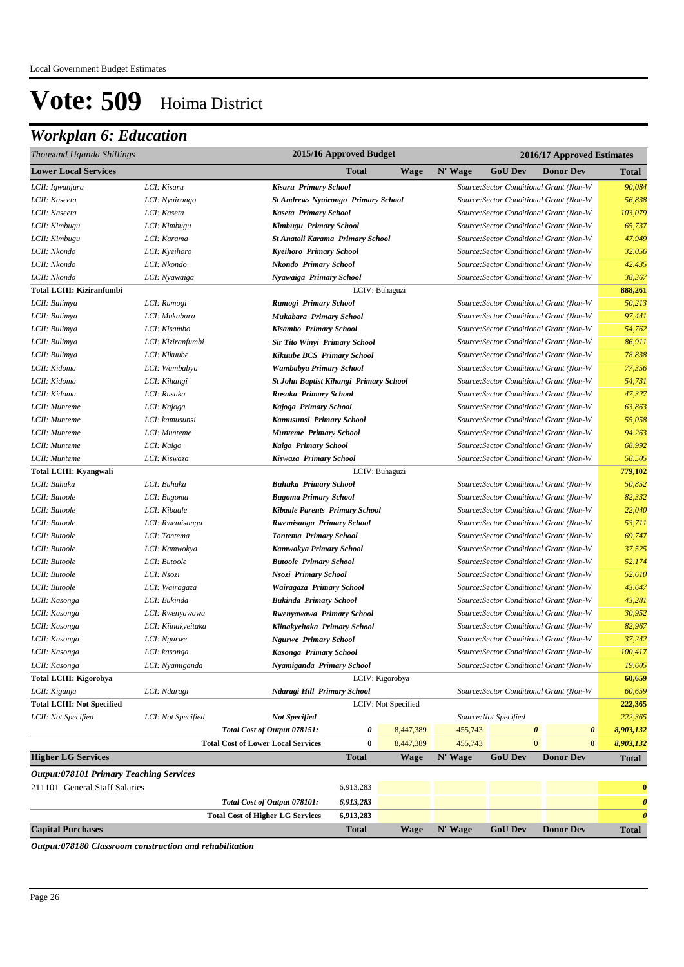## *Workplan 6: Education*

| Thousand Uganda Shillings                       |                    |                                            | 2015/16 Approved Budget                                                                                      |                     |         |                      | 2016/17 Approved Estimates              |                       |
|-------------------------------------------------|--------------------|--------------------------------------------|--------------------------------------------------------------------------------------------------------------|---------------------|---------|----------------------|-----------------------------------------|-----------------------|
| <b>Lower Local Services</b>                     |                    |                                            | <b>Total</b>                                                                                                 | <b>Wage</b>         | N' Wage | <b>GoU Dev</b>       | <b>Donor Dev</b>                        | <b>Total</b>          |
| LCII: Igwanjura                                 | LCI: Kisaru        | Kisaru Primary School                      |                                                                                                              |                     |         |                      | Source: Sector Conditional Grant (Non-W | 90,084                |
| LCII: Kaseeta                                   | LCI: Nyairongo     | <b>St Andrews Nyairongo Primary School</b> |                                                                                                              |                     |         |                      | Source: Sector Conditional Grant (Non-W | 56,838                |
| LCII: Kaseeta                                   | LCI: Kaseta        | Kaseta Primary School                      |                                                                                                              |                     |         |                      | Source: Sector Conditional Grant (Non-W | 103,079               |
| LCII: Kimbugu                                   | LCI: Kimbugu       | Kimbugu Primary School                     |                                                                                                              |                     |         |                      | Source: Sector Conditional Grant (Non-W | 65,737                |
| LCII: Kimbugu                                   | LCI: Karama        | St Anatoli Karama Primary School           |                                                                                                              |                     |         |                      | Source: Sector Conditional Grant (Non-W | 47,949                |
| LCII: Nkondo                                    | LCI: Kyeihoro      | Kyeihoro Primary School                    |                                                                                                              |                     |         |                      | Source: Sector Conditional Grant (Non-W | 32,056                |
| LCII: Nkondo                                    | LCI: Nkondo        | <b>Nkondo Primary School</b>               |                                                                                                              |                     |         |                      | Source: Sector Conditional Grant (Non-W | 42,435                |
| LCII: Nkondo                                    | LCI: Nyawaiga      | Nyawaiga Primary School                    |                                                                                                              |                     |         |                      | Source: Sector Conditional Grant (Non-W | 38,367                |
| Total LCIII: Kiziranfumbi                       |                    |                                            |                                                                                                              | LCIV: Buhaguzi      |         |                      |                                         | 888,261               |
| LCII: Bulimya                                   | LCI: Rumogi        | Rumogi Primary School                      |                                                                                                              |                     |         |                      | Source: Sector Conditional Grant (Non-W | 50,213                |
| LCII: Bulimya                                   | LCI: Mukabara      | Mukabara Primary School                    |                                                                                                              |                     |         |                      | Source: Sector Conditional Grant (Non-W | 97,441                |
| LCII: Bulimya                                   | LCI: Kisambo       | Kisambo Primary School                     |                                                                                                              |                     |         |                      | Source: Sector Conditional Grant (Non-W | 54,762                |
| LCII: Bulimya                                   | LCI: Kiziranfumbi  | <b>Sir Tito Winyi Primary School</b>       |                                                                                                              |                     |         |                      | Source: Sector Conditional Grant (Non-W | 86,911                |
| LCII: Bulimya                                   | LCI: Kikuube       | Kikuube BCS Primary School                 |                                                                                                              |                     |         |                      | Source: Sector Conditional Grant (Non-W | 78,838                |
| LCII: Kidoma                                    | LCI: Wambabya      | Wambabya Primary School                    |                                                                                                              |                     |         |                      | Source: Sector Conditional Grant (Non-W | 77,356                |
| LCII: Kidoma                                    | LCI: Kihangi       | St John Baptist Kihangi Primary School     |                                                                                                              |                     |         |                      | Source: Sector Conditional Grant (Non-W | 54,731                |
| LCII: Kidoma                                    | LCI: Rusaka        | Rusaka Primary School                      |                                                                                                              |                     |         |                      | Source: Sector Conditional Grant (Non-W | 47,327                |
| LCII: Munteme                                   | LCI: Kajoga        | Kajoga Primary School                      |                                                                                                              |                     |         |                      | Source: Sector Conditional Grant (Non-W | 63,863                |
| LCII: Munteme                                   | LCI: kamusunsi     | Kamusunsi Primary School                   |                                                                                                              |                     |         |                      | Source: Sector Conditional Grant (Non-W | 55,058                |
| LCII: Munteme                                   | LCI: Munteme       | <b>Munteme Primary School</b>              |                                                                                                              |                     |         |                      | Source: Sector Conditional Grant (Non-W | 94,263                |
| LCII: Munteme                                   | LCI: Kaigo         | Kaigo Primary School                       |                                                                                                              |                     |         |                      |                                         | 68,992                |
| LCII: Munteme                                   | LCI: Kiswaza       |                                            | Source: Sector Conditional Grant (Non-W<br>Source: Sector Conditional Grant (Non-W<br>Kiswaza Primary School |                     |         |                      | 58,505                                  |                       |
| LCIV: Buhaguzi<br><b>Total LCIII: Kyangwali</b> |                    |                                            |                                                                                                              |                     | 779,102 |                      |                                         |                       |
| LCII: Buhuka                                    | LCI: Buhuka        | <b>Buhuka Primary School</b>               |                                                                                                              |                     |         |                      | Source: Sector Conditional Grant (Non-W | 50,852                |
| LCII: Butoole                                   | LCI: Bugoma        | <b>Bugoma Primary School</b>               |                                                                                                              |                     |         |                      | Source: Sector Conditional Grant (Non-W | 82,332                |
| LCII: Butoole                                   | LCI: Kibaale       | <b>Kibaale Parents Primary School</b>      |                                                                                                              |                     |         |                      | Source: Sector Conditional Grant (Non-W | 22,040                |
| LCII: Butoole                                   | LCI: Rwemisanga    | Rwemisanga Primary School                  |                                                                                                              |                     |         |                      | Source: Sector Conditional Grant (Non-W | 53,711                |
| LCII: Butoole                                   | LCI: Tontema       | <b>Tontema Primary School</b>              |                                                                                                              |                     |         |                      | Source: Sector Conditional Grant (Non-W | 69,747                |
| LCII: Butoole                                   | LCI: Kamwokya      | Kamwokya Primary School                    |                                                                                                              |                     |         |                      | Source: Sector Conditional Grant (Non-W | 37,525                |
| LCII: Butoole                                   | LCI: Butoole       | <b>Butoole Primary School</b>              |                                                                                                              |                     |         |                      | Source: Sector Conditional Grant (Non-W | 52,174                |
| LCII: Butoole                                   | LCI: Nsozi         | Nsozi Primary School                       |                                                                                                              |                     |         |                      | Source: Sector Conditional Grant (Non-W | 52,610                |
| LCII: Butoole                                   | LCI: Wairagaza     | Wairagaza Primary School                   |                                                                                                              |                     |         |                      | Source: Sector Conditional Grant (Non-W | 43,647                |
| LCII: Kasonga                                   | LCI: Bukinda       | <b>Bukinda Primary School</b>              |                                                                                                              |                     |         |                      | Source: Sector Conditional Grant (Non-W | 43,281                |
| LCII: Kasonga                                   | LCI: Rwenyawawa    | Rwenyawawa Primary School                  |                                                                                                              |                     |         |                      | Source: Sector Conditional Grant (Non-W | 30,952                |
| LCII: Kasonga                                   | LCI: Kiinakyeitaka | Kiinakyeitaka Primary School               |                                                                                                              |                     |         |                      | Source: Sector Conditional Grant (Non-W | 82,967                |
| LCII: Kasonga                                   | LCI: Ngurwe        | <b>Ngurwe Primary School</b>               |                                                                                                              |                     |         |                      | Source: Sector Conditional Grant (Non-W | 37,242                |
| LCII: Kasonga                                   | LCI: kasonga       | Kasonga Primary School                     |                                                                                                              |                     |         |                      | Source: Sector Conditional Grant (Non-W | 100,417               |
| LCII: Kasonga                                   | LCI: Nyamiganda    | Nyamiganda Primary School                  |                                                                                                              |                     |         |                      | Source: Sector Conditional Grant (Non-W | 19,605                |
| <b>Total LCIII: Kigorobya</b>                   |                    |                                            |                                                                                                              | LCIV: Kigorobya     |         |                      |                                         | 60,659                |
| LCII: Kiganja                                   | LCI: Ndaragi       | Ndaragi Hill Primary School                |                                                                                                              |                     |         |                      | Source: Sector Conditional Grant (Non-W | 60,659                |
| <b>Total LCIII: Not Specified</b>               |                    |                                            |                                                                                                              | LCIV: Not Specified |         |                      |                                         | 222,365               |
| LCII: Not Specified                             | LCI: Not Specified | <b>Not Specified</b>                       |                                                                                                              |                     |         | Source:Not Specified |                                         | 222,365               |
|                                                 |                    | Total Cost of Output 078151:               | 0                                                                                                            | 8,447,389           | 455,743 |                      | $\boldsymbol{\theta}$<br>0              | 8,903,132             |
|                                                 |                    | <b>Total Cost of Lower Local Services</b>  | 0                                                                                                            | 8,447,389           | 455,743 |                      | $\mathbf{0}$<br>$\bf{0}$                | 8,903,132             |
| <b>Higher LG Services</b>                       |                    |                                            | <b>Total</b>                                                                                                 | <b>Wage</b>         | N' Wage | <b>GoU Dev</b>       | <b>Donor Dev</b>                        | <b>Total</b>          |
| <b>Output:078101 Primary Teaching Services</b>  |                    |                                            |                                                                                                              |                     |         |                      |                                         |                       |
| 211101 General Staff Salaries                   |                    |                                            | 6,913,283                                                                                                    |                     |         |                      |                                         | $\bf{0}$              |
|                                                 |                    | Total Cost of Output 078101:               | 6,913,283                                                                                                    |                     |         |                      |                                         | $\boldsymbol{\theta}$ |
|                                                 |                    | <b>Total Cost of Higher LG Services</b>    | 6,913,283                                                                                                    |                     |         |                      |                                         | $\boldsymbol{\theta}$ |
| <b>Capital Purchases</b>                        |                    |                                            | <b>Total</b>                                                                                                 | <b>Wage</b>         | N' Wage | <b>GoU Dev</b>       | <b>Donor Dev</b>                        | <b>Total</b>          |

*Output:078180 Classroom construction and rehabilitation*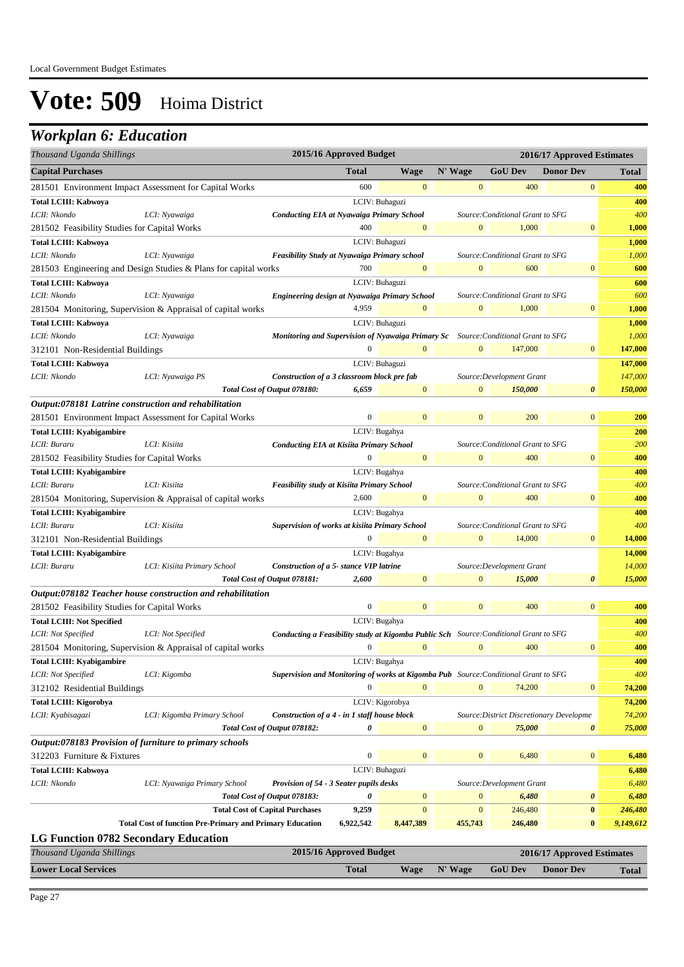## *Workplan 6: Education*

| Thousand Uganda Shillings                               |                                                                 | 2015/16 Approved Budget<br>2016/17 Approved Estimates                                        |                         |                  |                |                                          |                            |              |
|---------------------------------------------------------|-----------------------------------------------------------------|----------------------------------------------------------------------------------------------|-------------------------|------------------|----------------|------------------------------------------|----------------------------|--------------|
| <b>Capital Purchases</b>                                |                                                                 |                                                                                              | <b>Total</b>            | <b>Wage</b>      | N' Wage        | <b>GoU</b> Dev                           | <b>Donor Dev</b>           | Total        |
| 281501 Environment Impact Assessment for Capital Works  |                                                                 |                                                                                              | 600                     | $\mathbf{0}$     | $\mathbf{0}$   | 400                                      | $\bf{0}$                   | 400          |
| Total LCIII: Kabwoya                                    |                                                                 |                                                                                              |                         | LCIV: Buhaguzi   |                |                                          |                            | 400          |
| LCII: Nkondo                                            | LCI: Nyawaiga                                                   | <b>Conducting EIA at Nyawaiga Primary School</b>                                             |                         |                  |                | Source: Conditional Grant to SFG         |                            | 400          |
| 281502 Feasibility Studies for Capital Works            |                                                                 |                                                                                              | 400                     | $\mathbf{0}$     | $\mathbf{0}$   | 1,000                                    | $\boldsymbol{0}$           | 1,000        |
| <b>Total LCIII: Kabwoya</b>                             |                                                                 |                                                                                              |                         | LCIV: Buhaguzi   |                |                                          |                            | 1,000        |
| LCII: Nkondo                                            | LCI: Nyawaiga                                                   | <b>Feasibility Study at Nyawaiga Primary school</b>                                          |                         |                  |                | Source: Conditional Grant to SFG         |                            | 1,000        |
|                                                         | 281503 Engineering and Design Studies & Plans for capital works |                                                                                              | 700                     | $\mathbf{0}$     | $\overline{0}$ | 600                                      | $\mathbf{0}$               | 600          |
| <b>Total LCIII: Kabwoya</b>                             |                                                                 |                                                                                              |                         | LCIV: Buhaguzi   |                |                                          |                            | 600          |
| LCII: Nkondo                                            | LCI: Nyawaiga                                                   | Engineering design at Nyawaiga Primary School                                                |                         |                  |                | Source: Conditional Grant to SFG         |                            | 600          |
|                                                         | 281504 Monitoring, Supervision & Appraisal of capital works     |                                                                                              | 4,959                   | $\mathbf{0}$     | $\mathbf{0}$   | 1,000                                    | $\mathbf{0}$               | 1,000        |
| Total LCIII: Kabwoya                                    |                                                                 |                                                                                              |                         | LCIV: Buhaguzi   |                |                                          |                            | 1,000        |
| LCII: Nkondo                                            | LCI: Nyawaiga                                                   | Monitoring and Supervision of Nyawaiga Primary Sc Source: Conditional Grant to SFG           |                         |                  |                |                                          |                            | 1,000        |
| 312101 Non-Residential Buildings                        |                                                                 |                                                                                              | $\overline{0}$          | $\mathbf{0}$     | $\mathbf{0}$   | 147,000                                  | $\bf{0}$                   | 147,000      |
| Total LCIII: Kabwoya                                    |                                                                 |                                                                                              |                         | LCIV: Buhaguzi   |                |                                          |                            | 147,000      |
| LCII: Nkondo                                            | LCI: Nyawaiga PS                                                | Construction of a 3 classroom block pre fab                                                  |                         |                  |                | Source: Development Grant                |                            | 147,000      |
|                                                         |                                                                 | Total Cost of Output 078180:                                                                 | 6,659                   | $\mathbf{0}$     | $\mathbf{0}$   | 150,000                                  | $\boldsymbol{\theta}$      | 150,000      |
| Output:078181 Latrine construction and rehabilitation   |                                                                 |                                                                                              |                         |                  |                |                                          |                            |              |
| 281501 Environment Impact Assessment for Capital Works  |                                                                 |                                                                                              | 0                       | $\mathbf{0}$     | $\overline{0}$ | 200                                      | $\mathbf{0}$               | 200          |
| <b>Total LCIII: Kyabigambire</b>                        |                                                                 |                                                                                              | LCIV: Bugahya           |                  |                |                                          |                            | 200          |
| LCII: Buraru                                            | LCI: Kisiita                                                    | <b>Conducting EIA at Kisiita Primary School</b>                                              |                         |                  |                | Source: Conditional Grant to SFG         |                            | 200          |
| 281502 Feasibility Studies for Capital Works            |                                                                 |                                                                                              | $\boldsymbol{0}$        | $\mathbf{0}$     | $\mathbf{0}$   | 400                                      | $\mathbf{0}$               | 400          |
| <b>Total LCIII: Kyabigambire</b>                        |                                                                 |                                                                                              | LCIV: Bugahya           |                  |                |                                          |                            | 400          |
| LCII: Buraru                                            | LCI: Kisiita                                                    | <b>Feasibility study at Kisiita Primary School</b>                                           |                         |                  |                | Source: Conditional Grant to SFG         |                            | 400          |
|                                                         | 281504 Monitoring, Supervision & Appraisal of capital works     |                                                                                              | 2,600                   | $\mathbf{0}$     | $\mathbf{0}$   | 400                                      | $\mathbf{0}$               | 400          |
| <b>Total LCIII: Kyabigambire</b>                        |                                                                 |                                                                                              |                         | LCIV: Bugahya    |                |                                          |                            | 400          |
| LCII: Buraru                                            | LCI: Kisiita                                                    | Supervision of works at kisiita Primary School                                               |                         |                  |                | Source: Conditional Grant to SFG         |                            | 400          |
| 312101 Non-Residential Buildings                        |                                                                 |                                                                                              | $\boldsymbol{0}$        | $\mathbf{0}$     | $\mathbf{0}$   | 14,000                                   | $\boldsymbol{0}$           | 14,000       |
| <b>Total LCIII: Kyabigambire</b>                        |                                                                 |                                                                                              | LCIV: Bugahya           |                  |                |                                          |                            | 14,000       |
| LCII: Buraru                                            | LCI: Kisiita Primary School                                     | Construction of a 5- stance VIP latrine                                                      |                         |                  |                | Source: Development Grant                |                            | 14,000       |
|                                                         |                                                                 | Total Cost of Output 078181:                                                                 | 2,600                   | $\boldsymbol{0}$ | $\overline{0}$ | 15,000                                   | $\boldsymbol{\theta}$      | 15,000       |
|                                                         | Output:078182 Teacher house construction and rehabilitation     |                                                                                              |                         |                  |                |                                          |                            |              |
| 281502 Feasibility Studies for Capital Works            |                                                                 |                                                                                              | $\boldsymbol{0}$        | $\mathbf{0}$     | $\mathbf{0}$   | 400                                      | $\mathbf{0}$               | 400          |
| <b>Total LCIII: Not Specified</b>                       |                                                                 |                                                                                              |                         | LCIV: Bugahya    |                |                                          |                            | 400          |
| LCII: Not Specified                                     | LCI: Not Specified                                              | <b>Conducting a Feasibility study at Kigomba Public Sch</b> Source: Conditional Grant to SFG |                         |                  |                |                                          |                            | 400          |
|                                                         | 281504 Monitoring, Supervision & Appraisal of capital works     |                                                                                              | $\boldsymbol{0}$        | $\mathbf{0}$     | $\mathbf{0}$   | 400                                      | $\mathbf{0}$               | 400          |
| <b>Total LCIII: Kyabigambire</b>                        |                                                                 |                                                                                              | LCIV: Bugahya           |                  |                |                                          |                            | <b>400</b>   |
| LCII: Not Specified                                     | LCI: Kigomba                                                    | <b>Supervision and Monitoring of works at Kigomba Pub</b> Source: Conditional Grant to SFG   |                         |                  |                |                                          |                            | 400          |
| 312102 Residential Buildings                            |                                                                 |                                                                                              | $\Omega$                | $\mathbf{0}$     | $\mathbf{0}$   | 74,200                                   | $\mathbf{0}$               | 74,200       |
| <b>Total LCIII: Kigorobya</b>                           |                                                                 |                                                                                              |                         | LCIV: Kigorobya  |                |                                          |                            | 74,200       |
| LCII: Kyabisagazi                                       | LCI: Kigomba Primary School                                     | Construction of a 4 - in 1 staff house block                                                 |                         |                  |                | Source: District Discretionary Developme |                            | 74,200       |
|                                                         |                                                                 | Total Cost of Output 078182:                                                                 | 0                       | $\mathbf{0}$     | $\mathbf{0}$   | 75,000                                   | 0                          | 75,000       |
| Output:078183 Provision of furniture to primary schools |                                                                 |                                                                                              |                         |                  |                |                                          |                            |              |
| 312203 Furniture & Fixtures                             |                                                                 |                                                                                              | $\boldsymbol{0}$        | $\mathbf{0}$     | $\mathbf{0}$   | 6,480                                    | $\mathbf{0}$               | 6,480        |
| <b>Total LCIII: Kabwoya</b>                             |                                                                 |                                                                                              |                         | LCIV: Buhaguzi   |                |                                          |                            | 6,480        |
| LCII: Nkondo                                            | LCI: Nyawaiga Primary School                                    | Provision of 54 - 3 Seater pupils desks                                                      |                         |                  |                | Source: Development Grant                |                            | 6,480        |
|                                                         |                                                                 | Total Cost of Output 078183:                                                                 | 0                       | $\boldsymbol{0}$ | $\mathbf{0}$   | 6,480                                    | 0                          | 6,480        |
|                                                         | <b>Total Cost of Capital Purchases</b>                          |                                                                                              | 9,259                   | $\mathbf{0}$     | $\mathbf{0}$   | 246,480                                  | $\bf{0}$                   | 246,480      |
|                                                         | <b>Total Cost of function Pre-Primary and Primary Education</b> |                                                                                              | 6,922,542               | 8,447,389        | 455,743        | 246,480                                  | $\bf{0}$                   | 9,149,612    |
| <b>LG Function 0782 Secondary Education</b>             |                                                                 |                                                                                              |                         |                  |                |                                          |                            |              |
| Thousand Uganda Shillings                               |                                                                 |                                                                                              | 2015/16 Approved Budget |                  |                |                                          | 2016/17 Approved Estimates |              |
| <b>Lower Local Services</b>                             |                                                                 |                                                                                              | <b>Total</b>            | <b>Wage</b>      | N' Wage        | <b>GoU Dev</b>                           | <b>Donor Dev</b>           | <b>Total</b> |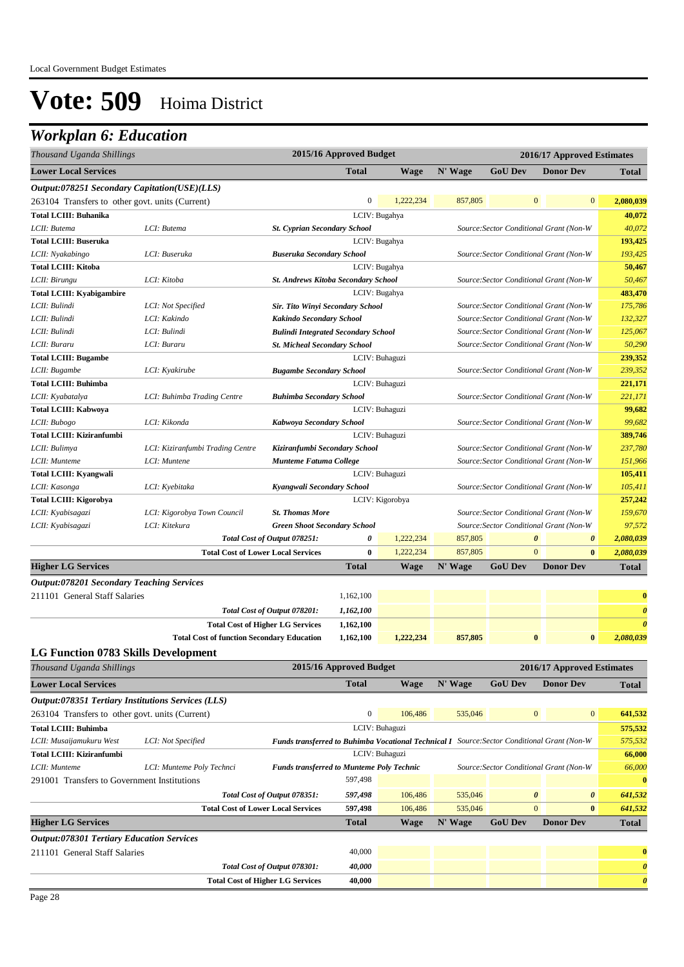## *Workplan 6: Education*

| <b>Lower Local Services</b><br><b>Total</b><br>N' Wage<br><b>GoU Dev</b><br><b>Donor Dev</b><br><b>Wage</b><br><b>Total</b><br>Output:078251 Secondary Capitation(USE)(LLS)<br>$\mathbf{0}$<br>1,222,234<br>263104 Transfers to other govt. units (Current)<br>857,805<br>$\bf{0}$<br>$\mathbf{0}$<br>2,080,039<br><b>Total LCIII: Buhanika</b><br>LCIV: Bugahya<br>40,072<br>40,072<br>LCII: Butema<br>LCI: Butema<br>Source: Sector Conditional Grant (Non-W<br><b>St. Cyprian Secondary School</b><br>193,425<br><b>Total LCIII: Buseruka</b><br>LCIV: Bugahya<br>193,425<br>LCII: Nyakabingo<br>LCI: Buseruka<br><b>Buseruka Secondary School</b><br>Source: Sector Conditional Grant (Non-W<br><b>Total LCIII: Kitoba</b><br>LCIV: Bugahya<br>50,467<br>LCII: Birungu<br>LCI: Kitoba<br><b>St. Andrews Kitoba Secondary School</b><br>Source: Sector Conditional Grant (Non-W<br>483,470<br><b>Total LCIII: Kyabigambire</b><br>LCIV: Bugahya<br>175,786<br>LCII: Bulindi<br>LCI: Not Specified<br>Sir. Tito Winyi Secondary School<br>Source: Sector Conditional Grant (Non-W<br>132,327<br>LCI: Kakindo<br>Source: Sector Conditional Grant (Non-W<br>LCII: Bulindi<br><b>Kakindo Secondary School</b><br>LCII: Bulindi<br>LCI: Bulindi<br>Source: Sector Conditional Grant (Non-W<br>125,067<br><b>Bulindi Integrated Secondary School</b><br>50,290<br>LCI: Buraru<br>Source: Sector Conditional Grant (Non-W<br>LCII: Buraru<br><b>St. Micheal Secondary School</b><br>LCIV: Buhaguzi<br>239,352<br><b>Total LCIII: Bugambe</b><br>239,352<br>LCII: Bugambe<br>LCI: Kyakirube<br><b>Bugambe Secondary School</b><br>Source: Sector Conditional Grant (Non-W<br><b>Total LCIII: Buhimba</b><br>LCIV: Buhaguzi<br>221,171<br>221,171<br>LCII: Kyabatalya<br>LCI: Buhimba Trading Centre<br><b>Buhimba Secondary School</b><br>Source: Sector Conditional Grant (Non-W<br>LCIV: Buhaguzi<br>99,682<br><b>Total LCIII: Kabwoya</b><br>99,682<br>LCII: Bubogo<br>LCI: Kikonda<br>Kabwoya Secondary School<br>Source: Sector Conditional Grant (Non-W<br>Total LCIII: Kiziranfumbi<br>LCIV: Buhaguzi<br>389,746<br>237,780<br>LCII: Bulimya<br>LCI: Kiziranfumbi Trading Centre<br>Kiziranfumbi Secondary School<br>Source: Sector Conditional Grant (Non-W<br>Source: Sector Conditional Grant (Non-W<br>151,966<br>LCII: Munteme<br>LCI: Muntene<br><b>Munteme Fatuma College</b><br><b>Total LCIII: Kyangwali</b><br>LCIV: Buhaguzi<br>105,411<br>105,411<br>LCII: Kasonga<br>LCI: Kyebitaka<br>Kyangwali Secondary School<br>Source: Sector Conditional Grant (Non-W<br>LCIV: Kigorobya<br><b>Total LCIII: Kigorobya</b><br>257,242<br>Source: Sector Conditional Grant (Non-W<br>159,670<br>LCII: Kyabisagazi<br>LCI: Kigorobya Town Council<br><b>St. Thomas More</b><br>LCI: Kitekura<br>Source: Sector Conditional Grant (Non-W<br>97,572<br>LCII: Kyabisagazi<br><b>Green Shoot Secondary School</b><br>1,222,234<br>857,805<br>0<br>2,080,039<br>Total Cost of Output 078251:<br>0<br>$\boldsymbol{\theta}$<br>1,222,234<br>$\mathbf{0}$<br>$\bf{0}$<br>857,805<br>$\bf{0}$<br>2,080,039<br><b>Total Cost of Lower Local Services</b><br><b>GoU Dev</b><br><b>Higher LG Services</b><br><b>Total</b><br><b>Wage</b><br>N' Wage<br><b>Donor Dev</b><br><b>Total</b><br><b>Output:078201 Secondary Teaching Services</b><br>211101 General Staff Salaries<br>1,162,100<br>$\bf{0}$<br>Total Cost of Output 078201:<br>1,162,100<br>$\boldsymbol{\theta}$<br><b>Total Cost of Higher LG Services</b><br>1,162,100<br>$\boldsymbol{\theta}$<br><b>Total Cost of function Secondary Education</b><br>857,805<br>$\bf{0}$<br>$\bf{0}$<br>2,080,039<br>1,162,100<br>1,222,234<br><b>LG Function 0783 Skills Development</b><br>2015/16 Approved Budget<br>Thousand Uganda Shillings<br>2016/17 Approved Estimates<br><b>Lower Local Services</b><br><b>Total</b><br>N' Wage<br><b>GoU Dev</b><br><b>Donor Dev</b><br>Wage<br><b>Total</b><br>Output:078351 Tertiary Institutions Services (LLS)<br>$\boldsymbol{0}$<br>$\mathbf{0}$<br>263104 Transfers to other govt. units (Current)<br>106,486<br>535,046<br>$\bf{0}$<br>641,532<br><b>Total LCIII: Buhimba</b><br>LCIV: Buhaguzi<br>575,532<br>575,532<br>LCII: Musaijamukuru West<br>LCI: Not Specified<br><b>Funds transferred to Buhimba Vocational Technical I</b> Source: Sector Conditional Grant (Non-W<br>66,000<br>Total LCIII: Kiziranfumbi<br>LCIV: Buhaguzi<br><b>Funds transferred to Munteme Poly Technic</b><br>66,000<br>LCII: Munteme<br>LCI: Munteme Poly Technci<br>Source: Sector Conditional Grant (Non-W<br>597,498<br>$\bf{0}$<br>291001 Transfers to Government Institutions<br>Total Cost of Output 078351:<br>597,498<br>106,486<br>535,046<br>$\boldsymbol{\theta}$<br>641,532<br>$\boldsymbol{\theta}$<br>$\overline{0}$<br>106,486<br>535,046<br><b>Total Cost of Lower Local Services</b><br>597,498<br>$\bf{0}$<br>641,532<br><b>Total</b><br>N' Wage<br><b>GoU Dev</b><br><b>Donor Dev</b><br><b>Higher LG Services</b><br>Wage<br><b>Total</b><br><b>Output:078301 Tertiary Education Services</b><br>40,000<br>211101 General Staff Salaries<br>$\bf{0}$<br>40,000<br>Total Cost of Output 078301:<br>$\boldsymbol{\theta}$<br>40,000<br><b>Total Cost of Higher LG Services</b><br>$\boldsymbol{\theta}$ | Thousand Uganda Shillings |  | 2015/16 Approved Budget | 2016/17 Approved Estimates |  |  |  |  |  |
|--------------------------------------------------------------------------------------------------------------------------------------------------------------------------------------------------------------------------------------------------------------------------------------------------------------------------------------------------------------------------------------------------------------------------------------------------------------------------------------------------------------------------------------------------------------------------------------------------------------------------------------------------------------------------------------------------------------------------------------------------------------------------------------------------------------------------------------------------------------------------------------------------------------------------------------------------------------------------------------------------------------------------------------------------------------------------------------------------------------------------------------------------------------------------------------------------------------------------------------------------------------------------------------------------------------------------------------------------------------------------------------------------------------------------------------------------------------------------------------------------------------------------------------------------------------------------------------------------------------------------------------------------------------------------------------------------------------------------------------------------------------------------------------------------------------------------------------------------------------------------------------------------------------------------------------------------------------------------------------------------------------------------------------------------------------------------------------------------------------------------------------------------------------------------------------------------------------------------------------------------------------------------------------------------------------------------------------------------------------------------------------------------------------------------------------------------------------------------------------------------------------------------------------------------------------------------------------------------------------------------------------------------------------------------------------------------------------------------------------------------------------------------------------------------------------------------------------------------------------------------------------------------------------------------------------------------------------------------------------------------------------------------------------------------------------------------------------------------------------------------------------------------------------------------------------------------------------------------------------------------------------------------------------------------------------------------------------------------------------------------------------------------------------------------------------------------------------------------------------------------------------------------------------------------------------------------------------------------------------------------------------------------------------------------------------------------------------------------------------------------------------------------------------------------------------------------------------------------------------------------------------------------------------------------------------------------------------------------------------------------------------------------------------------------------------------------------------------------------------------------------------------------------------------------------------------------------------------------------------------------------------------------------------------------------------------------------------------------------------------------------------------------------------------------------------------------------------------------------------------------------------------------------------------------------------------------------------------------------------------------------------------------------------------------------------------------------------------------------------------------------------------------------------------------------------------------------------------------------------------------------------------------------------------------------------------------------------------------------------------------------------------------------------------------------------------------------------------------------------------------------------------------------------------------------------------------------------------------------------------------------------------------------------------------------|---------------------------|--|-------------------------|----------------------------|--|--|--|--|--|
|                                                                                                                                                                                                                                                                                                                                                                                                                                                                                                                                                                                                                                                                                                                                                                                                                                                                                                                                                                                                                                                                                                                                                                                                                                                                                                                                                                                                                                                                                                                                                                                                                                                                                                                                                                                                                                                                                                                                                                                                                                                                                                                                                                                                                                                                                                                                                                                                                                                                                                                                                                                                                                                                                                                                                                                                                                                                                                                                                                                                                                                                                                                                                                                                                                                                                                                                                                                                                                                                                                                                                                                                                                                                                                                                                                                                                                                                                                                                                                                                                                                                                                                                                                                                                                                                                                                                                                                                                                                                                                                                                                                                                                                                                                                                                                                                                                                                                                                                                                                                                                                                                                                                                                                                                                                                                                        |                           |  |                         |                            |  |  |  |  |  |
| 50,467                                                                                                                                                                                                                                                                                                                                                                                                                                                                                                                                                                                                                                                                                                                                                                                                                                                                                                                                                                                                                                                                                                                                                                                                                                                                                                                                                                                                                                                                                                                                                                                                                                                                                                                                                                                                                                                                                                                                                                                                                                                                                                                                                                                                                                                                                                                                                                                                                                                                                                                                                                                                                                                                                                                                                                                                                                                                                                                                                                                                                                                                                                                                                                                                                                                                                                                                                                                                                                                                                                                                                                                                                                                                                                                                                                                                                                                                                                                                                                                                                                                                                                                                                                                                                                                                                                                                                                                                                                                                                                                                                                                                                                                                                                                                                                                                                                                                                                                                                                                                                                                                                                                                                                                                                                                                                                 |                           |  |                         |                            |  |  |  |  |  |
|                                                                                                                                                                                                                                                                                                                                                                                                                                                                                                                                                                                                                                                                                                                                                                                                                                                                                                                                                                                                                                                                                                                                                                                                                                                                                                                                                                                                                                                                                                                                                                                                                                                                                                                                                                                                                                                                                                                                                                                                                                                                                                                                                                                                                                                                                                                                                                                                                                                                                                                                                                                                                                                                                                                                                                                                                                                                                                                                                                                                                                                                                                                                                                                                                                                                                                                                                                                                                                                                                                                                                                                                                                                                                                                                                                                                                                                                                                                                                                                                                                                                                                                                                                                                                                                                                                                                                                                                                                                                                                                                                                                                                                                                                                                                                                                                                                                                                                                                                                                                                                                                                                                                                                                                                                                                                                        |                           |  |                         |                            |  |  |  |  |  |
|                                                                                                                                                                                                                                                                                                                                                                                                                                                                                                                                                                                                                                                                                                                                                                                                                                                                                                                                                                                                                                                                                                                                                                                                                                                                                                                                                                                                                                                                                                                                                                                                                                                                                                                                                                                                                                                                                                                                                                                                                                                                                                                                                                                                                                                                                                                                                                                                                                                                                                                                                                                                                                                                                                                                                                                                                                                                                                                                                                                                                                                                                                                                                                                                                                                                                                                                                                                                                                                                                                                                                                                                                                                                                                                                                                                                                                                                                                                                                                                                                                                                                                                                                                                                                                                                                                                                                                                                                                                                                                                                                                                                                                                                                                                                                                                                                                                                                                                                                                                                                                                                                                                                                                                                                                                                                                        |                           |  |                         |                            |  |  |  |  |  |
|                                                                                                                                                                                                                                                                                                                                                                                                                                                                                                                                                                                                                                                                                                                                                                                                                                                                                                                                                                                                                                                                                                                                                                                                                                                                                                                                                                                                                                                                                                                                                                                                                                                                                                                                                                                                                                                                                                                                                                                                                                                                                                                                                                                                                                                                                                                                                                                                                                                                                                                                                                                                                                                                                                                                                                                                                                                                                                                                                                                                                                                                                                                                                                                                                                                                                                                                                                                                                                                                                                                                                                                                                                                                                                                                                                                                                                                                                                                                                                                                                                                                                                                                                                                                                                                                                                                                                                                                                                                                                                                                                                                                                                                                                                                                                                                                                                                                                                                                                                                                                                                                                                                                                                                                                                                                                                        |                           |  |                         |                            |  |  |  |  |  |
|                                                                                                                                                                                                                                                                                                                                                                                                                                                                                                                                                                                                                                                                                                                                                                                                                                                                                                                                                                                                                                                                                                                                                                                                                                                                                                                                                                                                                                                                                                                                                                                                                                                                                                                                                                                                                                                                                                                                                                                                                                                                                                                                                                                                                                                                                                                                                                                                                                                                                                                                                                                                                                                                                                                                                                                                                                                                                                                                                                                                                                                                                                                                                                                                                                                                                                                                                                                                                                                                                                                                                                                                                                                                                                                                                                                                                                                                                                                                                                                                                                                                                                                                                                                                                                                                                                                                                                                                                                                                                                                                                                                                                                                                                                                                                                                                                                                                                                                                                                                                                                                                                                                                                                                                                                                                                                        |                           |  |                         |                            |  |  |  |  |  |
|                                                                                                                                                                                                                                                                                                                                                                                                                                                                                                                                                                                                                                                                                                                                                                                                                                                                                                                                                                                                                                                                                                                                                                                                                                                                                                                                                                                                                                                                                                                                                                                                                                                                                                                                                                                                                                                                                                                                                                                                                                                                                                                                                                                                                                                                                                                                                                                                                                                                                                                                                                                                                                                                                                                                                                                                                                                                                                                                                                                                                                                                                                                                                                                                                                                                                                                                                                                                                                                                                                                                                                                                                                                                                                                                                                                                                                                                                                                                                                                                                                                                                                                                                                                                                                                                                                                                                                                                                                                                                                                                                                                                                                                                                                                                                                                                                                                                                                                                                                                                                                                                                                                                                                                                                                                                                                        |                           |  |                         |                            |  |  |  |  |  |
|                                                                                                                                                                                                                                                                                                                                                                                                                                                                                                                                                                                                                                                                                                                                                                                                                                                                                                                                                                                                                                                                                                                                                                                                                                                                                                                                                                                                                                                                                                                                                                                                                                                                                                                                                                                                                                                                                                                                                                                                                                                                                                                                                                                                                                                                                                                                                                                                                                                                                                                                                                                                                                                                                                                                                                                                                                                                                                                                                                                                                                                                                                                                                                                                                                                                                                                                                                                                                                                                                                                                                                                                                                                                                                                                                                                                                                                                                                                                                                                                                                                                                                                                                                                                                                                                                                                                                                                                                                                                                                                                                                                                                                                                                                                                                                                                                                                                                                                                                                                                                                                                                                                                                                                                                                                                                                        |                           |  |                         |                            |  |  |  |  |  |
|                                                                                                                                                                                                                                                                                                                                                                                                                                                                                                                                                                                                                                                                                                                                                                                                                                                                                                                                                                                                                                                                                                                                                                                                                                                                                                                                                                                                                                                                                                                                                                                                                                                                                                                                                                                                                                                                                                                                                                                                                                                                                                                                                                                                                                                                                                                                                                                                                                                                                                                                                                                                                                                                                                                                                                                                                                                                                                                                                                                                                                                                                                                                                                                                                                                                                                                                                                                                                                                                                                                                                                                                                                                                                                                                                                                                                                                                                                                                                                                                                                                                                                                                                                                                                                                                                                                                                                                                                                                                                                                                                                                                                                                                                                                                                                                                                                                                                                                                                                                                                                                                                                                                                                                                                                                                                                        |                           |  |                         |                            |  |  |  |  |  |
|                                                                                                                                                                                                                                                                                                                                                                                                                                                                                                                                                                                                                                                                                                                                                                                                                                                                                                                                                                                                                                                                                                                                                                                                                                                                                                                                                                                                                                                                                                                                                                                                                                                                                                                                                                                                                                                                                                                                                                                                                                                                                                                                                                                                                                                                                                                                                                                                                                                                                                                                                                                                                                                                                                                                                                                                                                                                                                                                                                                                                                                                                                                                                                                                                                                                                                                                                                                                                                                                                                                                                                                                                                                                                                                                                                                                                                                                                                                                                                                                                                                                                                                                                                                                                                                                                                                                                                                                                                                                                                                                                                                                                                                                                                                                                                                                                                                                                                                                                                                                                                                                                                                                                                                                                                                                                                        |                           |  |                         |                            |  |  |  |  |  |
|                                                                                                                                                                                                                                                                                                                                                                                                                                                                                                                                                                                                                                                                                                                                                                                                                                                                                                                                                                                                                                                                                                                                                                                                                                                                                                                                                                                                                                                                                                                                                                                                                                                                                                                                                                                                                                                                                                                                                                                                                                                                                                                                                                                                                                                                                                                                                                                                                                                                                                                                                                                                                                                                                                                                                                                                                                                                                                                                                                                                                                                                                                                                                                                                                                                                                                                                                                                                                                                                                                                                                                                                                                                                                                                                                                                                                                                                                                                                                                                                                                                                                                                                                                                                                                                                                                                                                                                                                                                                                                                                                                                                                                                                                                                                                                                                                                                                                                                                                                                                                                                                                                                                                                                                                                                                                                        |                           |  |                         |                            |  |  |  |  |  |
|                                                                                                                                                                                                                                                                                                                                                                                                                                                                                                                                                                                                                                                                                                                                                                                                                                                                                                                                                                                                                                                                                                                                                                                                                                                                                                                                                                                                                                                                                                                                                                                                                                                                                                                                                                                                                                                                                                                                                                                                                                                                                                                                                                                                                                                                                                                                                                                                                                                                                                                                                                                                                                                                                                                                                                                                                                                                                                                                                                                                                                                                                                                                                                                                                                                                                                                                                                                                                                                                                                                                                                                                                                                                                                                                                                                                                                                                                                                                                                                                                                                                                                                                                                                                                                                                                                                                                                                                                                                                                                                                                                                                                                                                                                                                                                                                                                                                                                                                                                                                                                                                                                                                                                                                                                                                                                        |                           |  |                         |                            |  |  |  |  |  |
|                                                                                                                                                                                                                                                                                                                                                                                                                                                                                                                                                                                                                                                                                                                                                                                                                                                                                                                                                                                                                                                                                                                                                                                                                                                                                                                                                                                                                                                                                                                                                                                                                                                                                                                                                                                                                                                                                                                                                                                                                                                                                                                                                                                                                                                                                                                                                                                                                                                                                                                                                                                                                                                                                                                                                                                                                                                                                                                                                                                                                                                                                                                                                                                                                                                                                                                                                                                                                                                                                                                                                                                                                                                                                                                                                                                                                                                                                                                                                                                                                                                                                                                                                                                                                                                                                                                                                                                                                                                                                                                                                                                                                                                                                                                                                                                                                                                                                                                                                                                                                                                                                                                                                                                                                                                                                                        |                           |  |                         |                            |  |  |  |  |  |
|                                                                                                                                                                                                                                                                                                                                                                                                                                                                                                                                                                                                                                                                                                                                                                                                                                                                                                                                                                                                                                                                                                                                                                                                                                                                                                                                                                                                                                                                                                                                                                                                                                                                                                                                                                                                                                                                                                                                                                                                                                                                                                                                                                                                                                                                                                                                                                                                                                                                                                                                                                                                                                                                                                                                                                                                                                                                                                                                                                                                                                                                                                                                                                                                                                                                                                                                                                                                                                                                                                                                                                                                                                                                                                                                                                                                                                                                                                                                                                                                                                                                                                                                                                                                                                                                                                                                                                                                                                                                                                                                                                                                                                                                                                                                                                                                                                                                                                                                                                                                                                                                                                                                                                                                                                                                                                        |                           |  |                         |                            |  |  |  |  |  |
|                                                                                                                                                                                                                                                                                                                                                                                                                                                                                                                                                                                                                                                                                                                                                                                                                                                                                                                                                                                                                                                                                                                                                                                                                                                                                                                                                                                                                                                                                                                                                                                                                                                                                                                                                                                                                                                                                                                                                                                                                                                                                                                                                                                                                                                                                                                                                                                                                                                                                                                                                                                                                                                                                                                                                                                                                                                                                                                                                                                                                                                                                                                                                                                                                                                                                                                                                                                                                                                                                                                                                                                                                                                                                                                                                                                                                                                                                                                                                                                                                                                                                                                                                                                                                                                                                                                                                                                                                                                                                                                                                                                                                                                                                                                                                                                                                                                                                                                                                                                                                                                                                                                                                                                                                                                                                                        |                           |  |                         |                            |  |  |  |  |  |
|                                                                                                                                                                                                                                                                                                                                                                                                                                                                                                                                                                                                                                                                                                                                                                                                                                                                                                                                                                                                                                                                                                                                                                                                                                                                                                                                                                                                                                                                                                                                                                                                                                                                                                                                                                                                                                                                                                                                                                                                                                                                                                                                                                                                                                                                                                                                                                                                                                                                                                                                                                                                                                                                                                                                                                                                                                                                                                                                                                                                                                                                                                                                                                                                                                                                                                                                                                                                                                                                                                                                                                                                                                                                                                                                                                                                                                                                                                                                                                                                                                                                                                                                                                                                                                                                                                                                                                                                                                                                                                                                                                                                                                                                                                                                                                                                                                                                                                                                                                                                                                                                                                                                                                                                                                                                                                        |                           |  |                         |                            |  |  |  |  |  |
|                                                                                                                                                                                                                                                                                                                                                                                                                                                                                                                                                                                                                                                                                                                                                                                                                                                                                                                                                                                                                                                                                                                                                                                                                                                                                                                                                                                                                                                                                                                                                                                                                                                                                                                                                                                                                                                                                                                                                                                                                                                                                                                                                                                                                                                                                                                                                                                                                                                                                                                                                                                                                                                                                                                                                                                                                                                                                                                                                                                                                                                                                                                                                                                                                                                                                                                                                                                                                                                                                                                                                                                                                                                                                                                                                                                                                                                                                                                                                                                                                                                                                                                                                                                                                                                                                                                                                                                                                                                                                                                                                                                                                                                                                                                                                                                                                                                                                                                                                                                                                                                                                                                                                                                                                                                                                                        |                           |  |                         |                            |  |  |  |  |  |
|                                                                                                                                                                                                                                                                                                                                                                                                                                                                                                                                                                                                                                                                                                                                                                                                                                                                                                                                                                                                                                                                                                                                                                                                                                                                                                                                                                                                                                                                                                                                                                                                                                                                                                                                                                                                                                                                                                                                                                                                                                                                                                                                                                                                                                                                                                                                                                                                                                                                                                                                                                                                                                                                                                                                                                                                                                                                                                                                                                                                                                                                                                                                                                                                                                                                                                                                                                                                                                                                                                                                                                                                                                                                                                                                                                                                                                                                                                                                                                                                                                                                                                                                                                                                                                                                                                                                                                                                                                                                                                                                                                                                                                                                                                                                                                                                                                                                                                                                                                                                                                                                                                                                                                                                                                                                                                        |                           |  |                         |                            |  |  |  |  |  |
|                                                                                                                                                                                                                                                                                                                                                                                                                                                                                                                                                                                                                                                                                                                                                                                                                                                                                                                                                                                                                                                                                                                                                                                                                                                                                                                                                                                                                                                                                                                                                                                                                                                                                                                                                                                                                                                                                                                                                                                                                                                                                                                                                                                                                                                                                                                                                                                                                                                                                                                                                                                                                                                                                                                                                                                                                                                                                                                                                                                                                                                                                                                                                                                                                                                                                                                                                                                                                                                                                                                                                                                                                                                                                                                                                                                                                                                                                                                                                                                                                                                                                                                                                                                                                                                                                                                                                                                                                                                                                                                                                                                                                                                                                                                                                                                                                                                                                                                                                                                                                                                                                                                                                                                                                                                                                                        |                           |  |                         |                            |  |  |  |  |  |
|                                                                                                                                                                                                                                                                                                                                                                                                                                                                                                                                                                                                                                                                                                                                                                                                                                                                                                                                                                                                                                                                                                                                                                                                                                                                                                                                                                                                                                                                                                                                                                                                                                                                                                                                                                                                                                                                                                                                                                                                                                                                                                                                                                                                                                                                                                                                                                                                                                                                                                                                                                                                                                                                                                                                                                                                                                                                                                                                                                                                                                                                                                                                                                                                                                                                                                                                                                                                                                                                                                                                                                                                                                                                                                                                                                                                                                                                                                                                                                                                                                                                                                                                                                                                                                                                                                                                                                                                                                                                                                                                                                                                                                                                                                                                                                                                                                                                                                                                                                                                                                                                                                                                                                                                                                                                                                        |                           |  |                         |                            |  |  |  |  |  |
|                                                                                                                                                                                                                                                                                                                                                                                                                                                                                                                                                                                                                                                                                                                                                                                                                                                                                                                                                                                                                                                                                                                                                                                                                                                                                                                                                                                                                                                                                                                                                                                                                                                                                                                                                                                                                                                                                                                                                                                                                                                                                                                                                                                                                                                                                                                                                                                                                                                                                                                                                                                                                                                                                                                                                                                                                                                                                                                                                                                                                                                                                                                                                                                                                                                                                                                                                                                                                                                                                                                                                                                                                                                                                                                                                                                                                                                                                                                                                                                                                                                                                                                                                                                                                                                                                                                                                                                                                                                                                                                                                                                                                                                                                                                                                                                                                                                                                                                                                                                                                                                                                                                                                                                                                                                                                                        |                           |  |                         |                            |  |  |  |  |  |
|                                                                                                                                                                                                                                                                                                                                                                                                                                                                                                                                                                                                                                                                                                                                                                                                                                                                                                                                                                                                                                                                                                                                                                                                                                                                                                                                                                                                                                                                                                                                                                                                                                                                                                                                                                                                                                                                                                                                                                                                                                                                                                                                                                                                                                                                                                                                                                                                                                                                                                                                                                                                                                                                                                                                                                                                                                                                                                                                                                                                                                                                                                                                                                                                                                                                                                                                                                                                                                                                                                                                                                                                                                                                                                                                                                                                                                                                                                                                                                                                                                                                                                                                                                                                                                                                                                                                                                                                                                                                                                                                                                                                                                                                                                                                                                                                                                                                                                                                                                                                                                                                                                                                                                                                                                                                                                        |                           |  |                         |                            |  |  |  |  |  |
|                                                                                                                                                                                                                                                                                                                                                                                                                                                                                                                                                                                                                                                                                                                                                                                                                                                                                                                                                                                                                                                                                                                                                                                                                                                                                                                                                                                                                                                                                                                                                                                                                                                                                                                                                                                                                                                                                                                                                                                                                                                                                                                                                                                                                                                                                                                                                                                                                                                                                                                                                                                                                                                                                                                                                                                                                                                                                                                                                                                                                                                                                                                                                                                                                                                                                                                                                                                                                                                                                                                                                                                                                                                                                                                                                                                                                                                                                                                                                                                                                                                                                                                                                                                                                                                                                                                                                                                                                                                                                                                                                                                                                                                                                                                                                                                                                                                                                                                                                                                                                                                                                                                                                                                                                                                                                                        |                           |  |                         |                            |  |  |  |  |  |
|                                                                                                                                                                                                                                                                                                                                                                                                                                                                                                                                                                                                                                                                                                                                                                                                                                                                                                                                                                                                                                                                                                                                                                                                                                                                                                                                                                                                                                                                                                                                                                                                                                                                                                                                                                                                                                                                                                                                                                                                                                                                                                                                                                                                                                                                                                                                                                                                                                                                                                                                                                                                                                                                                                                                                                                                                                                                                                                                                                                                                                                                                                                                                                                                                                                                                                                                                                                                                                                                                                                                                                                                                                                                                                                                                                                                                                                                                                                                                                                                                                                                                                                                                                                                                                                                                                                                                                                                                                                                                                                                                                                                                                                                                                                                                                                                                                                                                                                                                                                                                                                                                                                                                                                                                                                                                                        |                           |  |                         |                            |  |  |  |  |  |
|                                                                                                                                                                                                                                                                                                                                                                                                                                                                                                                                                                                                                                                                                                                                                                                                                                                                                                                                                                                                                                                                                                                                                                                                                                                                                                                                                                                                                                                                                                                                                                                                                                                                                                                                                                                                                                                                                                                                                                                                                                                                                                                                                                                                                                                                                                                                                                                                                                                                                                                                                                                                                                                                                                                                                                                                                                                                                                                                                                                                                                                                                                                                                                                                                                                                                                                                                                                                                                                                                                                                                                                                                                                                                                                                                                                                                                                                                                                                                                                                                                                                                                                                                                                                                                                                                                                                                                                                                                                                                                                                                                                                                                                                                                                                                                                                                                                                                                                                                                                                                                                                                                                                                                                                                                                                                                        |                           |  |                         |                            |  |  |  |  |  |
|                                                                                                                                                                                                                                                                                                                                                                                                                                                                                                                                                                                                                                                                                                                                                                                                                                                                                                                                                                                                                                                                                                                                                                                                                                                                                                                                                                                                                                                                                                                                                                                                                                                                                                                                                                                                                                                                                                                                                                                                                                                                                                                                                                                                                                                                                                                                                                                                                                                                                                                                                                                                                                                                                                                                                                                                                                                                                                                                                                                                                                                                                                                                                                                                                                                                                                                                                                                                                                                                                                                                                                                                                                                                                                                                                                                                                                                                                                                                                                                                                                                                                                                                                                                                                                                                                                                                                                                                                                                                                                                                                                                                                                                                                                                                                                                                                                                                                                                                                                                                                                                                                                                                                                                                                                                                                                        |                           |  |                         |                            |  |  |  |  |  |
|                                                                                                                                                                                                                                                                                                                                                                                                                                                                                                                                                                                                                                                                                                                                                                                                                                                                                                                                                                                                                                                                                                                                                                                                                                                                                                                                                                                                                                                                                                                                                                                                                                                                                                                                                                                                                                                                                                                                                                                                                                                                                                                                                                                                                                                                                                                                                                                                                                                                                                                                                                                                                                                                                                                                                                                                                                                                                                                                                                                                                                                                                                                                                                                                                                                                                                                                                                                                                                                                                                                                                                                                                                                                                                                                                                                                                                                                                                                                                                                                                                                                                                                                                                                                                                                                                                                                                                                                                                                                                                                                                                                                                                                                                                                                                                                                                                                                                                                                                                                                                                                                                                                                                                                                                                                                                                        |                           |  |                         |                            |  |  |  |  |  |
|                                                                                                                                                                                                                                                                                                                                                                                                                                                                                                                                                                                                                                                                                                                                                                                                                                                                                                                                                                                                                                                                                                                                                                                                                                                                                                                                                                                                                                                                                                                                                                                                                                                                                                                                                                                                                                                                                                                                                                                                                                                                                                                                                                                                                                                                                                                                                                                                                                                                                                                                                                                                                                                                                                                                                                                                                                                                                                                                                                                                                                                                                                                                                                                                                                                                                                                                                                                                                                                                                                                                                                                                                                                                                                                                                                                                                                                                                                                                                                                                                                                                                                                                                                                                                                                                                                                                                                                                                                                                                                                                                                                                                                                                                                                                                                                                                                                                                                                                                                                                                                                                                                                                                                                                                                                                                                        |                           |  |                         |                            |  |  |  |  |  |
|                                                                                                                                                                                                                                                                                                                                                                                                                                                                                                                                                                                                                                                                                                                                                                                                                                                                                                                                                                                                                                                                                                                                                                                                                                                                                                                                                                                                                                                                                                                                                                                                                                                                                                                                                                                                                                                                                                                                                                                                                                                                                                                                                                                                                                                                                                                                                                                                                                                                                                                                                                                                                                                                                                                                                                                                                                                                                                                                                                                                                                                                                                                                                                                                                                                                                                                                                                                                                                                                                                                                                                                                                                                                                                                                                                                                                                                                                                                                                                                                                                                                                                                                                                                                                                                                                                                                                                                                                                                                                                                                                                                                                                                                                                                                                                                                                                                                                                                                                                                                                                                                                                                                                                                                                                                                                                        |                           |  |                         |                            |  |  |  |  |  |
|                                                                                                                                                                                                                                                                                                                                                                                                                                                                                                                                                                                                                                                                                                                                                                                                                                                                                                                                                                                                                                                                                                                                                                                                                                                                                                                                                                                                                                                                                                                                                                                                                                                                                                                                                                                                                                                                                                                                                                                                                                                                                                                                                                                                                                                                                                                                                                                                                                                                                                                                                                                                                                                                                                                                                                                                                                                                                                                                                                                                                                                                                                                                                                                                                                                                                                                                                                                                                                                                                                                                                                                                                                                                                                                                                                                                                                                                                                                                                                                                                                                                                                                                                                                                                                                                                                                                                                                                                                                                                                                                                                                                                                                                                                                                                                                                                                                                                                                                                                                                                                                                                                                                                                                                                                                                                                        |                           |  |                         |                            |  |  |  |  |  |
|                                                                                                                                                                                                                                                                                                                                                                                                                                                                                                                                                                                                                                                                                                                                                                                                                                                                                                                                                                                                                                                                                                                                                                                                                                                                                                                                                                                                                                                                                                                                                                                                                                                                                                                                                                                                                                                                                                                                                                                                                                                                                                                                                                                                                                                                                                                                                                                                                                                                                                                                                                                                                                                                                                                                                                                                                                                                                                                                                                                                                                                                                                                                                                                                                                                                                                                                                                                                                                                                                                                                                                                                                                                                                                                                                                                                                                                                                                                                                                                                                                                                                                                                                                                                                                                                                                                                                                                                                                                                                                                                                                                                                                                                                                                                                                                                                                                                                                                                                                                                                                                                                                                                                                                                                                                                                                        |                           |  |                         |                            |  |  |  |  |  |
|                                                                                                                                                                                                                                                                                                                                                                                                                                                                                                                                                                                                                                                                                                                                                                                                                                                                                                                                                                                                                                                                                                                                                                                                                                                                                                                                                                                                                                                                                                                                                                                                                                                                                                                                                                                                                                                                                                                                                                                                                                                                                                                                                                                                                                                                                                                                                                                                                                                                                                                                                                                                                                                                                                                                                                                                                                                                                                                                                                                                                                                                                                                                                                                                                                                                                                                                                                                                                                                                                                                                                                                                                                                                                                                                                                                                                                                                                                                                                                                                                                                                                                                                                                                                                                                                                                                                                                                                                                                                                                                                                                                                                                                                                                                                                                                                                                                                                                                                                                                                                                                                                                                                                                                                                                                                                                        |                           |  |                         |                            |  |  |  |  |  |
|                                                                                                                                                                                                                                                                                                                                                                                                                                                                                                                                                                                                                                                                                                                                                                                                                                                                                                                                                                                                                                                                                                                                                                                                                                                                                                                                                                                                                                                                                                                                                                                                                                                                                                                                                                                                                                                                                                                                                                                                                                                                                                                                                                                                                                                                                                                                                                                                                                                                                                                                                                                                                                                                                                                                                                                                                                                                                                                                                                                                                                                                                                                                                                                                                                                                                                                                                                                                                                                                                                                                                                                                                                                                                                                                                                                                                                                                                                                                                                                                                                                                                                                                                                                                                                                                                                                                                                                                                                                                                                                                                                                                                                                                                                                                                                                                                                                                                                                                                                                                                                                                                                                                                                                                                                                                                                        |                           |  |                         |                            |  |  |  |  |  |
|                                                                                                                                                                                                                                                                                                                                                                                                                                                                                                                                                                                                                                                                                                                                                                                                                                                                                                                                                                                                                                                                                                                                                                                                                                                                                                                                                                                                                                                                                                                                                                                                                                                                                                                                                                                                                                                                                                                                                                                                                                                                                                                                                                                                                                                                                                                                                                                                                                                                                                                                                                                                                                                                                                                                                                                                                                                                                                                                                                                                                                                                                                                                                                                                                                                                                                                                                                                                                                                                                                                                                                                                                                                                                                                                                                                                                                                                                                                                                                                                                                                                                                                                                                                                                                                                                                                                                                                                                                                                                                                                                                                                                                                                                                                                                                                                                                                                                                                                                                                                                                                                                                                                                                                                                                                                                                        |                           |  |                         |                            |  |  |  |  |  |
|                                                                                                                                                                                                                                                                                                                                                                                                                                                                                                                                                                                                                                                                                                                                                                                                                                                                                                                                                                                                                                                                                                                                                                                                                                                                                                                                                                                                                                                                                                                                                                                                                                                                                                                                                                                                                                                                                                                                                                                                                                                                                                                                                                                                                                                                                                                                                                                                                                                                                                                                                                                                                                                                                                                                                                                                                                                                                                                                                                                                                                                                                                                                                                                                                                                                                                                                                                                                                                                                                                                                                                                                                                                                                                                                                                                                                                                                                                                                                                                                                                                                                                                                                                                                                                                                                                                                                                                                                                                                                                                                                                                                                                                                                                                                                                                                                                                                                                                                                                                                                                                                                                                                                                                                                                                                                                        |                           |  |                         |                            |  |  |  |  |  |
|                                                                                                                                                                                                                                                                                                                                                                                                                                                                                                                                                                                                                                                                                                                                                                                                                                                                                                                                                                                                                                                                                                                                                                                                                                                                                                                                                                                                                                                                                                                                                                                                                                                                                                                                                                                                                                                                                                                                                                                                                                                                                                                                                                                                                                                                                                                                                                                                                                                                                                                                                                                                                                                                                                                                                                                                                                                                                                                                                                                                                                                                                                                                                                                                                                                                                                                                                                                                                                                                                                                                                                                                                                                                                                                                                                                                                                                                                                                                                                                                                                                                                                                                                                                                                                                                                                                                                                                                                                                                                                                                                                                                                                                                                                                                                                                                                                                                                                                                                                                                                                                                                                                                                                                                                                                                                                        |                           |  |                         |                            |  |  |  |  |  |
|                                                                                                                                                                                                                                                                                                                                                                                                                                                                                                                                                                                                                                                                                                                                                                                                                                                                                                                                                                                                                                                                                                                                                                                                                                                                                                                                                                                                                                                                                                                                                                                                                                                                                                                                                                                                                                                                                                                                                                                                                                                                                                                                                                                                                                                                                                                                                                                                                                                                                                                                                                                                                                                                                                                                                                                                                                                                                                                                                                                                                                                                                                                                                                                                                                                                                                                                                                                                                                                                                                                                                                                                                                                                                                                                                                                                                                                                                                                                                                                                                                                                                                                                                                                                                                                                                                                                                                                                                                                                                                                                                                                                                                                                                                                                                                                                                                                                                                                                                                                                                                                                                                                                                                                                                                                                                                        |                           |  |                         |                            |  |  |  |  |  |
|                                                                                                                                                                                                                                                                                                                                                                                                                                                                                                                                                                                                                                                                                                                                                                                                                                                                                                                                                                                                                                                                                                                                                                                                                                                                                                                                                                                                                                                                                                                                                                                                                                                                                                                                                                                                                                                                                                                                                                                                                                                                                                                                                                                                                                                                                                                                                                                                                                                                                                                                                                                                                                                                                                                                                                                                                                                                                                                                                                                                                                                                                                                                                                                                                                                                                                                                                                                                                                                                                                                                                                                                                                                                                                                                                                                                                                                                                                                                                                                                                                                                                                                                                                                                                                                                                                                                                                                                                                                                                                                                                                                                                                                                                                                                                                                                                                                                                                                                                                                                                                                                                                                                                                                                                                                                                                        |                           |  |                         |                            |  |  |  |  |  |
|                                                                                                                                                                                                                                                                                                                                                                                                                                                                                                                                                                                                                                                                                                                                                                                                                                                                                                                                                                                                                                                                                                                                                                                                                                                                                                                                                                                                                                                                                                                                                                                                                                                                                                                                                                                                                                                                                                                                                                                                                                                                                                                                                                                                                                                                                                                                                                                                                                                                                                                                                                                                                                                                                                                                                                                                                                                                                                                                                                                                                                                                                                                                                                                                                                                                                                                                                                                                                                                                                                                                                                                                                                                                                                                                                                                                                                                                                                                                                                                                                                                                                                                                                                                                                                                                                                                                                                                                                                                                                                                                                                                                                                                                                                                                                                                                                                                                                                                                                                                                                                                                                                                                                                                                                                                                                                        |                           |  |                         |                            |  |  |  |  |  |
|                                                                                                                                                                                                                                                                                                                                                                                                                                                                                                                                                                                                                                                                                                                                                                                                                                                                                                                                                                                                                                                                                                                                                                                                                                                                                                                                                                                                                                                                                                                                                                                                                                                                                                                                                                                                                                                                                                                                                                                                                                                                                                                                                                                                                                                                                                                                                                                                                                                                                                                                                                                                                                                                                                                                                                                                                                                                                                                                                                                                                                                                                                                                                                                                                                                                                                                                                                                                                                                                                                                                                                                                                                                                                                                                                                                                                                                                                                                                                                                                                                                                                                                                                                                                                                                                                                                                                                                                                                                                                                                                                                                                                                                                                                                                                                                                                                                                                                                                                                                                                                                                                                                                                                                                                                                                                                        |                           |  |                         |                            |  |  |  |  |  |
|                                                                                                                                                                                                                                                                                                                                                                                                                                                                                                                                                                                                                                                                                                                                                                                                                                                                                                                                                                                                                                                                                                                                                                                                                                                                                                                                                                                                                                                                                                                                                                                                                                                                                                                                                                                                                                                                                                                                                                                                                                                                                                                                                                                                                                                                                                                                                                                                                                                                                                                                                                                                                                                                                                                                                                                                                                                                                                                                                                                                                                                                                                                                                                                                                                                                                                                                                                                                                                                                                                                                                                                                                                                                                                                                                                                                                                                                                                                                                                                                                                                                                                                                                                                                                                                                                                                                                                                                                                                                                                                                                                                                                                                                                                                                                                                                                                                                                                                                                                                                                                                                                                                                                                                                                                                                                                        |                           |  |                         |                            |  |  |  |  |  |
|                                                                                                                                                                                                                                                                                                                                                                                                                                                                                                                                                                                                                                                                                                                                                                                                                                                                                                                                                                                                                                                                                                                                                                                                                                                                                                                                                                                                                                                                                                                                                                                                                                                                                                                                                                                                                                                                                                                                                                                                                                                                                                                                                                                                                                                                                                                                                                                                                                                                                                                                                                                                                                                                                                                                                                                                                                                                                                                                                                                                                                                                                                                                                                                                                                                                                                                                                                                                                                                                                                                                                                                                                                                                                                                                                                                                                                                                                                                                                                                                                                                                                                                                                                                                                                                                                                                                                                                                                                                                                                                                                                                                                                                                                                                                                                                                                                                                                                                                                                                                                                                                                                                                                                                                                                                                                                        |                           |  |                         |                            |  |  |  |  |  |
|                                                                                                                                                                                                                                                                                                                                                                                                                                                                                                                                                                                                                                                                                                                                                                                                                                                                                                                                                                                                                                                                                                                                                                                                                                                                                                                                                                                                                                                                                                                                                                                                                                                                                                                                                                                                                                                                                                                                                                                                                                                                                                                                                                                                                                                                                                                                                                                                                                                                                                                                                                                                                                                                                                                                                                                                                                                                                                                                                                                                                                                                                                                                                                                                                                                                                                                                                                                                                                                                                                                                                                                                                                                                                                                                                                                                                                                                                                                                                                                                                                                                                                                                                                                                                                                                                                                                                                                                                                                                                                                                                                                                                                                                                                                                                                                                                                                                                                                                                                                                                                                                                                                                                                                                                                                                                                        |                           |  |                         |                            |  |  |  |  |  |
|                                                                                                                                                                                                                                                                                                                                                                                                                                                                                                                                                                                                                                                                                                                                                                                                                                                                                                                                                                                                                                                                                                                                                                                                                                                                                                                                                                                                                                                                                                                                                                                                                                                                                                                                                                                                                                                                                                                                                                                                                                                                                                                                                                                                                                                                                                                                                                                                                                                                                                                                                                                                                                                                                                                                                                                                                                                                                                                                                                                                                                                                                                                                                                                                                                                                                                                                                                                                                                                                                                                                                                                                                                                                                                                                                                                                                                                                                                                                                                                                                                                                                                                                                                                                                                                                                                                                                                                                                                                                                                                                                                                                                                                                                                                                                                                                                                                                                                                                                                                                                                                                                                                                                                                                                                                                                                        |                           |  |                         |                            |  |  |  |  |  |
|                                                                                                                                                                                                                                                                                                                                                                                                                                                                                                                                                                                                                                                                                                                                                                                                                                                                                                                                                                                                                                                                                                                                                                                                                                                                                                                                                                                                                                                                                                                                                                                                                                                                                                                                                                                                                                                                                                                                                                                                                                                                                                                                                                                                                                                                                                                                                                                                                                                                                                                                                                                                                                                                                                                                                                                                                                                                                                                                                                                                                                                                                                                                                                                                                                                                                                                                                                                                                                                                                                                                                                                                                                                                                                                                                                                                                                                                                                                                                                                                                                                                                                                                                                                                                                                                                                                                                                                                                                                                                                                                                                                                                                                                                                                                                                                                                                                                                                                                                                                                                                                                                                                                                                                                                                                                                                        |                           |  |                         |                            |  |  |  |  |  |
|                                                                                                                                                                                                                                                                                                                                                                                                                                                                                                                                                                                                                                                                                                                                                                                                                                                                                                                                                                                                                                                                                                                                                                                                                                                                                                                                                                                                                                                                                                                                                                                                                                                                                                                                                                                                                                                                                                                                                                                                                                                                                                                                                                                                                                                                                                                                                                                                                                                                                                                                                                                                                                                                                                                                                                                                                                                                                                                                                                                                                                                                                                                                                                                                                                                                                                                                                                                                                                                                                                                                                                                                                                                                                                                                                                                                                                                                                                                                                                                                                                                                                                                                                                                                                                                                                                                                                                                                                                                                                                                                                                                                                                                                                                                                                                                                                                                                                                                                                                                                                                                                                                                                                                                                                                                                                                        |                           |  |                         |                            |  |  |  |  |  |
|                                                                                                                                                                                                                                                                                                                                                                                                                                                                                                                                                                                                                                                                                                                                                                                                                                                                                                                                                                                                                                                                                                                                                                                                                                                                                                                                                                                                                                                                                                                                                                                                                                                                                                                                                                                                                                                                                                                                                                                                                                                                                                                                                                                                                                                                                                                                                                                                                                                                                                                                                                                                                                                                                                                                                                                                                                                                                                                                                                                                                                                                                                                                                                                                                                                                                                                                                                                                                                                                                                                                                                                                                                                                                                                                                                                                                                                                                                                                                                                                                                                                                                                                                                                                                                                                                                                                                                                                                                                                                                                                                                                                                                                                                                                                                                                                                                                                                                                                                                                                                                                                                                                                                                                                                                                                                                        |                           |  |                         |                            |  |  |  |  |  |
|                                                                                                                                                                                                                                                                                                                                                                                                                                                                                                                                                                                                                                                                                                                                                                                                                                                                                                                                                                                                                                                                                                                                                                                                                                                                                                                                                                                                                                                                                                                                                                                                                                                                                                                                                                                                                                                                                                                                                                                                                                                                                                                                                                                                                                                                                                                                                                                                                                                                                                                                                                                                                                                                                                                                                                                                                                                                                                                                                                                                                                                                                                                                                                                                                                                                                                                                                                                                                                                                                                                                                                                                                                                                                                                                                                                                                                                                                                                                                                                                                                                                                                                                                                                                                                                                                                                                                                                                                                                                                                                                                                                                                                                                                                                                                                                                                                                                                                                                                                                                                                                                                                                                                                                                                                                                                                        |                           |  |                         |                            |  |  |  |  |  |
|                                                                                                                                                                                                                                                                                                                                                                                                                                                                                                                                                                                                                                                                                                                                                                                                                                                                                                                                                                                                                                                                                                                                                                                                                                                                                                                                                                                                                                                                                                                                                                                                                                                                                                                                                                                                                                                                                                                                                                                                                                                                                                                                                                                                                                                                                                                                                                                                                                                                                                                                                                                                                                                                                                                                                                                                                                                                                                                                                                                                                                                                                                                                                                                                                                                                                                                                                                                                                                                                                                                                                                                                                                                                                                                                                                                                                                                                                                                                                                                                                                                                                                                                                                                                                                                                                                                                                                                                                                                                                                                                                                                                                                                                                                                                                                                                                                                                                                                                                                                                                                                                                                                                                                                                                                                                                                        |                           |  |                         |                            |  |  |  |  |  |
|                                                                                                                                                                                                                                                                                                                                                                                                                                                                                                                                                                                                                                                                                                                                                                                                                                                                                                                                                                                                                                                                                                                                                                                                                                                                                                                                                                                                                                                                                                                                                                                                                                                                                                                                                                                                                                                                                                                                                                                                                                                                                                                                                                                                                                                                                                                                                                                                                                                                                                                                                                                                                                                                                                                                                                                                                                                                                                                                                                                                                                                                                                                                                                                                                                                                                                                                                                                                                                                                                                                                                                                                                                                                                                                                                                                                                                                                                                                                                                                                                                                                                                                                                                                                                                                                                                                                                                                                                                                                                                                                                                                                                                                                                                                                                                                                                                                                                                                                                                                                                                                                                                                                                                                                                                                                                                        |                           |  |                         |                            |  |  |  |  |  |
|                                                                                                                                                                                                                                                                                                                                                                                                                                                                                                                                                                                                                                                                                                                                                                                                                                                                                                                                                                                                                                                                                                                                                                                                                                                                                                                                                                                                                                                                                                                                                                                                                                                                                                                                                                                                                                                                                                                                                                                                                                                                                                                                                                                                                                                                                                                                                                                                                                                                                                                                                                                                                                                                                                                                                                                                                                                                                                                                                                                                                                                                                                                                                                                                                                                                                                                                                                                                                                                                                                                                                                                                                                                                                                                                                                                                                                                                                                                                                                                                                                                                                                                                                                                                                                                                                                                                                                                                                                                                                                                                                                                                                                                                                                                                                                                                                                                                                                                                                                                                                                                                                                                                                                                                                                                                                                        |                           |  |                         |                            |  |  |  |  |  |
|                                                                                                                                                                                                                                                                                                                                                                                                                                                                                                                                                                                                                                                                                                                                                                                                                                                                                                                                                                                                                                                                                                                                                                                                                                                                                                                                                                                                                                                                                                                                                                                                                                                                                                                                                                                                                                                                                                                                                                                                                                                                                                                                                                                                                                                                                                                                                                                                                                                                                                                                                                                                                                                                                                                                                                                                                                                                                                                                                                                                                                                                                                                                                                                                                                                                                                                                                                                                                                                                                                                                                                                                                                                                                                                                                                                                                                                                                                                                                                                                                                                                                                                                                                                                                                                                                                                                                                                                                                                                                                                                                                                                                                                                                                                                                                                                                                                                                                                                                                                                                                                                                                                                                                                                                                                                                                        |                           |  |                         |                            |  |  |  |  |  |
|                                                                                                                                                                                                                                                                                                                                                                                                                                                                                                                                                                                                                                                                                                                                                                                                                                                                                                                                                                                                                                                                                                                                                                                                                                                                                                                                                                                                                                                                                                                                                                                                                                                                                                                                                                                                                                                                                                                                                                                                                                                                                                                                                                                                                                                                                                                                                                                                                                                                                                                                                                                                                                                                                                                                                                                                                                                                                                                                                                                                                                                                                                                                                                                                                                                                                                                                                                                                                                                                                                                                                                                                                                                                                                                                                                                                                                                                                                                                                                                                                                                                                                                                                                                                                                                                                                                                                                                                                                                                                                                                                                                                                                                                                                                                                                                                                                                                                                                                                                                                                                                                                                                                                                                                                                                                                                        |                           |  |                         |                            |  |  |  |  |  |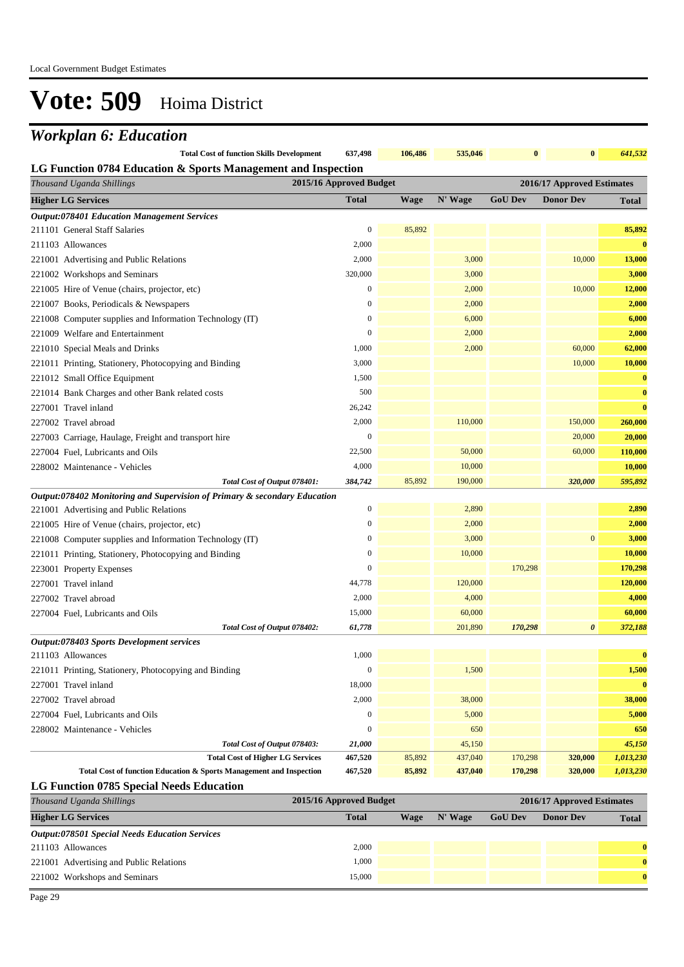## *Workplan 6: Education*

| <b>Total Cost of function Skills Development</b>              | 637.498 | 106.486 | 535,046 |  | 641,532 |
|---------------------------------------------------------------|---------|---------|---------|--|---------|
| LG Function 0784 Education & Sports Management and Inspection |         |         |         |  |         |

| 2015/16 Approved Budget<br>Thousand Uganda Shillings<br>2016/17 Approved Estimates |                  |        |         |                |                  |              |
|------------------------------------------------------------------------------------|------------------|--------|---------|----------------|------------------|--------------|
| <b>Higher LG Services</b>                                                          | <b>Total</b>     | Wage   | N' Wage | <b>GoU Dev</b> | <b>Donor Dev</b> | <b>Total</b> |
| <b>Output:078401 Education Management Services</b>                                 |                  |        |         |                |                  |              |
| 211101 General Staff Salaries                                                      | $\boldsymbol{0}$ | 85,892 |         |                |                  | 85,892       |
| 211103 Allowances                                                                  | 2,000            |        |         |                |                  | $\bf{0}$     |
| 221001 Advertising and Public Relations                                            | 2,000            |        | 3,000   |                | 10,000           | 13,000       |
| 221002 Workshops and Seminars                                                      | 320,000          |        | 3,000   |                |                  | 3,000        |
| 221005 Hire of Venue (chairs, projector, etc)                                      | $\boldsymbol{0}$ |        | 2,000   |                | 10,000           | 12,000       |
| 221007 Books, Periodicals & Newspapers                                             | $\boldsymbol{0}$ |        | 2,000   |                |                  | 2,000        |
| 221008 Computer supplies and Information Technology (IT)                           | $\bf{0}$         |        | 6,000   |                |                  | 6,000        |
| 221009 Welfare and Entertainment                                                   | $\bf{0}$         |        | 2,000   |                |                  | 2,000        |
| 221010 Special Meals and Drinks                                                    | 1,000            |        | 2,000   |                | 60,000           | 62,000       |
| 221011 Printing, Stationery, Photocopying and Binding                              | 3,000            |        |         |                | 10,000           | 10,000       |
| 221012 Small Office Equipment                                                      | 1,500            |        |         |                |                  | $\bf{0}$     |
| 221014 Bank Charges and other Bank related costs                                   | 500              |        |         |                |                  | $\bf{0}$     |
| 227001 Travel inland                                                               | 26,242           |        |         |                |                  | $\bf{0}$     |
| 227002 Travel abroad                                                               | 2,000            |        | 110,000 |                | 150,000          | 260,000      |
| 227003 Carriage, Haulage, Freight and transport hire                               | $\boldsymbol{0}$ |        |         |                | 20,000           | 20,000       |
| 227004 Fuel, Lubricants and Oils                                                   | 22,500           |        | 50,000  |                | 60,000           | 110,000      |
| 228002 Maintenance - Vehicles                                                      | 4,000            |        | 10,000  |                |                  | 10,000       |
| Total Cost of Output 078401:                                                       | 384,742          | 85,892 | 190,000 |                | 320,000          | 595,892      |
| Output:078402 Monitoring and Supervision of Primary & secondary Education          |                  |        |         |                |                  |              |
| 221001 Advertising and Public Relations                                            | $\boldsymbol{0}$ |        | 2,890   |                |                  | 2,890        |
| 221005 Hire of Venue (chairs, projector, etc)                                      | $\boldsymbol{0}$ |        | 2,000   |                |                  | 2,000        |
| 221008 Computer supplies and Information Technology (IT)                           | $\boldsymbol{0}$ |        | 3,000   |                | $\boldsymbol{0}$ | 3,000        |
| 221011 Printing, Stationery, Photocopying and Binding                              | $\bf{0}$         |        | 10,000  |                |                  | 10,000       |
| 223001 Property Expenses                                                           | $\boldsymbol{0}$ |        |         | 170,298        |                  | 170,298      |
| 227001 Travel inland                                                               | 44,778           |        | 120,000 |                |                  | 120,000      |
| 227002 Travel abroad                                                               | 2,000            |        | 4,000   |                |                  | 4,000        |
| 227004 Fuel, Lubricants and Oils                                                   | 15,000           |        | 60,000  |                |                  | 60,000       |
| Total Cost of Output 078402:                                                       | 61,778           |        | 201,890 | 170,298        | 0                | 372,188      |
| Output:078403 Sports Development services                                          |                  |        |         |                |                  |              |
| 211103 Allowances                                                                  | 1,000            |        |         |                |                  | $\bf{0}$     |
| 221011 Printing, Stationery, Photocopying and Binding                              | $\boldsymbol{0}$ |        | 1,500   |                |                  | 1,500        |
| 227001 Travel inland                                                               | 18,000           |        |         |                |                  | $\bf{0}$     |
| 227002 Travel abroad                                                               | 2,000            |        | 38,000  |                |                  | 38,000       |
| 227004 Fuel, Lubricants and Oils                                                   | $\boldsymbol{0}$ |        | 5,000   |                |                  | 5,000        |
| 228002 Maintenance - Vehicles                                                      | $\boldsymbol{0}$ |        | 650     |                |                  | 650          |
| Total Cost of Output 078403:                                                       | 21,000           |        | 45,150  |                |                  | 45,150       |
| <b>Total Cost of Higher LG Services</b>                                            | 467,520          | 85,892 | 437,040 | 170,298        | 320,000          | 1,013,230    |
| Total Cost of function Education & Sports Management and Inspection                | 467,520          | 85,892 | 437,040 | 170,298        | 320,000          | 1,013,230    |

**LG Function 0785 Special Needs Education**

| Thousand Uganda Shillings                             | 2015/16 Approved Budget |             |         |                | 2016/17 Approved Estimates |              |
|-------------------------------------------------------|-------------------------|-------------|---------|----------------|----------------------------|--------------|
| <b>Higher LG Services</b>                             | <b>Total</b>            | <b>Wage</b> | N' Wage | <b>GoU Dev</b> | <b>Donor Dev</b>           | <b>Total</b> |
| <b>Output:078501 Special Needs Education Services</b> |                         |             |         |                |                            |              |
| 211103 Allowances                                     | 2,000                   |             |         |                |                            | $\mathbf{0}$ |
| 221001 Advertising and Public Relations               | 1,000                   |             |         |                |                            | $\mathbf{0}$ |
| 221002 Workshops and Seminars                         | 15,000                  |             |         |                |                            | $\mathbf{0}$ |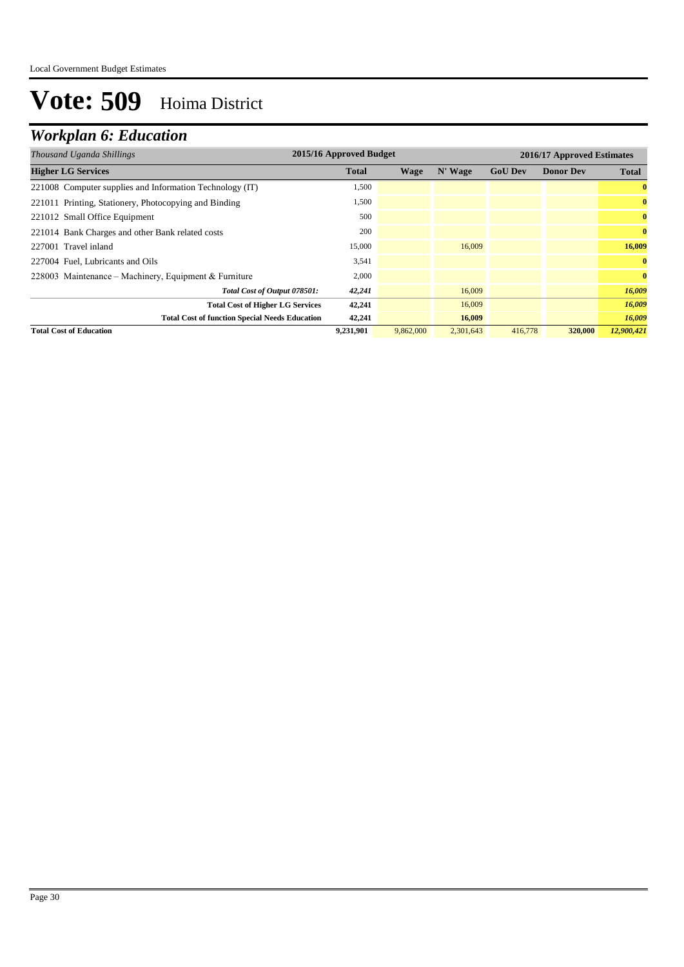## *Workplan 6: Education*

| 2015/16 Approved Budget<br>Thousand Uganda Shillings     |              |           |           | 2016/17 Approved Estimates |                  |              |
|----------------------------------------------------------|--------------|-----------|-----------|----------------------------|------------------|--------------|
| <b>Higher LG Services</b>                                | <b>Total</b> | Wage      | N' Wage   | <b>GoU Dev</b>             | <b>Donor Dev</b> | <b>Total</b> |
| 221008 Computer supplies and Information Technology (IT) | 1,500        |           |           |                            |                  | $\bf{0}$     |
| 221011 Printing, Stationery, Photocopying and Binding    | 1,500        |           |           |                            |                  | $\bf{0}$     |
| 221012 Small Office Equipment                            | 500          |           |           |                            |                  | $\bf{0}$     |
| 221014 Bank Charges and other Bank related costs         | 200          |           |           |                            |                  | $\bf{0}$     |
| 227001 Travel inland                                     | 15,000       |           | 16,009    |                            |                  | 16,009       |
| 227004 Fuel, Lubricants and Oils                         | 3,541        |           |           |                            |                  | $\bf{0}$     |
| 228003 Maintenance – Machinery, Equipment & Furniture    | 2,000        |           |           |                            |                  | $\bf{0}$     |
| Total Cost of Output 078501:                             | 42,241       |           | 16,009    |                            |                  | 16,009       |
| <b>Total Cost of Higher LG Services</b>                  | 42,241       |           | 16,009    |                            |                  | 16,009       |
| <b>Total Cost of function Special Needs Education</b>    | 42,241       |           | 16,009    |                            |                  | 16,009       |
| <b>Total Cost of Education</b>                           | 9,231,901    | 9,862,000 | 2,301,643 | 416,778                    | 320,000          | 12,900,421   |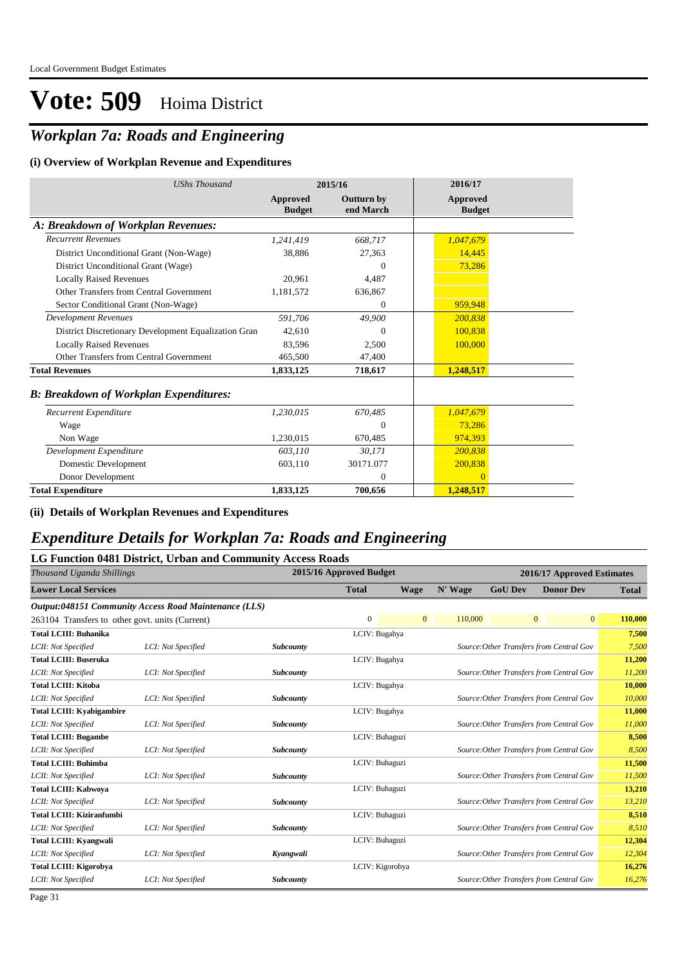### *Workplan 7a: Roads and Engineering*

#### **(i) Overview of Workplan Revenue and Expenditures**

| <b>UShs Thousand</b>                                 |                                  | 2015/16                        | 2016/17                          |
|------------------------------------------------------|----------------------------------|--------------------------------|----------------------------------|
|                                                      | <b>Approved</b><br><b>Budget</b> | <b>Outturn by</b><br>end March | <b>Approved</b><br><b>Budget</b> |
| A: Breakdown of Workplan Revenues:                   |                                  |                                |                                  |
| <b>Recurrent Revenues</b>                            | 1,241,419                        | 668,717                        | 1,047,679                        |
| District Unconditional Grant (Non-Wage)              | 38,886                           | 27,363                         | 14,445                           |
| District Unconditional Grant (Wage)                  |                                  | $\Omega$                       | 73,286                           |
| <b>Locally Raised Revenues</b>                       | 20,961                           | 4,487                          |                                  |
| Other Transfers from Central Government              | 1,181,572                        | 636,867                        |                                  |
| Sector Conditional Grant (Non-Wage)                  |                                  | $\Omega$                       | 959,948                          |
| <b>Development Revenues</b>                          | 591,706                          | 49.900                         | 200.838                          |
| District Discretionary Development Equalization Gran | 42.610                           | $\theta$                       | 100.838                          |
| <b>Locally Raised Revenues</b>                       | 83,596                           | 2,500                          | 100,000                          |
| Other Transfers from Central Government              | 465,500                          | 47,400                         |                                  |
| <b>Total Revenues</b>                                | 1,833,125                        | 718,617                        | 1,248,517                        |
| <b>B: Breakdown of Workplan Expenditures:</b>        |                                  |                                |                                  |
| Recurrent Expenditure                                | 1,230,015                        | 670,485                        | 1,047,679                        |
| Wage                                                 |                                  | $\theta$                       | 73,286                           |
| Non Wage                                             | 1,230,015                        | 670,485                        | 974,393                          |
| Development Expenditure                              | 603,110                          | 30,171                         | 200,838                          |
| Domestic Development                                 | 603.110                          | 30171.077                      | 200,838                          |
| Donor Development                                    |                                  | $\Omega$                       | $\Omega$                         |
| <b>Total Expenditure</b>                             | 1,833,125                        | 700.656                        | 1,248,517                        |

**(ii) Details of Workplan Revenues and Expenditures**

### *Expenditure Details for Workplan 7a: Roads and Engineering*

#### **LG Function 0481 District, Urban and Community Access Roads**

| Thousand Uganda Shillings                       |                                                       |                  | 2015/16 Approved Budget |                | 2016/17 Approved Estimates |                |                                          |              |
|-------------------------------------------------|-------------------------------------------------------|------------------|-------------------------|----------------|----------------------------|----------------|------------------------------------------|--------------|
| <b>Lower Local Services</b>                     |                                                       |                  | <b>Total</b>            | Wage           | N' Wage                    | <b>GoU Dev</b> | <b>Donor Dev</b>                         | <b>Total</b> |
|                                                 | Output:048151 Community Access Road Maintenance (LLS) |                  |                         |                |                            |                |                                          |              |
| 263104 Transfers to other govt. units (Current) |                                                       |                  | $\mathbf{0}$            | $\overline{0}$ | 110,000                    |                | 0 <br>$\overline{0}$                     | 110,000      |
| <b>Total LCIII: Buhanika</b>                    |                                                       |                  | LCIV: Bugahya           |                |                            |                |                                          | 7,500        |
| LCII: Not Specified                             | LCI: Not Specified                                    | <b>Subcounty</b> |                         |                |                            |                | Source: Other Transfers from Central Gov | 7,500        |
| <b>Total LCIII: Buseruka</b>                    |                                                       |                  | LCIV: Bugahya           |                |                            |                |                                          | 11,200       |
| LCII: Not Specified                             | LCI: Not Specified                                    | <b>Subcounty</b> |                         |                |                            |                | Source: Other Transfers from Central Gov | 11,200       |
| <b>Total LCIII: Kitoba</b>                      |                                                       |                  | LCIV: Bugahya           |                |                            |                |                                          | 10,000       |
| LCII: Not Specified                             | LCI: Not Specified                                    | Subcounty        |                         |                |                            |                | Source: Other Transfers from Central Gov | 10,000       |
| <b>Total LCIII: Kyabigambire</b>                |                                                       |                  | LCIV: Bugahya           |                |                            |                |                                          | 11,000       |
| LCII: Not Specified                             | LCI: Not Specified                                    | Subcounty        |                         |                |                            |                | Source: Other Transfers from Central Gov | 11,000       |
| <b>Total LCIII: Bugambe</b>                     |                                                       |                  | LCIV: Buhaguzi          |                |                            |                |                                          | 8,500        |
| LCII: Not Specified                             | LCI: Not Specified                                    | <b>Subcounty</b> |                         |                |                            |                | Source: Other Transfers from Central Gov | 8,500        |
| <b>Total LCIII: Buhimba</b>                     |                                                       |                  | LCIV: Buhaguzi          |                |                            |                |                                          | 11,500       |
| LCII: Not Specified                             | LCI: Not Specified                                    | <b>Subcounty</b> |                         |                |                            |                | Source: Other Transfers from Central Gov | 11,500       |
| <b>Total LCIII: Kabwoya</b>                     |                                                       |                  | LCIV: Buhaguzi          |                |                            |                |                                          | 13,210       |
| LCII: Not Specified                             | LCI: Not Specified                                    | <b>Subcounty</b> |                         |                |                            |                | Source: Other Transfers from Central Gov | 13,210       |
| <b>Total LCIII: Kiziranfumbi</b>                |                                                       |                  | LCIV: Buhaguzi          |                |                            |                |                                          | 8,510        |
| LCII: Not Specified                             | LCI: Not Specified                                    | <b>Subcounty</b> |                         |                |                            |                | Source: Other Transfers from Central Gov | 8,510        |
| <b>Total LCIII: Kvangwali</b>                   |                                                       |                  | LCIV: Buhaguzi          |                |                            |                |                                          | 12,304       |
| LCII: Not Specified                             | LCI: Not Specified                                    | Kyangwali        |                         |                |                            |                | Source: Other Transfers from Central Gov | 12,304       |
| <b>Total LCIII: Kigorobya</b>                   |                                                       |                  | LCIV: Kigorobya         |                |                            |                |                                          | 16,276       |
| LCII: Not Specified                             | LCI: Not Specified                                    | <b>Subcounty</b> |                         |                |                            |                | Source: Other Transfers from Central Gov | 16,276       |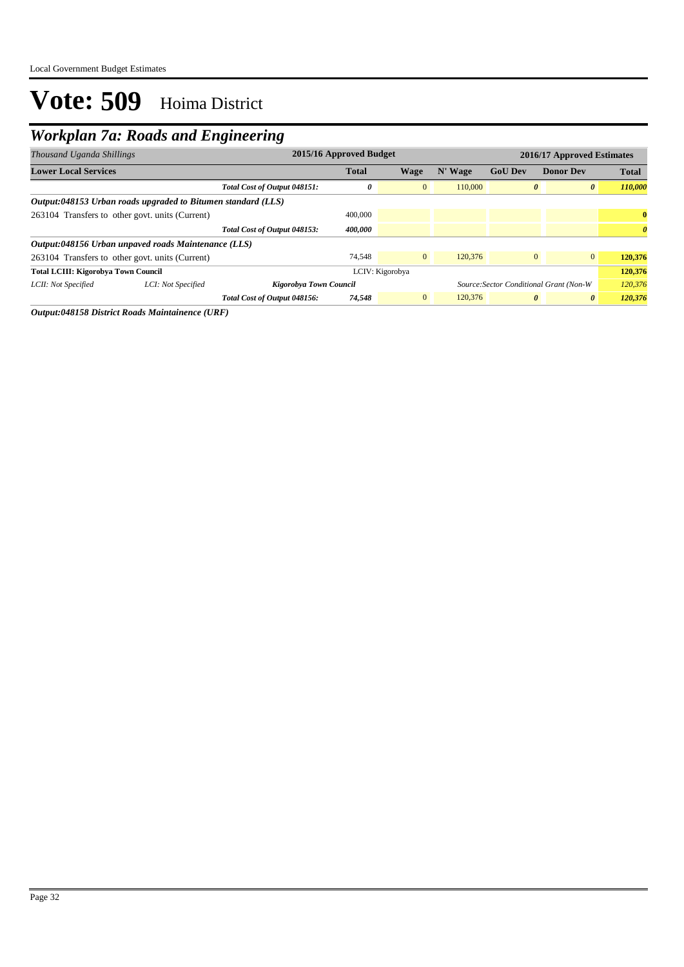## *Workplan 7a: Roads and Engineering*

| Thousand Uganda Shillings                                    | 2015/16 Approved Budget      |              |                 |         |                | 2016/17 Approved Estimates              |                       |  |
|--------------------------------------------------------------|------------------------------|--------------|-----------------|---------|----------------|-----------------------------------------|-----------------------|--|
| <b>Lower Local Services</b>                                  |                              | <b>Total</b> | Wage            | N' Wage | <b>GoU</b> Dev | <b>Donor Dev</b>                        | <b>Total</b>          |  |
|                                                              | Total Cost of Output 048151: | 0            | $\overline{0}$  | 110,000 | $\theta$       | $\boldsymbol{\theta}$                   | 110,000               |  |
| Output:048153 Urban roads upgraded to Bitumen standard (LLS) |                              |              |                 |         |                |                                         |                       |  |
| 263104 Transfers to other govt. units (Current)              |                              | 400,000      |                 |         |                |                                         | $\bf{0}$              |  |
|                                                              | Total Cost of Output 048153: | 400,000      |                 |         |                |                                         | $\boldsymbol{\theta}$ |  |
| Output:048156 Urban unpaved roads Maintenance (LLS)          |                              |              |                 |         |                |                                         |                       |  |
| 263104 Transfers to other govt. units (Current)              |                              | 74.548       | $\overline{0}$  | 120,376 | $\overline{0}$ | $\overline{0}$                          | 120,376               |  |
| <b>Total LCIII: Kigorobya Town Council</b>                   |                              |              | LCIV: Kigorobya |         |                |                                         | 120,376               |  |
| LCII: Not Specified<br>LCI: Not Specified                    | Kigorobya Town Council       |              |                 |         |                | Source: Sector Conditional Grant (Non-W | 120,376               |  |
|                                                              | Total Cost of Output 048156: | 74,548       | $\overline{0}$  | 120,376 | $\theta$       | $\boldsymbol{\theta}$                   | 120,376               |  |

*Output:048158 District Roads Maintainence (URF)*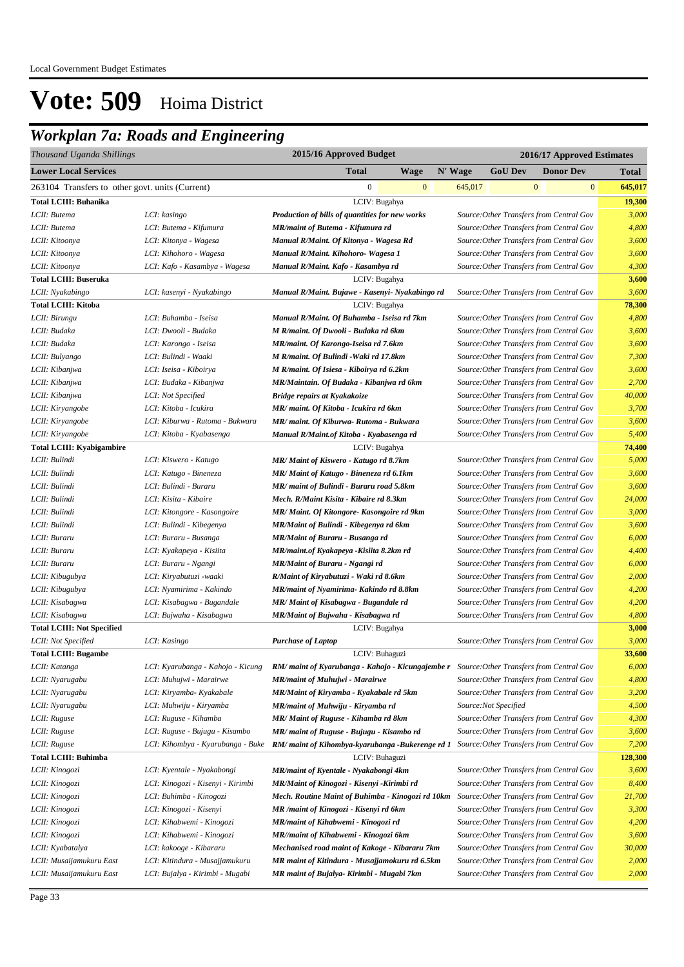### *Workplan 7a: Roads and Engineering*

| Thousand Uganda Shillings                       |                                   | 2015/16 Approved Budget                                                                    | 2016/17 Approved Estimates |                      |                                          |         |  |  |
|-------------------------------------------------|-----------------------------------|--------------------------------------------------------------------------------------------|----------------------------|----------------------|------------------------------------------|---------|--|--|
| <b>Lower Local Services</b>                     |                                   | <b>Total</b><br>Wage                                                                       | N' Wage                    | <b>GoU Dev</b>       | <b>Donor Dev</b>                         | Total   |  |  |
| 263104 Transfers to other govt. units (Current) |                                   | $\mathbf{0}$<br>$\mathbf{0}$                                                               | 645,017                    |                      | $\mathbf{0}$<br>$\bf{0}$                 | 645,017 |  |  |
| <b>Total LCIII: Buhanika</b>                    |                                   | LCIV: Bugahya                                                                              |                            |                      |                                          | 19,300  |  |  |
| LCII: Butema                                    | LCI: kasingo                      | Production of bills of quantities for new works                                            |                            |                      | Source: Other Transfers from Central Gov | 3,000   |  |  |
| LCII: Butema                                    | LCI: Butema - Kifumura            | MR/maint of Butema - Kifumura rd                                                           |                            |                      | Source: Other Transfers from Central Gov | 4,800   |  |  |
| LCII: Kitoonya                                  | LCI: Kitonya - Wagesa             | Manual R/Maint. Of Kitonya - Wagesa Rd                                                     |                            |                      | Source: Other Transfers from Central Gov | 3,600   |  |  |
| LCII: Kitoonya                                  | LCI: Kihohoro - Wagesa            | Manual R/Maint. Kihohoro- Wagesa 1                                                         |                            |                      | Source: Other Transfers from Central Gov | 3,600   |  |  |
| LCII: Kitoonya                                  | LCI: Kafo - Kasambya - Wagesa     | Manual R/Maint. Kafo - Kasambya rd                                                         |                            |                      | Source: Other Transfers from Central Gov | 4,300   |  |  |
| <b>Total LCIII: Buseruka</b>                    |                                   | LCIV: Bugahya                                                                              |                            |                      |                                          | 3,600   |  |  |
| LCII: Nyakabingo                                | LCI: kasenyi - Nyakabingo         | Manual R/Maint. Bujawe - Kasenyi- Nyakabingo rd                                            |                            |                      | Source: Other Transfers from Central Gov | 3,600   |  |  |
| <b>Total LCIII: Kitoba</b>                      |                                   | LCIV: Bugahya                                                                              |                            |                      |                                          | 78,300  |  |  |
| LCII: Birungu                                   | LCI: Buhamba - Iseisa             | Manual R/Maint. Of Buhamba - Iseisa rd 7km                                                 |                            |                      | Source: Other Transfers from Central Gov | 4,800   |  |  |
| LCII: Budaka                                    | LCI: Dwooli - Budaka              | M R/maint. Of Dwooli - Budaka rd 6km                                                       |                            |                      | Source: Other Transfers from Central Gov | 3,600   |  |  |
| LCII: Budaka                                    | LCI: Karongo - Iseisa             | MR/maint. Of Karongo-Iseisa rd 7.6km                                                       |                            |                      | Source: Other Transfers from Central Gov | 3,600   |  |  |
| LCII: Bulyango                                  | LCI: Bulindi - Waaki              | M R/maint. Of Bulindi - Waki rd 17.8km                                                     |                            |                      | Source: Other Transfers from Central Gov | 7,300   |  |  |
| LCII: Kibanjwa                                  | LCI: Iseisa - Kiboirya            | M R/maint. Of Isiesa - Kiboirya rd 6.2km                                                   |                            |                      | Source: Other Transfers from Central Gov | 3,600   |  |  |
| LCII: Kibanjwa                                  | LCI: Budaka - Kibanjwa            | MR/Maintain. Of Budaka - Kibanjwa rd 6km                                                   |                            |                      | Source: Other Transfers from Central Gov | 2,700   |  |  |
| LCII: Kibanjwa                                  | LCI: Not Specified                | Bridge repairs at Kyakakoize                                                               |                            |                      | Source: Other Transfers from Central Gov | 40,000  |  |  |
| LCII: Kiryangobe                                | LCI: Kitoba - Icukira             | MR/ maint. Of Kitoba - Icukira rd 6km                                                      |                            |                      | Source: Other Transfers from Central Gov | 3,700   |  |  |
| LCII: Kiryangobe                                | LCI: Kiburwa - Rutoma - Bukwara   | MR/ maint. Of Kiburwa- Rutoma - Bukwara                                                    |                            |                      | Source: Other Transfers from Central Gov | 3,600   |  |  |
| LCII: Kiryangobe                                | LCI: Kitoba - Kyabasenga          | Manual R/Maint.of Kitoba - Kyabasenga rd                                                   |                            |                      | Source: Other Transfers from Central Gov | 5,400   |  |  |
| <b>Total LCIII: Kyabigambire</b>                |                                   | LCIV: Bugahya                                                                              |                            |                      |                                          | 74,400  |  |  |
| LCII: Bulindi                                   | LCI: Kiswero - Katugo             | MR/Maint of Kiswero - Katugo rd 8.7km                                                      |                            |                      | Source: Other Transfers from Central Gov | 5,000   |  |  |
| LCII: Bulindi                                   | LCI: Katugo - Bineneza            | MR/Maint of Katugo - Bineneza rd 6.1km                                                     |                            |                      | Source: Other Transfers from Central Gov | 3,600   |  |  |
| LCII: Bulindi                                   | LCI: Bulindi - Buraru             | MR/ maint of Bulindi - Buraru road 5.8km                                                   |                            |                      | Source: Other Transfers from Central Gov | 3,600   |  |  |
| LCII: Bulindi                                   | LCI: Kisita - Kibaire             | Mech. R/Maint Kisita - Kibaire rd 8.3km                                                    |                            |                      | Source: Other Transfers from Central Gov | 24,000  |  |  |
| LCII: Bulindi                                   | LCI: Kitongore - Kasongoire       | MR/ Maint. Of Kitongore- Kasongoire rd 9km                                                 |                            |                      | Source: Other Transfers from Central Gov | 3,000   |  |  |
| LCII: Bulindi                                   | LCI: Bulindi - Kibegenya          | MR/Maint of Bulindi - Kibegenya rd 6km                                                     |                            |                      | Source: Other Transfers from Central Gov | 3,600   |  |  |
| LCII: Buraru                                    | LCI: Buraru - Busanga             | MR/Maint of Buraru - Busanga rd                                                            |                            |                      | Source: Other Transfers from Central Gov | 6,000   |  |  |
| LCII: Buraru                                    | LCI: Kyakapeya - Kisiita          | MR/maint.of Kyakapeya - Kisiita 8.2km rd                                                   |                            |                      | Source: Other Transfers from Central Gov | 4,400   |  |  |
| LCII: Buraru                                    | LCI: Buraru - Ngangi              | MR/Maint of Buraru - Ngangi rd                                                             |                            |                      | Source: Other Transfers from Central Gov | 6,000   |  |  |
| LCII: Kibugubya                                 | LCI: Kiryabutuzi -waaki           | R/Maint of Kiryabutuzi - Waki rd 8.6km                                                     |                            |                      | Source: Other Transfers from Central Gov | 2,000   |  |  |
| LCII: Kibugubya                                 | LCI: Nyamirima - Kakindo          | MR/maint of Nyamirima- Kakindo rd 8.8km                                                    |                            |                      | Source: Other Transfers from Central Gov | 4,200   |  |  |
| LCII: Kisabagwa                                 | LCI: Kisabagwa - Bugandale        | MR/Maint of Kisabagwa - Bugandale rd                                                       |                            |                      | Source: Other Transfers from Central Gov | 4,200   |  |  |
| LCII: Kisabagwa                                 | LCI: Bujwaha - Kisabagwa          | MR/Maint of Bujwaha - Kisabagwa rd                                                         |                            |                      | Source: Other Transfers from Central Gov | 4,800   |  |  |
| <b>Total LCIII: Not Specified</b>               |                                   | LCIV: Bugahya                                                                              |                            |                      |                                          | 3,000   |  |  |
| LCII: Not Specified                             | LCI: Kasingo                      | <b>Purchase of Laptop</b>                                                                  |                            |                      | Source: Other Transfers from Central Gov | 3,000   |  |  |
| <b>Total LCIII: Bugambe</b>                     |                                   | LCIV: Buhaguzi                                                                             |                            |                      |                                          | 33,600  |  |  |
| LCII: Katanga                                   | LCI: Kyarubanga - Kahojo - Kicung | RM/ maint of Kyarubanga - Kahojo - Kicungajembe r Source: Other Transfers from Central Gov |                            |                      |                                          | 6,000   |  |  |
| LCII: Nyarugabu                                 | LCI: Muhujwi - Marairwe           | <b>MR/maint of Muhujwi - Marairwe</b>                                                      |                            |                      | Source: Other Transfers from Central Gov | 4,800   |  |  |
| LCII: Nyarugabu                                 | LCI: Kiryamba- Kyakabale          | MR/Maint of Kiryamba - Kyakabale rd 5km                                                    |                            |                      | Source: Other Transfers from Central Gov | 3,200   |  |  |
| LCII: Nyarugabu                                 | LCI: Muhwiju - Kiryamba           | MR/maint of Muhwiju - Kiryamba rd                                                          |                            | Source:Not Specified |                                          | 4,500   |  |  |
| LCII: Ruguse                                    | LCI: Ruguse - Kihamba             | MR/ Maint of Ruguse - Kihamba rd 8km                                                       |                            |                      | Source: Other Transfers from Central Gov | 4,300   |  |  |
| LCII: Ruguse                                    | LCI: Ruguse - Bujugu - Kisambo    | MR/ maint of Ruguse - Bujugu - Kisambo rd                                                  |                            |                      | Source: Other Transfers from Central Gov | 3,600   |  |  |
| LCII: Ruguse                                    | LCI: Kihombya - Kyarubanga - Buke | RM/ maint of Kihombya-kyarubanga -Bukerenge rd 1                                           |                            |                      | Source: Other Transfers from Central Gov | 7,200   |  |  |
| <b>Total LCIII: Buhimba</b>                     |                                   | LCIV: Buhaguzi                                                                             |                            |                      |                                          | 128,300 |  |  |
| LCII: Kinogozi                                  | LCI: Kyentale - Nyakabongi        | MR/maint of Kyentale - Nyakabongi 4km                                                      |                            |                      | Source: Other Transfers from Central Gov | 3,600   |  |  |
| LCII: Kinogozi                                  | LCI: Kinogozi - Kisenyi - Kirimbi | MR/Maint of Kinogozi - Kisenyi -Kirimbi rd                                                 |                            |                      | Source: Other Transfers from Central Gov | 8,400   |  |  |
| LCII: Kinogozi                                  | LCI: Buhimba - Kinogozi           | Mech. Routine Maint of Buhimba - Kinogozi rd 10km                                          |                            |                      | Source: Other Transfers from Central Gov | 21,700  |  |  |
| LCII: Kinogozi                                  | LCI: Kinogozi - Kisenyi           | MR /maint of Kinogozi - Kisenyi rd 6km                                                     |                            |                      | Source: Other Transfers from Central Gov | 3,300   |  |  |
| LCII: Kinogozi                                  | LCI: Kihabwemi - Kinogozi         | MR/maint of Kihabwemi - Kinogozi rd                                                        |                            |                      | Source: Other Transfers from Central Gov | 4,200   |  |  |
| LCII: Kinogozi                                  | LCI: Kihabwemi - Kinogozi         | MR//maint of Kihabwemi - Kinogozi 6km                                                      |                            |                      | Source: Other Transfers from Central Gov | 3,600   |  |  |
| LCII: Kyabatalya                                | LCI: kakooge - Kibararu           | Mechanised road maint of Kakoge - Kibararu 7km                                             |                            |                      | Source: Other Transfers from Central Gov | 30,000  |  |  |
| LCII: Musaijamukuru East                        | LCI: Kitindura - Musajjamukuru    | MR maint of Kitindura - Musajjamokuru rd 6.5km                                             |                            |                      | Source: Other Transfers from Central Gov | 2,000   |  |  |
| LCII: Musaijamukuru East                        | LCI: Bujalya - Kirimbi - Mugabi   | MR maint of Bujalya- Kirimbi - Mugabi 7km                                                  |                            |                      | Source: Other Transfers from Central Gov | 2,000   |  |  |
|                                                 |                                   |                                                                                            |                            |                      |                                          |         |  |  |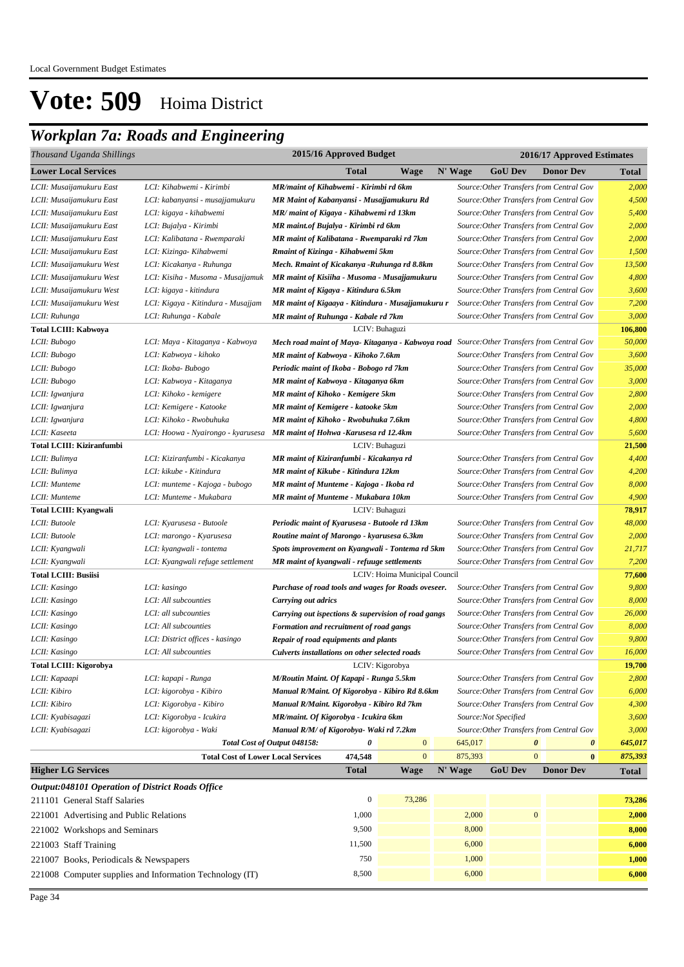## *Workplan 7a: Roads and Engineering*

| Thousand Uganda Shillings                        |                                                                           | 2015/16 Approved Budget<br>2016/17 Approved Estimates                                      |                               |         |                      |                                          |              |  |  |
|--------------------------------------------------|---------------------------------------------------------------------------|--------------------------------------------------------------------------------------------|-------------------------------|---------|----------------------|------------------------------------------|--------------|--|--|
| <b>Lower Local Services</b>                      |                                                                           | Total                                                                                      | Wage                          | N' Wage | <b>GoU</b> Dev       | <b>Donor Dev</b>                         | <b>Total</b> |  |  |
| LCII: Musaijamukuru East                         | LCI: Kihabwemi - Kirimbi                                                  | MR/maint of Kihabwemi - Kirimbi rd 6km                                                     |                               |         |                      | Source: Other Transfers from Central Gov | 2,000        |  |  |
| LCII: Musaijamukuru East                         | LCI: kabanyansi - musajjamukuru                                           | MR Maint of Kabanyansi - Musajjamukuru Rd                                                  |                               |         |                      | Source: Other Transfers from Central Gov | 4,500        |  |  |
| LCII: Musaijamukuru East                         | LCI: kigaya - kihabwemi                                                   | MR/ maint of Kigaya - Kihabwemi rd 13km                                                    |                               |         |                      | Source: Other Transfers from Central Gov | 5,400        |  |  |
| LCII: Musaijamukuru East                         | LCI: Bujalya - Kirimbi                                                    | MR maint.of Bujalya - Kirimbi rd 6km                                                       |                               |         |                      | Source: Other Transfers from Central Gov | 2,000        |  |  |
| LCII: Musaijamukuru East                         | LCI: Kalibatana - Rwemparaki                                              | MR maint of Kalibatana - Rwemparaki rd 7km                                                 |                               |         |                      | Source: Other Transfers from Central Gov | 2,000        |  |  |
| LCII: Musaijamukuru East                         | LCI: Kizinga- Kihabwemi                                                   | Rmaint of Kizinga - Kihabwemi 5km                                                          |                               |         |                      | Source: Other Transfers from Central Gov | 1,500        |  |  |
| LCII: Musaijamukuru West                         | LCI: Kicakanya - Ruhunga                                                  | Mech. Rmaint of Kicakanya -Ruhunga rd 8.8km                                                |                               |         |                      | Source: Other Transfers from Central Gov | 13,500       |  |  |
| LCII: Musaijamukuru West                         | LCI: Kisiha - Musoma - Musajjamuk                                         | MR maint of Kisiiha - Musoma - Musajjamukuru                                               |                               |         |                      | Source: Other Transfers from Central Gov | 4,800        |  |  |
| LCII: Musaijamukuru West                         | LCI: kigaya - kitindura                                                   | MR maint of Kigaya - Kitindura 6.5km                                                       |                               |         |                      | Source: Other Transfers from Central Gov | 3,600        |  |  |
| LCII: Musaijamukuru West                         | LCI: Kigaya - Kitindura - Musajjam                                        | MR maint of Kigaaya - Kitindura - Musajjamukuru r                                          |                               |         |                      | Source: Other Transfers from Central Gov | 7,200        |  |  |
| LCII: Ruhunga                                    | LCI: Ruhunga - Kabale                                                     | MR maint of Ruhunga - Kabale rd 7km                                                        |                               |         |                      | Source: Other Transfers from Central Gov | 3,000        |  |  |
| <b>Total LCIII: Kabwoya</b>                      |                                                                           |                                                                                            | LCIV: Buhaguzi                |         |                      |                                          | 106,800      |  |  |
| LCII: Bubogo                                     | LCI: Maya - Kitaganya - Kabwoya                                           | Mech road maint of Maya- Kitaganya - Kabwoya road Source: Other Transfers from Central Gov |                               |         |                      |                                          | 50,000       |  |  |
| LCII: Bubogo                                     | LCI: Kabwoya - kihoko                                                     | MR maint of Kabwoya - Kihoko 7.6km                                                         |                               |         |                      | Source: Other Transfers from Central Gov | 3,600        |  |  |
| LCII: Bubogo                                     | LCI: Ikoba- Bubogo                                                        | Periodic maint of Ikoba - Bobogo rd 7km                                                    |                               |         |                      | Source: Other Transfers from Central Gov | 35,000       |  |  |
| LCII: Bubogo                                     | LCI: Kabwoya - Kitaganya                                                  | MR maint of Kabwoya - Kitaganya 6km                                                        |                               |         |                      | Source: Other Transfers from Central Gov | 3,000        |  |  |
| LCII: Igwanjura                                  | LCI: Kihoko - kemigere                                                    | <b>MR</b> maint of Kihoko - Kemigere 5km                                                   |                               |         |                      | Source: Other Transfers from Central Gov | 2,800        |  |  |
| LCII: Igwanjura                                  | LCI: Kemigere - Katooke                                                   | <b>MR</b> maint of Kemigere - katooke 5km                                                  |                               |         |                      | Source: Other Transfers from Central Gov | 2,000        |  |  |
| LCII: Igwanjura                                  | LCI: Kihoko - Rwobuhuka                                                   | MR maint of Kihoko - Rwobuhuka 7.6km                                                       |                               |         |                      | Source: Other Transfers from Central Gov | 4,800        |  |  |
| LCII: Kaseeta                                    | LCI: Hoowa - Nyairongo - kyarusesa MR maint of Hohwa - Karusesa rd 12.4km |                                                                                            |                               |         |                      | Source: Other Transfers from Central Gov | 5,600        |  |  |
| Total LCIII: Kiziranfumbi                        |                                                                           |                                                                                            | LCIV: Buhaguzi                |         |                      |                                          | 21,500       |  |  |
| LCII: Bulimya                                    | LCI: Kiziranfumbi - Kicakanya                                             | MR maint of Kiziranfumbi - Kicakanya rd                                                    |                               |         |                      | Source: Other Transfers from Central Gov | 4,400        |  |  |
| LCII: Bulimya                                    | LCI: kikube - Kitindura                                                   | MR maint of Kikube - Kitindura 12km                                                        |                               |         |                      | Source: Other Transfers from Central Gov | 4,200        |  |  |
| LCII: Munteme                                    | LCI: munteme - Kajoga - bubogo                                            | MR maint of Munteme - Kajoga - Ikoba rd<br>Source: Other Transfers from Central Gov        |                               |         |                      |                                          | 8,000        |  |  |
| LCII: Munteme                                    | LCI: Munteme - Mukabara                                                   | <b>MR</b> maint of Munteme - Mukabara 10km                                                 |                               |         |                      | Source: Other Transfers from Central Gov | 4,900        |  |  |
| <b>Total LCIII: Kyangwali</b>                    |                                                                           |                                                                                            | LCIV: Buhaguzi                |         |                      |                                          | 78,917       |  |  |
| LCII: Butoole                                    | LCI: Kyarusesa - Butoole                                                  | Periodic maint of Kyarusesa - Butoole rd 13km                                              |                               |         |                      | Source: Other Transfers from Central Gov | 48,000       |  |  |
| LCII: Butoole                                    | LCI: marongo - Kyarusesa                                                  | Routine maint of Marongo - kyarusesa 6.3km                                                 |                               |         |                      | Source: Other Transfers from Central Gov | 2,000        |  |  |
| LCII: Kyangwali                                  | LCI: kyangwali - tontema                                                  | Spots improvement on Kyangwali - Tontema rd 5km                                            |                               |         |                      | Source: Other Transfers from Central Gov | 21,717       |  |  |
| LCII: Kyangwali                                  | LCI: Kyangwali refuge settlement                                          | MR maint of kyangwali - refuuge settlements                                                |                               |         |                      | Source: Other Transfers from Central Gov | 7,200        |  |  |
| <b>Total LCIII: Busiisi</b>                      |                                                                           |                                                                                            | LCIV: Hoima Municipal Council |         |                      |                                          | 77,600       |  |  |
| LCII: Kasingo                                    | LCI: kasingo                                                              | Purchase of road tools and wages for Roads oveseer.                                        |                               |         |                      | Source: Other Transfers from Central Gov | 9,800        |  |  |
| LCII: Kasingo                                    | LCI: All subcounties                                                      | Carrying out adrics                                                                        |                               |         |                      | Source: Other Transfers from Central Gov | 8,000        |  |  |
| LCII: Kasingo                                    | LCI: all subcounties                                                      | Carrying out ispections & supervision of road gangs                                        |                               |         |                      | Source: Other Transfers from Central Gov | 26,000       |  |  |
| LCII: Kasingo                                    | LCI: All subcounties                                                      | Formation and recruitment of road gangs                                                    |                               |         |                      | Source: Other Transfers from Central Gov | 8,000        |  |  |
| LCII: Kasingo                                    | LCI: District offices - kasingo                                           | Repair of road equipments and plants                                                       |                               |         |                      | Source: Other Transfers from Central Gov | 9,800        |  |  |
| LCII: Kasingo                                    | LCI: All subcounties                                                      | Culverts installations on other selected roads                                             |                               |         |                      | Source: Other Transfers from Central Gov | 16,000       |  |  |
| Total LCIII: Kigorobya                           |                                                                           |                                                                                            | LCIV: Kigorobya               |         |                      |                                          | 19,700       |  |  |
| LCII: Kapaapi                                    | LCI: kapapi - Runga                                                       | M/Routin Maint. Of Kapapi - Runga 5.5km                                                    |                               |         |                      | Source: Other Transfers from Central Gov | 2,800        |  |  |
| LCII: Kibiro                                     | LCI: kigorobya - Kibiro                                                   | Manual R/Maint. Of Kigorobya - Kibiro Rd 8.6km                                             |                               |         |                      | Source: Other Transfers from Central Gov | 6,000        |  |  |
| LCII: Kibiro                                     | LCI: Kigorobya - Kibiro                                                   | Manual R/Maint. Kigorobya - Kibiro Rd 7km                                                  |                               |         |                      | Source: Other Transfers from Central Gov | 4,300        |  |  |
| LCII: Kyabisagazi                                | LCI: Kigorobya - Icukira                                                  | MR/maint. Of Kigorobya - Icukira 6km                                                       |                               |         | Source:Not Specified |                                          | 3,600        |  |  |
| LCII: Kyabisagazi                                | LCI: kigorobya - Waki                                                     | Manual R/M/ of Kigorobya- Waki rd 7.2km                                                    |                               |         |                      | Source: Other Transfers from Central Gov | 3,000        |  |  |
|                                                  |                                                                           | Total Cost of Output 048158:<br>0                                                          | $\bf{0}$                      | 645,017 | 0                    | $\boldsymbol{\theta}$                    | 645,017      |  |  |
|                                                  | <b>Total Cost of Lower Local Services</b>                                 | 474,548                                                                                    | $\mathbf{0}$                  | 875,393 | $\mathbf{0}$         | $\bf{0}$                                 | 875,393      |  |  |
| <b>Higher LG Services</b>                        |                                                                           | <b>Total</b>                                                                               | Wage                          | N' Wage | <b>GoU Dev</b>       | <b>Donor Dev</b>                         | <b>Total</b> |  |  |
| Output:048101 Operation of District Roads Office |                                                                           |                                                                                            |                               |         |                      |                                          |              |  |  |
| 211101 General Staff Salaries                    |                                                                           | $\boldsymbol{0}$                                                                           | 73,286                        |         |                      |                                          | 73,286       |  |  |
| 221001 Advertising and Public Relations          |                                                                           | 1,000                                                                                      |                               | 2,000   | $\boldsymbol{0}$     |                                          | 2,000        |  |  |
| 221002 Workshops and Seminars                    |                                                                           | 9,500                                                                                      |                               | 8,000   |                      |                                          | 8,000        |  |  |
| 221003 Staff Training                            |                                                                           | 11,500                                                                                     |                               | 6,000   |                      |                                          | 6,000        |  |  |
| 221007 Books, Periodicals & Newspapers           |                                                                           | 750                                                                                        |                               | 1,000   |                      |                                          | 1,000        |  |  |

221008 Computer supplies and Information Technology (IT) 8,500 **6,000** 6,000 **6,000** 6,000 **6,000** 6,000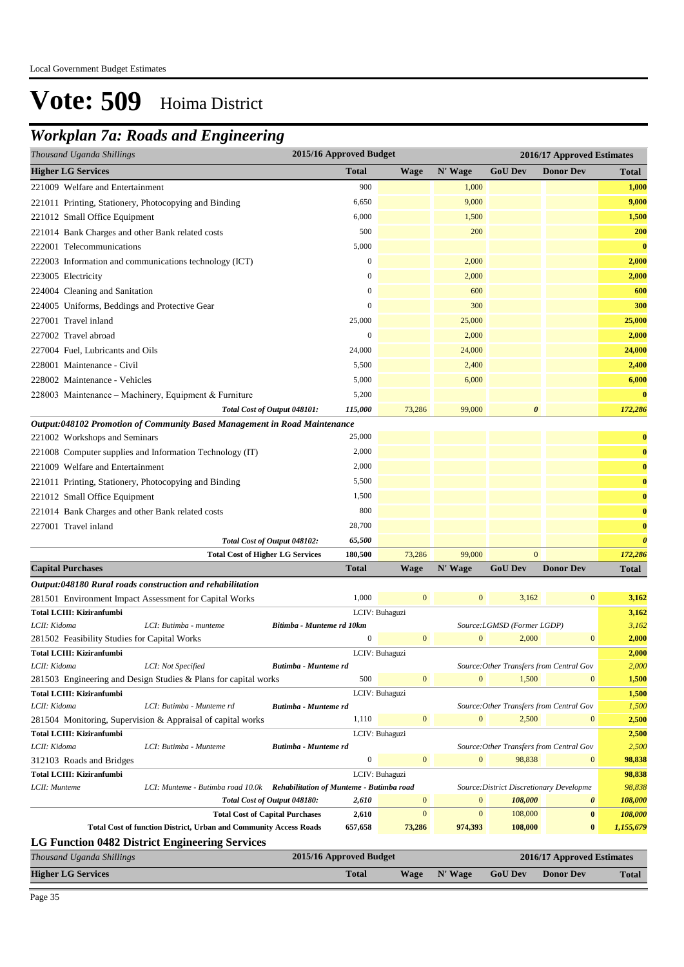## *Workplan 7a: Roads and Engineering*

| Thousand Uganda Shillings                             |                                                                                                             |                              | 2015/16 Approved Budget |                            |                         |                                          | 2016/17 Approved Estimates               |                       |
|-------------------------------------------------------|-------------------------------------------------------------------------------------------------------------|------------------------------|-------------------------|----------------------------|-------------------------|------------------------------------------|------------------------------------------|-----------------------|
| <b>Higher LG Services</b>                             |                                                                                                             |                              | <b>Total</b>            | <b>Wage</b>                | N' Wage                 | <b>GoU Dev</b>                           | <b>Donor Dev</b>                         | <b>Total</b>          |
| 221009 Welfare and Entertainment                      |                                                                                                             |                              | 900                     |                            | 1,000                   |                                          |                                          | 1,000                 |
| 221011 Printing, Stationery, Photocopying and Binding |                                                                                                             |                              | 6,650                   |                            | 9,000                   |                                          |                                          | 9,000                 |
| 221012 Small Office Equipment                         |                                                                                                             |                              | 6,000                   |                            | 1,500                   |                                          |                                          | 1,500                 |
| 221014 Bank Charges and other Bank related costs      |                                                                                                             |                              | 500                     |                            | 200                     |                                          |                                          | 200                   |
| 222001 Telecommunications                             |                                                                                                             |                              | 5,000                   |                            |                         |                                          |                                          | $\bf{0}$              |
|                                                       | 222003 Information and communications technology (ICT)                                                      |                              | $\boldsymbol{0}$        |                            | 2,000                   |                                          |                                          | 2,000                 |
| 223005 Electricity                                    |                                                                                                             |                              | $\mathbf{0}$            |                            | 2,000                   |                                          |                                          | 2,000                 |
| 224004 Cleaning and Sanitation                        |                                                                                                             |                              | $\mathbf{0}$            |                            | 600                     |                                          |                                          | 600                   |
| 224005 Uniforms, Beddings and Protective Gear         |                                                                                                             |                              | $\boldsymbol{0}$        |                            | 300                     |                                          |                                          | 300                   |
| 227001 Travel inland                                  |                                                                                                             |                              | 25,000                  |                            | 25,000                  |                                          |                                          | 25,000                |
| 227002 Travel abroad                                  |                                                                                                             |                              | $\mathbf{0}$            |                            | 2,000                   |                                          |                                          | 2,000                 |
| 227004 Fuel, Lubricants and Oils                      |                                                                                                             |                              | 24,000                  |                            | 24,000                  |                                          |                                          | 24,000                |
| 228001 Maintenance - Civil                            |                                                                                                             |                              | 5,500                   |                            | 2,400                   |                                          |                                          | 2,400                 |
| 228002 Maintenance - Vehicles                         |                                                                                                             |                              | 5,000                   |                            | 6,000                   |                                          |                                          | 6,000                 |
|                                                       |                                                                                                             |                              | 5,200                   |                            |                         |                                          |                                          | $\bf{0}$              |
|                                                       | 228003 Maintenance - Machinery, Equipment & Furniture                                                       |                              | 115,000                 | 73,286                     | 99,000                  | $\boldsymbol{\theta}$                    |                                          | 172,286               |
|                                                       | Output:048102 Promotion of Community Based Management in Road Maintenance                                   | Total Cost of Output 048101: |                         |                            |                         |                                          |                                          |                       |
| 221002 Workshops and Seminars                         |                                                                                                             |                              | 25,000                  |                            |                         |                                          |                                          | $\bf{0}$              |
|                                                       | 221008 Computer supplies and Information Technology (IT)                                                    |                              | 2,000                   |                            |                         |                                          |                                          | $\bf{0}$              |
| 221009 Welfare and Entertainment                      |                                                                                                             |                              | 2,000                   |                            |                         |                                          |                                          | $\bf{0}$              |
|                                                       |                                                                                                             |                              | 5,500                   |                            |                         |                                          |                                          | $\bf{0}$              |
| 221011 Printing, Stationery, Photocopying and Binding |                                                                                                             |                              |                         |                            |                         |                                          |                                          |                       |
| 221012 Small Office Equipment                         |                                                                                                             |                              | 1,500<br>800            |                            |                         |                                          |                                          | $\bf{0}$              |
| 221014 Bank Charges and other Bank related costs      |                                                                                                             |                              |                         |                            |                         |                                          |                                          | $\bf{0}$              |
| 227001 Travel inland                                  |                                                                                                             |                              | 28,700                  |                            |                         |                                          |                                          | $\bf{0}$              |
|                                                       |                                                                                                             | Total Cost of Output 048102: | 65,500                  |                            | 99,000                  | $\mathbf{0}$                             |                                          | $\boldsymbol{\theta}$ |
| <b>Capital Purchases</b>                              | <b>Total Cost of Higher LG Services</b>                                                                     |                              | 180,500<br><b>Total</b> | 73,286<br><b>Wage</b>      | N' Wage                 | <b>GoU Dev</b>                           | <b>Donor Dev</b>                         | 172,286               |
|                                                       |                                                                                                             |                              |                         |                            |                         |                                          |                                          | <b>Total</b>          |
|                                                       | Output:048180 Rural roads construction and rehabilitation                                                   |                              | 1,000                   | $\mathbf{0}$               | $\mathbf{0}$            | 3,162                                    | $\mathbf{0}$                             | 3,162                 |
| Total LCIII: Kiziranfumbi                             | 281501 Environment Impact Assessment for Capital Works                                                      |                              |                         | LCIV: Buhaguzi             |                         |                                          |                                          | 3,162                 |
| LCII: Kidoma                                          | LCI: Butimba - munteme                                                                                      | Bitimba - Munteme rd 10km    |                         |                            |                         | Source:LGMSD (Former LGDP)               |                                          | 3,162                 |
| 281502 Feasibility Studies for Capital Works          |                                                                                                             |                              | $\boldsymbol{0}$        | $\mathbf{0}$               | $\boldsymbol{0}$        | 2,000                                    | $\mathbf{0}$                             | 2,000                 |
| Total LCIII: Kiziranfumbi                             |                                                                                                             |                              |                         | LCIV: Buhaguzi             |                         |                                          |                                          | 2,000                 |
| LCII: Kidoma                                          | LCI: Not Specified                                                                                          | Butimba - Munteme rd         |                         |                            |                         |                                          | Source: Other Transfers from Central Gov | 2,000                 |
|                                                       | 281503 Engineering and Design Studies & Plans for capital works                                             |                              | 500                     | $\mathbf{0}$               | $\mathbf{0}$            | 1,500                                    | $\mathbf{0}$                             | 1,500                 |
| Total LCIII: Kiziranfumbi                             |                                                                                                             |                              |                         | LCIV: Buhaguzi             |                         |                                          |                                          | 1,500                 |
| LCII: Kidoma                                          | LCI: Butimba - Munteme rd                                                                                   | Butimba - Munteme rd         |                         |                            |                         |                                          | Source: Other Transfers from Central Gov | 1,500                 |
|                                                       | 281504 Monitoring, Supervision & Appraisal of capital works                                                 |                              | 1,110                   | $\mathbf{0}$               | $\mathbf{0}$            | 2,500                                    | $\mathbf{0}$                             | 2,500                 |
| Total LCIII: Kiziranfumbi                             |                                                                                                             |                              |                         | LCIV: Buhaguzi             |                         |                                          |                                          | 2,500                 |
| LCII: Kidoma                                          | LCI: Butimba - Munteme                                                                                      | Butimba - Munteme rd         |                         |                            |                         |                                          | Source: Other Transfers from Central Gov | 2,500                 |
| 312103 Roads and Bridges                              |                                                                                                             |                              | $\boldsymbol{0}$        | $\mathbf{0}$               | $\boldsymbol{0}$        | 98,838                                   | $\mathbf{0}$                             | 98,838                |
| Total LCIII: Kiziranfumbi                             |                                                                                                             |                              |                         | LCIV: Buhaguzi             |                         |                                          |                                          | 98,838                |
| LCII: Munteme                                         | LCI: Munteme - Butimba road 10.0k Rehabilitation of Munteme - Butimba road                                  |                              |                         |                            |                         | Source: District Discretionary Developme |                                          | 98,838                |
|                                                       |                                                                                                             | Total Cost of Output 048180: | 2,610                   | $\boldsymbol{0}$           | $\boldsymbol{0}$        | 108,000                                  | $\boldsymbol{\theta}$                    | 108,000               |
|                                                       | <b>Total Cost of Capital Purchases</b><br>Total Cost of function District, Urban and Community Access Roads |                              | 2,610<br>657,658        | $\boldsymbol{0}$<br>73,286 | $\mathbf{0}$<br>974,393 | 108,000<br>108,000                       | $\bf{0}$<br>$\bf{0}$                     | 108,000<br>1,155,679  |
|                                                       | <b>LG Function 0482 District Engineering Services</b>                                                       |                              |                         |                            |                         |                                          |                                          |                       |
| Thousand Uganda Shillings                             |                                                                                                             |                              | 2015/16 Approved Budget |                            |                         |                                          | 2016/17 Approved Estimates               |                       |
| <b>Higher LG Services</b>                             |                                                                                                             |                              | <b>Total</b>            | <b>Wage</b>                | N' Wage                 | <b>GoU Dev</b>                           | <b>Donor Dev</b>                         | <b>Total</b>          |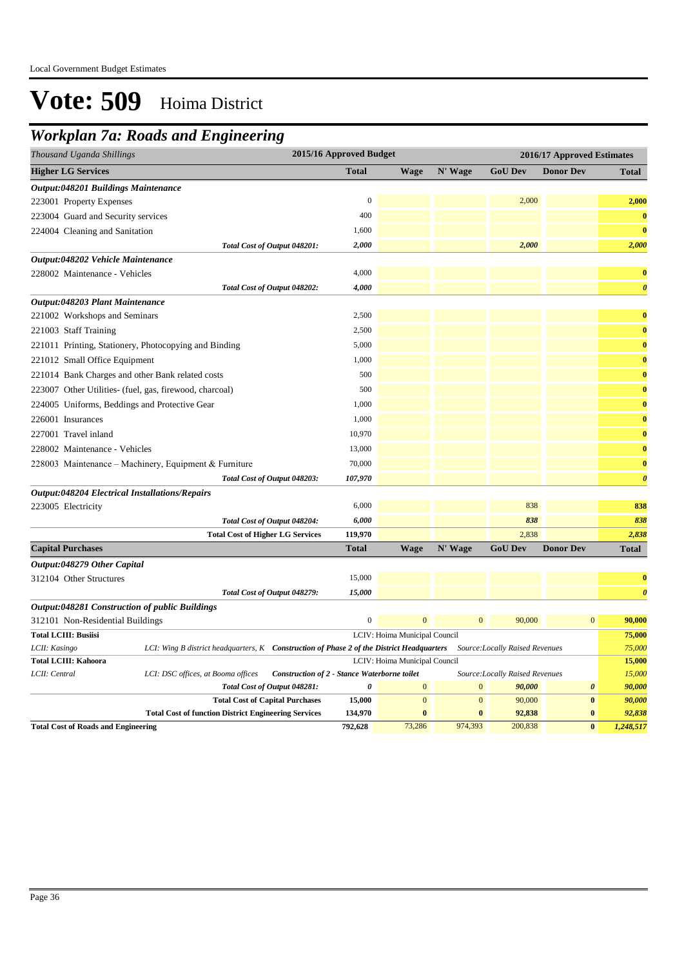## *Workplan 7a: Roads and Engineering*

| o                                                                                                          |                         |                               |                            |                                 |                       |                       |  |
|------------------------------------------------------------------------------------------------------------|-------------------------|-------------------------------|----------------------------|---------------------------------|-----------------------|-----------------------|--|
| Thousand Uganda Shillings                                                                                  | 2015/16 Approved Budget |                               | 2016/17 Approved Estimates |                                 |                       |                       |  |
| <b>Higher LG Services</b>                                                                                  | <b>Total</b>            | <b>Wage</b>                   | N' Wage                    | <b>GoU Dev</b>                  | <b>Donor Dev</b>      | <b>Total</b>          |  |
| <b>Output:048201 Buildings Maintenance</b>                                                                 |                         |                               |                            |                                 |                       |                       |  |
| 223001 Property Expenses                                                                                   | $\Omega$                |                               |                            | 2,000                           |                       | 2,000                 |  |
| 223004 Guard and Security services                                                                         | 400                     |                               |                            |                                 |                       | $\bf{0}$              |  |
| 224004 Cleaning and Sanitation                                                                             | 1,600                   |                               |                            |                                 |                       | $\bf{0}$              |  |
| Total Cost of Output 048201:                                                                               | 2,000                   |                               |                            | 2,000                           |                       | 2,000                 |  |
| Output:048202 Vehicle Maintenance                                                                          |                         |                               |                            |                                 |                       |                       |  |
| 228002 Maintenance - Vehicles                                                                              | 4,000                   |                               |                            |                                 |                       | $\bf{0}$              |  |
| Total Cost of Output 048202:                                                                               | 4,000                   |                               |                            |                                 |                       | $\boldsymbol{\theta}$ |  |
| Output:048203 Plant Maintenance                                                                            |                         |                               |                            |                                 |                       |                       |  |
| 221002 Workshops and Seminars                                                                              | 2,500                   |                               |                            |                                 |                       | $\bf{0}$              |  |
| 221003 Staff Training                                                                                      | 2,500                   |                               |                            |                                 |                       | $\bf{0}$              |  |
| 221011 Printing, Stationery, Photocopying and Binding                                                      | 5,000                   |                               |                            |                                 |                       | $\bf{0}$              |  |
| 221012 Small Office Equipment                                                                              | 1,000                   |                               |                            |                                 |                       | $\bf{0}$              |  |
| 221014 Bank Charges and other Bank related costs                                                           | 500                     |                               |                            |                                 |                       | $\bf{0}$              |  |
| 223007 Other Utilities- (fuel, gas, firewood, charcoal)                                                    | 500                     |                               |                            |                                 |                       | $\bf{0}$              |  |
| 224005 Uniforms, Beddings and Protective Gear                                                              | 1,000                   |                               |                            |                                 |                       | $\bf{0}$              |  |
| 226001 Insurances                                                                                          | 1,000                   |                               |                            |                                 |                       | $\bf{0}$              |  |
| 227001 Travel inland                                                                                       | 10,970                  |                               |                            |                                 |                       | $\bf{0}$              |  |
| 228002 Maintenance - Vehicles                                                                              | 13,000                  |                               |                            |                                 |                       | $\bf{0}$              |  |
| 228003 Maintenance – Machinery, Equipment & Furniture                                                      | 70,000                  |                               |                            |                                 |                       | $\bf{0}$              |  |
| Total Cost of Output 048203:                                                                               | 107,970                 |                               |                            |                                 |                       | $\boldsymbol{\theta}$ |  |
| <b>Output:048204 Electrical Installations/Repairs</b>                                                      |                         |                               |                            |                                 |                       |                       |  |
| 223005 Electricity                                                                                         | 6,000                   |                               |                            | 838                             |                       | 838                   |  |
| Total Cost of Output 048204:                                                                               | 6,000                   |                               |                            | 838                             |                       | 838                   |  |
| <b>Total Cost of Higher LG Services</b>                                                                    | 119,970                 |                               |                            | 2,838                           |                       | 2,838                 |  |
| <b>Capital Purchases</b>                                                                                   | <b>Total</b>            | <b>Wage</b>                   | N' Wage                    | <b>GoU Dev</b>                  | <b>Donor Dev</b>      | <b>Total</b>          |  |
| Output:048279 Other Capital                                                                                |                         |                               |                            |                                 |                       |                       |  |
| 312104 Other Structures                                                                                    | 15,000                  |                               |                            |                                 |                       | $\bf{0}$              |  |
| Total Cost of Output 048279:                                                                               | 15,000                  |                               |                            |                                 |                       | $\boldsymbol{\theta}$ |  |
| Output:048281 Construction of public Buildings                                                             |                         |                               |                            |                                 |                       |                       |  |
| 312101 Non-Residential Buildings                                                                           | $\boldsymbol{0}$        | $\mathbf{0}$                  | $\mathbf{0}$               | 90,000                          | $\mathbf{0}$          | 90,000                |  |
| <b>Total LCIII: Busiisi</b>                                                                                |                         | LCIV: Hoima Municipal Council |                            |                                 |                       | 75,000                |  |
| LCI: Wing B district headquarters, K Construction of Phase 2 of the District Headquarters<br>LCII: Kasingo |                         |                               |                            | Source: Locally Raised Revenues |                       | 75,000                |  |
| <b>Total LCIII: Kahoora</b>                                                                                |                         | LCIV: Hoima Municipal Council |                            |                                 |                       | 15,000                |  |
| LCII: Central<br>Construction of 2 - Stance Waterborne toilet<br>LCI: DSC offices, at Booma offices        |                         |                               |                            | Source:Locally Raised Revenues  |                       | 15,000                |  |
| Total Cost of Output 048281:                                                                               | 0                       | $\boldsymbol{0}$              | $\mathbf{0}$               | 90,000                          | $\boldsymbol{\theta}$ | 90,000                |  |
| <b>Total Cost of Capital Purchases</b>                                                                     | 15,000                  | $\boldsymbol{0}$              | $\mathbf{0}$               | 90,000                          | $\pmb{0}$             | 90,000                |  |
| <b>Total Cost of function District Engineering Services</b>                                                | 134,970                 | $\bf{0}$                      | $\bf{0}$                   | 92,838                          | $\bf{0}$              | 92,838                |  |
| <b>Total Cost of Roads and Engineering</b>                                                                 | 792,628                 | 73,286                        | 974,393                    | 200,838                         | $\bf{0}$              | 1,248,517             |  |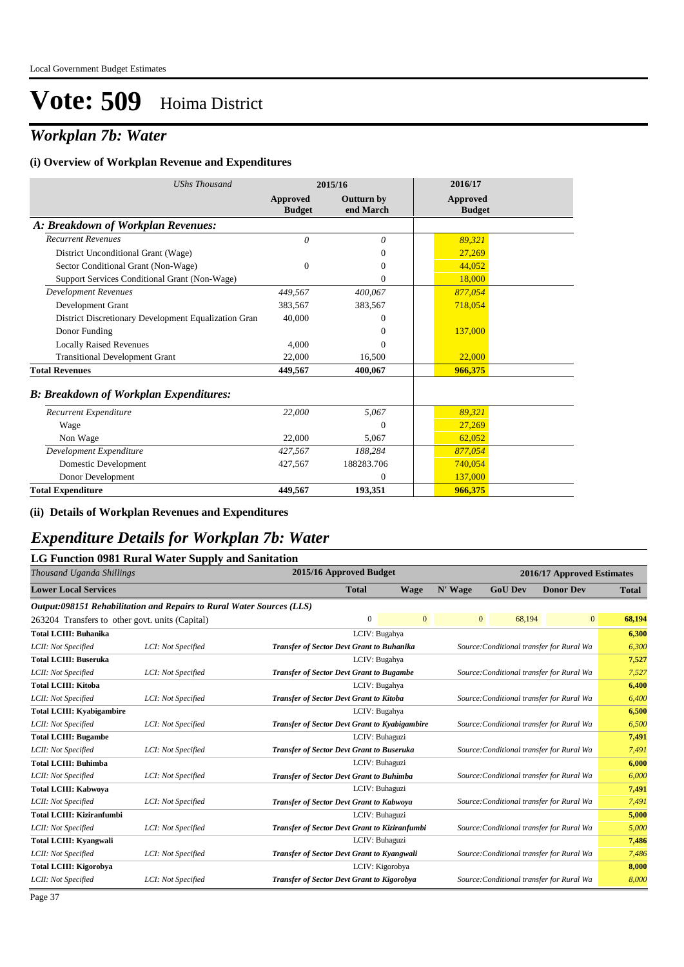## *Workplan 7b: Water*

#### **(i) Overview of Workplan Revenue and Expenditures**

| <b>UShs Thousand</b>                                 |                           | 2015/16                        | 2016/17                          |  |
|------------------------------------------------------|---------------------------|--------------------------------|----------------------------------|--|
|                                                      | Approved<br><b>Budget</b> | <b>Outturn by</b><br>end March | <b>Approved</b><br><b>Budget</b> |  |
| A: Breakdown of Workplan Revenues:                   |                           |                                |                                  |  |
| <b>Recurrent Revenues</b>                            | 0                         | $\theta$                       | 89,321                           |  |
| District Unconditional Grant (Wage)                  |                           | 0                              | 27,269                           |  |
| Sector Conditional Grant (Non-Wage)                  | $\Omega$                  | 0                              | 44.052                           |  |
| Support Services Conditional Grant (Non-Wage)        |                           | $\mathbf{0}$                   | 18,000                           |  |
| <b>Development Revenues</b>                          | 449.567                   | 400,067                        | 877,054                          |  |
| Development Grant                                    | 383,567                   | 383,567                        | 718,054                          |  |
| District Discretionary Development Equalization Gran | 40,000                    | 0                              |                                  |  |
| Donor Funding                                        |                           | $\mathbf{0}$                   | 137,000                          |  |
| <b>Locally Raised Revenues</b>                       | 4.000                     | 0                              |                                  |  |
| <b>Transitional Development Grant</b>                | 22,000                    | 16.500                         | 22,000                           |  |
| <b>Total Revenues</b>                                | 449,567                   | 400,067                        | 966,375                          |  |
| <b>B: Breakdown of Workplan Expenditures:</b>        |                           |                                |                                  |  |
| Recurrent Expenditure                                | 22,000                    | 5,067                          | 89,321                           |  |
| Wage                                                 |                           | 0                              | 27,269                           |  |
| Non Wage                                             | 22,000                    | 5,067                          | 62,052                           |  |
| Development Expenditure                              | 427,567                   | 188,284                        | 877,054                          |  |
| Domestic Development                                 | 427,567                   | 188283.706                     | 740,054                          |  |
| Donor Development                                    |                           | $\mathbf{0}$                   | 137,000                          |  |
| <b>Total Expenditure</b>                             | 449.567                   | 193,351                        | 966,375                          |  |

#### **(ii) Details of Workplan Revenues and Expenditures**

### *Expenditure Details for Workplan 7b: Water*

#### **LG Function 0981 Rural Water Supply and Sanitation**

| 2015/16 Approved Budget<br>Thousand Uganda Shillings<br>2016/17 Approved Estimates |                                                                       |                                                      |                                                                                              |              |                |                |                                           |              |
|------------------------------------------------------------------------------------|-----------------------------------------------------------------------|------------------------------------------------------|----------------------------------------------------------------------------------------------|--------------|----------------|----------------|-------------------------------------------|--------------|
| <b>Lower Local Services</b>                                                        |                                                                       |                                                      | <b>Total</b>                                                                                 | Wage         | N' Wage        | <b>GoU Dev</b> | <b>Donor Dev</b>                          | <b>Total</b> |
|                                                                                    | Output:098151 Rehabilitation and Repairs to Rural Water Sources (LLS) |                                                      |                                                                                              |              |                |                |                                           |              |
| 263204 Transfers to other govt. units (Capital)                                    |                                                                       |                                                      | $\mathbf{0}$                                                                                 | $\mathbf{0}$ | $\overline{0}$ | 68,194         | $\overline{0}$                            | 68,194       |
| <b>Total LCIII: Buhanika</b>                                                       |                                                                       |                                                      | LCIV: Bugahya                                                                                |              |                |                |                                           | 6,300        |
| LCII: Not Specified                                                                | LCI: Not Specified                                                    | <b>Transfer of Sector Devt Grant to Buhanika</b>     |                                                                                              |              |                |                | Source: Conditional transfer for Rural Wa | 6,300        |
| <b>Total LCIII: Buseruka</b>                                                       |                                                                       |                                                      | LCIV: Bugahya                                                                                |              |                |                |                                           |              |
| LCII: Not Specified                                                                | LCI: Not Specified                                                    |                                                      | <b>Transfer of Sector Devt Grant to Bugambe</b><br>Source: Conditional transfer for Rural Wa |              |                |                |                                           |              |
| <b>Total LCIII: Kitoba</b>                                                         |                                                                       |                                                      | LCIV: Bugahya                                                                                |              |                |                |                                           | 6,400        |
| LCII: Not Specified                                                                | LCI: Not Specified                                                    |                                                      | <b>Transfer of Sector Devt Grant to Kitoba</b><br>Source: Conditional transfer for Rural Wa  |              |                |                |                                           |              |
| <b>Total LCIII: Kyabigambire</b>                                                   |                                                                       |                                                      | LCIV: Bugahya                                                                                |              |                |                |                                           | 6,500        |
| LCII: Not Specified                                                                | LCI: Not Specified                                                    |                                                      | Transfer of Sector Devt Grant to Kyabigambire<br>Source: Conditional transfer for Rural Wa   |              |                |                |                                           | 6,500        |
| <b>Total LCIII: Bugambe</b>                                                        |                                                                       |                                                      | LCIV: Buhaguzi                                                                               |              |                |                |                                           | 7,491        |
| LCII: Not Specified                                                                | LCI: Not Specified                                                    | Transfer of Sector Devt Grant to Buseruka            |                                                                                              |              |                |                | Source: Conditional transfer for Rural Wa | 7,491        |
| <b>Total LCIII: Buhimba</b>                                                        |                                                                       |                                                      | LCIV: Buhaguzi                                                                               |              |                |                |                                           | 6,000        |
| LCII: Not Specified                                                                | LCI: Not Specified                                                    | Transfer of Sector Devt Grant to Buhimba             |                                                                                              |              |                |                | Source: Conditional transfer for Rural Wa | 6,000        |
| <b>Total LCIII: Kabwoya</b>                                                        |                                                                       |                                                      | LCIV: Buhaguzi                                                                               |              |                |                |                                           | 7,491        |
| LCII: Not Specified                                                                | LCI: Not Specified                                                    | <b>Transfer of Sector Devt Grant to Kabwoya</b>      |                                                                                              |              |                |                | Source: Conditional transfer for Rural Wa | 7,491        |
| <b>Total LCIII: Kiziranfumbi</b>                                                   |                                                                       |                                                      | LCIV: Buhaguzi                                                                               |              |                |                |                                           | 5,000        |
| LCII: Not Specified                                                                | LCI: Not Specified                                                    | <b>Transfer of Sector Devt Grant to Kiziranfumbi</b> |                                                                                              |              |                |                | Source: Conditional transfer for Rural Wa | 5,000        |
| <b>Total LCIII: Kyangwali</b>                                                      |                                                                       |                                                      | LCIV: Buhaguzi                                                                               |              |                |                |                                           | 7,486        |
| LCII: Not Specified                                                                | LCI: Not Specified                                                    | Transfer of Sector Devt Grant to Kyangwali           |                                                                                              |              |                |                | Source: Conditional transfer for Rural Wa | 7,486        |
| <b>Total LCIII: Kigorobya</b>                                                      |                                                                       |                                                      | LCIV: Kigorobya                                                                              |              |                |                |                                           | 8,000        |
| LCII: Not Specified                                                                | LCI: Not Specified                                                    | Transfer of Sector Devt Grant to Kigorobya           |                                                                                              |              |                |                | Source: Conditional transfer for Rural Wa | 8,000        |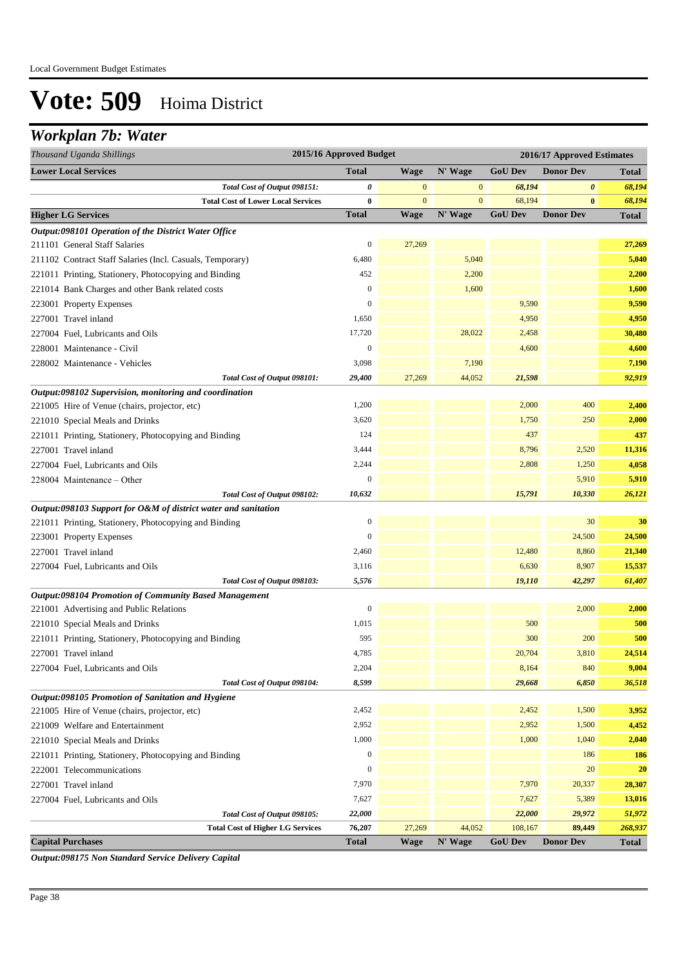### *Workplan 7b: Water*

| Thousand Uganda Shillings                                      | 2015/16 Approved Budget |                |              | 2016/17 Approved Estimates |                  |              |  |
|----------------------------------------------------------------|-------------------------|----------------|--------------|----------------------------|------------------|--------------|--|
| <b>Lower Local Services</b>                                    | <b>Total</b>            | <b>Wage</b>    | N' Wage      | <b>GoU</b> Dev             | <b>Donor Dev</b> | Total        |  |
| Total Cost of Output 098151:                                   | 0                       | $\mathbf{0}$   | $\bf{0}$     | 68,194                     | 0                | 68,194       |  |
| <b>Total Cost of Lower Local Services</b>                      | 0                       | $\overline{0}$ | $\mathbf{0}$ | 68,194                     | $\bf{0}$         | 68,194       |  |
| <b>Higher LG Services</b>                                      | <b>Total</b>            | <b>Wage</b>    | N' Wage      | <b>GoU Dev</b>             | <b>Donor Dev</b> | <b>Total</b> |  |
| Output:098101 Operation of the District Water Office           |                         |                |              |                            |                  |              |  |
| 211101 General Staff Salaries                                  | $\boldsymbol{0}$        | 27,269         |              |                            |                  | 27,269       |  |
| 211102 Contract Staff Salaries (Incl. Casuals, Temporary)      | 6,480                   |                | 5,040        |                            |                  | 5,040        |  |
| 221011 Printing, Stationery, Photocopying and Binding          | 452                     |                | 2,200        |                            |                  | 2,200        |  |
| 221014 Bank Charges and other Bank related costs               | $\mathbf{0}$            |                | 1,600        |                            |                  | 1,600        |  |
| 223001 Property Expenses                                       | $\boldsymbol{0}$        |                |              | 9,590                      |                  | 9,590        |  |
| 227001 Travel inland                                           | 1,650                   |                |              | 4,950                      |                  | 4,950        |  |
| 227004 Fuel, Lubricants and Oils                               | 17,720                  |                | 28,022       | 2,458                      |                  | 30,480       |  |
| 228001 Maintenance - Civil                                     | $\boldsymbol{0}$        |                |              | 4,600                      |                  | 4,600        |  |
| 228002 Maintenance - Vehicles                                  | 3,098                   |                | 7,190        |                            |                  | 7,190        |  |
| Total Cost of Output 098101:                                   | 29,400                  | 27,269         | 44,052       | 21,598                     |                  | 92,919       |  |
| Output:098102 Supervision, monitoring and coordination         |                         |                |              |                            |                  |              |  |
| 221005 Hire of Venue (chairs, projector, etc)                  | 1,200                   |                |              | 2,000                      | 400              | 2,400        |  |
| 221010 Special Meals and Drinks                                | 3,620                   |                |              | 1,750                      | 250              | 2,000        |  |
| 221011 Printing, Stationery, Photocopying and Binding          | 124                     |                |              | 437                        |                  | 437          |  |
| 227001 Travel inland                                           | 3,444                   |                |              | 8,796                      | 2,520            | 11,316       |  |
| 227004 Fuel, Lubricants and Oils                               | 2,244                   |                |              | 2,808                      | 1,250            | 4,058        |  |
| 228004 Maintenance – Other                                     | $\overline{0}$          |                |              |                            | 5,910            | 5,910        |  |
| Total Cost of Output 098102:                                   | 10,632                  |                |              | 15,791                     | 10,330           | 26,121       |  |
| Output:098103 Support for O&M of district water and sanitation |                         |                |              |                            |                  |              |  |
| 221011 Printing, Stationery, Photocopying and Binding          | $\boldsymbol{0}$        |                |              |                            | 30               | 30           |  |
| 223001 Property Expenses                                       | $\overline{0}$          |                |              |                            | 24,500           | 24,500       |  |
| 227001 Travel inland                                           | 2,460                   |                |              | 12,480                     | 8,860            | 21,340       |  |
| 227004 Fuel, Lubricants and Oils                               | 3,116                   |                |              | 6,630                      | 8,907            | 15,537       |  |
| Total Cost of Output 098103:                                   | 5,576                   |                |              | 19,110                     | 42,297           | 61,407       |  |
| Output:098104 Promotion of Community Based Management          |                         |                |              |                            |                  |              |  |
| 221001 Advertising and Public Relations                        | $\overline{0}$          |                |              |                            | 2,000            | 2,000        |  |
| 221010 Special Meals and Drinks                                | 1,015                   |                |              | 500                        |                  | 500          |  |
| 221011 Printing, Stationery, Photocopying and Binding          | 595                     |                |              | 300                        | 200              | 500          |  |
| 227001 Travel inland                                           | 4,785                   |                |              | 20,704                     | 3,810            | 24,514       |  |
| 227004 Fuel, Lubricants and Oils                               | 2,204                   |                |              | 8,164                      | 840              | 9,004        |  |
| Total Cost of Output 098104:                                   | 8,599                   |                |              | 29,668                     | 6,850            | 36,518       |  |
| Output:098105 Promotion of Sanitation and Hygiene              |                         |                |              |                            |                  |              |  |
| 221005 Hire of Venue (chairs, projector, etc)                  | 2,452                   |                |              | 2,452                      | 1,500            | 3,952        |  |
| 221009 Welfare and Entertainment                               | 2,952                   |                |              | 2,952                      | 1,500            | 4,452        |  |
| 221010 Special Meals and Drinks                                | 1,000                   |                |              | 1,000                      | 1,040            | 2,040        |  |
| 221011 Printing, Stationery, Photocopying and Binding          | $\boldsymbol{0}$        |                |              |                            | 186              | 186          |  |
| 222001 Telecommunications                                      | $\boldsymbol{0}$        |                |              |                            | 20               | <b>20</b>    |  |
| 227001 Travel inland                                           | 7,970                   |                |              | 7,970                      | 20,337           | 28,307       |  |
| 227004 Fuel, Lubricants and Oils                               | 7,627                   |                |              | 7,627                      | 5,389            | 13,016       |  |
| Total Cost of Output 098105:                                   | 22,000                  |                |              | 22,000                     | 29,972           | 51,972       |  |
| <b>Total Cost of Higher LG Services</b>                        | 76,207                  | 27,269         | 44,052       | 108,167                    | 89,449           | 268,937      |  |
| <b>Capital Purchases</b>                                       | <b>Total</b>            | Wage           | N' Wage      | <b>GoU Dev</b>             | <b>Donor Dev</b> | Total        |  |

*Output:098175 Non Standard Service Delivery Capital*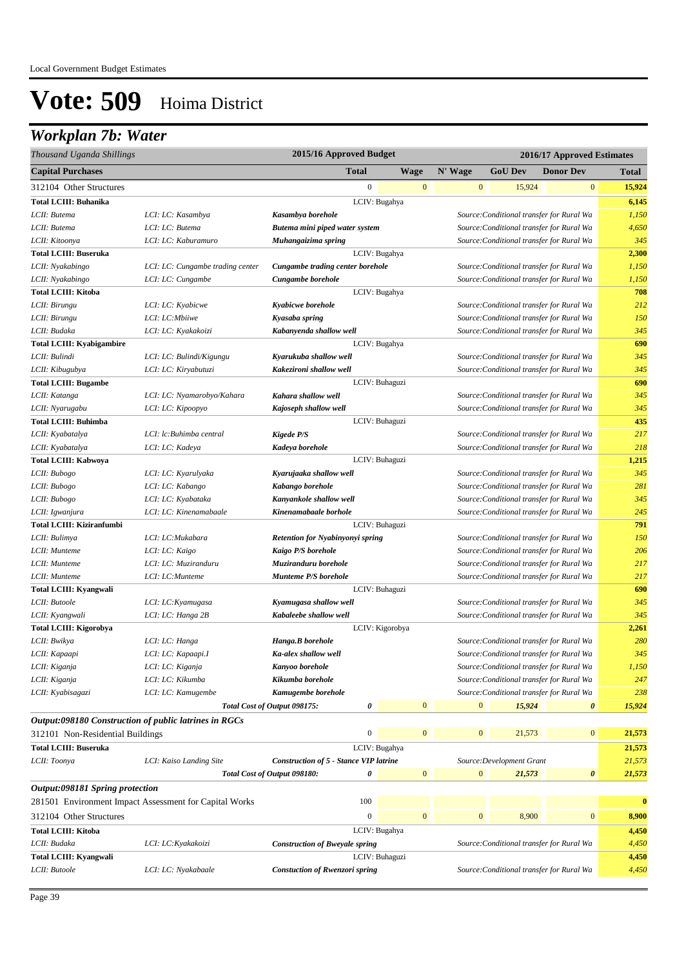### *Workplan 7b: Water*

| Thousand Uganda Shillings                             |                                                        | 2015/16 Approved Budget                       |                 |                  |                  |                           | 2016/17 Approved Estimates                |                |
|-------------------------------------------------------|--------------------------------------------------------|-----------------------------------------------|-----------------|------------------|------------------|---------------------------|-------------------------------------------|----------------|
| <b>Capital Purchases</b>                              |                                                        | <b>Total</b>                                  |                 | Wage             | N' Wage          | <b>GoU Dev</b>            | <b>Donor Dev</b>                          | Total          |
| 312104 Other Structures                               |                                                        | $\boldsymbol{0}$                              |                 | $\mathbf{0}$     | $\mathbf{0}$     | 15,924                    | $\mathbf{0}$                              | 15,924         |
| <b>Total LCIII: Buhanika</b>                          |                                                        |                                               | LCIV: Bugahya   |                  |                  |                           |                                           | 6,145          |
| LCII: Butema                                          | LCI: LC: Kasambya                                      | Kasambya borehole                             |                 |                  |                  |                           | Source: Conditional transfer for Rural Wa | 1,150          |
| LCII: Butema                                          | LCI: LC: Butema                                        | Butema mini piped water system                |                 |                  |                  |                           | Source: Conditional transfer for Rural Wa | 4,650          |
| LCII: Kitoonya                                        | LCI: LC: Kaburamuro                                    | Muhangaizima spring                           |                 |                  |                  |                           | Source: Conditional transfer for Rural Wa | 345            |
| <b>Total LCIII: Buseruka</b>                          |                                                        |                                               | LCIV: Bugahya   |                  |                  |                           |                                           | 2,300          |
| LCII: Nyakabingo                                      | LCI: LC: Cungambe trading center                       | Cungambe trading center borehole              |                 |                  |                  |                           | Source: Conditional transfer for Rural Wa | 1,150          |
| LCII: Nyakabingo                                      | LCI: LC: Cungambe                                      | Cungambe borehole                             |                 |                  |                  |                           | Source: Conditional transfer for Rural Wa | 1,150          |
| <b>Total LCIII: Kitoba</b>                            |                                                        |                                               | LCIV: Bugahya   |                  |                  |                           |                                           | 708            |
| LCII: Birungu                                         | LCI: LC: Kyabicwe                                      | Kyabicwe borehole                             |                 |                  |                  |                           | Source: Conditional transfer for Rural Wa | 212            |
| LCII: Birungu                                         | LCI: LC: Mbiiwe                                        | Kyasaba spring                                |                 |                  |                  |                           | Source: Conditional transfer for Rural Wa | 150            |
| LCII: Budaka                                          | LCI: LC: Kyakakoizi                                    | Kabanyenda shallow well                       |                 |                  |                  |                           | Source: Conditional transfer for Rural Wa | 345            |
| <b>Total LCIII: Kyabigambire</b>                      |                                                        |                                               | LCIV: Bugahya   |                  |                  |                           |                                           | 690            |
| LCII: Bulindi                                         | LCI: LC: Bulindi/Kigungu                               | Kyarukuba shallow well                        |                 |                  |                  |                           | Source: Conditional transfer for Rural Wa | 345            |
| LCII: Kibugubya                                       | LCI: LC: Kiryabutuzi                                   | Kakezironi shallow well                       |                 |                  |                  |                           | Source: Conditional transfer for Rural Wa | 345            |
| <b>Total LCIII: Bugambe</b>                           |                                                        |                                               | LCIV: Buhaguzi  |                  |                  |                           |                                           | 690            |
| LCII: Katanga                                         | LCI: LC: Nyamarobyo/Kahara                             | Kahara shallow well                           |                 |                  |                  |                           | Source: Conditional transfer for Rural Wa | 345            |
| LCII: Nyarugabu                                       | LCI: LC: Kipoopyo                                      | Kajoseph shallow well                         |                 |                  |                  |                           | Source: Conditional transfer for Rural Wa | 345            |
| <b>Total LCIII: Buhimba</b>                           |                                                        |                                               | LCIV: Buhaguzi  |                  |                  |                           |                                           | 435            |
| LCII: Kyabatalya                                      | LCI: lc:Buhimba central                                | Kigede P/S                                    |                 |                  |                  |                           | Source: Conditional transfer for Rural Wa | 217            |
| LCII: Kyabatalya                                      | LCI: LC: Kadeya                                        | Kadeya borehole                               |                 |                  |                  |                           | Source: Conditional transfer for Rural Wa | 218            |
| Total LCIII: Kabwoya                                  |                                                        |                                               | LCIV: Buhaguzi  |                  |                  |                           |                                           | 1,215          |
| LCII: Bubogo                                          | LCI: LC: Kyarulyaka                                    | Kyarujaaka shallow well                       |                 |                  |                  |                           | Source: Conditional transfer for Rural Wa | 345            |
| LCII: Bubogo                                          | LCI: LC: Kabango                                       | Kabango borehole                              |                 |                  |                  |                           | Source: Conditional transfer for Rural Wa | 281            |
| LCII: Bubogo                                          | LCI: LC: Kyabataka                                     | Kanyankole shallow well                       |                 |                  |                  |                           | Source: Conditional transfer for Rural Wa | 345            |
| LCII: Igwanjura                                       | LCI: LC: Kinenamabaale                                 | Kinenamabaale borhole                         |                 |                  |                  |                           | Source: Conditional transfer for Rural Wa | 245            |
| <b>Total LCIII: Kiziranfumbi</b>                      |                                                        |                                               | LCIV: Buhaguzi  |                  |                  |                           |                                           | 791            |
| LCII: Bulimya                                         | LCI: LC: Mukabara                                      | Retention for Nyabinyonyi spring              |                 |                  |                  |                           | Source: Conditional transfer for Rural Wa | 150            |
| LCII: Munteme                                         | LCI: LC: Kaigo                                         | Kaigo P/S borehole                            |                 |                  |                  |                           | Source: Conditional transfer for Rural Wa | 206            |
| LCII: Munteme                                         | LCI: LC: Muziranduru                                   | Muziranduru borehole                          |                 |                  |                  |                           | Source: Conditional transfer for Rural Wa | 217            |
| LCII: Munteme                                         | LCI: LC: Munteme                                       | Munteme P/S borehole                          |                 |                  |                  |                           | Source: Conditional transfer for Rural Wa | 217            |
| <b>Total LCIII: Kyangwali</b>                         |                                                        |                                               | LCIV: Buhaguzi  |                  |                  |                           |                                           | 690            |
| LCII: Butoole                                         | LCI: LC: Kyamugasa                                     | Kyamugasa shallow well                        |                 |                  |                  |                           | Source: Conditional transfer for Rural Wa | 345            |
| LCII: Kyangwali                                       | LCI: LC: Hanga 2B                                      | Kabaleebe shallow well                        |                 |                  |                  |                           | Source: Conditional transfer for Rural Wa | 345            |
| <b>Total LCIII: Kigorobya</b>                         |                                                        |                                               | LCIV: Kigorobya |                  |                  |                           |                                           | 2,261          |
| LCII: Bwikya                                          | LCI: LC: Hanga                                         | Hanga.B borehole                              |                 |                  |                  |                           | Source: Conditional transfer for Rural Wa | 280            |
| LCII: Kapaapi                                         | LCI: LC: Kapaapi.I                                     | Ka-alex shallow well                          |                 |                  |                  |                           | Source: Conditional transfer for Rural Wa | 345            |
| LCII: Kiganja                                         | LCI: LC: Kiganja                                       | Kanyoo borehole                               |                 |                  |                  |                           | Source: Conditional transfer for Rural Wa | 1,150          |
| LCII: Kiganja                                         | LCI: LC: Kikumba                                       | Kikumba borehole                              |                 |                  |                  |                           | Source: Conditional transfer for Rural Wa | 247            |
| LCII: Kyabisagazi                                     | LCI: LC: Kamugembe                                     | Kamugembe borehole                            |                 |                  |                  |                           | Source: Conditional transfer for Rural Wa | 238            |
|                                                       |                                                        | Total Cost of Output 098175:<br>0             |                 | $\overline{0}$   | $\mathbf{0}$     | 15,924                    | $\boldsymbol{\theta}$                     | 15,924         |
| Output:098180 Construction of public latrines in RGCs |                                                        |                                               |                 |                  |                  |                           |                                           |                |
| 312101 Non-Residential Buildings                      |                                                        | $\boldsymbol{0}$                              |                 | $\mathbf{0}$     | $\boldsymbol{0}$ | 21,573                    | $\boldsymbol{0}$                          | 21,573         |
| <b>Total LCIII: Buseruka</b>                          |                                                        |                                               | LCIV: Bugahya   |                  |                  |                           |                                           | 21,573         |
| LCII: Toonya                                          | LCI: Kaiso Landing Site                                | <b>Construction of 5 - Stance VIP latrine</b> |                 |                  |                  | Source: Development Grant |                                           | 21,573         |
|                                                       |                                                        | 0<br>Total Cost of Output 098180:             |                 | $\mathbf{0}$     | $\boldsymbol{0}$ | 21,573                    | $\boldsymbol{\theta}$                     | 21,573         |
| Output:098181 Spring protection                       |                                                        |                                               |                 |                  |                  |                           |                                           |                |
|                                                       | 281501 Environment Impact Assessment for Capital Works | 100                                           |                 |                  |                  |                           |                                           | $\bf{0}$       |
| 312104 Other Structures                               |                                                        | $\boldsymbol{0}$                              |                 | $\boldsymbol{0}$ | $\boldsymbol{0}$ | 8,900                     | $\bf{0}$                                  | 8,900          |
| <b>Total LCIII: Kitoba</b>                            |                                                        |                                               |                 |                  |                  |                           |                                           |                |
| LCII: Budaka                                          |                                                        | <b>Construction of Bweyale spring</b>         | LCIV: Bugahya   |                  |                  |                           |                                           | 4,450<br>4,450 |
| Total LCIII: Kyangwali                                | LCI: LC: Kyakakoizi                                    |                                               | LCIV: Buhaguzi  |                  |                  |                           | Source: Conditional transfer for Rural Wa | 4,450          |
| LCII: Butoole                                         |                                                        |                                               |                 |                  |                  |                           | Source: Conditional transfer for Rural Wa | 4,450          |
|                                                       | LCI: LC: Nyakabaale                                    | <b>Constuction of Rwenzori spring</b>         |                 |                  |                  |                           |                                           |                |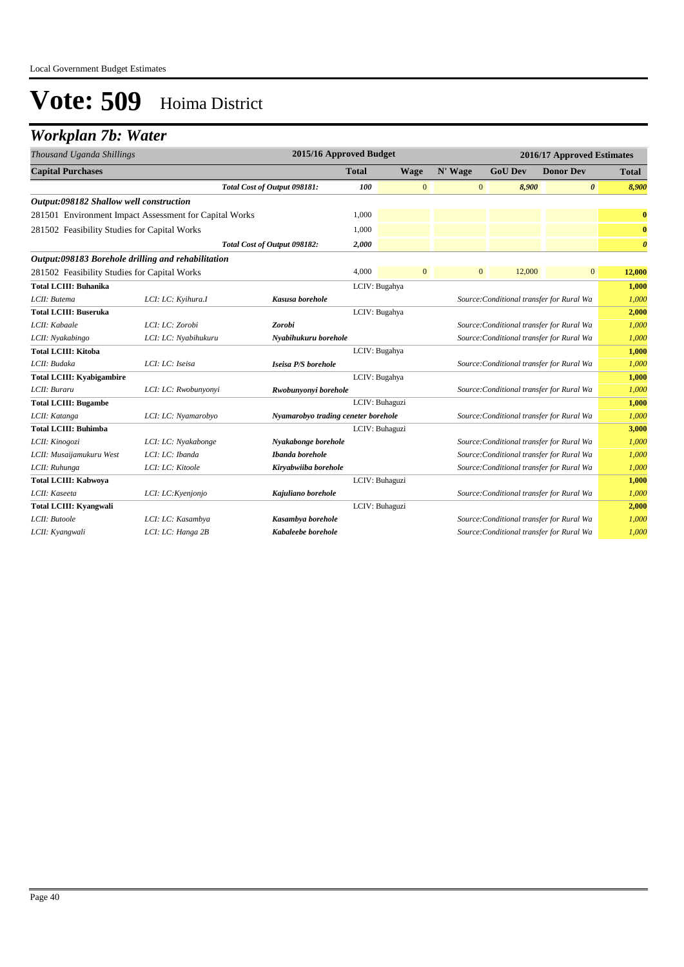## *Workplan 7b: Water*

| Thousand Uganda Shillings                              |                      |                                     | 2015/16 Approved Budget |                |              |                                           | 2016/17 Approved Estimates |                       |
|--------------------------------------------------------|----------------------|-------------------------------------|-------------------------|----------------|--------------|-------------------------------------------|----------------------------|-----------------------|
| <b>Capital Purchases</b>                               |                      |                                     | <b>Total</b>            | <b>Wage</b>    | N' Wage      | <b>GoU Dev</b>                            | <b>Donor Dev</b>           | <b>Total</b>          |
|                                                        |                      | Total Cost of Output 098181:        | <b>100</b>              | $\mathbf{0}$   | $\mathbf{0}$ | 8,900                                     | $\boldsymbol{\theta}$      | 8,900                 |
| Output:098182 Shallow well construction                |                      |                                     |                         |                |              |                                           |                            |                       |
| 281501 Environment Impact Assessment for Capital Works |                      |                                     | 1,000                   |                |              |                                           |                            | $\bf{0}$              |
| 281502 Feasibility Studies for Capital Works           |                      |                                     | 1,000                   |                |              |                                           |                            | $\bf{0}$              |
|                                                        |                      | Total Cost of Output 098182:        | 2,000                   |                |              |                                           |                            | $\boldsymbol{\theta}$ |
| Output:098183 Borehole drilling and rehabilitation     |                      |                                     |                         |                |              |                                           |                            |                       |
| 281502 Feasibility Studies for Capital Works           |                      |                                     | 4,000                   | $\overline{0}$ | $\mathbf{0}$ | 12,000                                    | $\mathbf{0}$               | 12,000                |
| <b>Total LCIII: Buhanika</b>                           |                      |                                     |                         | LCIV: Bugahya  |              |                                           |                            | 1,000                 |
| LCII: Butema                                           | LCI: LC: Kyihura.I   | Kasusa borehole                     |                         |                |              | Source: Conditional transfer for Rural Wa |                            | 1,000                 |
| <b>Total LCIII: Buseruka</b>                           |                      |                                     |                         | LCIV: Bugahya  |              |                                           |                            | 2,000                 |
| LCII: Kabaale                                          | LCI: LC: Zorobi      | Zorobi                              |                         |                |              | Source: Conditional transfer for Rural Wa |                            | 1,000                 |
| LCII: Nyakabingo                                       | LCI: LC: Nyabihukuru | Nyabihukuru borehole                |                         |                |              | Source: Conditional transfer for Rural Wa |                            | 1,000                 |
| <b>Total LCIII: Kitoba</b>                             |                      |                                     |                         | LCIV: Bugahya  |              |                                           |                            | 1,000                 |
| LCII: Budaka                                           | LCI: LC: Iseisa      | Iseisa P/S borehole                 |                         |                |              | Source: Conditional transfer for Rural Wa |                            | 1,000                 |
| <b>Total LCIII: Kyabigambire</b>                       |                      |                                     |                         | LCIV: Bugahya  |              |                                           |                            | 1,000                 |
| LCII: Buraru                                           | LCI: LC: Rwobunyonyi | Rwobunyonyi borehole                |                         |                |              | Source: Conditional transfer for Rural Wa |                            | 1.000                 |
| <b>Total LCIII: Bugambe</b>                            |                      |                                     |                         | LCIV: Buhaguzi |              |                                           |                            | 1,000                 |
| LCII: Katanga                                          | LCI: LC: Nyamarobyo  | Nyamarobyo trading ceneter borehole |                         |                |              | Source: Conditional transfer for Rural Wa |                            | 1,000                 |
| <b>Total LCIII: Buhimba</b>                            |                      |                                     |                         | LCIV: Buhaguzi |              |                                           |                            | 3,000                 |
| LCII: Kinogozi                                         | LCI: LC: Nyakabonge  | Nyakabonge borehole                 |                         |                |              | Source: Conditional transfer for Rural Wa |                            | 1,000                 |
| LCII: Musaijamukuru West                               | LCI: LC: Ibanda      | Ibanda borehole                     |                         |                |              | Source: Conditional transfer for Rural Wa |                            | 1,000                 |
| LCII: Ruhunga                                          | LCI: LC: Kitoole     | Kiryabwiiba borehole                |                         |                |              | Source: Conditional transfer for Rural Wa |                            | 1.000                 |
| <b>Total LCIII: Kabwoya</b>                            |                      |                                     |                         | LCIV: Buhaguzi |              |                                           |                            | 1,000                 |
| LCII: Kaseeta                                          | LCI: LC: Kyenjonjo   | Kajuliano borehole                  |                         |                |              | Source: Conditional transfer for Rural Wa |                            | 1,000                 |
| <b>Total LCIII: Kyangwali</b>                          |                      |                                     |                         | LCIV: Buhaguzi |              |                                           |                            | 2,000                 |
| LCII: Butoole                                          | LCI: LC: Kasambya    | Kasambya borehole                   |                         |                |              | Source: Conditional transfer for Rural Wa |                            | 1,000                 |
| LCII: Kyangwali                                        | LCI: LC: Hanga 2B    | Kabaleebe borehole                  |                         |                |              | Source: Conditional transfer for Rural Wa |                            | 1,000                 |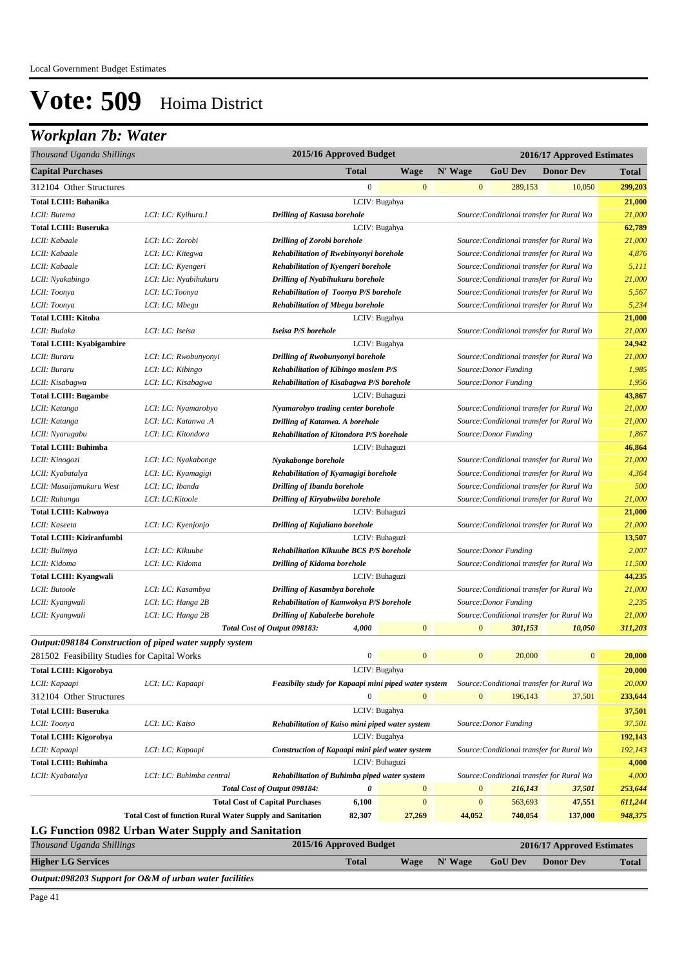### *Workplan 7b: Water*

| Thousand Uganda Shillings                    |                                                                 |                                                                                      | 2015/16 Approved Budget |                  |              |                                           | 2016/17 Approved Estimates |              |
|----------------------------------------------|-----------------------------------------------------------------|--------------------------------------------------------------------------------------|-------------------------|------------------|--------------|-------------------------------------------|----------------------------|--------------|
| <b>Capital Purchases</b>                     |                                                                 |                                                                                      | <b>Total</b>            | <b>Wage</b>      | N' Wage      | <b>GoU</b> Dev                            | <b>Donor Dev</b>           | <b>Total</b> |
| 312104 Other Structures                      |                                                                 |                                                                                      | $\boldsymbol{0}$        | $\bf{0}$         | $\mathbf{0}$ | 289,153                                   | 10,050                     | 299,203      |
| <b>Total LCIII: Buhanika</b>                 |                                                                 |                                                                                      |                         | LCIV: Bugahya    |              |                                           |                            | 21,000       |
| LCII: Butema                                 | LCI: LC: Kyihura.I                                              | <b>Drilling of Kasusa borehole</b>                                                   |                         |                  |              | Source: Conditional transfer for Rural Wa |                            | 21,000       |
| <b>Total LCIII: Buseruka</b>                 |                                                                 |                                                                                      |                         | LCIV: Bugahya    |              |                                           |                            | 62,789       |
| LCII: Kabaale                                | LCI: LC: Zorobi                                                 | <b>Drilling of Zorobi borehole</b>                                                   |                         |                  |              | Source: Conditional transfer for Rural Wa |                            | 21,000       |
| LCII: Kabaale                                | LCI: LC: Kitegwa                                                | Rehabilitation of Rwebinyonyi borehole                                               |                         |                  |              | Source: Conditional transfer for Rural Wa |                            | 4,876        |
| LCII: Kabaale                                | LCI: LC: Kyengeri                                               | Rehabilitation of Kyengeri borehole                                                  |                         |                  |              | Source: Conditional transfer for Rural Wa |                            | 5,111        |
| LCII: Nyakabingo                             | LCI: Llc: Nyabihukuru                                           | Drilling of Nyabihukuru borehole                                                     |                         |                  |              | Source: Conditional transfer for Rural Wa |                            | 21,000       |
| LCII: Toonya                                 | LCI: LC:Toonya                                                  | <b>Rehabilitation of Toonya P/S borehole</b>                                         |                         |                  |              | Source: Conditional transfer for Rural Wa |                            | 5,567        |
| LCII: Toonya                                 | LCI: LC: Mbegu                                                  | <b>Rehabilitation of Mbegu borehole</b>                                              |                         |                  |              | Source: Conditional transfer for Rural Wa |                            | 5,234        |
| <b>Total LCIII: Kitoba</b>                   |                                                                 |                                                                                      |                         | LCIV: Bugahya    |              |                                           |                            | 21,000       |
| LCII: Budaka                                 | LCI: LC: Iseisa                                                 | Iseisa P/S borehole                                                                  |                         |                  |              | Source: Conditional transfer for Rural Wa |                            | 21,000       |
| <b>Total LCIII: Kyabigambire</b>             |                                                                 |                                                                                      |                         | LCIV: Bugahya    |              |                                           |                            | 24,942       |
| LCII: Buraru                                 | LCI: LC: Rwobunyonyi                                            | Drilling of Rwobunyonyi borehole                                                     |                         |                  |              | Source: Conditional transfer for Rural Wa |                            | 21,000       |
| LCII: Buraru                                 | LCI: LC: Kibingo                                                | <b>Rehabilitation of Kibingo moslem P/S</b>                                          |                         |                  |              | Source: Donor Funding                     |                            | 1,985        |
| LCII: Kisabagwa                              | LCI: LC: Kisabagwa                                              | Rehabilitation of Kisabagwa P/S borehole                                             |                         |                  |              | Source: Donor Funding                     |                            | 1,956        |
| <b>Total LCIII: Bugambe</b>                  |                                                                 |                                                                                      |                         | LCIV: Buhaguzi   |              |                                           |                            | 43,867       |
| LCII: Katanga                                | LCI: LC: Nyamarobyo                                             | Nyamarobyo trading center borehole                                                   |                         |                  |              | Source: Conditional transfer for Rural Wa |                            | 21,000       |
| LCII: Katanga                                | LCI: LC: Katanwa .A                                             | Drilling of Katanwa. A borehole                                                      |                         |                  |              | Source: Conditional transfer for Rural Wa |                            | 21,000       |
| LCII: Nyarugabu                              | LCI: LC: Kitondora                                              | Rehabilitation of Kitondora P/S borehole                                             |                         |                  |              | Source: Donor Funding                     |                            | 1,867        |
| <b>Total LCIII: Buhimba</b>                  |                                                                 |                                                                                      |                         | LCIV: Buhaguzi   |              |                                           |                            | 46,864       |
| LCII: Kinogozi                               | LCI: LC: Nyakabonge                                             | Nyakabonge borehole                                                                  |                         |                  |              | Source: Conditional transfer for Rural Wa |                            | 21,000       |
| LCII: Kyabatalya                             | LCI: LC: Kyamagigi                                              | Rehabilitation of Kyamagigi borehole<br>Source: Conditional transfer for Rural Wa    |                         |                  |              |                                           | 4,364                      |              |
| LCII: Musaijamukuru West                     | LCI: LC: Ibanda                                                 | <b>Drilling of Ibanda borehole</b><br>Source: Conditional transfer for Rural Wa      |                         |                  |              | 500                                       |                            |              |
| LCII: Ruhunga                                | LCI: LC: Kitoole                                                | <b>Drilling of Kiryabwiiba borehole</b><br>Source: Conditional transfer for Rural Wa |                         |                  |              |                                           | 21,000                     |              |
| Total LCIII: Kabwoya                         |                                                                 | LCIV: Buhaguzi                                                                       |                         |                  |              |                                           | 21,000                     |              |
| LCII: Kaseeta                                | LCI: LC: Kyenjonjo                                              | Drilling of Kajuliano borehole                                                       |                         |                  |              | Source: Conditional transfer for Rural Wa |                            | 21,000       |
| Total LCIII: Kiziranfumbi                    |                                                                 |                                                                                      |                         | LCIV: Buhaguzi   |              |                                           |                            | 13,507       |
| LCII: Bulimya                                | LCI: LC: Kikuube                                                | <b>Rehabilitation Kikuube BCS P/S borehole</b>                                       |                         |                  |              | Source: Donor Funding                     |                            | 2,007        |
| LCII: Kidoma                                 | LCI: LC: Kidoma                                                 | <b>Drilling of Kidoma borehole</b>                                                   |                         |                  |              | Source: Conditional transfer for Rural Wa |                            | 11,500       |
| <b>Total LCIII: Kyangwali</b>                |                                                                 |                                                                                      |                         | LCIV: Buhaguzi   |              |                                           |                            | 44,235       |
| LCII: Butoole                                | LCI: LC: Kasambya                                               | <b>Drilling of Kasambya borehole</b>                                                 |                         |                  |              | Source: Conditional transfer for Rural Wa |                            | 21,000       |
| LCII: Kyangwali                              | LCI: LC: Hanga 2B                                               | Rehabilitation of Kamwokya P/S borehole                                              |                         |                  |              | Source: Donor Funding                     |                            | 2,235        |
| LCII: Kyangwali                              | LCI: LC: Hanga 2B                                               | <b>Drilling of Kabaleebe borehole</b>                                                |                         |                  |              | Source: Conditional transfer for Rural Wa |                            | 21,000       |
|                                              |                                                                 | Total Cost of Output 098183:                                                         | 4,000                   | $\boldsymbol{0}$ | $\mathbf{0}$ | 301,153                                   | 10,050                     | 311,203      |
|                                              | Output:098184 Construction of piped water supply system         |                                                                                      |                         |                  |              |                                           |                            |              |
| 281502 Feasibility Studies for Capital Works |                                                                 |                                                                                      | $\boldsymbol{0}$        | $\mathbf{0}$     | $\mathbf{0}$ | 20,000                                    | $\mathbf{0}$               | 20,000       |
| <b>Total LCIII: Kigorobya</b>                |                                                                 |                                                                                      |                         | LCIV: Bugahya    |              |                                           |                            | 20,000       |
| LCII: Kapaapi                                | LCI: LC: Kapaapi                                                | Feasibilty study for Kapaapi mini piped water system                                 |                         |                  |              | Source: Conditional transfer for Rural Wa |                            | 20,000       |
| 312104 Other Structures                      |                                                                 |                                                                                      | $\mathbf{0}$            | $\mathbf{0}$     | $\mathbf{0}$ | 196,143                                   | 37,501                     | 233,644      |
| <b>Total LCIII: Buseruka</b>                 |                                                                 |                                                                                      |                         | LCIV: Bugahya    |              |                                           |                            | 37,501       |
| LCII: Toonya                                 | LCI: LC: Kaiso                                                  | Rehabilitation of Kaiso mini piped water system                                      |                         |                  |              | Source: Donor Funding                     |                            | 37,501       |
| <b>Total LCIII: Kigorobya</b>                |                                                                 |                                                                                      |                         | LCIV: Bugahya    |              |                                           |                            | 192,143      |
| LCII: Kapaapi                                | LCI: LC: Kapaapi                                                | Construction of Kapaapi mini pied water system                                       |                         |                  |              | Source: Conditional transfer for Rural Wa |                            | 192,143      |
| <b>Total LCIII: Buhimba</b>                  |                                                                 |                                                                                      |                         | LCIV: Buhaguzi   |              |                                           |                            | 4,000        |
| LCII: Kyabatalya                             | LCI: LC: Buhimba central                                        | Rehabilitation of Buhimba piped water system                                         |                         |                  |              | Source: Conditional transfer for Rural Wa |                            | 4,000        |
|                                              |                                                                 | Total Cost of Output 098184:                                                         | 0                       | $\mathbf{0}$     | $\mathbf{0}$ | 216,143                                   | 37,501                     | 253,644      |
|                                              |                                                                 | <b>Total Cost of Capital Purchases</b>                                               | 6,100                   | $\boldsymbol{0}$ | $\mathbf{0}$ | 563,693                                   | 47,551                     | 611,244      |
|                                              | <b>Total Cost of function Rural Water Supply and Sanitation</b> |                                                                                      | 82,307                  | 27,269           | 44,052       | 740,054                                   | 137,000                    | 948,375      |
|                                              | LG Function 0982 Urban Water Supply and Sanitation              |                                                                                      |                         |                  |              |                                           |                            |              |
| Thousand Uganda Shillings                    |                                                                 |                                                                                      | 2015/16 Approved Budget |                  |              |                                           | 2016/17 Approved Estimates |              |
| <b>Higher LG Services</b>                    |                                                                 |                                                                                      | <b>Total</b>            | Wage             | N' Wage      | <b>GoU Dev</b>                            | <b>Donor Dev</b>           | <b>Total</b> |

| <b>Higher LG Services</b> |  |
|---------------------------|--|
|                           |  |

*Output:098203 Support for O&M of urban water facilities*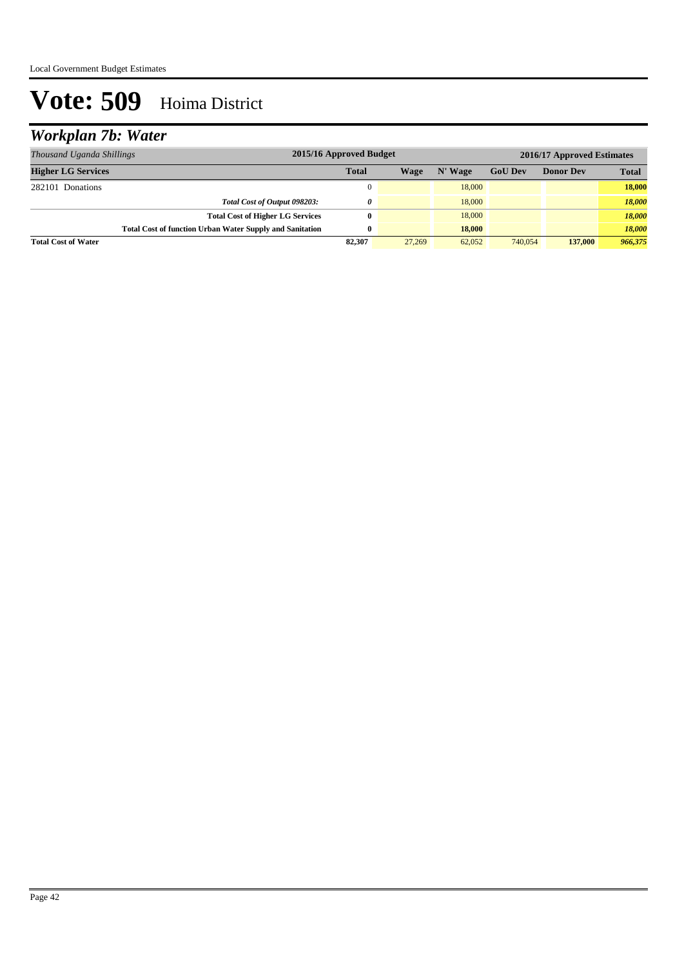## *Workplan 7b: Water*

| Thousand Uganda Shillings                                       | 2015/16 Approved Budget |        | 2016/17 Approved Estimates |                |                  |              |
|-----------------------------------------------------------------|-------------------------|--------|----------------------------|----------------|------------------|--------------|
| <b>Higher LG Services</b>                                       | <b>Total</b>            | Wage   | N' Wage                    | <b>GoU Dev</b> | <b>Donor Dev</b> | <b>Total</b> |
| 282101 Donations                                                | $\Omega$                |        | 18,000                     |                |                  | 18,000       |
| Total Cost of Output 098203:                                    | 0                       |        | 18,000                     |                |                  | 18,000       |
| <b>Total Cost of Higher LG Services</b>                         | 0                       |        | 18,000                     |                |                  | 18,000       |
| <b>Total Cost of function Urban Water Supply and Sanitation</b> | 0                       |        | 18,000                     |                |                  | 18.000       |
| <b>Total Cost of Water</b>                                      | 82,307                  | 27,269 | 62,052                     | 740,054        | 137,000          | 966,375      |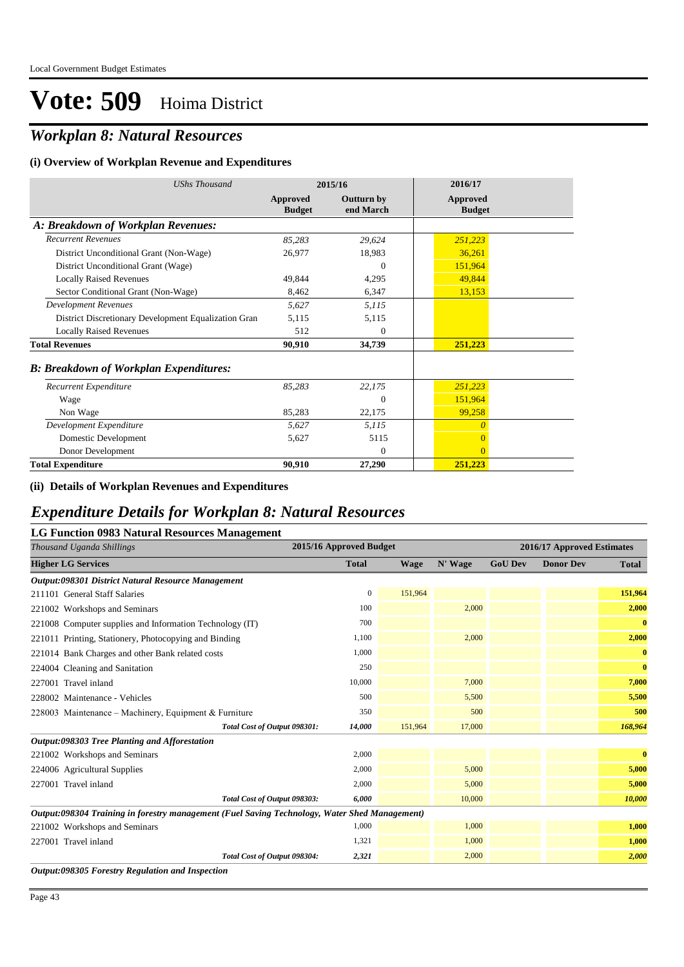## *Workplan 8: Natural Resources*

#### **(i) Overview of Workplan Revenue and Expenditures**

| <b>UShs Thousand</b>                                 |                           | 2015/16                 | 2016/17                   |  |
|------------------------------------------------------|---------------------------|-------------------------|---------------------------|--|
|                                                      | Approved<br><b>Budget</b> | Outturn by<br>end March | Approved<br><b>Budget</b> |  |
| A: Breakdown of Workplan Revenues:                   |                           |                         |                           |  |
| <b>Recurrent Revenues</b>                            | 85,283                    | 29,624                  | 251,223                   |  |
| District Unconditional Grant (Non-Wage)              | 26,977                    | 18,983                  | 36,261                    |  |
| District Unconditional Grant (Wage)                  |                           | $\Omega$                | 151,964                   |  |
| <b>Locally Raised Revenues</b>                       | 49.844                    | 4,295                   | 49,844                    |  |
| Sector Conditional Grant (Non-Wage)                  | 8,462                     | 6,347                   | 13,153                    |  |
| <b>Development Revenues</b>                          | 5,627                     | 5,115                   |                           |  |
| District Discretionary Development Equalization Gran | 5,115                     | 5,115                   |                           |  |
| <b>Locally Raised Revenues</b>                       | 512                       | $\Omega$                |                           |  |
| <b>Total Revenues</b>                                | 90,910                    | 34,739                  | 251,223                   |  |
| <b>B: Breakdown of Workplan Expenditures:</b>        |                           |                         |                           |  |
| Recurrent Expenditure                                | 85,283                    | 22,175                  | 251,223                   |  |
| Wage                                                 |                           | $\Omega$                | 151,964                   |  |
| Non Wage                                             | 85,283                    | 22,175                  | 99,258                    |  |
| Development Expenditure                              | 5,627                     | 5,115                   | $\theta$                  |  |
| Domestic Development                                 | 5,627                     | 5115                    | $\overline{0}$            |  |
| Donor Development                                    |                           | $\Omega$                | $\theta$                  |  |
| <b>Total Expenditure</b>                             | 90,910                    | 27,290                  | 251,223                   |  |

#### **(ii) Details of Workplan Revenues and Expenditures**

### *Expenditure Details for Workplan 8: Natural Resources*

#### **LG Function 0983 Natural Resources Management**

| Thousand Uganda Shillings                                                                     | 2015/16 Approved Budget |             |         | 2016/17 Approved Estimates |                  |              |
|-----------------------------------------------------------------------------------------------|-------------------------|-------------|---------|----------------------------|------------------|--------------|
| <b>Higher LG Services</b>                                                                     | <b>Total</b>            | <b>Wage</b> | N' Wage | <b>GoU Dev</b>             | <b>Donor Dev</b> | <b>Total</b> |
| Output:098301 District Natural Resource Management                                            |                         |             |         |                            |                  |              |
| 211101 General Staff Salaries                                                                 | $\mathbf{0}$            | 151,964     |         |                            |                  | 151,964      |
| 221002 Workshops and Seminars                                                                 | 100                     |             | 2,000   |                            |                  | 2,000        |
| 221008 Computer supplies and Information Technology (IT)                                      | 700                     |             |         |                            |                  | $\bf{0}$     |
| 221011 Printing, Stationery, Photocopying and Binding                                         | 1,100                   |             | 2,000   |                            |                  | 2,000        |
| 221014 Bank Charges and other Bank related costs                                              | 1,000                   |             |         |                            |                  | $\bf{0}$     |
| 224004 Cleaning and Sanitation                                                                | 250                     |             |         |                            |                  | $\bf{0}$     |
| 227001 Travel inland                                                                          | 10,000                  |             | 7,000   |                            |                  | 7,000        |
| 228002 Maintenance - Vehicles                                                                 | 500                     |             | 5,500   |                            |                  | 5,500        |
| 228003 Maintenance – Machinery, Equipment & Furniture                                         | 350                     |             | 500     |                            |                  | 500          |
| Total Cost of Output 098301:                                                                  | 14,000                  | 151,964     | 17,000  |                            |                  | 168,964      |
| Output:098303 Tree Planting and Afforestation                                                 |                         |             |         |                            |                  |              |
| 221002 Workshops and Seminars                                                                 | 2,000                   |             |         |                            |                  | $\bf{0}$     |
| 224006 Agricultural Supplies                                                                  | 2,000                   |             | 5,000   |                            |                  | 5,000        |
| 227001 Travel inland                                                                          | 2,000                   |             | 5,000   |                            |                  | 5,000        |
| Total Cost of Output 098303:                                                                  | 6,000                   |             | 10,000  |                            |                  | 10,000       |
| Output:098304 Training in forestry management (Fuel Saving Technology, Water Shed Management) |                         |             |         |                            |                  |              |
| 221002 Workshops and Seminars                                                                 | 1,000                   |             | 1,000   |                            |                  | 1,000        |
| 227001 Travel inland                                                                          | 1,321                   |             | 1,000   |                            |                  | 1,000        |
| Total Cost of Output 098304:                                                                  | 2,321                   |             | 2,000   |                            |                  | 2,000        |
| Output:098305 Forestry Regulation and Inspection                                              |                         |             |         |                            |                  |              |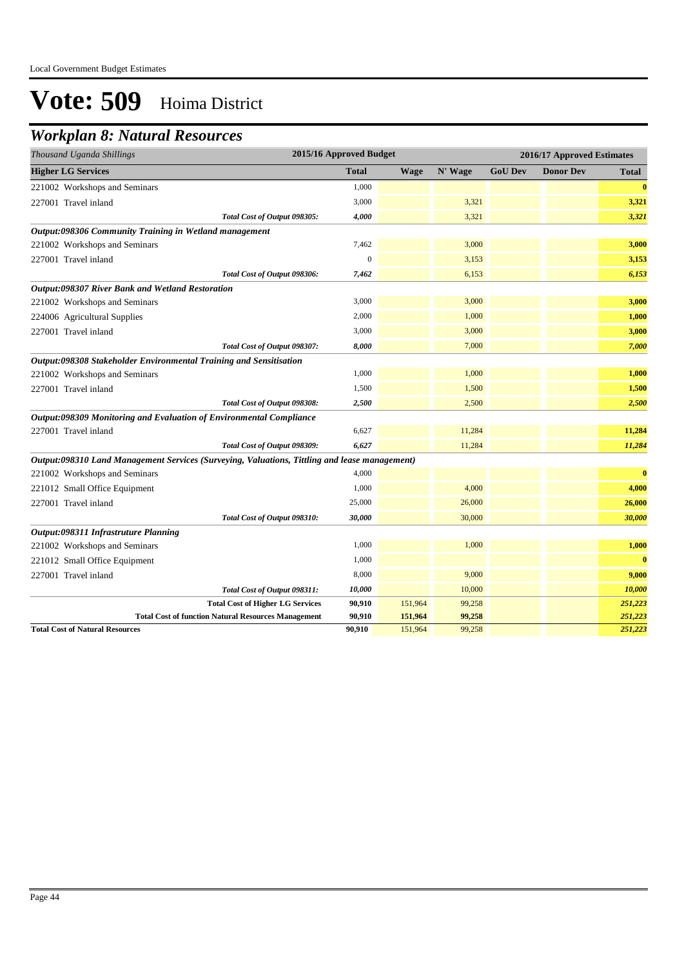### *Workplan 8: Natural Resources*

| 2015/16 Approved Budget<br>Thousand Uganda Shillings                                          |              |             |         | 2016/17 Approved Estimates |                  |              |  |
|-----------------------------------------------------------------------------------------------|--------------|-------------|---------|----------------------------|------------------|--------------|--|
| <b>Higher LG Services</b>                                                                     | <b>Total</b> | <b>Wage</b> | N' Wage | <b>GoU Dev</b>             | <b>Donor Dev</b> | <b>Total</b> |  |
| 221002 Workshops and Seminars                                                                 | 1,000        |             |         |                            |                  | $\bf{0}$     |  |
| 227001 Travel inland                                                                          | 3,000        |             | 3,321   |                            |                  | 3,321        |  |
| Total Cost of Output 098305:                                                                  | 4,000        |             | 3,321   |                            |                  | 3,321        |  |
| Output:098306 Community Training in Wetland management                                        |              |             |         |                            |                  |              |  |
| 221002 Workshops and Seminars                                                                 | 7,462        |             | 3,000   |                            |                  | 3,000        |  |
| 227001 Travel inland                                                                          | $\theta$     |             | 3,153   |                            |                  | 3,153        |  |
| Total Cost of Output 098306:                                                                  | 7,462        |             | 6,153   |                            |                  | 6,153        |  |
| Output:098307 River Bank and Wetland Restoration                                              |              |             |         |                            |                  |              |  |
| 221002 Workshops and Seminars                                                                 | 3,000        |             | 3,000   |                            |                  | 3,000        |  |
| 224006 Agricultural Supplies                                                                  | 2,000        |             | 1,000   |                            |                  | 1,000        |  |
| 227001 Travel inland                                                                          | 3,000        |             | 3,000   |                            |                  | 3,000        |  |
| Total Cost of Output 098307:                                                                  | 8,000        |             | 7,000   |                            |                  | 7,000        |  |
| Output:098308 Stakeholder Environmental Training and Sensitisation                            |              |             |         |                            |                  |              |  |
| 221002 Workshops and Seminars                                                                 | 1,000        |             | 1,000   |                            |                  | 1,000        |  |
| 227001 Travel inland                                                                          | 1,500        |             | 1,500   |                            |                  | 1,500        |  |
| Total Cost of Output 098308:                                                                  | 2,500        |             | 2,500   |                            |                  | 2,500        |  |
| Output:098309 Monitoring and Evaluation of Environmental Compliance                           |              |             |         |                            |                  |              |  |
| 227001 Travel inland                                                                          | 6,627        |             | 11,284  |                            |                  | 11,284       |  |
| Total Cost of Output 098309:                                                                  | 6,627        |             | 11,284  |                            |                  | 11,284       |  |
| Output:098310 Land Management Services (Surveying, Valuations, Tittling and lease management) |              |             |         |                            |                  |              |  |
| 221002 Workshops and Seminars                                                                 | 4,000        |             |         |                            |                  | $\bf{0}$     |  |
| 221012 Small Office Equipment                                                                 | 1,000        |             | 4,000   |                            |                  | 4,000        |  |
| 227001 Travel inland                                                                          | 25,000       |             | 26,000  |                            |                  | 26,000       |  |
| Total Cost of Output 098310:                                                                  | 30,000       |             | 30,000  |                            |                  | 30,000       |  |
| Output:098311 Infrastruture Planning                                                          |              |             |         |                            |                  |              |  |
| 221002 Workshops and Seminars                                                                 | 1,000        |             | 1,000   |                            |                  | 1,000        |  |
| 221012 Small Office Equipment                                                                 | 1,000        |             |         |                            |                  | $\bf{0}$     |  |
| 227001 Travel inland                                                                          | 8,000        |             | 9,000   |                            |                  | 9,000        |  |
| Total Cost of Output 098311:                                                                  | 10,000       |             | 10,000  |                            |                  | 10,000       |  |
| <b>Total Cost of Higher LG Services</b>                                                       | 90,910       | 151,964     | 99,258  |                            |                  | 251,223      |  |
| <b>Total Cost of function Natural Resources Management</b>                                    | 90,910       | 151,964     | 99,258  |                            |                  | 251,223      |  |
| <b>Total Cost of Natural Resources</b>                                                        | 90,910       | 151,964     | 99,258  |                            |                  | 251,223      |  |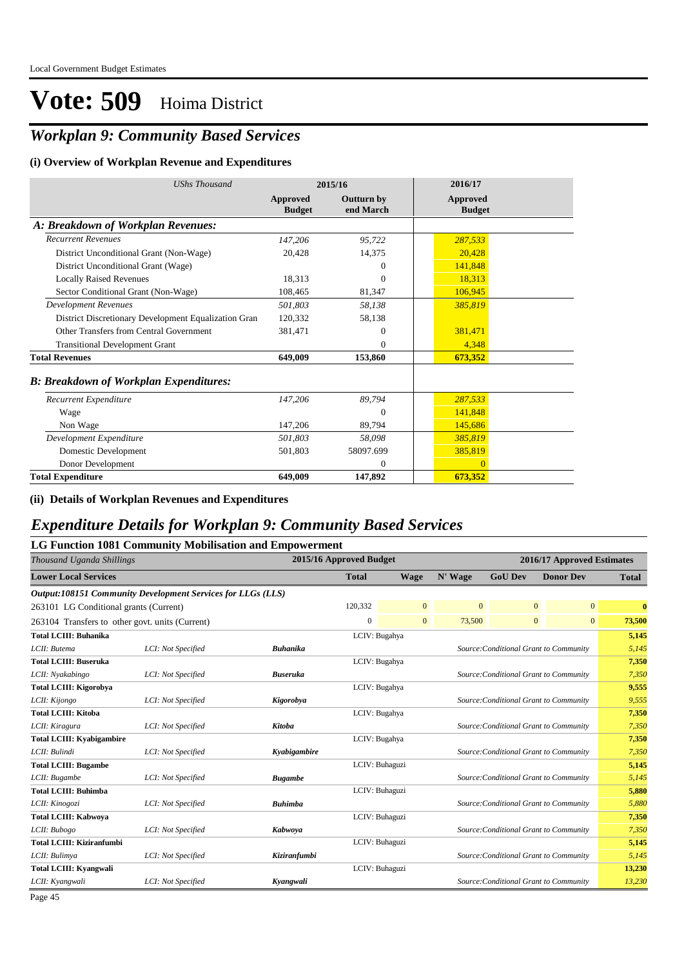## *Workplan 9: Community Based Services*

#### **(i) Overview of Workplan Revenue and Expenditures**

| <b>UShs Thousand</b>                                 |                           | 2015/16                 | 2016/17                   |
|------------------------------------------------------|---------------------------|-------------------------|---------------------------|
|                                                      | Approved<br><b>Budget</b> | Outturn by<br>end March | Approved<br><b>Budget</b> |
| A: Breakdown of Workplan Revenues:                   |                           |                         |                           |
| <b>Recurrent Revenues</b>                            | 147,206                   | 95,722                  | 287,533                   |
| District Unconditional Grant (Non-Wage)              | 20,428                    | 14,375                  | 20,428                    |
| District Unconditional Grant (Wage)                  |                           | $\theta$                | 141,848                   |
| <b>Locally Raised Revenues</b>                       | 18,313                    | $\Omega$                | 18,313                    |
| Sector Conditional Grant (Non-Wage)                  | 108,465                   | 81,347                  | 106,945                   |
| <b>Development Revenues</b>                          | 501,803                   | 58,138                  | 385,819                   |
| District Discretionary Development Equalization Gran | 120,332                   | 58,138                  |                           |
| Other Transfers from Central Government              | 381,471                   | $\theta$                | 381,471                   |
| <b>Transitional Development Grant</b>                |                           | $\Omega$                | 4,348                     |
| <b>Total Revenues</b>                                | 649,009                   | 153,860                 | 673,352                   |
| <b>B: Breakdown of Workplan Expenditures:</b>        |                           |                         |                           |
| Recurrent Expenditure                                | 147,206                   | 89,794                  | 287,533                   |
| Wage                                                 |                           | $\Omega$                | 141,848                   |
| Non Wage                                             | 147,206                   | 89,794                  | 145,686                   |
| Development Expenditure                              | 501,803                   | 58,098                  | 385,819                   |
| Domestic Development                                 | 501,803                   | 58097.699               | 385,819                   |
| Donor Development                                    |                           | $\overline{0}$          | $\overline{0}$            |
| <b>Total Expenditure</b>                             | 649,009                   | 147,892                 | 673,352                   |

#### **(ii) Details of Workplan Revenues and Expenditures**

### *Expenditure Details for Workplan 9: Community Based Services*

|                                                 | LG Function 1081 Community Mobilisation and Empowerment     |                 |                                        |                |                                        |                                        |                            |              |  |
|-------------------------------------------------|-------------------------------------------------------------|-----------------|----------------------------------------|----------------|----------------------------------------|----------------------------------------|----------------------------|--------------|--|
| Thousand Uganda Shillings                       |                                                             |                 | 2015/16 Approved Budget                |                |                                        |                                        | 2016/17 Approved Estimates |              |  |
| <b>Lower Local Services</b>                     |                                                             |                 | <b>Total</b>                           | <b>Wage</b>    | N' Wage                                | <b>GoU Dev</b>                         | <b>Donor Dev</b>           | <b>Total</b> |  |
|                                                 | Output:108151 Community Development Services for LLGs (LLS) |                 |                                        |                |                                        |                                        |                            |              |  |
| 263101 LG Conditional grants (Current)          |                                                             |                 | 120,332                                | $\mathbf{0}$   | $\mathbf{0}$                           | $\mathbf{0}$                           | $\overline{0}$             | $\bf{0}$     |  |
| 263104 Transfers to other govt. units (Current) |                                                             |                 | $\mathbf{0}$                           | $\mathbf{0}$   | 73,500                                 | $\boldsymbol{0}$                       | $\overline{0}$             | 73,500       |  |
| <b>Total LCIII: Buhanika</b>                    |                                                             |                 |                                        | LCIV: Bugahya  |                                        |                                        |                            | 5,145        |  |
| LCII: Butema                                    | LCI: Not Specified                                          | <b>Buhanika</b> |                                        |                |                                        | Source: Conditional Grant to Community |                            | 5,145        |  |
| <b>Total LCIII: Buseruka</b>                    |                                                             |                 |                                        | LCIV: Bugahya  |                                        |                                        |                            | 7,350        |  |
| LCII: Nyakabingo                                | LCI: Not Specified                                          | <b>Buseruka</b> |                                        |                | Source: Conditional Grant to Community | 7,350                                  |                            |              |  |
| <b>Total LCIII: Kigorobya</b>                   |                                                             |                 |                                        | LCIV: Bugahya  |                                        |                                        |                            |              |  |
| LCII: Kijongo                                   | LCI: Not Specified                                          | Kigorobya       | Source: Conditional Grant to Community |                |                                        |                                        |                            | 9,555        |  |
| <b>Total LCIII: Kitoba</b>                      |                                                             |                 |                                        | LCIV: Bugahya  |                                        |                                        |                            | 7,350        |  |
| LCII: Kiragura                                  | LCI: Not Specified                                          | Kitoba          |                                        |                |                                        | Source: Conditional Grant to Community |                            | 7,350        |  |
| <b>Total LCIII: Kyabigambire</b>                |                                                             |                 |                                        | LCIV: Bugahya  |                                        |                                        |                            | 7,350        |  |
| LCII: Bulindi                                   | LCI: Not Specified                                          | Kyabigambire    |                                        |                |                                        | Source: Conditional Grant to Community |                            | 7,350        |  |
| <b>Total LCIII: Bugambe</b>                     |                                                             |                 |                                        | LCIV: Buhaguzi |                                        |                                        |                            | 5,145        |  |
| LCII: Bugambe                                   | LCI: Not Specified                                          | <b>Bugambe</b>  |                                        |                |                                        | Source: Conditional Grant to Community |                            | 5,145        |  |
| <b>Total LCIII: Buhimba</b>                     |                                                             |                 |                                        | LCIV: Buhaguzi |                                        |                                        |                            | 5,880        |  |
| LCII: Kinogozi                                  | LCI: Not Specified                                          | <b>Buhimba</b>  |                                        |                |                                        | Source: Conditional Grant to Community |                            | 5,880        |  |
| <b>Total LCIII: Kabwoya</b>                     |                                                             |                 |                                        | LCIV: Buhaguzi |                                        |                                        |                            | 7,350        |  |
| LCII: Bubogo                                    | LCI: Not Specified                                          | Kabwoya         |                                        |                |                                        | Source: Conditional Grant to Community |                            | 7,350        |  |
| <b>Total LCIII: Kiziranfumbi</b>                |                                                             |                 |                                        | LCIV: Buhaguzi |                                        |                                        |                            | 5,145        |  |
| LCII: Bulimya                                   | LCI: Not Specified                                          | Kiziranfumbi    |                                        |                |                                        | Source: Conditional Grant to Community |                            | 5,145        |  |
| <b>Total LCIII: Kvangwali</b>                   |                                                             |                 |                                        | LCIV: Buhaguzi |                                        |                                        |                            | 13,230       |  |
| LCII: Kyangwali                                 | LCI: Not Specified                                          | Kyangwali       |                                        |                |                                        | Source: Conditional Grant to Community |                            | 13,230       |  |
| $D_{0}$ $\alpha$ $\alpha$ $\beta$ $\beta$       |                                                             |                 |                                        |                |                                        |                                        |                            |              |  |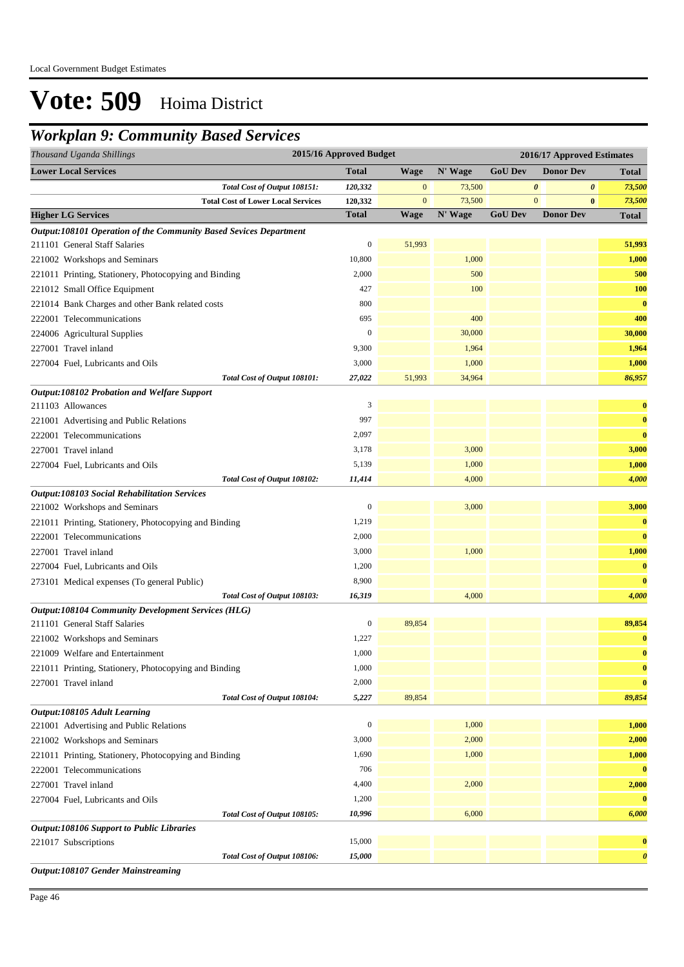## *Workplan 9: Community Based Services*

| Thousand Uganda Shillings                                         | 2015/16 Approved Budget |                |         |                | 2016/17 Approved Estimates |                       |
|-------------------------------------------------------------------|-------------------------|----------------|---------|----------------|----------------------------|-----------------------|
| <b>Lower Local Services</b>                                       | <b>Total</b>            | <b>Wage</b>    | N' Wage | <b>GoU Dev</b> | <b>Donor Dev</b>           | <b>Total</b>          |
| Total Cost of Output 108151:                                      | 120,332                 | $\mathbf{0}$   | 73,500  |                | $\boldsymbol{\theta}$<br>0 | 73,500                |
| <b>Total Cost of Lower Local Services</b>                         | 120,332                 | $\overline{0}$ | 73,500  |                | $\mathbf{0}$<br>$\bf{0}$   | 73,500                |
| <b>Higher LG Services</b>                                         | <b>Total</b>            | <b>Wage</b>    | N' Wage | <b>GoU Dev</b> | <b>Donor Dev</b>           | <b>Total</b>          |
| Output:108101 Operation of the Community Based Sevices Department |                         |                |         |                |                            |                       |
| 211101 General Staff Salaries                                     | 0                       | 51,993         |         |                |                            | 51,993                |
| 221002 Workshops and Seminars                                     | 10,800                  |                | 1,000   |                |                            | 1,000                 |
| 221011 Printing, Stationery, Photocopying and Binding             | 2,000                   |                | 500     |                |                            | 500                   |
| 221012 Small Office Equipment                                     | 427                     |                | 100     |                |                            | <b>100</b>            |
| 221014 Bank Charges and other Bank related costs                  | 800                     |                |         |                |                            | $\bf{0}$              |
| 222001 Telecommunications                                         | 695                     |                | 400     |                |                            | 400                   |
| 224006 Agricultural Supplies                                      | $\mathbf{0}$            |                | 30,000  |                |                            | 30,000                |
| 227001 Travel inland                                              | 9,300                   |                | 1,964   |                |                            | 1,964                 |
| 227004 Fuel, Lubricants and Oils                                  | 3,000                   |                | 1,000   |                |                            | 1,000                 |
| Total Cost of Output 108101:                                      | 27,022                  | 51,993         | 34,964  |                |                            | 86,957                |
| Output:108102 Probation and Welfare Support                       |                         |                |         |                |                            |                       |
| 211103 Allowances                                                 | 3                       |                |         |                |                            | $\bf{0}$              |
| 221001 Advertising and Public Relations                           | 997                     |                |         |                |                            | $\bf{0}$              |
| 222001 Telecommunications                                         | 2,097                   |                |         |                |                            | $\bf{0}$              |
| 227001 Travel inland                                              | 3,178                   |                | 3,000   |                |                            | 3,000                 |
| 227004 Fuel, Lubricants and Oils                                  | 5,139                   |                | 1,000   |                |                            | 1,000                 |
| Total Cost of Output 108102:                                      | 11,414                  |                | 4,000   |                |                            | 4,000                 |
| <b>Output:108103 Social Rehabilitation Services</b>               |                         |                |         |                |                            |                       |
| 221002 Workshops and Seminars                                     | $\boldsymbol{0}$        |                | 3,000   |                |                            | 3,000                 |
| 221011 Printing, Stationery, Photocopying and Binding             | 1,219                   |                |         |                |                            | $\bf{0}$              |
| 222001 Telecommunications                                         | 2,000                   |                |         |                |                            | $\bf{0}$              |
| 227001 Travel inland                                              | 3,000                   |                | 1,000   |                |                            | 1,000                 |
| 227004 Fuel, Lubricants and Oils                                  | 1,200                   |                |         |                |                            | $\bf{0}$              |
| 273101 Medical expenses (To general Public)                       | 8,900                   |                |         |                |                            | $\bf{0}$              |
| Total Cost of Output 108103:                                      | 16,319                  |                | 4,000   |                |                            | 4,000                 |
| Output:108104 Community Development Services (HLG)                |                         |                |         |                |                            |                       |
| 211101 General Staff Salaries                                     | 0                       | 89,854         |         |                |                            | 89,854                |
| 221002 Workshops and Seminars                                     | 1,227                   |                |         |                |                            | $\bf{0}$              |
| 221009 Welfare and Entertainment                                  | 1,000                   |                |         |                |                            | $\bf{0}$              |
| 221011 Printing, Stationery, Photocopying and Binding             | 1,000                   |                |         |                |                            | $\bf{0}$              |
| 227001 Travel inland                                              | 2,000                   |                |         |                |                            | $\bf{0}$              |
| Total Cost of Output 108104:                                      | 5,227                   | 89,854         |         |                |                            | 89,854                |
| Output:108105 Adult Learning                                      |                         |                |         |                |                            |                       |
| 221001 Advertising and Public Relations                           | $\boldsymbol{0}$        |                | 1,000   |                |                            | 1,000                 |
| 221002 Workshops and Seminars                                     | 3,000                   |                | 2,000   |                |                            | 2,000                 |
| 221011 Printing, Stationery, Photocopying and Binding             | 1,690                   |                | 1,000   |                |                            | 1,000                 |
| 222001 Telecommunications                                         | 706                     |                |         |                |                            | $\bf{0}$              |
| 227001 Travel inland                                              | 4,400                   |                | 2,000   |                |                            | 2,000                 |
| 227004 Fuel, Lubricants and Oils                                  | 1,200                   |                |         |                |                            | $\bf{0}$              |
| Total Cost of Output 108105:                                      | 10,996                  |                | 6,000   |                |                            | 6,000                 |
| <b>Output:108106 Support to Public Libraries</b>                  |                         |                |         |                |                            |                       |
| 221017 Subscriptions                                              | 15,000                  |                |         |                |                            | $\bf{0}$              |
| Total Cost of Output 108106:                                      | 15,000                  |                |         |                |                            | $\boldsymbol{\theta}$ |
| Output:108107 Gender Mainstreaming                                |                         |                |         |                |                            |                       |

Page 46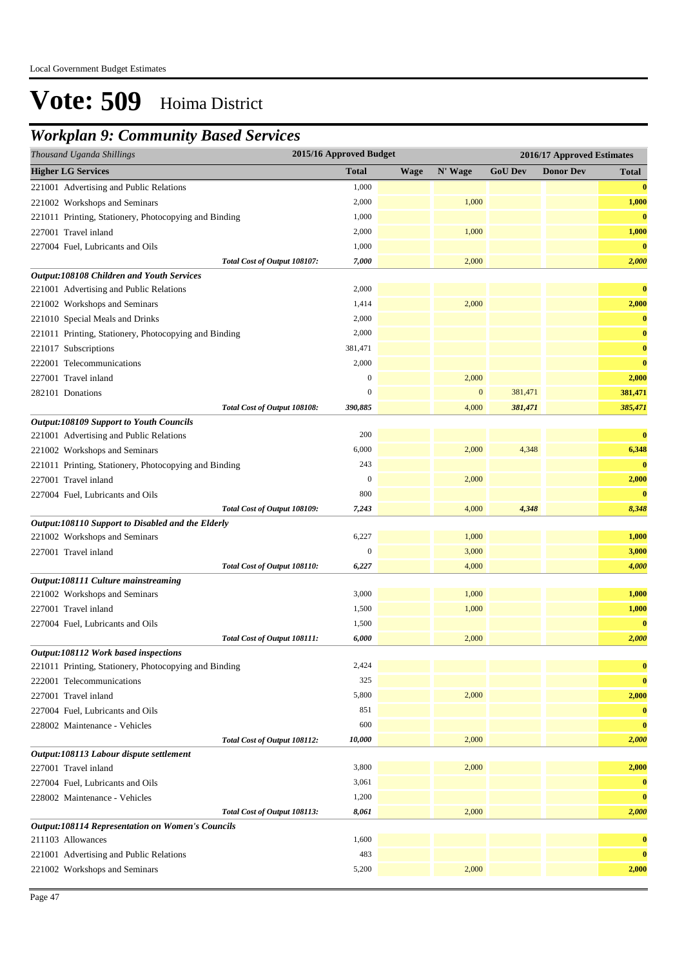## *Workplan 9: Community Based Services*

|                           | Thousand Uganda Shillings                               | 2015/16 Approved Budget |             |              |                | 2016/17 Approved Estimates |              |
|---------------------------|---------------------------------------------------------|-------------------------|-------------|--------------|----------------|----------------------------|--------------|
| <b>Higher LG Services</b> |                                                         | <b>Total</b>            | <b>Wage</b> | N' Wage      | <b>GoU Dev</b> | <b>Donor Dev</b>           | <b>Total</b> |
|                           | 221001 Advertising and Public Relations                 | 1,000                   |             |              |                |                            | $\bf{0}$     |
|                           | 221002 Workshops and Seminars                           | 2,000                   |             | 1,000        |                |                            | 1,000        |
|                           | 221011 Printing, Stationery, Photocopying and Binding   | 1,000                   |             |              |                |                            | $\bf{0}$     |
|                           | 227001 Travel inland                                    | 2,000                   |             | 1,000        |                |                            | 1,000        |
|                           | 227004 Fuel, Lubricants and Oils                        | 1,000                   |             |              |                |                            | $\bf{0}$     |
|                           | Total Cost of Output 108107:                            | 7,000                   |             | 2,000        |                |                            | 2,000        |
|                           | <b>Output:108108 Children and Youth Services</b>        |                         |             |              |                |                            |              |
|                           | 221001 Advertising and Public Relations                 | 2,000                   |             |              |                |                            | $\bf{0}$     |
|                           | 221002 Workshops and Seminars                           | 1,414                   |             | 2,000        |                |                            | 2,000        |
|                           | 221010 Special Meals and Drinks                         | 2,000                   |             |              |                |                            | $\bf{0}$     |
|                           | 221011 Printing, Stationery, Photocopying and Binding   | 2,000                   |             |              |                |                            | $\bf{0}$     |
|                           | 221017 Subscriptions                                    | 381,471                 |             |              |                |                            | $\bf{0}$     |
|                           | 222001 Telecommunications                               | 2,000                   |             |              |                |                            | $\bf{0}$     |
|                           | 227001 Travel inland                                    | $\boldsymbol{0}$        |             | 2,000        |                |                            | 2,000        |
| 282101 Donations          |                                                         | $\mathbf{0}$            |             | $\mathbf{0}$ | 381,471        |                            | 381,471      |
|                           | Total Cost of Output 108108:                            | 390,885                 |             | 4,000        | 381,471        |                            | 385,471      |
|                           | <b>Output:108109 Support to Youth Councils</b>          |                         |             |              |                |                            |              |
|                           | 221001 Advertising and Public Relations                 | 200                     |             |              |                |                            | $\bf{0}$     |
|                           | 221002 Workshops and Seminars                           | 6,000                   |             | 2,000        | 4,348          |                            | 6,348        |
|                           | 221011 Printing, Stationery, Photocopying and Binding   | 243                     |             |              |                |                            | $\bf{0}$     |
|                           | 227001 Travel inland                                    | $\boldsymbol{0}$        |             | 2,000        |                |                            | 2,000        |
|                           | 227004 Fuel, Lubricants and Oils                        | 800                     |             |              |                |                            | $\bf{0}$     |
|                           | Total Cost of Output 108109:                            | 7,243                   |             | 4,000        | 4,348          |                            | 8,348        |
|                           | Output:108110 Support to Disabled and the Elderly       |                         |             |              |                |                            |              |
|                           | 221002 Workshops and Seminars                           | 6,227                   |             | 1,000        |                |                            | 1,000        |
|                           | 227001 Travel inland                                    | $\mathbf{0}$            |             | 3,000        |                |                            | 3,000        |
|                           | Total Cost of Output 108110:                            | 6,227                   |             | 4,000        |                |                            | 4,000        |
|                           | Output:108111 Culture mainstreaming                     |                         |             |              |                |                            |              |
|                           | 221002 Workshops and Seminars                           | 3,000                   |             | 1,000        |                |                            | 1,000        |
|                           | 227001 Travel inland                                    | 1,500                   |             | 1,000        |                |                            | 1,000        |
|                           | 227004 Fuel, Lubricants and Oils                        | 1,500                   |             |              |                |                            | $\bf{0}$     |
|                           | Total Cost of Output 108111:                            | 6,000                   |             | 2,000        |                |                            | 2,000        |
|                           | <i><b>Output:108112 Work based inspections</b></i>      |                         |             |              |                |                            |              |
|                           | 221011 Printing, Stationery, Photocopying and Binding   | 2,424                   |             |              |                |                            | $\bf{0}$     |
|                           | 222001 Telecommunications                               | 325                     |             |              |                |                            | $\bf{0}$     |
|                           | 227001 Travel inland                                    | 5,800                   |             | 2,000        |                |                            | 2,000        |
|                           | 227004 Fuel, Lubricants and Oils                        | 851                     |             |              |                |                            | $\bf{0}$     |
|                           | 228002 Maintenance - Vehicles                           | 600                     |             |              |                |                            | $\bf{0}$     |
|                           | Total Cost of Output 108112:                            | 10,000                  |             | 2,000        |                |                            | 2,000        |
|                           | Output:108113 Labour dispute settlement                 |                         |             |              |                |                            |              |
|                           | 227001 Travel inland                                    | 3,800                   |             | 2,000        |                |                            | 2,000        |
|                           | 227004 Fuel, Lubricants and Oils                        | 3,061                   |             |              |                |                            | $\bf{0}$     |
|                           | 228002 Maintenance - Vehicles                           | 1,200                   |             |              |                |                            | $\bf{0}$     |
|                           | Total Cost of Output 108113:                            | 8,061                   |             | 2,000        |                |                            | 2,000        |
|                           | <b>Output:108114 Representation on Women's Councils</b> | 1,600                   |             |              |                |                            | $\bf{0}$     |
| 211103 Allowances         |                                                         |                         |             |              |                |                            |              |
|                           | 221001 Advertising and Public Relations                 | 483                     |             |              |                |                            | $\bf{0}$     |
|                           | 221002 Workshops and Seminars                           | 5,200                   |             | 2,000        |                |                            | 2,000        |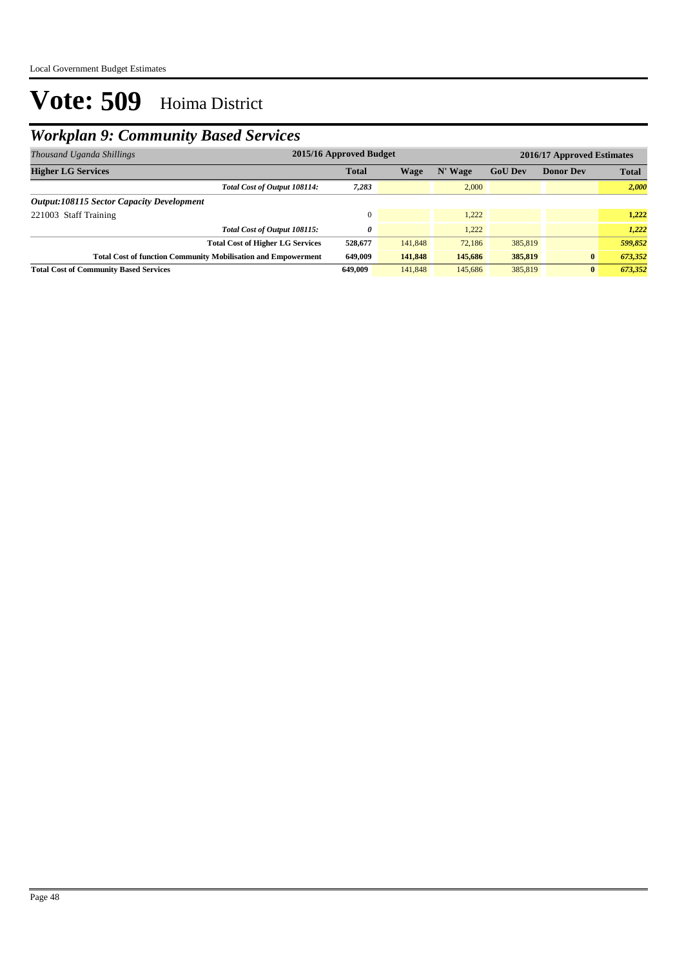## *Workplan 9: Community Based Services*

| Thousand Uganda Shillings                                            | 2015/16 Approved Budget                           |         |         |         |          | 2016/17 Approved Estimates |  |  |  |
|----------------------------------------------------------------------|---------------------------------------------------|---------|---------|---------|----------|----------------------------|--|--|--|
| <b>Higher LG Services</b>                                            | <b>Total</b><br><b>GoU Dev</b><br>Wage<br>N' Wage |         |         |         |          | <b>Total</b>               |  |  |  |
| Total Cost of Output 108114:                                         | 7,283                                             |         | 2,000   |         |          | 2,000                      |  |  |  |
| <b>Output:108115 Sector Capacity Development</b>                     |                                                   |         |         |         |          |                            |  |  |  |
| 221003 Staff Training                                                |                                                   |         | 1.222   |         |          | 1,222                      |  |  |  |
| Total Cost of Output 108115:                                         | 0                                                 |         | 1.222   |         |          | 1,222                      |  |  |  |
| <b>Total Cost of Higher LG Services</b>                              | 528,677                                           | 141,848 | 72,186  | 385,819 |          | 599,852                    |  |  |  |
| <b>Total Cost of function Community Mobilisation and Empowerment</b> | 649,009                                           | 141,848 | 145,686 | 385,819 | $\bf{0}$ | 673,352                    |  |  |  |
| <b>Total Cost of Community Based Services</b>                        | 649,009                                           | 141,848 | 145,686 | 385,819 | $\bf{0}$ | 673,352                    |  |  |  |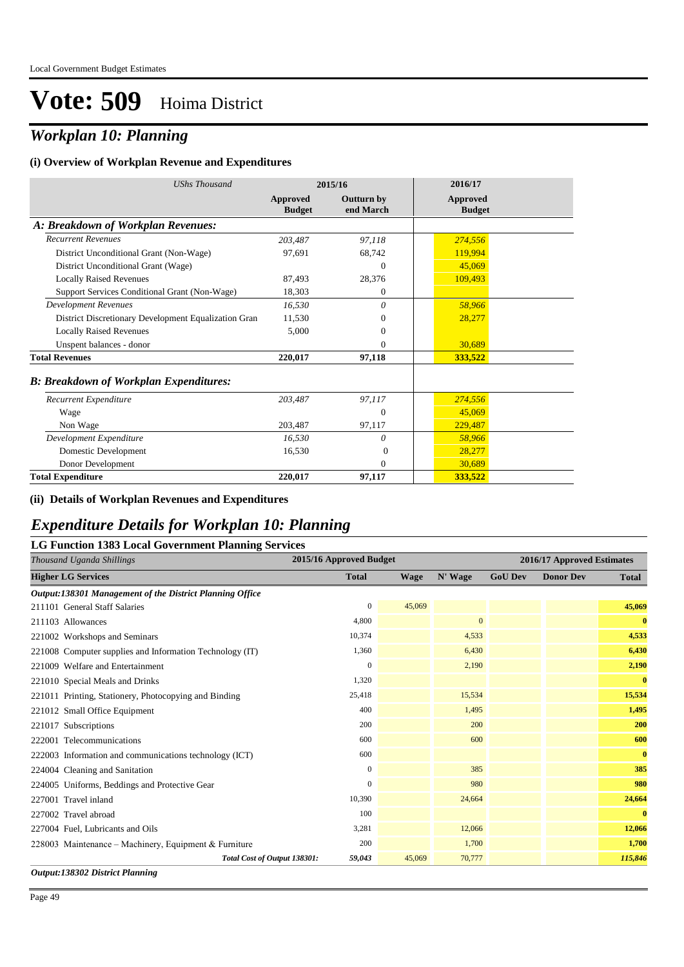### *Workplan 10: Planning*

#### **(i) Overview of Workplan Revenue and Expenditures**

| <b>UShs Thousand</b>                                 |                           | 2015/16                        | 2016/17                          |
|------------------------------------------------------|---------------------------|--------------------------------|----------------------------------|
|                                                      | Approved<br><b>Budget</b> | <b>Outturn by</b><br>end March | <b>Approved</b><br><b>Budget</b> |
| A: Breakdown of Workplan Revenues:                   |                           |                                |                                  |
| <b>Recurrent Revenues</b>                            | 203,487                   | 97,118                         | 274,556                          |
| District Unconditional Grant (Non-Wage)              | 97,691                    | 68,742                         | 119,994                          |
| District Unconditional Grant (Wage)                  |                           | $\overline{0}$                 | 45,069                           |
| <b>Locally Raised Revenues</b>                       | 87,493                    | 28,376                         | 109,493                          |
| Support Services Conditional Grant (Non-Wage)        | 18,303                    | $\theta$                       |                                  |
| <b>Development Revenues</b>                          | 16,530                    | 0                              | 58,966                           |
| District Discretionary Development Equalization Gran | 11,530                    | $\mathbf{0}$                   | 28,277                           |
| <b>Locally Raised Revenues</b>                       | 5,000                     | $\mathbf{0}$                   |                                  |
| Unspent balances - donor                             |                           | $\Omega$                       | 30,689                           |
| <b>Total Revenues</b>                                | 220,017                   | 97,118                         | 333,522                          |
| <b>B: Breakdown of Workplan Expenditures:</b>        |                           |                                |                                  |
| Recurrent Expenditure                                | 203.487                   | 97,117                         | 274,556                          |
| Wage                                                 |                           | $\Omega$                       | 45,069                           |
| Non Wage                                             | 203,487                   | 97,117                         | 229,487                          |
| Development Expenditure                              | 16,530                    | 0                              | 58,966                           |
| Domestic Development                                 | 16,530                    | $\Omega$                       | 28,277                           |
| Donor Development                                    |                           | $\Omega$                       | 30,689                           |
| <b>Total Expenditure</b>                             | 220,017                   | 97,117                         | 333,522                          |

#### **(ii) Details of Workplan Revenues and Expenditures**

### *Expenditure Details for Workplan 10: Planning*

#### **LG Function 1383 Local Government Planning Services** *Thousand Uganda Shillings* **2015/16 Approved Budget 2016/17 Approved Estimates Higher LG Services Total Wage N' Wage GoU Dev Donor Dev Total** *Output:138301 Management of the District Planning Office* 211101 General Staff Salaries 0 45,069 **45,069** 211103 Allowances 4,800 0 **0** 221002 Workshops and Seminars 10,374 4,533 **4,533** 221008 Computer supplies and Information Technology (IT) 1,360 **6,430** 6,430 **6,430** 6,430 **6,430** 6,430 221009 Welfare and Entertainment 0 2,190 **2,190** 221010 Special Meals and Drinks 1,320 **0** 221011 Printing, Stationery, Photocopying and Binding 25,418 25,418 15,534 15,534 25,418 15,534 221012 Small Office Equipment 400 1,495 **1,495** 221017 Subscriptions 200 200 **200** 222001 Telecommunications 600 600 **600** 222003 Information and communications technology (ICT) 600 **0** 224004 Cleaning and Sanitation 0 385 **385** 224005 Uniforms, Beddings and Protective Gear 0 980 **980** 227001 Travel inland 10,390 24,664 **24,664** 227002 Travel abroad 100 **0** 227004 Fuel, Lubricants and Oils 3,281 12,066 **12,066** 228003 Maintenance – Machinery, Equipment & Furniture 200 **1,700** 1,700 **1,700** 1,700 **1,700** 1,700 *Total Cost of Output 138301: 59,043* 45,069 70,777 *115,846*

*Output:138302 District Planning*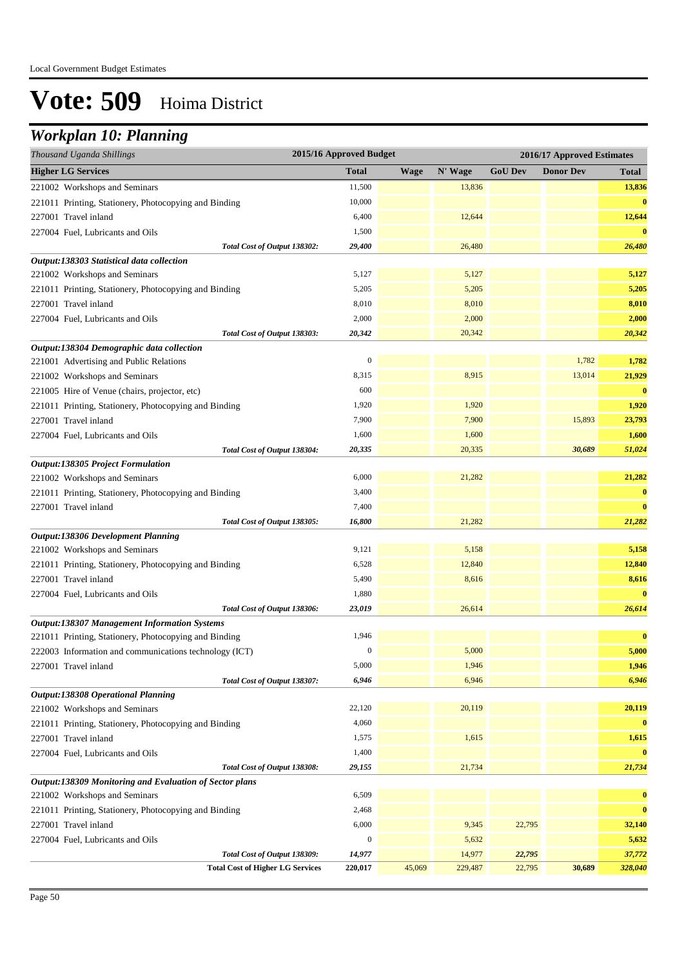## *Workplan 10: Planning*

| Thousand Uganda Shillings                               | 2015/16 Approved Budget |             |         |                | 2016/17 Approved Estimates |              |
|---------------------------------------------------------|-------------------------|-------------|---------|----------------|----------------------------|--------------|
| <b>Higher LG Services</b>                               | <b>Total</b>            | <b>Wage</b> | N' Wage | <b>GoU Dev</b> | <b>Donor Dev</b>           | <b>Total</b> |
| 221002 Workshops and Seminars                           | 11,500                  |             | 13,836  |                |                            | 13,836       |
| 221011 Printing, Stationery, Photocopying and Binding   | 10,000                  |             |         |                |                            | $\bf{0}$     |
| 227001 Travel inland                                    | 6,400                   |             | 12,644  |                |                            | 12,644       |
| 227004 Fuel, Lubricants and Oils                        | 1,500                   |             |         |                |                            | $\bf{0}$     |
| Total Cost of Output 138302:                            | 29,400                  |             | 26,480  |                |                            | 26,480       |
| Output:138303 Statistical data collection               |                         |             |         |                |                            |              |
| 221002 Workshops and Seminars                           | 5,127                   |             | 5,127   |                |                            | 5,127        |
| 221011 Printing, Stationery, Photocopying and Binding   | 5,205                   |             | 5,205   |                |                            | 5,205        |
| 227001 Travel inland                                    | 8,010                   |             | 8,010   |                |                            | 8,010        |
| 227004 Fuel, Lubricants and Oils                        | 2,000                   |             | 2,000   |                |                            | 2,000        |
| Total Cost of Output 138303:                            | 20,342                  |             | 20,342  |                |                            | 20,342       |
| Output:138304 Demographic data collection               |                         |             |         |                |                            |              |
| 221001 Advertising and Public Relations                 | $\boldsymbol{0}$        |             |         |                | 1,782                      | 1,782        |
| 221002 Workshops and Seminars                           | 8,315                   |             | 8,915   |                | 13,014                     | 21,929       |
| 221005 Hire of Venue (chairs, projector, etc)           | 600                     |             |         |                |                            | $\bf{0}$     |
| 221011 Printing, Stationery, Photocopying and Binding   | 1,920                   |             | 1,920   |                |                            | 1,920        |
| 227001 Travel inland                                    | 7,900                   |             | 7,900   |                | 15,893                     | 23,793       |
| 227004 Fuel, Lubricants and Oils                        | 1,600                   |             | 1,600   |                |                            | 1,600        |
| Total Cost of Output 138304:                            | 20,335                  |             | 20,335  |                | 30,689                     | 51,024       |
| Output:138305 Project Formulation                       |                         |             |         |                |                            |              |
| 221002 Workshops and Seminars                           | 6,000                   |             | 21,282  |                |                            | 21,282       |
| 221011 Printing, Stationery, Photocopying and Binding   | 3,400                   |             |         |                |                            | $\bf{0}$     |
| 227001 Travel inland                                    | 7,400                   |             |         |                |                            | $\bf{0}$     |
| Total Cost of Output 138305:                            | 16,800                  |             | 21,282  |                |                            | 21,282       |
| Output:138306 Development Planning                      |                         |             |         |                |                            |              |
| 221002 Workshops and Seminars                           | 9,121                   |             | 5,158   |                |                            | 5,158        |
| 221011 Printing, Stationery, Photocopying and Binding   | 6,528                   |             | 12,840  |                |                            | 12,840       |
| 227001 Travel inland                                    | 5,490                   |             | 8,616   |                |                            | 8,616        |
| 227004 Fuel, Lubricants and Oils                        | 1,880                   |             |         |                |                            | $\bf{0}$     |
| Total Cost of Output 138306:                            | 23,019                  |             | 26,614  |                |                            | 26,614       |
| <b>Output:138307 Management Information Systems</b>     | 1,946                   |             |         |                |                            | $\bf{0}$     |
| 221011 Printing, Stationery, Photocopying and Binding   | $\boldsymbol{0}$        |             | 5,000   |                |                            | 5,000        |
| 222003 Information and communications technology (ICT)  | 5,000                   |             | 1,946   |                |                            | 1,946        |
| 227001 Travel inland<br>Total Cost of Output 138307:    | 6,946                   |             | 6,946   |                |                            | 6,946        |
| <b>Output:138308 Operational Planning</b>               |                         |             |         |                |                            |              |
| 221002 Workshops and Seminars                           | 22,120                  |             | 20,119  |                |                            | 20,119       |
| 221011 Printing, Stationery, Photocopying and Binding   | 4,060                   |             |         |                |                            | $\bf{0}$     |
| 227001 Travel inland                                    | 1,575                   |             | 1,615   |                |                            | 1,615        |
| 227004 Fuel, Lubricants and Oils                        | 1,400                   |             |         |                |                            | $\bf{0}$     |
| Total Cost of Output 138308:                            | 29,155                  |             | 21,734  |                |                            | 21,734       |
| Output:138309 Monitoring and Evaluation of Sector plans |                         |             |         |                |                            |              |
| 221002 Workshops and Seminars                           | 6,509                   |             |         |                |                            | $\bf{0}$     |
| 221011 Printing, Stationery, Photocopying and Binding   | 2,468                   |             |         |                |                            | $\bf{0}$     |
| 227001 Travel inland                                    | 6,000                   |             | 9,345   | 22,795         |                            | 32,140       |
| 227004 Fuel, Lubricants and Oils                        | $\boldsymbol{0}$        |             | 5,632   |                |                            | 5,632        |
| Total Cost of Output 138309:                            | 14,977                  |             | 14,977  | 22,795         |                            | 37,772       |
| <b>Total Cost of Higher LG Services</b>                 | 220,017                 | 45,069      | 229,487 | 22,795         | 30,689                     | 328,040      |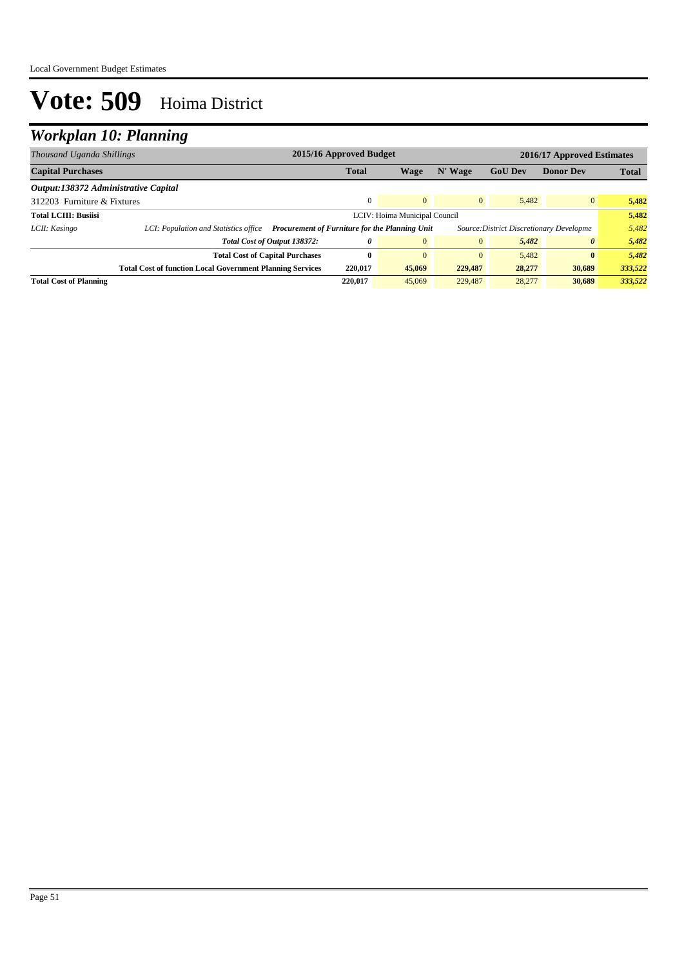## *Workplan 10: Planning*

| Thousand Uganda Shillings            |                                                                  | 2015/16 Approved Budget<br>2016/17 Approved Estimates                                      |                |                |                |                       |              |
|--------------------------------------|------------------------------------------------------------------|--------------------------------------------------------------------------------------------|----------------|----------------|----------------|-----------------------|--------------|
| <b>Capital Purchases</b>             |                                                                  | <b>Total</b>                                                                               | Wage           | N' Wage        | <b>GoU</b> Dev | <b>Donor Dev</b>      | <b>Total</b> |
| Output:138372 Administrative Capital |                                                                  |                                                                                            |                |                |                |                       |              |
| 312203 Furniture & Fixtures          |                                                                  | $\Omega$                                                                                   | $\overline{0}$ | $\overline{0}$ | 5.482          | $\overline{0}$        | 5,482        |
| <b>Total LCIII: Busiisi</b>          |                                                                  | LCIV: Hoima Municipal Council                                                              |                |                |                |                       | 5,482        |
| LCII: Kasingo                        | LCI: Population and Statistics office                            | Procurement of Furniture for the Planning Unit<br>Source: District Discretionary Developme |                |                |                |                       | 5,482        |
|                                      | Total Cost of Output 138372:                                     | 0                                                                                          | $\mathbf{0}$   | $\overline{0}$ | 5,482          | $\boldsymbol{\theta}$ | 5,482        |
|                                      | <b>Total Cost of Capital Purchases</b>                           | $\mathbf{0}$                                                                               | $\mathbf{0}$   | $\overline{0}$ | 5.482          | $\bf{0}$              | 5,482        |
|                                      | <b>Total Cost of function Local Government Planning Services</b> | 220,017                                                                                    | 45,069         | 229,487        | 28,277         | 30,689                | 333,522      |
| <b>Total Cost of Planning</b>        |                                                                  | 220,017                                                                                    | 45,069         | 229,487        | 28,277         | 30,689                | 333,522      |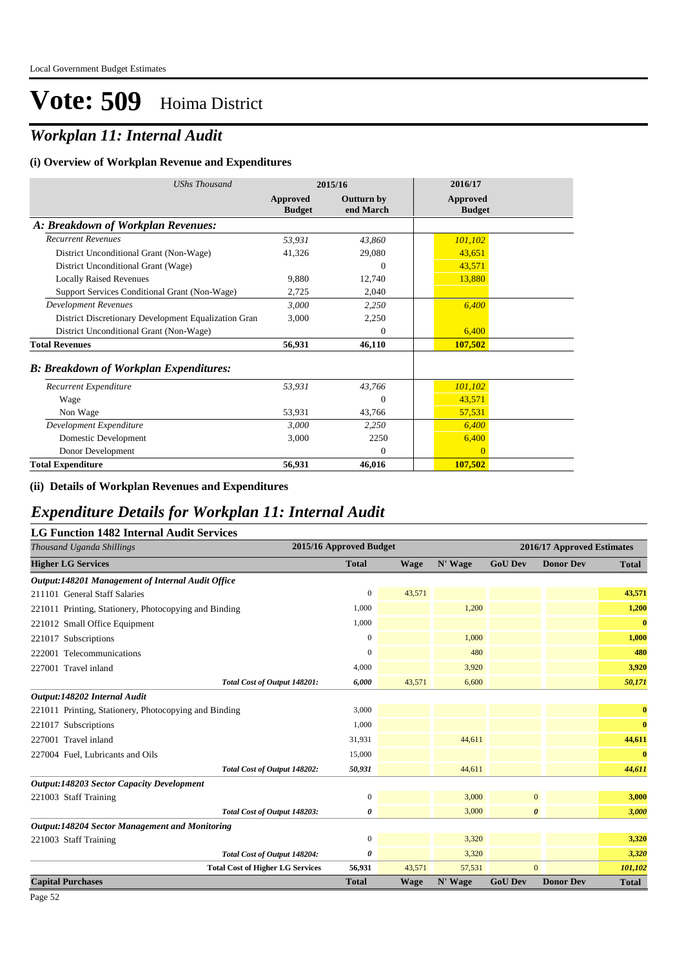## *Workplan 11: Internal Audit*

#### **(i) Overview of Workplan Revenue and Expenditures**

| <b>UShs Thousand</b>                                 |                           | 2015/16                        | 2016/17                          |  |
|------------------------------------------------------|---------------------------|--------------------------------|----------------------------------|--|
|                                                      | Approved<br><b>Budget</b> | <b>Outturn by</b><br>end March | <b>Approved</b><br><b>Budget</b> |  |
| A: Breakdown of Workplan Revenues:                   |                           |                                |                                  |  |
| <b>Recurrent Revenues</b>                            | 53,931                    | 43,860                         | 101,102                          |  |
| District Unconditional Grant (Non-Wage)              | 41,326                    | 29,080                         | 43,651                           |  |
| District Unconditional Grant (Wage)                  |                           | $\theta$                       | 43,571                           |  |
| <b>Locally Raised Revenues</b>                       | 9,880                     | 12,740                         | 13,880                           |  |
| Support Services Conditional Grant (Non-Wage)        | 2,725                     | 2,040                          |                                  |  |
| <b>Development Revenues</b>                          | 3.000                     | 2,250                          | 6,400                            |  |
| District Discretionary Development Equalization Gran | 3,000                     | 2,250                          |                                  |  |
| District Unconditional Grant (Non-Wage)              |                           | $\Omega$                       | 6,400                            |  |
| <b>Total Revenues</b>                                | 56,931                    | 46,110                         | 107,502                          |  |
| <b>B: Breakdown of Workplan Expenditures:</b>        |                           |                                |                                  |  |
| Recurrent Expenditure                                | 53,931                    | 43,766                         | 101,102                          |  |
| Wage                                                 |                           | $\Omega$                       | 43,571                           |  |
| Non Wage                                             | 53,931                    | 43,766                         | 57,531                           |  |
| Development Expenditure                              | 3,000                     | 2,250                          | 6,400                            |  |
| Domestic Development                                 | 3,000                     | 2250                           | 6,400                            |  |
| Donor Development                                    |                           | $\Omega$                       | $\Omega$                         |  |
| <b>Total Expenditure</b>                             | 56,931                    | 46,016                         | 107,502                          |  |

#### **(ii) Details of Workplan Revenues and Expenditures**

### *Expenditure Details for Workplan 11: Internal Audit*

#### **LG Function 1482 Internal Audit Services**

| Thousand Uganda Shillings                             | 2015/16 Approved Budget |             |         |                       | 2016/17 Approved Estimates |              |
|-------------------------------------------------------|-------------------------|-------------|---------|-----------------------|----------------------------|--------------|
| <b>Higher LG Services</b>                             | <b>Total</b>            | <b>Wage</b> | N' Wage | <b>GoU Dev</b>        | <b>Donor Dev</b>           | <b>Total</b> |
| Output:148201 Management of Internal Audit Office     |                         |             |         |                       |                            |              |
| 211101 General Staff Salaries                         | $\mathbf{0}$            | 43,571      |         |                       |                            | 43,571       |
| 221011 Printing, Stationery, Photocopying and Binding | 1,000                   |             | 1,200   |                       |                            | 1,200        |
| 221012 Small Office Equipment                         | 1,000                   |             |         |                       |                            | $\bf{0}$     |
| 221017 Subscriptions                                  | $\Omega$                |             | 1,000   |                       |                            | 1,000        |
| 222001 Telecommunications                             | $\mathbf{0}$            |             | 480     |                       |                            | 480          |
| 227001 Travel inland                                  | 4,000                   |             | 3,920   |                       |                            | 3,920        |
| Total Cost of Output 148201:                          | 6,000                   | 43,571      | 6,600   |                       |                            | 50,171       |
| Output:148202 Internal Audit                          |                         |             |         |                       |                            |              |
| 221011 Printing, Stationery, Photocopying and Binding | 3,000                   |             |         |                       |                            | $\bf{0}$     |
| 221017 Subscriptions                                  | 1,000                   |             |         |                       |                            | $\bf{0}$     |
| 227001 Travel inland                                  | 31,931                  |             | 44,611  |                       |                            | 44,611       |
| 227004 Fuel, Lubricants and Oils                      | 15,000                  |             |         |                       |                            | $\bf{0}$     |
| Total Cost of Output 148202:                          | 50,931                  |             | 44,611  |                       |                            | 44,611       |
| <b>Output:148203 Sector Capacity Development</b>      |                         |             |         |                       |                            |              |
| 221003 Staff Training                                 | $\mathbf{0}$            |             | 3,000   | $\mathbf{0}$          |                            | 3,000        |
| Total Cost of Output 148203:                          | 0                       |             | 3,000   | $\boldsymbol{\theta}$ |                            | 3,000        |
| <b>Output:148204 Sector Management and Monitoring</b> |                         |             |         |                       |                            |              |
| 221003 Staff Training                                 | $\boldsymbol{0}$        |             | 3,320   |                       |                            | 3,320        |
| Total Cost of Output 148204:                          | 0                       |             | 3,320   |                       |                            | 3,320        |
| <b>Total Cost of Higher LG Services</b>               | 56,931                  | 43,571      | 57,531  | $\overline{0}$        |                            | 101,102      |
| <b>Capital Purchases</b>                              | <b>Total</b>            | <b>Wage</b> | N' Wage | <b>GoU Dev</b>        | <b>Donor Dev</b>           | Total        |

Page 52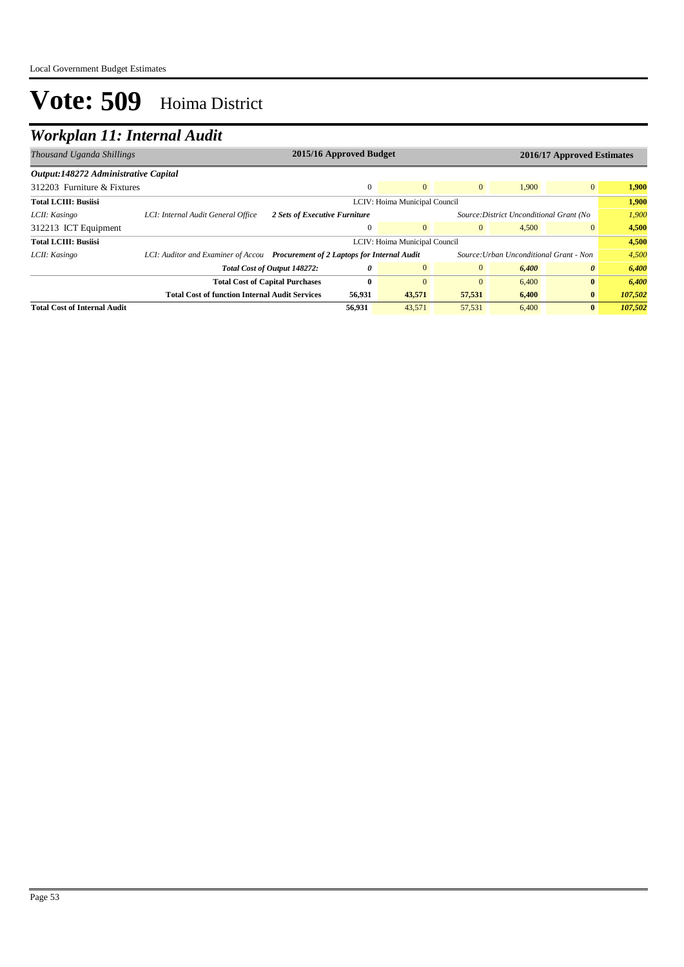## *Workplan 11: Internal Audit*

| Thousand Uganda Shillings            | 2015/16 Approved Budget<br>2016/17 Approved Estimates |                                                                                                                           |              |                |                |       |                       |         |
|--------------------------------------|-------------------------------------------------------|---------------------------------------------------------------------------------------------------------------------------|--------------|----------------|----------------|-------|-----------------------|---------|
| Output:148272 Administrative Capital |                                                       |                                                                                                                           |              |                |                |       |                       |         |
| 312203 Furniture & Fixtures          |                                                       |                                                                                                                           | $\mathbf{0}$ | $\Omega$       | $\overline{0}$ | 1,900 | $\overline{0}$        | 1,900   |
| <b>Total LCIII: Busiisi</b>          |                                                       | LCIV: Hoima Municipal Council                                                                                             |              |                |                |       | 1.900                 |         |
| LCII: Kasingo                        | LCI: Internal Audit General Office                    | 2 Sets of Executive Furniture<br>Source: District Unconditional Grant (No                                                 |              |                |                | 1,900 |                       |         |
| 312213 ICT Equipment                 |                                                       |                                                                                                                           | $\mathbf{0}$ | $\theta$       | $\overline{0}$ | 4.500 | $\overline{0}$        | 4,500   |
| <b>Total LCIII: Busiisi</b>          | LCIV: Hoima Municipal Council                         |                                                                                                                           |              |                |                | 4.500 |                       |         |
| LCII: Kasingo                        |                                                       | Source: Urban Unconditional Grant - Non<br>LCI: Auditor and Examiner of Accou Procurement of 2 Laptops for Internal Audit |              |                |                | 4,500 |                       |         |
|                                      | Total Cost of Output 148272:                          |                                                                                                                           | 0            | $\overline{0}$ | $\overline{0}$ | 6,400 | $\boldsymbol{\theta}$ | 6,400   |
|                                      | <b>Total Cost of Capital Purchases</b>                |                                                                                                                           | $\mathbf{0}$ | $\Omega$       | $\Omega$       | 6,400 | $\bf{0}$              | 6,400   |
|                                      | <b>Total Cost of function Internal Audit Services</b> |                                                                                                                           | 56,931       | 43,571         | 57,531         | 6,400 | $\bf{0}$              | 107,502 |
| <b>Total Cost of Internal Audit</b>  |                                                       |                                                                                                                           | 56.931       | 43,571         | 57,531         | 6,400 | $\bf{0}$              | 107,502 |